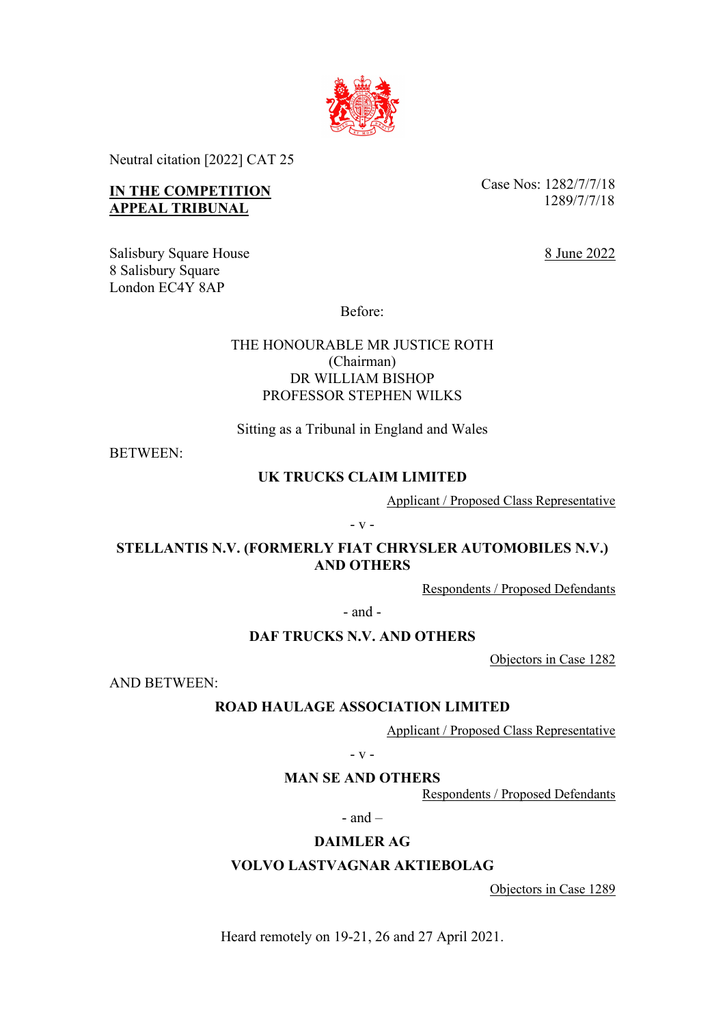

Neutral citation [2022] CAT 25

# **IN THE COMPETITION APPEAL TRIBUNAL**

Case Nos: 1282/7/7/18 1289/7/7/18

8 June 2022

Salisbury Square House 8 Salisbury Square London EC4Y 8AP

Before:

# THE HONOURABLE MR JUSTICE ROTH (Chairman) DR WILLIAM BISHOP PROFESSOR STEPHEN WILKS

Sitting as a Tribunal in England and Wales

BETWEEN:

## **UK TRUCKS CLAIM LIMITED**

Applicant / Proposed Class Representative

- v -

**STELLANTIS N.V. (FORMERLY FIAT CHRYSLER AUTOMOBILES N.V.) AND OTHERS**

Respondents / Proposed Defendants

- and -

## **DAF TRUCKS N.V. AND OTHERS**

Objectors in Case 1282

AND BETWEEN:

# **ROAD HAULAGE ASSOCIATION LIMITED**

Applicant / Proposed Class Representative

- v -

## **MAN SE AND OTHERS**

Respondents / Proposed Defendants

 $-$  and  $-$ 

# **DAIMLER AG**

## **VOLVO LASTVAGNAR AKTIEBOLAG**

Objectors in Case 1289

Heard remotely on 19-21, 26 and 27 April 2021.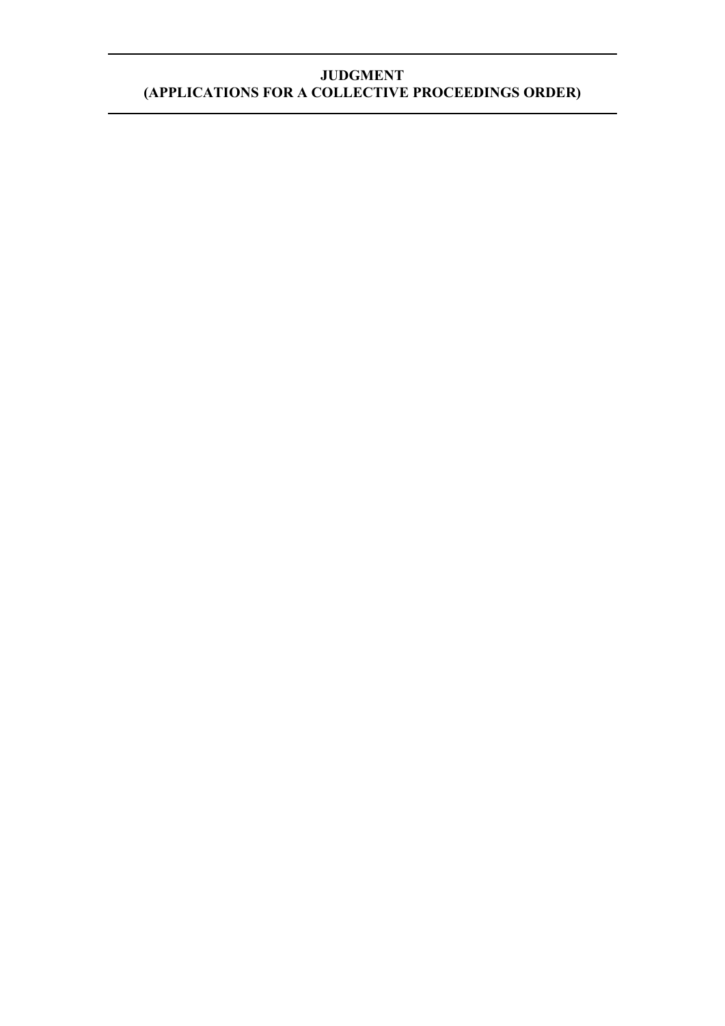# **JUDGMENT (APPLICATIONS FOR A COLLECTIVE PROCEEDINGS ORDER)**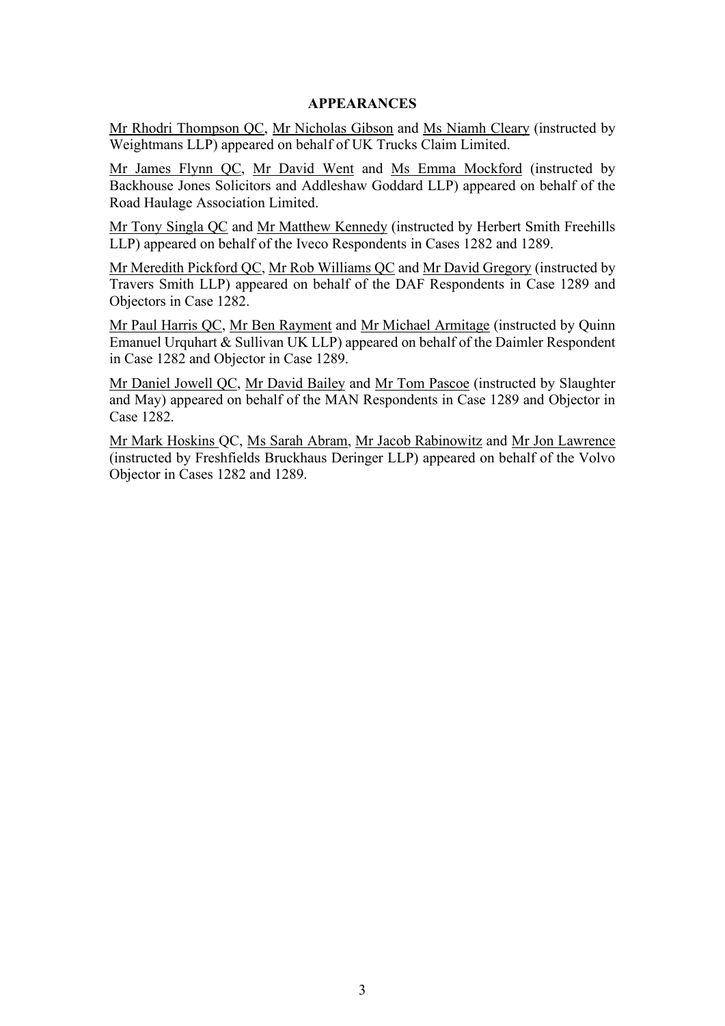## **APPEARANCES**

Mr Rhodri Thompson QC, Mr Nicholas Gibson and Ms Niamh Cleary (instructed by Weightmans LLP) appeared on behalf of UK Trucks Claim Limited.

Mr James Flynn QC, Mr David Went and Ms Emma Mockford (instructed by Backhouse Jones Solicitors and Addleshaw Goddard LLP) appeared on behalf of the Road Haulage Association Limited.

Mr Tony Singla QC and Mr Matthew Kennedy (instructed by Herbert Smith Freehills LLP) appeared on behalf of the Iveco Respondents in Cases 1282 and 1289.

Mr Meredith Pickford QC, Mr Rob Williams QC and Mr David Gregory (instructed by Travers Smith LLP) appeared on behalf of the DAF Respondents in Case 1289 and Objectors in Case 1282.

Mr Paul Harris QC, Mr Ben Rayment and Mr Michael Armitage (instructed by Quinn Emanuel Urquhart & Sullivan UK LLP) appeared on behalf of the Daimler Respondent in Case 1282 and Objector in Case 1289.

Mr Daniel Jowell QC, Mr David Bailey and Mr Tom Pascoe (instructed by Slaughter and May) appeared on behalf of the MAN Respondents in Case 1289 and Objector in Case 1282.

Mr Mark Hoskins QC, Ms Sarah Abram, Mr Jacob Rabinowitz and Mr Jon Lawrence (instructed by Freshfields Bruckhaus Deringer LLP) appeared on behalf of the Volvo Objector in Cases 1282 and 1289.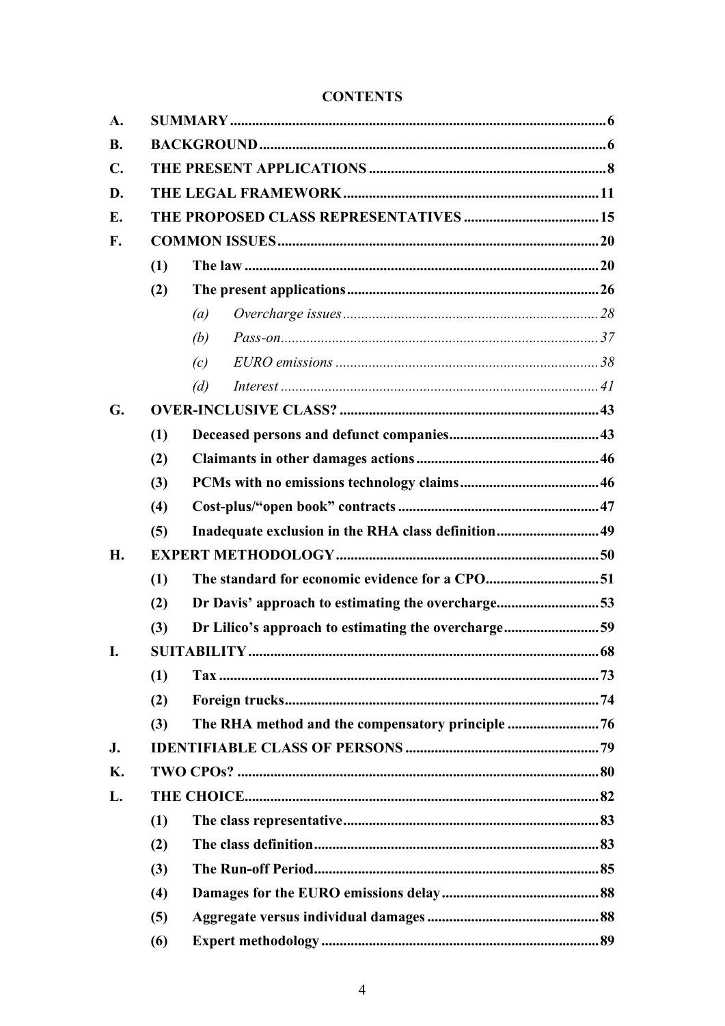# **CONTENTS**

| A.             |     |                                                     |                                                    |  |  |  |
|----------------|-----|-----------------------------------------------------|----------------------------------------------------|--|--|--|
| <b>B.</b>      |     |                                                     |                                                    |  |  |  |
| $\mathbf{C}$ . |     |                                                     |                                                    |  |  |  |
| D.             |     |                                                     |                                                    |  |  |  |
| Е.             |     |                                                     |                                                    |  |  |  |
| F.             |     |                                                     |                                                    |  |  |  |
|                | (1) |                                                     |                                                    |  |  |  |
|                | (2) |                                                     |                                                    |  |  |  |
|                |     | (a)                                                 |                                                    |  |  |  |
|                |     | (b)                                                 |                                                    |  |  |  |
|                |     | (c)                                                 |                                                    |  |  |  |
|                |     | (d)                                                 |                                                    |  |  |  |
| G.             |     |                                                     |                                                    |  |  |  |
|                | (1) |                                                     |                                                    |  |  |  |
|                | (2) |                                                     |                                                    |  |  |  |
|                | (3) |                                                     |                                                    |  |  |  |
|                | (4) |                                                     |                                                    |  |  |  |
|                | (5) |                                                     | Inadequate exclusion in the RHA class definition49 |  |  |  |
| H.             |     |                                                     |                                                    |  |  |  |
|                | (1) |                                                     |                                                    |  |  |  |
|                | (2) | Dr Davis' approach to estimating the overcharge53   |                                                    |  |  |  |
|                | (3) | Dr Lilico's approach to estimating the overcharge59 |                                                    |  |  |  |
| I.             |     |                                                     |                                                    |  |  |  |
|                | (1) |                                                     |                                                    |  |  |  |
|                | (2) |                                                     |                                                    |  |  |  |
|                | (3) |                                                     |                                                    |  |  |  |
| J.             |     |                                                     |                                                    |  |  |  |
| Κ.             |     |                                                     |                                                    |  |  |  |
| L.             |     |                                                     |                                                    |  |  |  |
|                | (1) |                                                     |                                                    |  |  |  |
|                | (2) |                                                     |                                                    |  |  |  |
|                | (3) |                                                     |                                                    |  |  |  |
|                | (4) |                                                     |                                                    |  |  |  |
|                | (5) |                                                     |                                                    |  |  |  |
|                | (6) |                                                     |                                                    |  |  |  |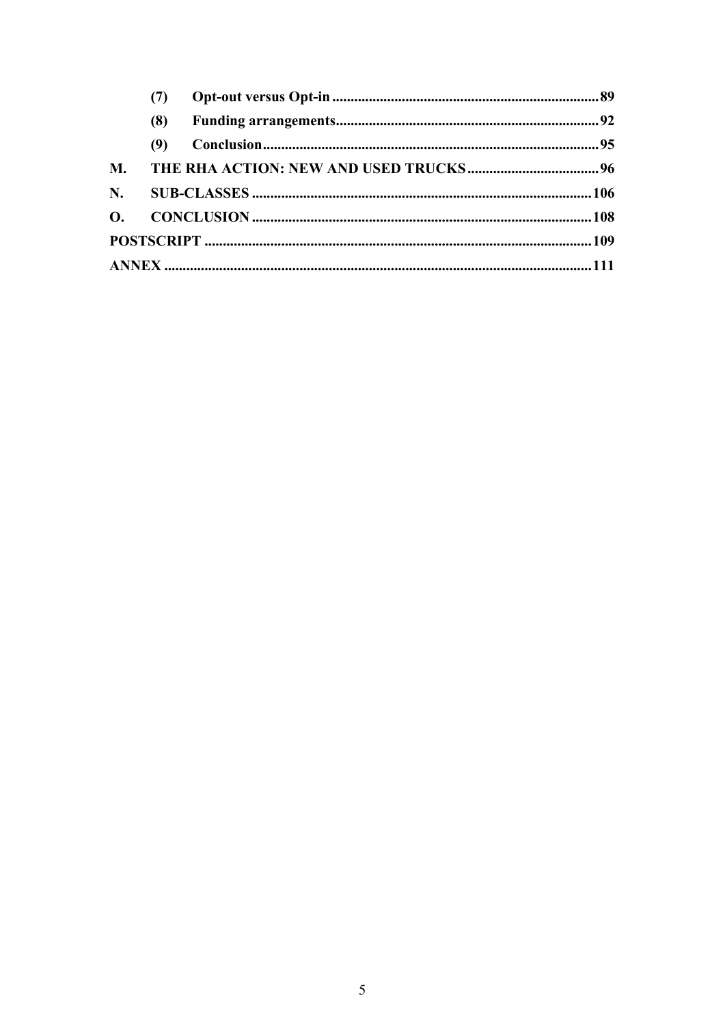|             | (7) |  |  |
|-------------|-----|--|--|
|             | (8) |  |  |
|             | (9) |  |  |
| <b>M.</b>   |     |  |  |
| $N_{\rm A}$ |     |  |  |
|             |     |  |  |
|             |     |  |  |
|             |     |  |  |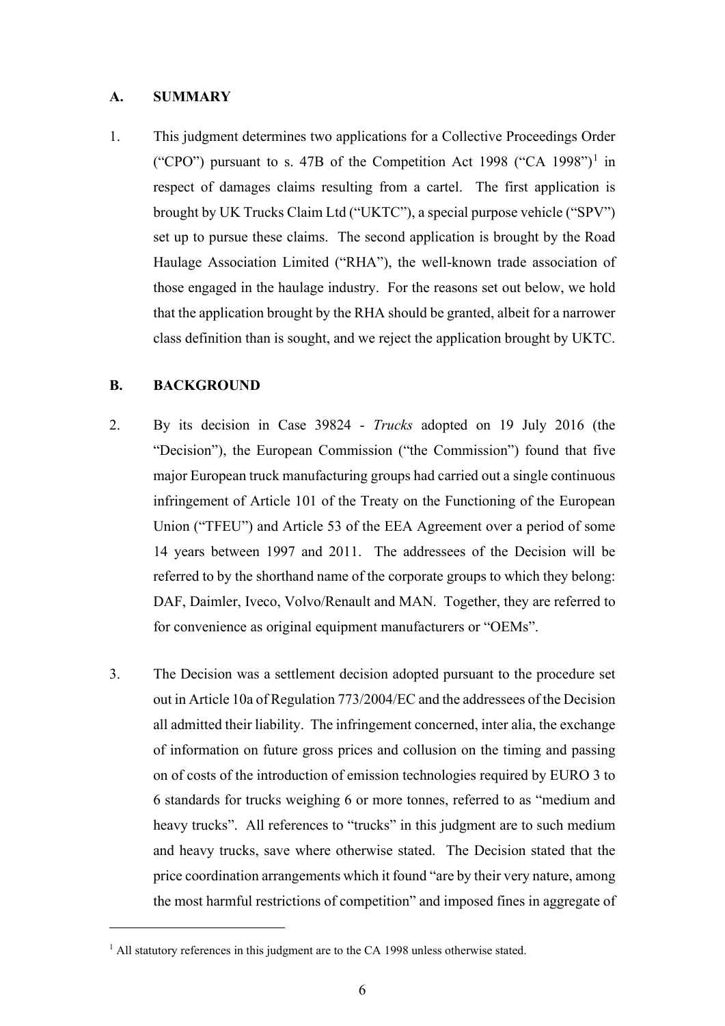#### **A. SUMMARY**

1. This judgment determines two applications for a Collective Proceedings Order ("CPO") pursuant to s. 47B of the Competition Act 1998 ("CA 1998")<sup>1</sup> in respect of damages claims resulting from a cartel. The first application is brought by UK Trucks Claim Ltd ("UKTC"), a special purpose vehicle ("SPV") set up to pursue these claims. The second application is brought by the Road Haulage Association Limited ("RHA"), the well-known trade association of those engaged in the haulage industry. For the reasons set out below, we hold that the application brought by the RHA should be granted, albeit for a narrower class definition than is sought, and we reject the application brought by UKTC.

## **B. BACKGROUND**

- 2. By its decision in Case 39824 *Trucks* adopted on 19 July 2016 (the "Decision"), the European Commission ("the Commission") found that five major European truck manufacturing groups had carried out a single continuous infringement of Article 101 of the Treaty on the Functioning of the European Union ("TFEU") and Article 53 of the EEA Agreement over a period of some 14 years between 1997 and 2011. The addressees of the Decision will be referred to by the shorthand name of the corporate groups to which they belong: DAF, Daimler, Iveco, Volvo/Renault and MAN. Together, they are referred to for convenience as original equipment manufacturers or "OEMs".
- 3. The Decision was a settlement decision adopted pursuant to the procedure set out in Article 10a of Regulation 773/2004/EC and the addressees of the Decision all admitted their liability. The infringement concerned, inter alia, the exchange of information on future gross prices and collusion on the timing and passing on of costs of the introduction of emission technologies required by EURO 3 to 6 standards for trucks weighing 6 or more tonnes, referred to as "medium and heavy trucks". All references to "trucks" in this judgment are to such medium and heavy trucks, save where otherwise stated. The Decision stated that the price coordination arrangements which it found "are by their very nature, among the most harmful restrictions of competition" and imposed fines in aggregate of

<sup>&</sup>lt;sup>1</sup> All statutory references in this judgment are to the CA 1998 unless otherwise stated.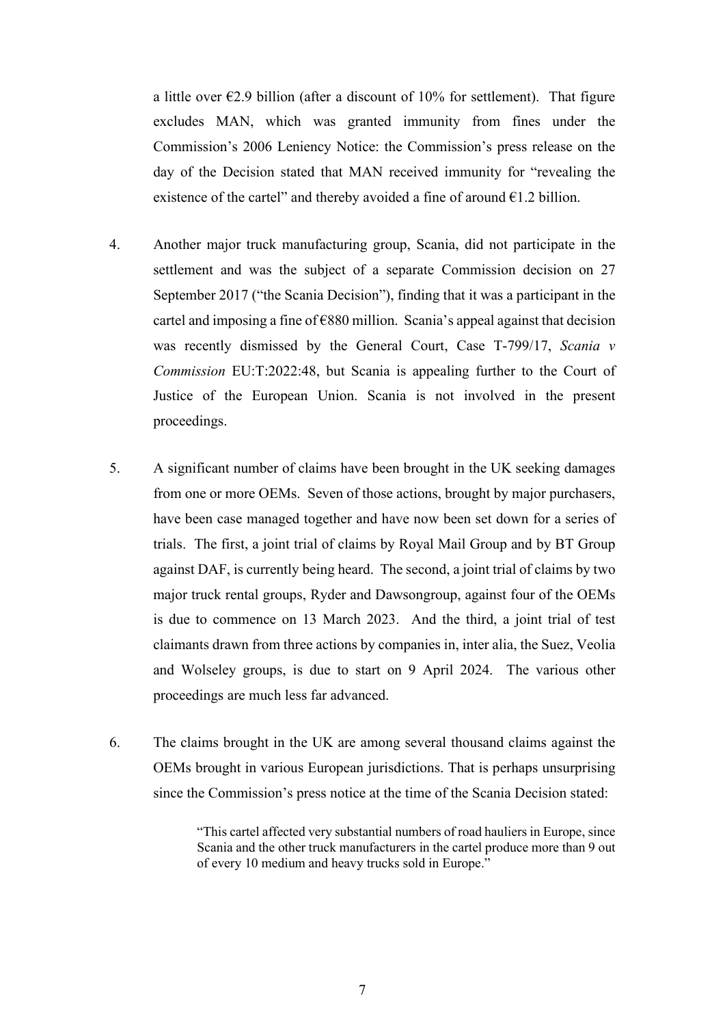a little over  $\epsilon$ 2.9 billion (after a discount of 10% for settlement). That figure excludes MAN, which was granted immunity from fines under the Commission's 2006 Leniency Notice: the Commission's press release on the day of the Decision stated that MAN received immunity for "revealing the existence of the cartel" and thereby avoided a fine of around  $\epsilon$ 1.2 billion.

- 4. Another major truck manufacturing group, Scania, did not participate in the settlement and was the subject of a separate Commission decision on 27 September 2017 ("the Scania Decision"), finding that it was a participant in the cartel and imposing a fine of  $\epsilon$ 880 million. Scania's appeal against that decision was recently dismissed by the General Court, Case T-799/17, *Scania v Commission* EU:T:2022:48, but Scania is appealing further to the Court of Justice of the European Union. Scania is not involved in the present proceedings.
- 5. A significant number of claims have been brought in the UK seeking damages from one or more OEMs. Seven of those actions, brought by major purchasers, have been case managed together and have now been set down for a series of trials. The first, a joint trial of claims by Royal Mail Group and by BT Group against DAF, is currently being heard. The second, a joint trial of claims by two major truck rental groups, Ryder and Dawsongroup, against four of the OEMs is due to commence on 13 March 2023. And the third, a joint trial of test claimants drawn from three actions by companies in, inter alia, the Suez, Veolia and Wolseley groups, is due to start on 9 April 2024. The various other proceedings are much less far advanced.
- 6. The claims brought in the UK are among several thousand claims against the OEMs brought in various European jurisdictions. That is perhaps unsurprising since the Commission's press notice at the time of the Scania Decision stated:

<sup>&</sup>quot;This cartel affected very substantial numbers of road hauliers in Europe, since Scania and the other truck manufacturers in the cartel produce more than 9 out of every 10 medium and heavy trucks sold in Europe."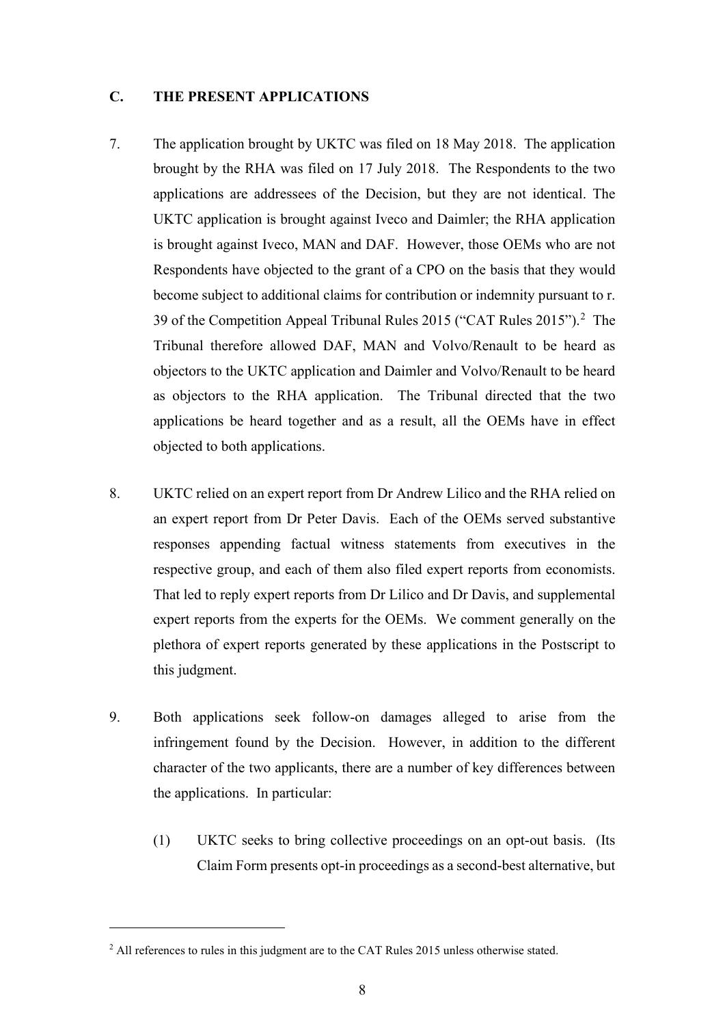## **C. THE PRESENT APPLICATIONS**

- 7. The application brought by UKTC was filed on 18 May 2018. The application brought by the RHA was filed on 17 July 2018. The Respondents to the two applications are addressees of the Decision, but they are not identical. The UKTC application is brought against Iveco and Daimler; the RHA application is brought against Iveco, MAN and DAF. However, those OEMs who are not Respondents have objected to the grant of a CPO on the basis that they would become subject to additional claims for contribution or indemnity pursuant to r. 39 of the Competition Appeal Tribunal Rules 2015 ("CAT Rules 2015").<sup>2</sup> The Tribunal therefore allowed DAF, MAN and Volvo/Renault to be heard as objectors to the UKTC application and Daimler and Volvo/Renault to be heard as objectors to the RHA application. The Tribunal directed that the two applications be heard together and as a result, all the OEMs have in effect objected to both applications.
- 8. UKTC relied on an expert report from Dr Andrew Lilico and the RHA relied on an expert report from Dr Peter Davis. Each of the OEMs served substantive responses appending factual witness statements from executives in the respective group, and each of them also filed expert reports from economists. That led to reply expert reports from Dr Lilico and Dr Davis, and supplemental expert reports from the experts for the OEMs. We comment generally on the plethora of expert reports generated by these applications in the Postscript to this judgment.
- 9. Both applications seek follow-on damages alleged to arise from the infringement found by the Decision. However, in addition to the different character of the two applicants, there are a number of key differences between the applications. In particular:
	- (1) UKTC seeks to bring collective proceedings on an opt-out basis. (Its Claim Form presents opt-in proceedings as a second-best alternative, but

<sup>&</sup>lt;sup>2</sup> All references to rules in this judgment are to the CAT Rules 2015 unless otherwise stated.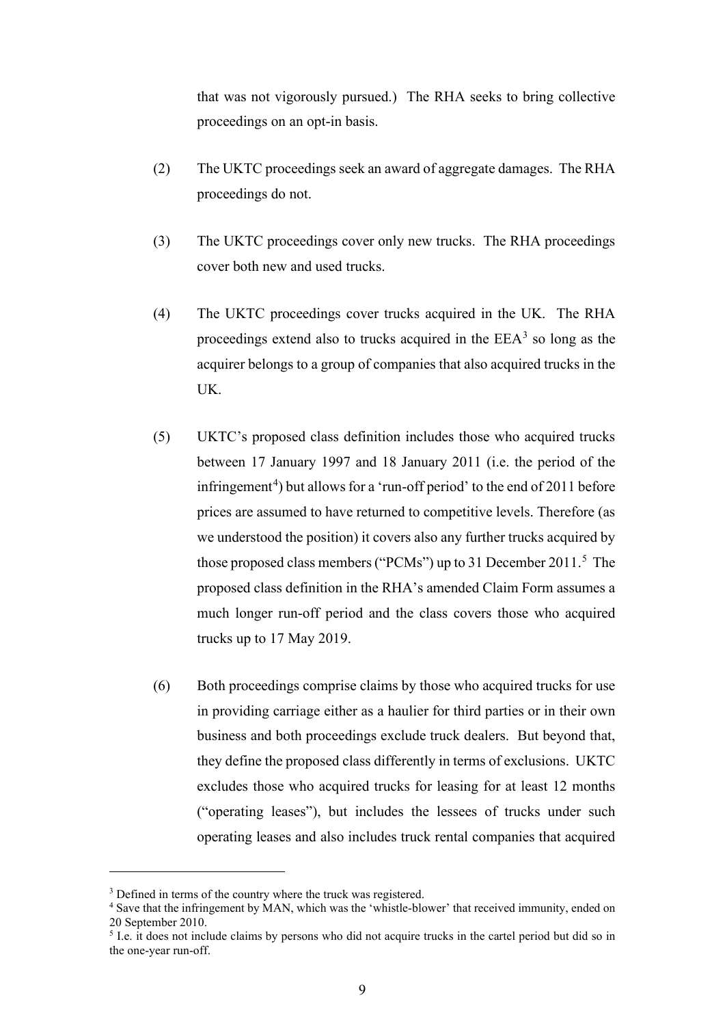that was not vigorously pursued.) The RHA seeks to bring collective proceedings on an opt-in basis.

- (2) The UKTC proceedings seek an award of aggregate damages. The RHA proceedings do not.
- (3) The UKTC proceedings cover only new trucks. The RHA proceedings cover both new and used trucks.
- (4) The UKTC proceedings cover trucks acquired in the UK. The RHA proceedings extend also to trucks acquired in the  $EEA<sup>3</sup>$  so long as the acquirer belongs to a group of companies that also acquired trucks in the UK.
- (5) UKTC's proposed class definition includes those who acquired trucks between 17 January 1997 and 18 January 2011 (i.e. the period of the infringement<sup>4</sup>) but allows for a 'run-off period' to the end of 2011 before prices are assumed to have returned to competitive levels. Therefore (as we understood the position) it covers also any further trucks acquired by those proposed class members ("PCMs") up to 31 December 2011.<sup>5</sup> The proposed class definition in the RHA's amended Claim Form assumes a much longer run-off period and the class covers those who acquired trucks up to 17 May 2019.
- (6) Both proceedings comprise claims by those who acquired trucks for use in providing carriage either as a haulier for third parties or in their own business and both proceedings exclude truck dealers. But beyond that, they define the proposed class differently in terms of exclusions. UKTC excludes those who acquired trucks for leasing for at least 12 months ("operating leases"), but includes the lessees of trucks under such operating leases and also includes truck rental companies that acquired

<sup>&</sup>lt;sup>3</sup> Defined in terms of the country where the truck was registered.

<sup>4</sup> Save that the infringement by MAN, which was the 'whistle-blower' that received immunity, ended on 20 September 2010.

<sup>&</sup>lt;sup>5</sup> I.e. it does not include claims by persons who did not acquire trucks in the cartel period but did so in the one-year run-off.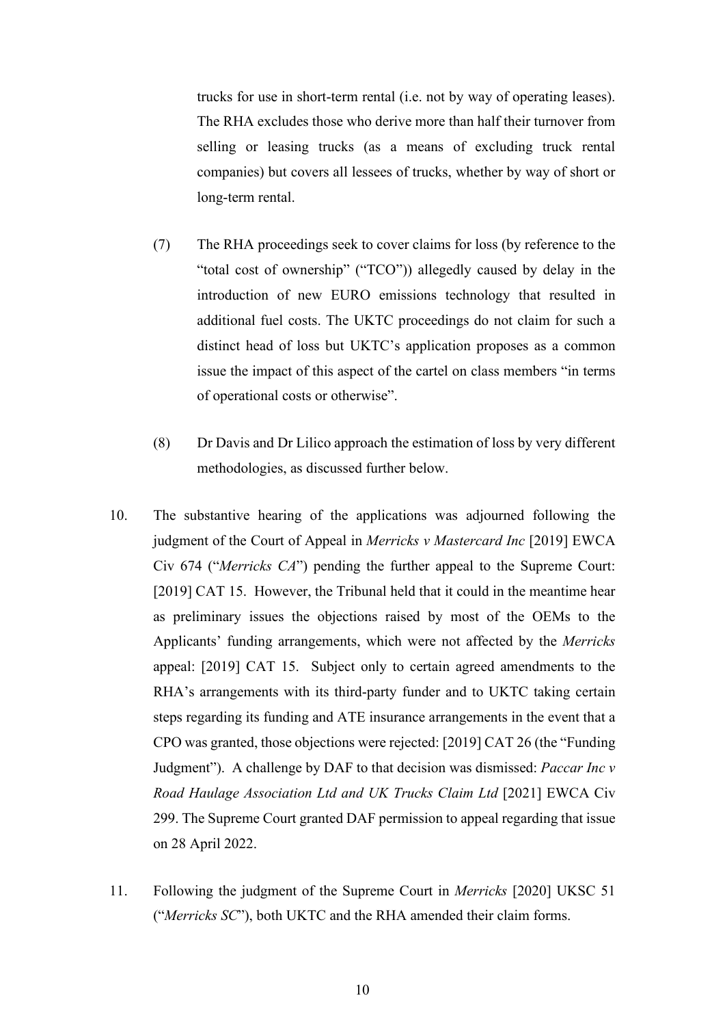trucks for use in short-term rental (i.e. not by way of operating leases). The RHA excludes those who derive more than half their turnover from selling or leasing trucks (as a means of excluding truck rental companies) but covers all lessees of trucks, whether by way of short or long-term rental.

- (7) The RHA proceedings seek to cover claims for loss (by reference to the "total cost of ownership" ("TCO")) allegedly caused by delay in the introduction of new EURO emissions technology that resulted in additional fuel costs. The UKTC proceedings do not claim for such a distinct head of loss but UKTC's application proposes as a common issue the impact of this aspect of the cartel on class members "in terms of operational costs or otherwise".
- (8) Dr Davis and Dr Lilico approach the estimation of loss by very different methodologies, as discussed further below.
- 10. The substantive hearing of the applications was adjourned following the judgment of the Court of Appeal in *Merricks v Mastercard Inc* [2019] EWCA Civ 674 ("*Merricks CA*") pending the further appeal to the Supreme Court: [2019] CAT 15. However, the Tribunal held that it could in the meantime hear as preliminary issues the objections raised by most of the OEMs to the Applicants' funding arrangements, which were not affected by the *Merricks*  appeal: [2019] CAT 15. Subject only to certain agreed amendments to the RHA's arrangements with its third-party funder and to UKTC taking certain steps regarding its funding and ATE insurance arrangements in the event that a CPO was granted, those objections were rejected: [2019] CAT 26 (the "Funding Judgment"). A challenge by DAF to that decision was dismissed: *Paccar Inc v Road Haulage Association Ltd and UK Trucks Claim Ltd* [2021] EWCA Civ 299. The Supreme Court granted DAF permission to appeal regarding that issue on 28 April 2022.
- 11. Following the judgment of the Supreme Court in *Merricks* [2020] UKSC 51 ("*Merricks SC*"), both UKTC and the RHA amended their claim forms.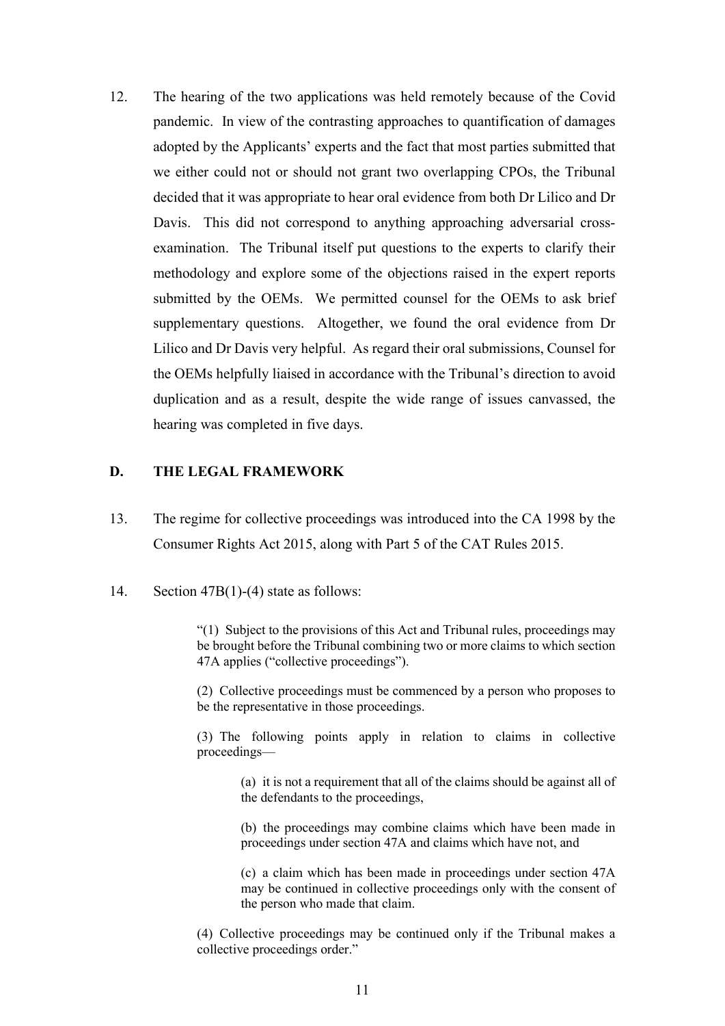12. The hearing of the two applications was held remotely because of the Covid pandemic. In view of the contrasting approaches to quantification of damages adopted by the Applicants' experts and the fact that most parties submitted that we either could not or should not grant two overlapping CPOs, the Tribunal decided that it was appropriate to hear oral evidence from both Dr Lilico and Dr Davis. This did not correspond to anything approaching adversarial crossexamination. The Tribunal itself put questions to the experts to clarify their methodology and explore some of the objections raised in the expert reports submitted by the OEMs. We permitted counsel for the OEMs to ask brief supplementary questions. Altogether, we found the oral evidence from Dr Lilico and Dr Davis very helpful. As regard their oral submissions, Counsel for the OEMs helpfully liaised in accordance with the Tribunal's direction to avoid duplication and as a result, despite the wide range of issues canvassed, the hearing was completed in five days.

## **D. THE LEGAL FRAMEWORK**

13. The regime for collective proceedings was introduced into the CA 1998 by the Consumer Rights Act 2015, along with Part 5 of the CAT Rules 2015.

14. Section 47B(1)-(4) state as follows:

"(1) Subject to the provisions of this Act and Tribunal rules, proceedings may be brought before the Tribunal combining two or more claims to which section 47A applies ("collective proceedings").

(2) Collective proceedings must be commenced by a person who proposes to be the representative in those proceedings.

(3) The following points apply in relation to claims in collective proceedings—

> (a) it is not a requirement that all of the claims should be against all of the defendants to the proceedings,

> (b) the proceedings may combine claims which have been made in proceedings under section 47A and claims which have not, and

> (c) a claim which has been made in proceedings under section 47A may be continued in collective proceedings only with the consent of the person who made that claim.

(4) Collective proceedings may be continued only if the Tribunal makes a collective proceedings order."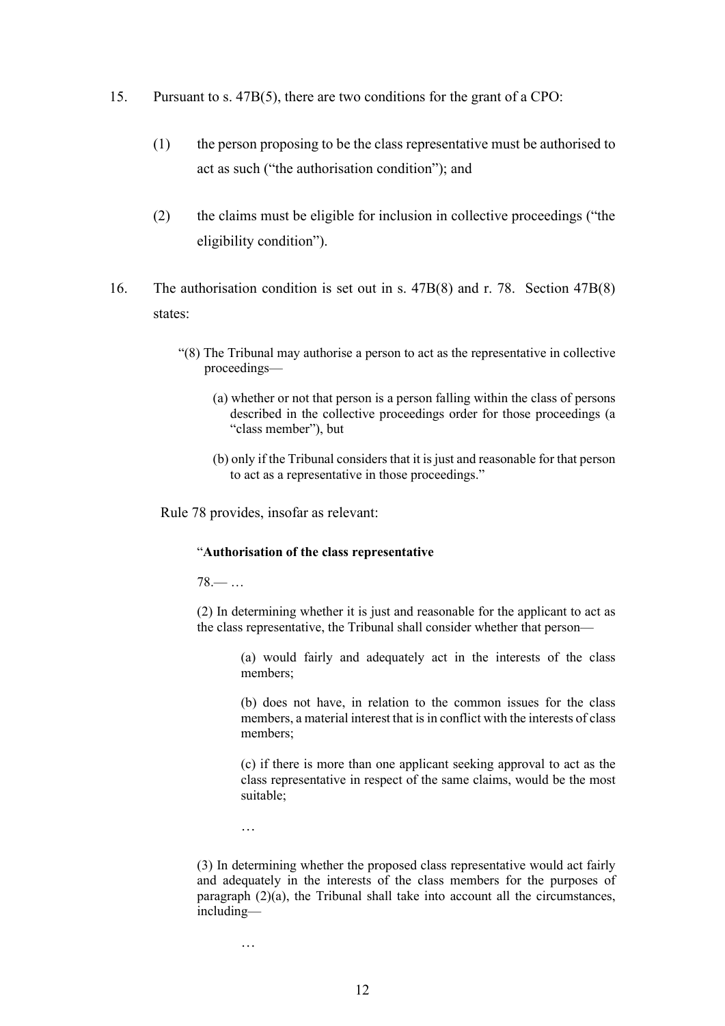- 15. Pursuant to s. 47B(5), there are two conditions for the grant of a CPO:
	- (1) the person proposing to be the class representative must be authorised to act as such ("the authorisation condition"); and
	- (2) the claims must be eligible for inclusion in collective proceedings ("the eligibility condition").
- 16. The authorisation condition is set out in s. 47B(8) and r. 78. Section 47B(8) states:
	- "(8) The Tribunal may authorise a person to act as the representative in collective proceedings—
		- (a) whether or not that person is a person falling within the class of persons described in the collective proceedings order for those proceedings (a "class member"), but
		- (b) only if the Tribunal considers that it is just and reasonable for that person to act as a representative in those proceedings."

Rule 78 provides, insofar as relevant:

#### "**Authorisation of the class representative**

78.— …

(2) In determining whether it is just and reasonable for the applicant to act as the class representative, the Tribunal shall consider whether that person—

> (a) would fairly and adequately act in the interests of the class members;

> (b) does not have, in relation to the common issues for the class members, a material interest that is in conflict with the interests of class members;

> (c) if there is more than one applicant seeking approval to act as the class representative in respect of the same claims, would be the most suitable;

…

(3) In determining whether the proposed class representative would act fairly and adequately in the interests of the class members for the purposes of paragraph  $(2)(a)$ , the Tribunal shall take into account all the circumstances, including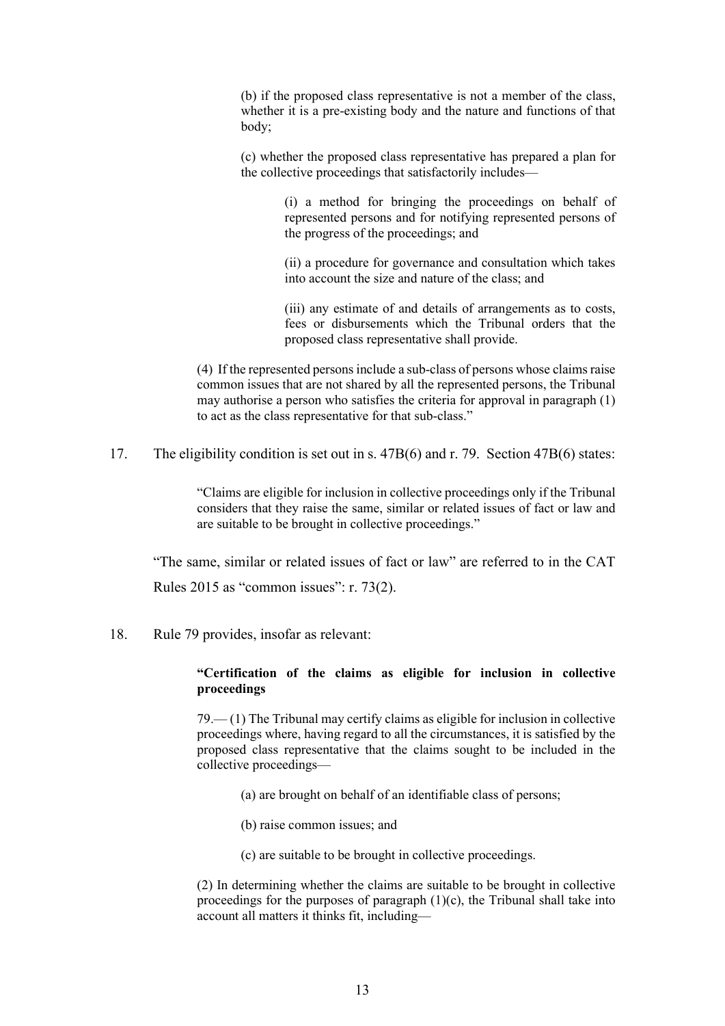(b) if the proposed class representative is not a member of the class, whether it is a pre-existing body and the nature and functions of that body;

(c) whether the proposed class representative has prepared a plan for the collective proceedings that satisfactorily includes—

> (i) a method for bringing the proceedings on behalf of represented persons and for notifying represented persons of the progress of the proceedings; and

> (ii) a procedure for governance and consultation which takes into account the size and nature of the class; and

> (iii) any estimate of and details of arrangements as to costs, fees or disbursements which the Tribunal orders that the proposed class representative shall provide.

(4) If the represented persons include a sub-class of persons whose claims raise common issues that are not shared by all the represented persons, the Tribunal may authorise a person who satisfies the criteria for approval in paragraph (1) to act as the class representative for that sub-class."

17. The eligibility condition is set out in s. 47B(6) and r. 79. Section 47B(6) states:

"Claims are eligible for inclusion in collective proceedings only if the Tribunal considers that they raise the same, similar or related issues of fact or law and are suitable to be brought in collective proceedings."

"The same, similar or related issues of fact or law" are referred to in the CAT Rules 2015 as "common issues": r. 73(2).

18. Rule 79 provides, insofar as relevant:

### **"Certification of the claims as eligible for inclusion in collective proceedings**

79.— (1) The Tribunal may certify claims as eligible for inclusion in collective proceedings where, having regard to all the circumstances, it is satisfied by the proposed class representative that the claims sought to be included in the collective proceedings—

- (a) are brought on behalf of an identifiable class of persons;
- (b) raise common issues; and
- (c) are suitable to be brought in collective proceedings.

(2) In determining whether the claims are suitable to be brought in collective proceedings for the purposes of paragraph  $(1)(c)$ , the Tribunal shall take into account all matters it thinks fit, including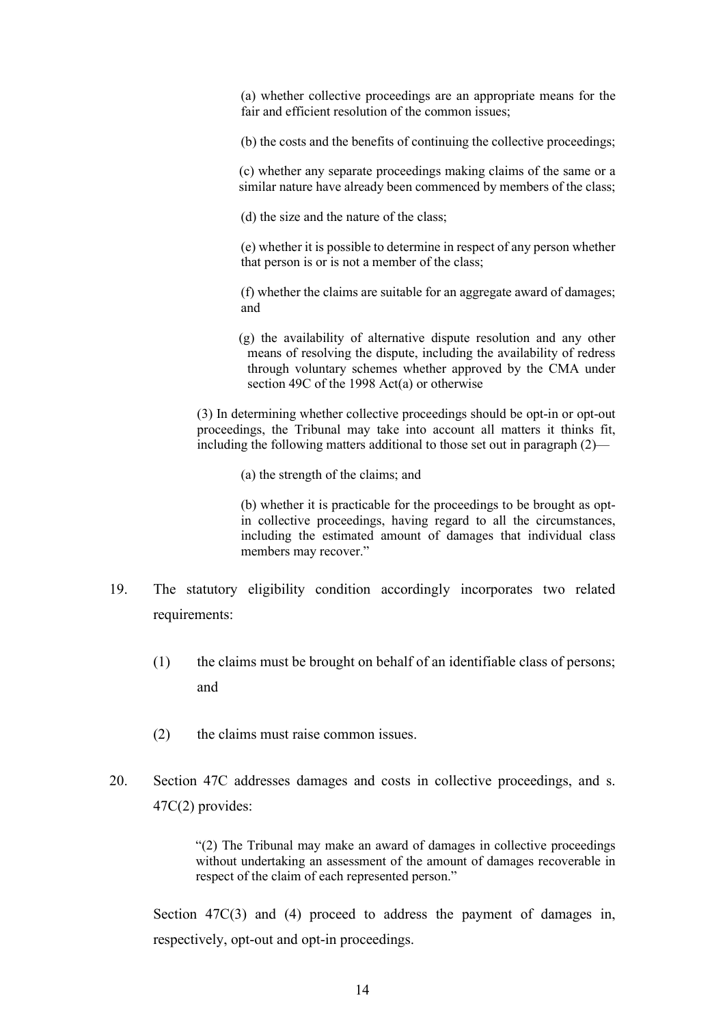(a) whether collective proceedings are an appropriate means for the fair and efficient resolution of the common issues;

(b) the costs and the benefits of continuing the collective proceedings;

 (c) whether any separate proceedings making claims of the same or a similar nature have already been commenced by members of the class;

(d) the size and the nature of the class;

(e) whether it is possible to determine in respect of any person whether that person is or is not a member of the class;

(f) whether the claims are suitable for an aggregate award of damages; and

(g) the availability of alternative dispute resolution and any other means of resolving the dispute, including the availability of redress through voluntary schemes whether approved by the CMA under section 49C of the 1998 Act(a) or otherwise

(3) In determining whether collective proceedings should be opt-in or opt-out proceedings, the Tribunal may take into account all matters it thinks fit, including the following matters additional to those set out in paragraph (2)—

(a) the strength of the claims; and

(b) whether it is practicable for the proceedings to be brought as optin collective proceedings, having regard to all the circumstances, including the estimated amount of damages that individual class members may recover."

- 19. The statutory eligibility condition accordingly incorporates two related requirements:
	- (1) the claims must be brought on behalf of an identifiable class of persons; and
	- (2) the claims must raise common issues.
- 20. Section 47C addresses damages and costs in collective proceedings, and s. 47C(2) provides:

 "(2) The Tribunal may make an award of damages in collective proceedings without undertaking an assessment of the amount of damages recoverable in respect of the claim of each represented person."

Section 47C(3) and (4) proceed to address the payment of damages in, respectively, opt-out and opt-in proceedings.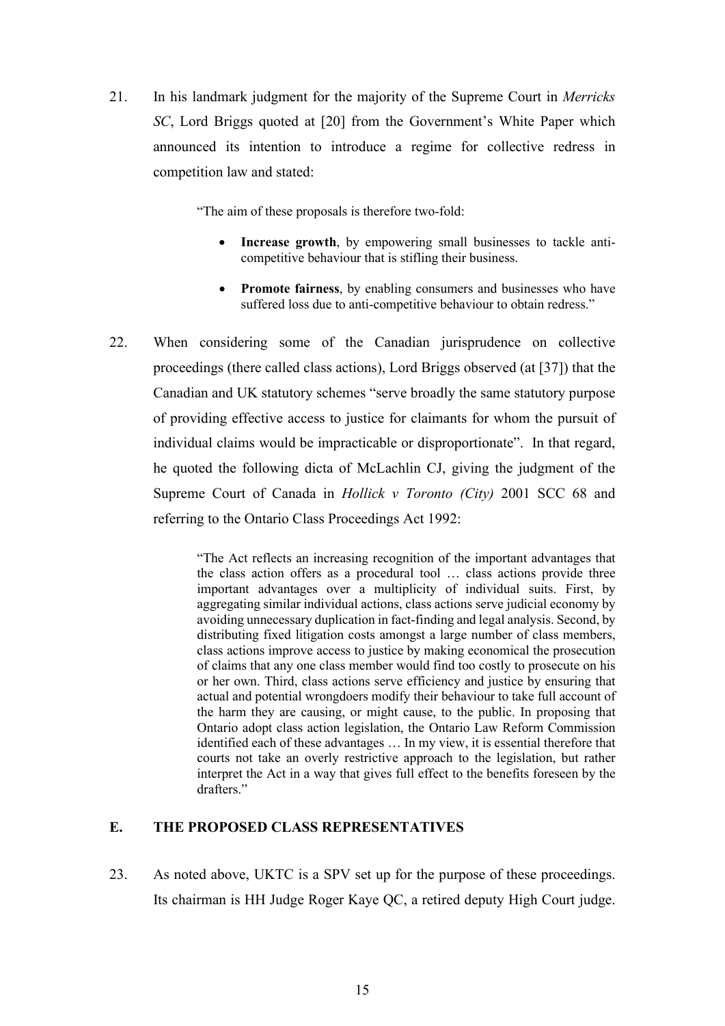21. In his landmark judgment for the majority of the Supreme Court in *Merricks SC*, Lord Briggs quoted at [20] from the Government's White Paper which announced its intention to introduce a regime for collective redress in competition law and stated:

"The aim of these proposals is therefore two-fold:

- **Increase growth**, by empowering small businesses to tackle anticompetitive behaviour that is stifling their business.
- **Promote fairness**, by enabling consumers and businesses who have suffered loss due to anti-competitive behaviour to obtain redress."
- 22. When considering some of the Canadian jurisprudence on collective proceedings (there called class actions), Lord Briggs observed (at [37]) that the Canadian and UK statutory schemes "serve broadly the same statutory purpose of providing effective access to justice for claimants for whom the pursuit of individual claims would be impracticable or disproportionate". In that regard, he quoted the following dicta of McLachlin CJ, giving the judgment of the Supreme Court of Canada in *Hollick v Toronto (City)* 2001 SCC 68 and referring to the Ontario Class Proceedings Act 1992:

"The Act reflects an increasing recognition of the important advantages that the class action offers as a procedural tool … class actions provide three important advantages over a multiplicity of individual suits. First, by aggregating similar individual actions, class actions serve judicial economy by avoiding unnecessary duplication in fact-finding and legal analysis. Second, by distributing fixed litigation costs amongst a large number of class members, class actions improve access to justice by making economical the prosecution of claims that any one class member would find too costly to prosecute on his or her own. Third, class actions serve efficiency and justice by ensuring that actual and potential wrongdoers modify their behaviour to take full account of the harm they are causing, or might cause, to the public. In proposing that Ontario adopt class action legislation, the Ontario Law Reform Commission identified each of these advantages … In my view, it is essential therefore that courts not take an overly restrictive approach to the legislation, but rather interpret the Act in a way that gives full effect to the benefits foreseen by the drafters."

# **E. THE PROPOSED CLASS REPRESENTATIVES**

23. As noted above, UKTC is a SPV set up for the purpose of these proceedings. Its chairman is HH Judge Roger Kaye QC, a retired deputy High Court judge.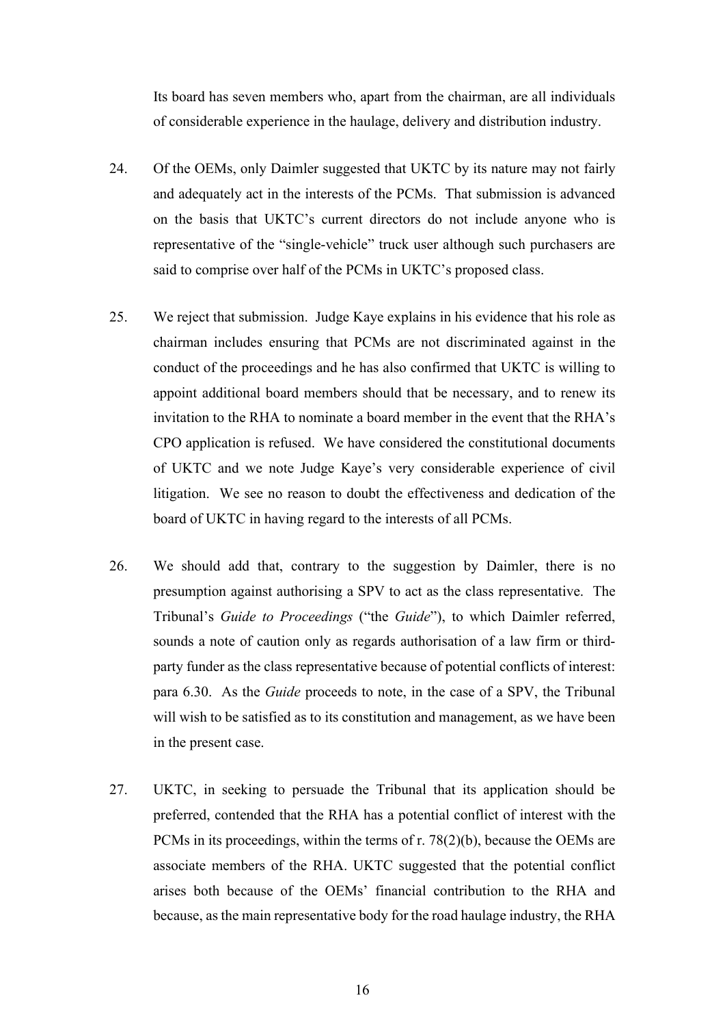Its board has seven members who, apart from the chairman, are all individuals of considerable experience in the haulage, delivery and distribution industry.

- 24. Of the OEMs, only Daimler suggested that UKTC by its nature may not fairly and adequately act in the interests of the PCMs. That submission is advanced on the basis that UKTC's current directors do not include anyone who is representative of the "single-vehicle" truck user although such purchasers are said to comprise over half of the PCMs in UKTC's proposed class.
- 25. We reject that submission. Judge Kaye explains in his evidence that his role as chairman includes ensuring that PCMs are not discriminated against in the conduct of the proceedings and he has also confirmed that UKTC is willing to appoint additional board members should that be necessary, and to renew its invitation to the RHA to nominate a board member in the event that the RHA's CPO application is refused. We have considered the constitutional documents of UKTC and we note Judge Kaye's very considerable experience of civil litigation. We see no reason to doubt the effectiveness and dedication of the board of UKTC in having regard to the interests of all PCMs.
- 26. We should add that, contrary to the suggestion by Daimler, there is no presumption against authorising a SPV to act as the class representative. The Tribunal's *Guide to Proceedings* ("the *Guide*"), to which Daimler referred, sounds a note of caution only as regards authorisation of a law firm or thirdparty funder as the class representative because of potential conflicts of interest: para 6.30. As the *Guide* proceeds to note, in the case of a SPV, the Tribunal will wish to be satisfied as to its constitution and management, as we have been in the present case.
- 27. UKTC, in seeking to persuade the Tribunal that its application should be preferred, contended that the RHA has a potential conflict of interest with the PCMs in its proceedings, within the terms of r. 78(2)(b), because the OEMs are associate members of the RHA. UKTC suggested that the potential conflict arises both because of the OEMs' financial contribution to the RHA and because, as the main representative body for the road haulage industry, the RHA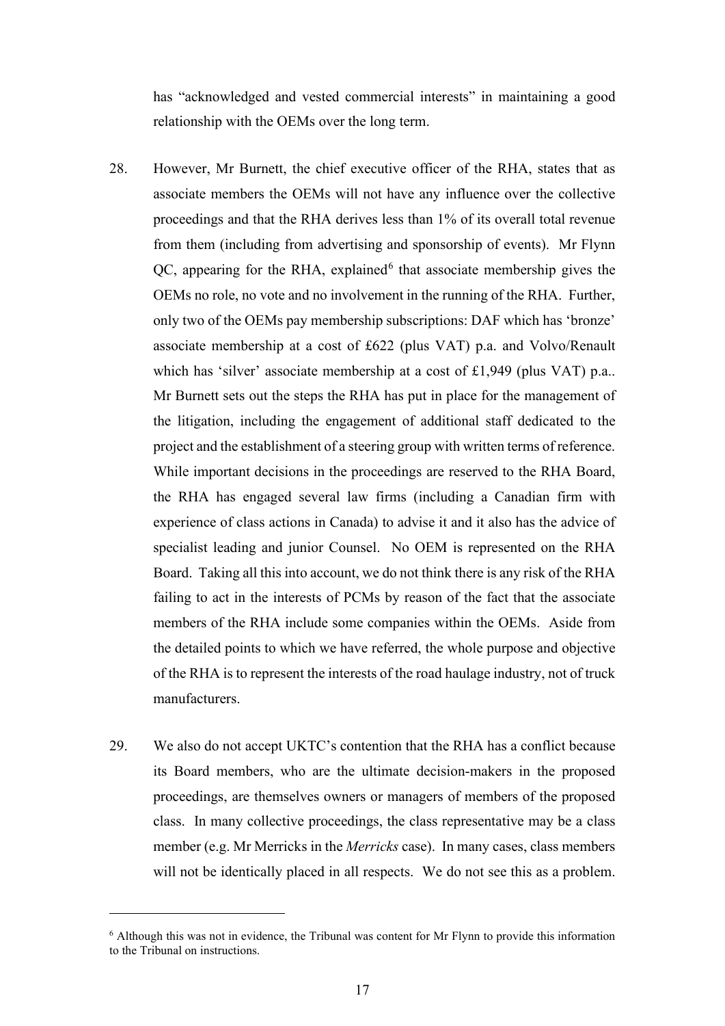has "acknowledged and vested commercial interests" in maintaining a good relationship with the OEMs over the long term.

- 28. However, Mr Burnett, the chief executive officer of the RHA, states that as associate members the OEMs will not have any influence over the collective proceedings and that the RHA derives less than 1% of its overall total revenue from them (including from advertising and sponsorship of events). Mr Flynn  $QC$ , appearing for the RHA, explained<sup>6</sup> that associate membership gives the OEMs no role, no vote and no involvement in the running of the RHA. Further, only two of the OEMs pay membership subscriptions: DAF which has 'bronze' associate membership at a cost of £622 (plus VAT) p.a. and Volvo/Renault which has 'silver' associate membership at a cost of £1,949 (plus VAT) p.a.. Mr Burnett sets out the steps the RHA has put in place for the management of the litigation, including the engagement of additional staff dedicated to the project and the establishment of a steering group with written terms of reference. While important decisions in the proceedings are reserved to the RHA Board, the RHA has engaged several law firms (including a Canadian firm with experience of class actions in Canada) to advise it and it also has the advice of specialist leading and junior Counsel. No OEM is represented on the RHA Board. Taking all this into account, we do not think there is any risk of the RHA failing to act in the interests of PCMs by reason of the fact that the associate members of the RHA include some companies within the OEMs. Aside from the detailed points to which we have referred, the whole purpose and objective of the RHA is to represent the interests of the road haulage industry, not of truck manufacturers.
- 29. We also do not accept UKTC's contention that the RHA has a conflict because its Board members, who are the ultimate decision-makers in the proposed proceedings, are themselves owners or managers of members of the proposed class. In many collective proceedings, the class representative may be a class member (e.g. Mr Merricks in the *Merricks* case). In many cases, class members will not be identically placed in all respects. We do not see this as a problem.

<sup>&</sup>lt;sup>6</sup> Although this was not in evidence, the Tribunal was content for Mr Flynn to provide this information to the Tribunal on instructions.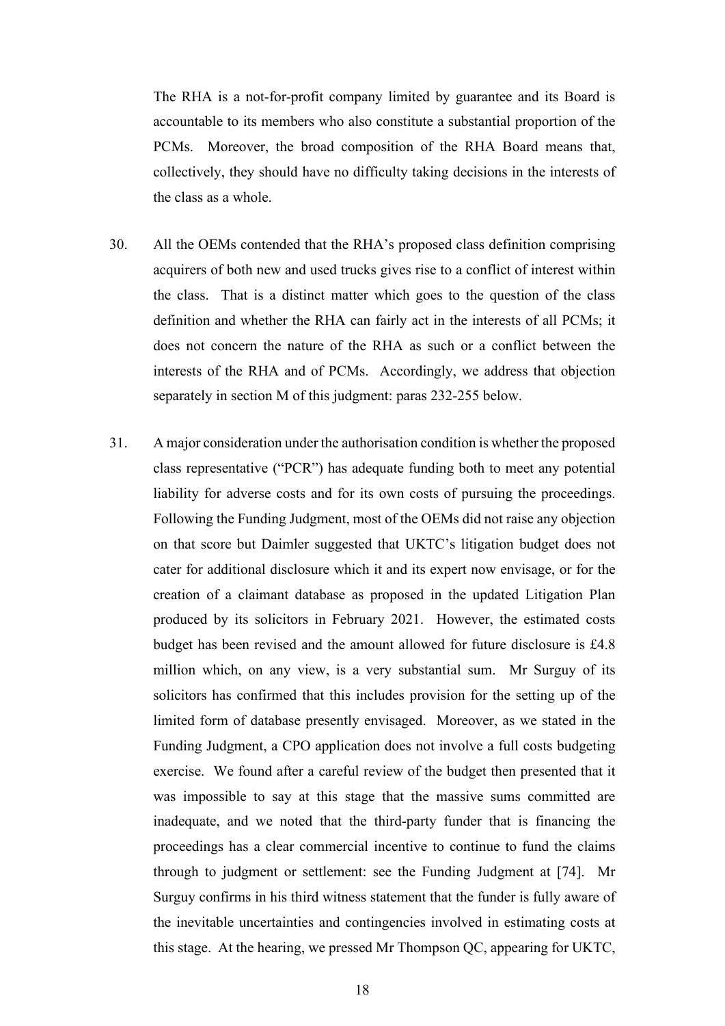The RHA is a not-for-profit company limited by guarantee and its Board is accountable to its members who also constitute a substantial proportion of the PCMs. Moreover, the broad composition of the RHA Board means that, collectively, they should have no difficulty taking decisions in the interests of the class as a whole.

- 30. All the OEMs contended that the RHA's proposed class definition comprising acquirers of both new and used trucks gives rise to a conflict of interest within the class. That is a distinct matter which goes to the question of the class definition and whether the RHA can fairly act in the interests of all PCMs; it does not concern the nature of the RHA as such or a conflict between the interests of the RHA and of PCMs. Accordingly, we address that objection separately in section M of this judgment: paras 232-255 below.
- 31. A major consideration under the authorisation condition is whether the proposed class representative ("PCR") has adequate funding both to meet any potential liability for adverse costs and for its own costs of pursuing the proceedings. Following the Funding Judgment, most of the OEMs did not raise any objection on that score but Daimler suggested that UKTC's litigation budget does not cater for additional disclosure which it and its expert now envisage, or for the creation of a claimant database as proposed in the updated Litigation Plan produced by its solicitors in February 2021. However, the estimated costs budget has been revised and the amount allowed for future disclosure is £4.8 million which, on any view, is a very substantial sum. Mr Surguy of its solicitors has confirmed that this includes provision for the setting up of the limited form of database presently envisaged. Moreover, as we stated in the Funding Judgment, a CPO application does not involve a full costs budgeting exercise. We found after a careful review of the budget then presented that it was impossible to say at this stage that the massive sums committed are inadequate, and we noted that the third-party funder that is financing the proceedings has a clear commercial incentive to continue to fund the claims through to judgment or settlement: see the Funding Judgment at [74]. Mr Surguy confirms in his third witness statement that the funder is fully aware of the inevitable uncertainties and contingencies involved in estimating costs at this stage. At the hearing, we pressed Mr Thompson QC, appearing for UKTC,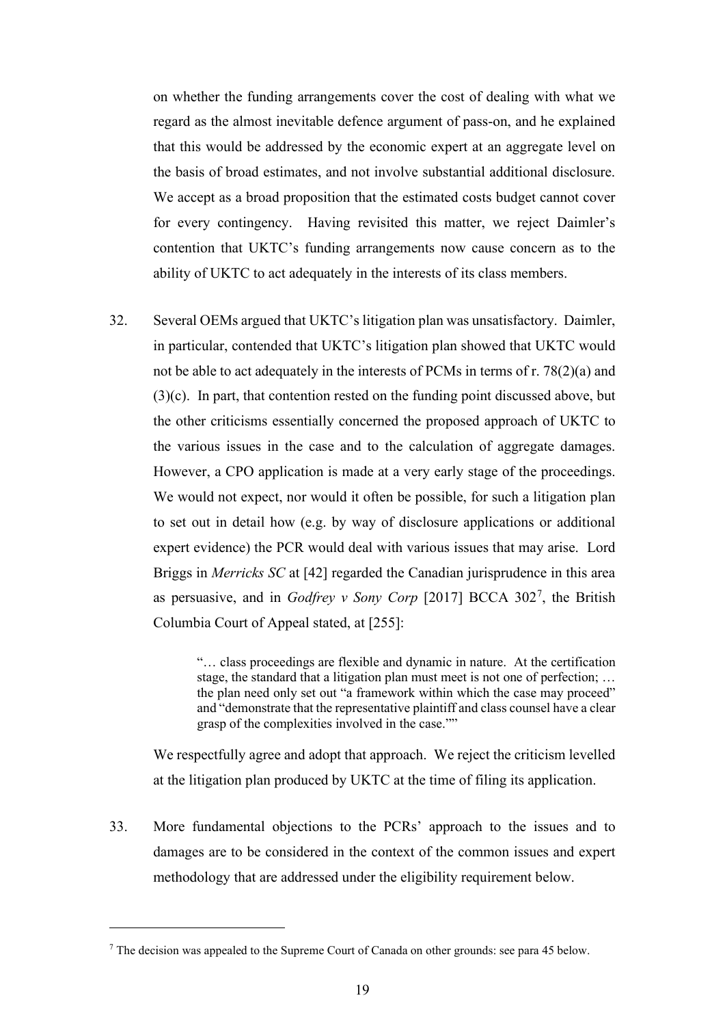on whether the funding arrangements cover the cost of dealing with what we regard as the almost inevitable defence argument of pass-on, and he explained that this would be addressed by the economic expert at an aggregate level on the basis of broad estimates, and not involve substantial additional disclosure. We accept as a broad proposition that the estimated costs budget cannot cover for every contingency. Having revisited this matter, we reject Daimler's contention that UKTC's funding arrangements now cause concern as to the ability of UKTC to act adequately in the interests of its class members.

32. Several OEMs argued that UKTC's litigation plan was unsatisfactory. Daimler, in particular, contended that UKTC's litigation plan showed that UKTC would not be able to act adequately in the interests of PCMs in terms of r. 78(2)(a) and (3)(c). In part, that contention rested on the funding point discussed above, but the other criticisms essentially concerned the proposed approach of UKTC to the various issues in the case and to the calculation of aggregate damages. However, a CPO application is made at a very early stage of the proceedings. We would not expect, nor would it often be possible, for such a litigation plan to set out in detail how (e.g. by way of disclosure applications or additional expert evidence) the PCR would deal with various issues that may arise. Lord Briggs in *Merricks SC* at [42] regarded the Canadian jurisprudence in this area as persuasive, and in *Godfrey v Sony Corp* [2017] BCCA 302<sup>7</sup>, the British Columbia Court of Appeal stated, at [255]:

> "… class proceedings are flexible and dynamic in nature. At the certification stage, the standard that a litigation plan must meet is not one of perfection; … the plan need only set out "a framework within which the case may proceed" and "demonstrate that the representative plaintiff and class counsel have a clear grasp of the complexities involved in the case.""

We respectfully agree and adopt that approach. We reject the criticism levelled at the litigation plan produced by UKTC at the time of filing its application.

33. More fundamental objections to the PCRs' approach to the issues and to damages are to be considered in the context of the common issues and expert methodology that are addressed under the eligibility requirement below.

<sup>7</sup> The decision was appealed to the Supreme Court of Canada on other grounds: see para 45 below.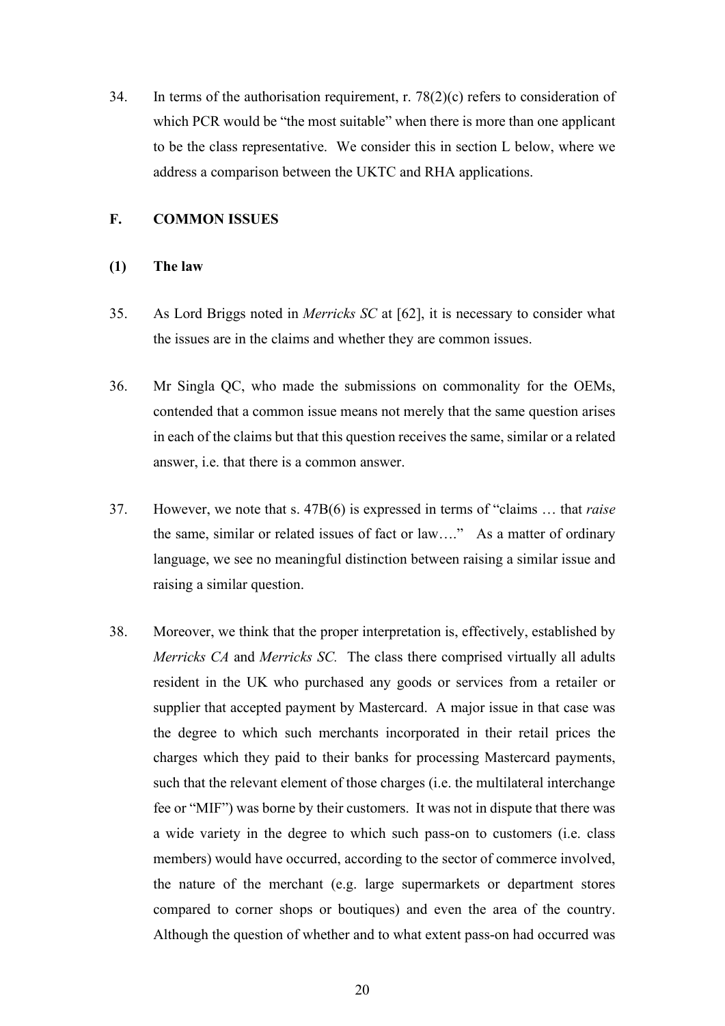34. In terms of the authorisation requirement, r.  $78(2)(c)$  refers to consideration of which PCR would be "the most suitable" when there is more than one applicant to be the class representative. We consider this in section L below, where we address a comparison between the UKTC and RHA applications.

#### **F. COMMON ISSUES**

#### **(1) The law**

- 35. As Lord Briggs noted in *Merricks SC* at [62], it is necessary to consider what the issues are in the claims and whether they are common issues.
- 36. Mr Singla QC, who made the submissions on commonality for the OEMs, contended that a common issue means not merely that the same question arises in each of the claims but that this question receives the same, similar or a related answer, i.e. that there is a common answer.
- 37. However, we note that s. 47B(6) is expressed in terms of "claims … that *raise*  the same, similar or related issues of fact or law…." As a matter of ordinary language, we see no meaningful distinction between raising a similar issue and raising a similar question.
- 38. Moreover, we think that the proper interpretation is, effectively, established by *Merricks CA* and *Merricks SC.* The class there comprised virtually all adults resident in the UK who purchased any goods or services from a retailer or supplier that accepted payment by Mastercard. A major issue in that case was the degree to which such merchants incorporated in their retail prices the charges which they paid to their banks for processing Mastercard payments, such that the relevant element of those charges (i.e. the multilateral interchange fee or "MIF") was borne by their customers. It was not in dispute that there was a wide variety in the degree to which such pass-on to customers (i.e. class members) would have occurred, according to the sector of commerce involved, the nature of the merchant (e.g. large supermarkets or department stores compared to corner shops or boutiques) and even the area of the country. Although the question of whether and to what extent pass-on had occurred was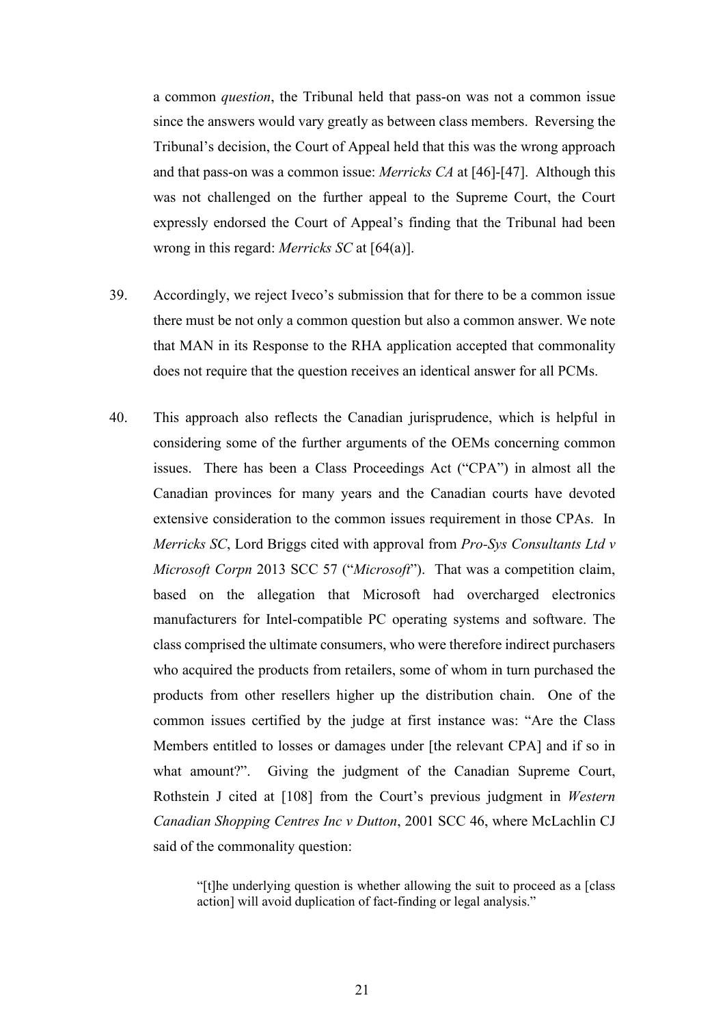a common *question*, the Tribunal held that pass-on was not a common issue since the answers would vary greatly as between class members. Reversing the Tribunal's decision, the Court of Appeal held that this was the wrong approach and that pass-on was a common issue: *Merricks CA* at [46]-[47]. Although this was not challenged on the further appeal to the Supreme Court, the Court expressly endorsed the Court of Appeal's finding that the Tribunal had been wrong in this regard: *Merricks SC* at [64(a)].

- 39. Accordingly, we reject Iveco's submission that for there to be a common issue there must be not only a common question but also a common answer. We note that MAN in its Response to the RHA application accepted that commonality does not require that the question receives an identical answer for all PCMs.
- 40. This approach also reflects the Canadian jurisprudence, which is helpful in considering some of the further arguments of the OEMs concerning common issues. There has been a Class Proceedings Act ("CPA") in almost all the Canadian provinces for many years and the Canadian courts have devoted extensive consideration to the common issues requirement in those CPAs. In *Merricks SC*, Lord Briggs cited with approval from *Pro-Sys Consultants Ltd v Microsoft Corpn* 2013 SCC 57 ("*Microsoft*"). That was a competition claim, based on the allegation that Microsoft had overcharged electronics manufacturers for Intel-compatible PC operating systems and software. The class comprised the ultimate consumers, who were therefore indirect purchasers who acquired the products from retailers, some of whom in turn purchased the products from other resellers higher up the distribution chain. One of the common issues certified by the judge at first instance was: "Are the Class Members entitled to losses or damages under [the relevant CPA] and if so in what amount?". Giving the judgment of the Canadian Supreme Court, Rothstein J cited at [108] from the Court's previous judgment in *Western Canadian Shopping Centres Inc v Dutton*, 2001 SCC 46, where McLachlin CJ said of the commonality question:

"[t]he underlying question is whether allowing the suit to proceed as a [class action] will avoid duplication of fact-finding or legal analysis."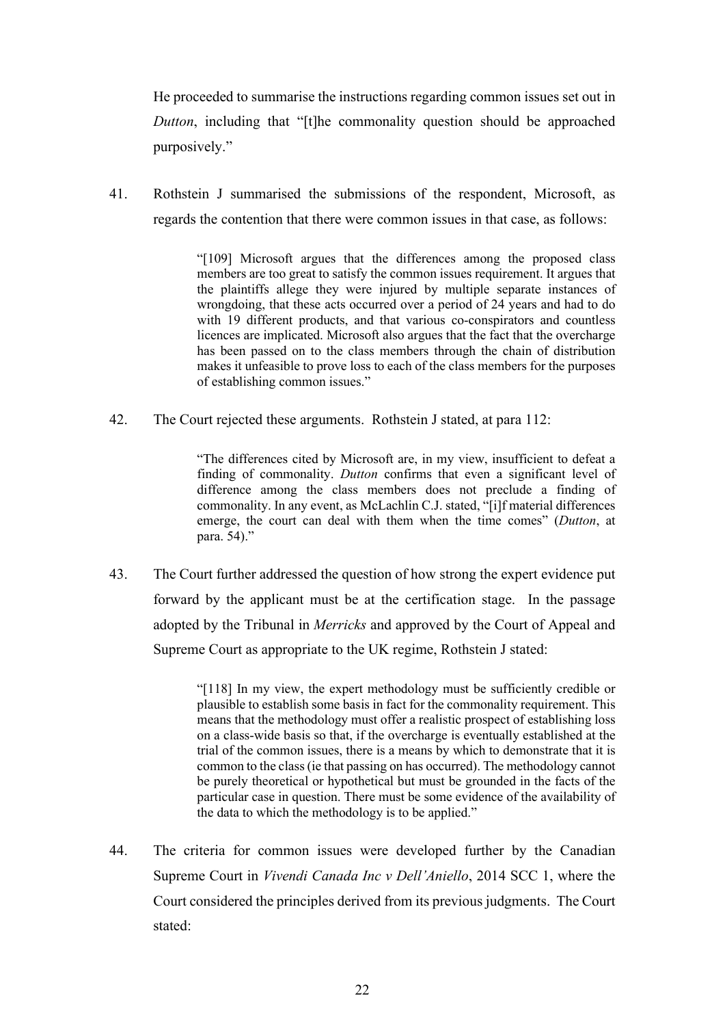He proceeded to summarise the instructions regarding common issues set out in *Dutton*, including that "[t]he commonality question should be approached purposively."

41. Rothstein J summarised the submissions of the respondent, Microsoft, as regards the contention that there were common issues in that case, as follows:

> "[109] Microsoft argues that the differences among the proposed class members are too great to satisfy the common issues requirement. It argues that the plaintiffs allege they were injured by multiple separate instances of wrongdoing, that these acts occurred over a period of 24 years and had to do with 19 different products, and that various co-conspirators and countless licences are implicated. Microsoft also argues that the fact that the overcharge has been passed on to the class members through the chain of distribution makes it unfeasible to prove loss to each of the class members for the purposes of establishing common issues."

42. The Court rejected these arguments. Rothstein J stated, at para 112:

"The differences cited by Microsoft are, in my view, insufficient to defeat a finding of commonality. *Dutton* confirms that even a significant level of difference among the class members does not preclude a finding of commonality. In any event, as McLachlin C.J. stated, "[i]f material differences emerge, the court can deal with them when the time comes" (*Dutton*, at para. 54)."

43. The Court further addressed the question of how strong the expert evidence put forward by the applicant must be at the certification stage. In the passage adopted by the Tribunal in *Merricks* and approved by the Court of Appeal and Supreme Court as appropriate to the UK regime, Rothstein J stated:

> "[118] In my view, the expert methodology must be sufficiently credible or plausible to establish some basis in fact for the commonality requirement. This means that the methodology must offer a realistic prospect of establishing loss on a class-wide basis so that, if the overcharge is eventually established at the trial of the common issues, there is a means by which to demonstrate that it is common to the class (ie that passing on has occurred). The methodology cannot be purely theoretical or hypothetical but must be grounded in the facts of the particular case in question. There must be some evidence of the availability of the data to which the methodology is to be applied."

44. The criteria for common issues were developed further by the Canadian Supreme Court in *Vivendi Canada Inc v Dell'Aniello*, 2014 SCC 1, where the Court considered the principles derived from its previous judgments. The Court stated: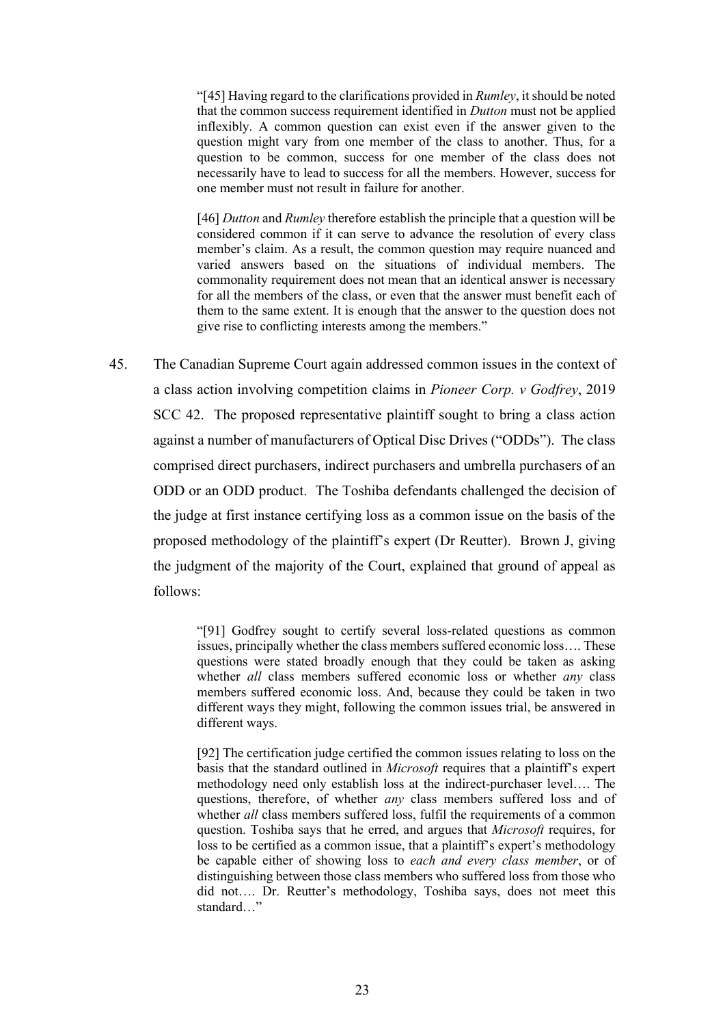"[45] Having regard to the clarifications provided in *Rumley*, it should be noted that the common success requirement identified in *Dutton* must not be applied inflexibly. A common question can exist even if the answer given to the question might vary from one member of the class to another. Thus, for a question to be common, success for one member of the class does not necessarily have to lead to success for all the members. However, success for one member must not result in failure for another.

[46] *Dutton* and *Rumley* therefore establish the principle that a question will be considered common if it can serve to advance the resolution of every class member's claim. As a result, the common question may require nuanced and varied answers based on the situations of individual members. The commonality requirement does not mean that an identical answer is necessary for all the members of the class, or even that the answer must benefit each of them to the same extent. It is enough that the answer to the question does not give rise to conflicting interests among the members."

45. The Canadian Supreme Court again addressed common issues in the context of a class action involving competition claims in *Pioneer Corp. v Godfrey*, 2019 SCC 42. The proposed representative plaintiff sought to bring a class action against a number of manufacturers of Optical Disc Drives ("ODDs"). The class comprised direct purchasers, indirect purchasers and umbrella purchasers of an ODD or an ODD product. The Toshiba defendants challenged the decision of the judge at first instance certifying loss as a common issue on the basis of the proposed methodology of the plaintiff's expert (Dr Reutter). Brown J, giving the judgment of the majority of the Court, explained that ground of appeal as follows:

> "[91] Godfrey sought to certify several loss-related questions as common issues, principally whether the class members suffered economic loss…. These questions were stated broadly enough that they could be taken as asking whether *all* class members suffered economic loss or whether *any* class members suffered economic loss. And, because they could be taken in two different ways they might, following the common issues trial, be answered in different ways.

> [92] The certification judge certified the common issues relating to loss on the basis that the standard outlined in *Microsoft* requires that a plaintiff's expert methodology need only establish loss at the indirect-purchaser level…. The questions, therefore, of whether *any* class members suffered loss and of whether *all* class members suffered loss, fulfil the requirements of a common question. Toshiba says that he erred, and argues that *Microsoft* requires, for loss to be certified as a common issue, that a plaintiff's expert's methodology be capable either of showing loss to *each and every class member*, or of distinguishing between those class members who suffered loss from those who did not…. Dr. Reutter's methodology, Toshiba says, does not meet this standard…"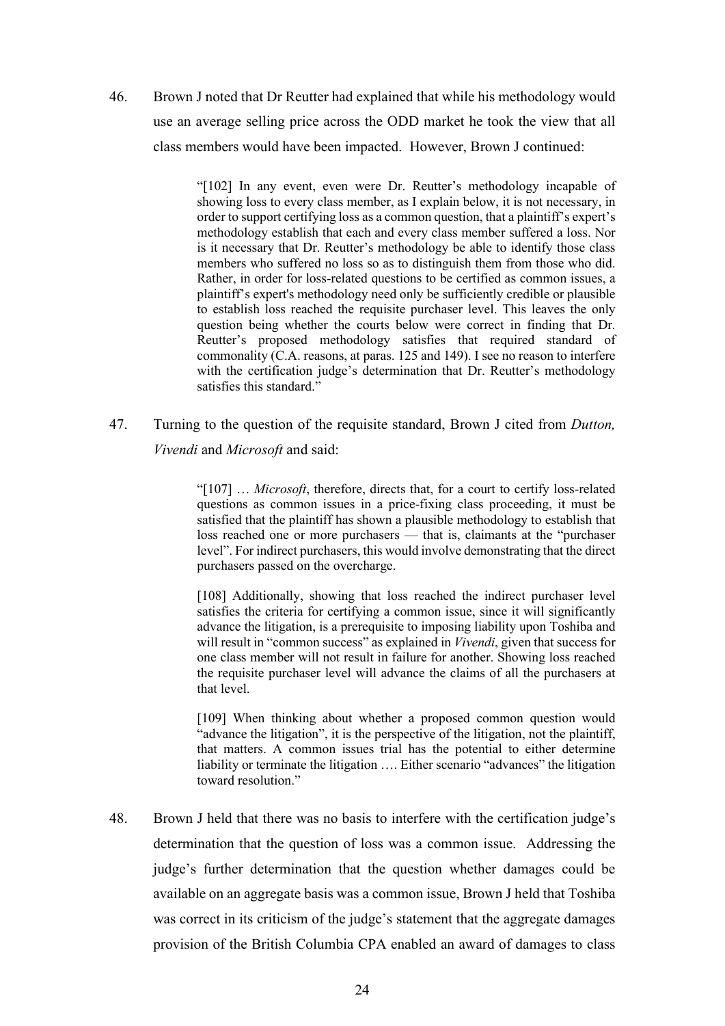46. Brown J noted that Dr Reutter had explained that while his methodology would use an average selling price across the ODD market he took the view that all class members would have been impacted. However, Brown J continued:

> "[102] In any event, even were Dr. Reutter's methodology incapable of showing loss to every class member, as I explain below, it is not necessary, in order to support certifying loss as a common question, that a plaintiff's expert's methodology establish that each and every class member suffered a loss. Nor is it necessary that Dr. Reutter's methodology be able to identify those class members who suffered no loss so as to distinguish them from those who did. Rather, in order for loss-related questions to be certified as common issues, a plaintiff's expert's methodology need only be sufficiently credible or plausible to establish loss reached the requisite purchaser level. This leaves the only question being whether the courts below were correct in finding that Dr. Reutter's proposed methodology satisfies that required standard of commonality (C.A. reasons, at paras. 125 and 149). I see no reason to interfere with the certification judge's determination that Dr. Reutter's methodology satisfies this standard."

47. Turning to the question of the requisite standard, Brown J cited from *Dutton, Vivendi* and *Microsoft* and said:

> "[107] … *Microsoft*, therefore, directs that, for a court to certify loss-related questions as common issues in a price-fixing class proceeding, it must be satisfied that the plaintiff has shown a plausible methodology to establish that loss reached one or more purchasers — that is, claimants at the "purchaser level". For indirect purchasers, this would involve demonstrating that the direct purchasers passed on the overcharge.

> [108] Additionally, showing that loss reached the indirect purchaser level satisfies the criteria for certifying a common issue, since it will significantly advance the litigation, is a prerequisite to imposing liability upon Toshiba and will result in "common success" as explained in *Vivendi*, given that success for one class member will not result in failure for another. Showing loss reached the requisite purchaser level will advance the claims of all the purchasers at that level.

> [109] When thinking about whether a proposed common question would "advance the litigation", it is the perspective of the litigation, not the plaintiff, that matters. A common issues trial has the potential to either determine liability or terminate the litigation …. Either scenario "advances" the litigation toward resolution."

48. Brown J held that there was no basis to interfere with the certification judge's determination that the question of loss was a common issue. Addressing the judge's further determination that the question whether damages could be available on an aggregate basis was a common issue, Brown J held that Toshiba was correct in its criticism of the judge's statement that the aggregate damages provision of the British Columbia CPA enabled an award of damages to class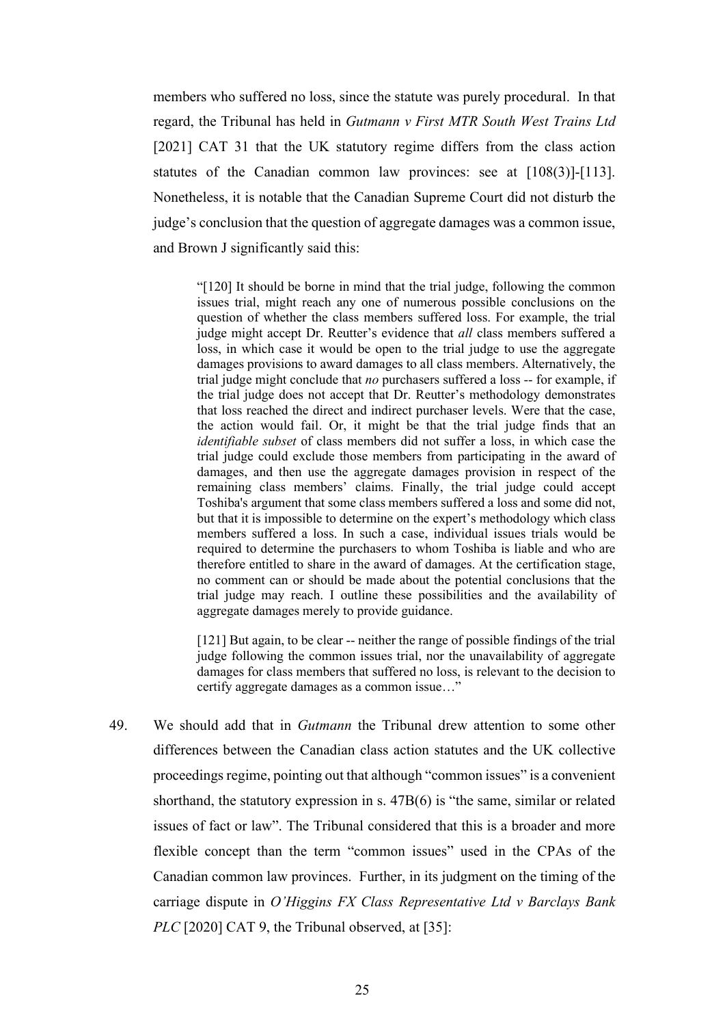members who suffered no loss, since the statute was purely procedural. In that regard, the Tribunal has held in *Gutmann v First MTR South West Trains Ltd*  [2021] CAT 31 that the UK statutory regime differs from the class action statutes of the Canadian common law provinces: see at [108(3)]-[113]. Nonetheless, it is notable that the Canadian Supreme Court did not disturb the judge's conclusion that the question of aggregate damages was a common issue, and Brown J significantly said this:

"[120] It should be borne in mind that the trial judge, following the common issues trial, might reach any one of numerous possible conclusions on the question of whether the class members suffered loss. For example, the trial judge might accept Dr. Reutter's evidence that *all* class members suffered a loss, in which case it would be open to the trial judge to use the aggregate damages provisions to award damages to all class members. Alternatively, the trial judge might conclude that *no* purchasers suffered a loss -- for example, if the trial judge does not accept that Dr. Reutter's methodology demonstrates that loss reached the direct and indirect purchaser levels. Were that the case, the action would fail. Or, it might be that the trial judge finds that an *identifiable subset* of class members did not suffer a loss, in which case the trial judge could exclude those members from participating in the award of damages, and then use the aggregate damages provision in respect of the remaining class members' claims. Finally, the trial judge could accept Toshiba's argument that some class members suffered a loss and some did not, but that it is impossible to determine on the expert's methodology which class members suffered a loss. In such a case, individual issues trials would be required to determine the purchasers to whom Toshiba is liable and who are therefore entitled to share in the award of damages. At the certification stage, no comment can or should be made about the potential conclusions that the trial judge may reach. I outline these possibilities and the availability of aggregate damages merely to provide guidance.

[121] But again, to be clear -- neither the range of possible findings of the trial judge following the common issues trial, nor the unavailability of aggregate damages for class members that suffered no loss, is relevant to the decision to certify aggregate damages as a common issue…"

49. We should add that in *Gutmann* the Tribunal drew attention to some other differences between the Canadian class action statutes and the UK collective proceedings regime, pointing out that although "common issues" is a convenient shorthand, the statutory expression in s. 47B(6) is "the same, similar or related issues of fact or law". The Tribunal considered that this is a broader and more flexible concept than the term "common issues" used in the CPAs of the Canadian common law provinces. Further, in its judgment on the timing of the carriage dispute in *O'Higgins FX Class Representative Ltd v Barclays Bank PLC* [2020] CAT 9, the Tribunal observed, at [35]: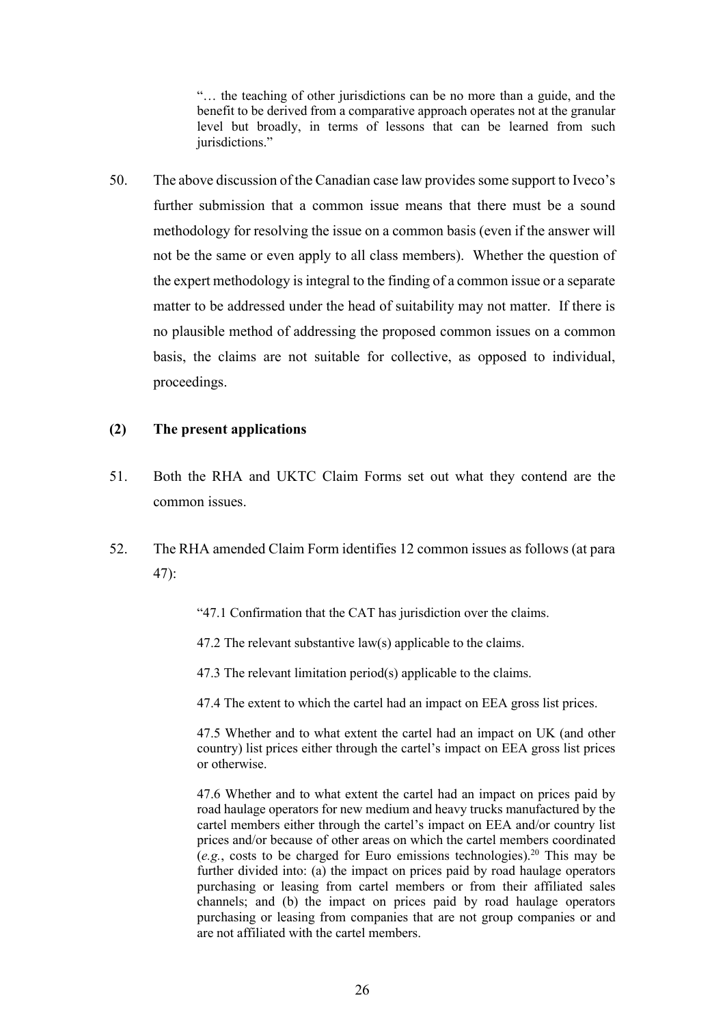"… the teaching of other jurisdictions can be no more than a guide, and the benefit to be derived from a comparative approach operates not at the granular level but broadly, in terms of lessons that can be learned from such jurisdictions."

50. The above discussion of the Canadian case law provides some support to Iveco's further submission that a common issue means that there must be a sound methodology for resolving the issue on a common basis (even if the answer will not be the same or even apply to all class members). Whether the question of the expert methodology is integral to the finding of a common issue or a separate matter to be addressed under the head of suitability may not matter. If there is no plausible method of addressing the proposed common issues on a common basis, the claims are not suitable for collective, as opposed to individual, proceedings.

## **(2) The present applications**

- 51. Both the RHA and UKTC Claim Forms set out what they contend are the common issues.
- 52. The RHA amended Claim Form identifies 12 common issues as follows (at para 47):
	- "47.1 Confirmation that the CAT has jurisdiction over the claims.
	- 47.2 The relevant substantive law(s) applicable to the claims.
	- 47.3 The relevant limitation period(s) applicable to the claims.
	- 47.4 The extent to which the cartel had an impact on EEA gross list prices.

47.5 Whether and to what extent the cartel had an impact on UK (and other country) list prices either through the cartel's impact on EEA gross list prices or otherwise.

47.6 Whether and to what extent the cartel had an impact on prices paid by road haulage operators for new medium and heavy trucks manufactured by the cartel members either through the cartel's impact on EEA and/or country list prices and/or because of other areas on which the cartel members coordinated  $(e.g., \text{ costs to be charged for Euro emissions technologies})$ .<sup>20</sup> This may be further divided into: (a) the impact on prices paid by road haulage operators purchasing or leasing from cartel members or from their affiliated sales channels; and (b) the impact on prices paid by road haulage operators purchasing or leasing from companies that are not group companies or and are not affiliated with the cartel members.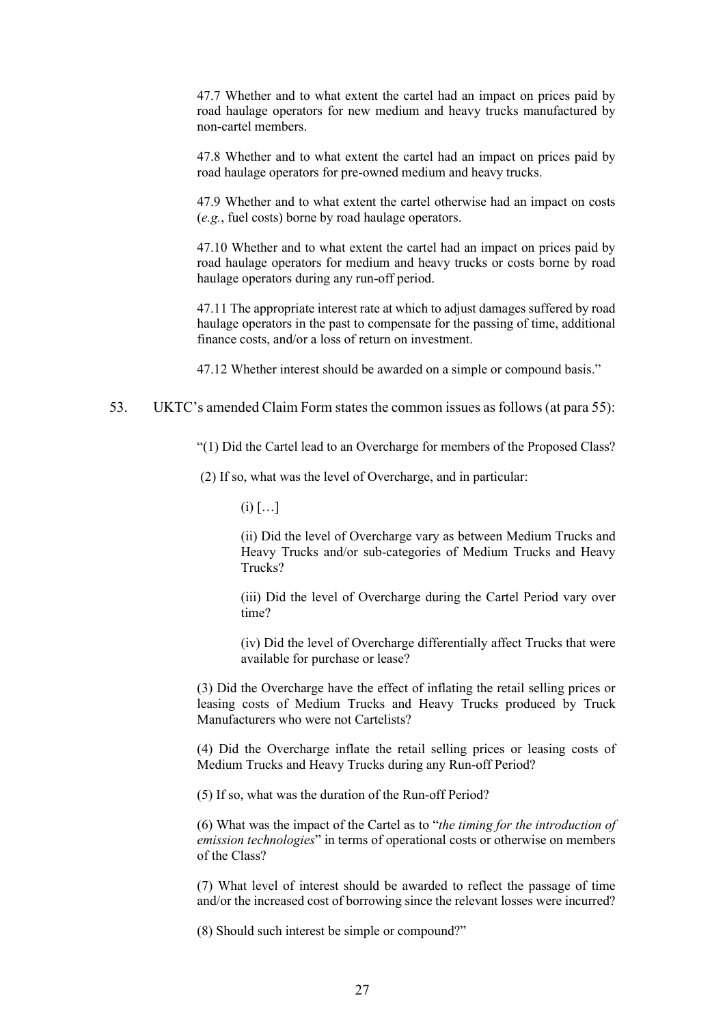47.7 Whether and to what extent the cartel had an impact on prices paid by road haulage operators for new medium and heavy trucks manufactured by non-cartel members.

47.8 Whether and to what extent the cartel had an impact on prices paid by road haulage operators for pre-owned medium and heavy trucks.

47.9 Whether and to what extent the cartel otherwise had an impact on costs (*e.g.*, fuel costs) borne by road haulage operators.

47.10 Whether and to what extent the cartel had an impact on prices paid by road haulage operators for medium and heavy trucks or costs borne by road haulage operators during any run-off period.

47.11 The appropriate interest rate at which to adjust damages suffered by road haulage operators in the past to compensate for the passing of time, additional finance costs, and/or a loss of return on investment.

47.12 Whether interest should be awarded on a simple or compound basis."

#### 53. UKTC's amended Claim Form states the common issues as follows (at para 55):

"(1) Did the Cartel lead to an Overcharge for members of the Proposed Class?

(2) If so, what was the level of Overcharge, and in particular:

 $(i)$   $[...]$ 

(ii) Did the level of Overcharge vary as between Medium Trucks and Heavy Trucks and/or sub-categories of Medium Trucks and Heavy Trucks?

(iii) Did the level of Overcharge during the Cartel Period vary over time?

(iv) Did the level of Overcharge differentially affect Trucks that were available for purchase or lease?

(3) Did the Overcharge have the effect of inflating the retail selling prices or leasing costs of Medium Trucks and Heavy Trucks produced by Truck Manufacturers who were not Cartelists?

(4) Did the Overcharge inflate the retail selling prices or leasing costs of Medium Trucks and Heavy Trucks during any Run-off Period?

(5) If so, what was the duration of the Run-off Period?

(6) What was the impact of the Cartel as to "*the timing for the introduction of emission technologies*" in terms of operational costs or otherwise on members of the Class?

(7) What level of interest should be awarded to reflect the passage of time and/or the increased cost of borrowing since the relevant losses were incurred?

(8) Should such interest be simple or compound?"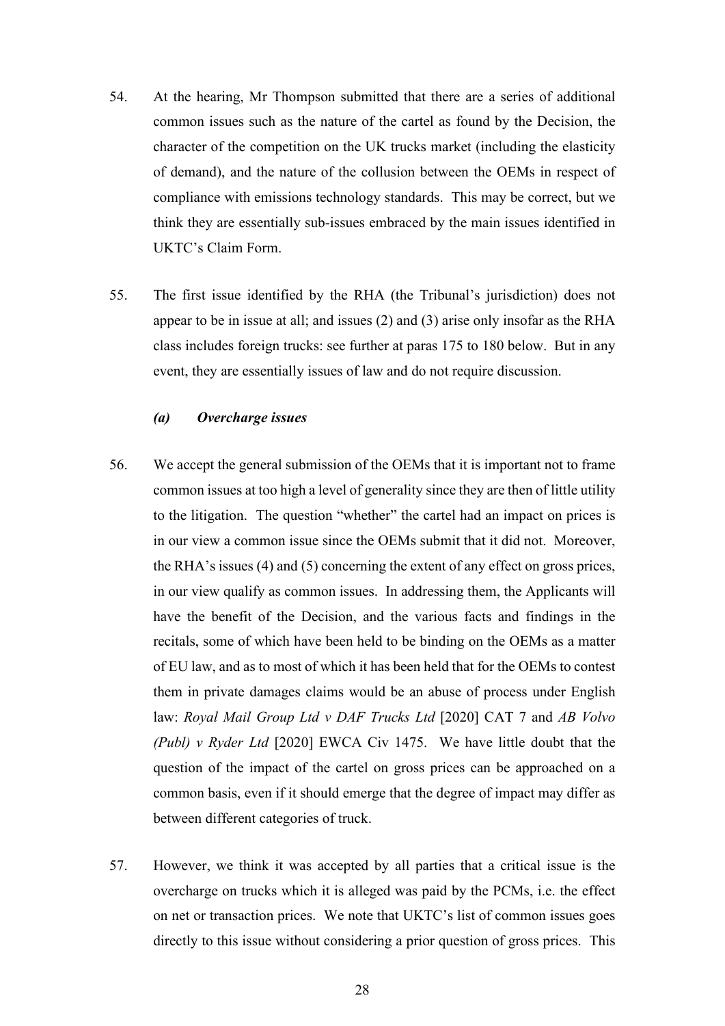- 54. At the hearing, Mr Thompson submitted that there are a series of additional common issues such as the nature of the cartel as found by the Decision, the character of the competition on the UK trucks market (including the elasticity of demand), and the nature of the collusion between the OEMs in respect of compliance with emissions technology standards. This may be correct, but we think they are essentially sub-issues embraced by the main issues identified in UKTC's Claim Form.
- 55. The first issue identified by the RHA (the Tribunal's jurisdiction) does not appear to be in issue at all; and issues (2) and (3) arise only insofar as the RHA class includes foreign trucks: see further at paras 175 to 180 below. But in any event, they are essentially issues of law and do not require discussion.

### *(a) Overcharge issues*

- 56. We accept the general submission of the OEMs that it is important not to frame common issues at too high a level of generality since they are then of little utility to the litigation. The question "whether" the cartel had an impact on prices is in our view a common issue since the OEMs submit that it did not. Moreover, the RHA's issues (4) and (5) concerning the extent of any effect on gross prices, in our view qualify as common issues. In addressing them, the Applicants will have the benefit of the Decision, and the various facts and findings in the recitals, some of which have been held to be binding on the OEMs as a matter of EU law, and as to most of which it has been held that for the OEMs to contest them in private damages claims would be an abuse of process under English law: *Royal Mail Group Ltd v DAF Trucks Ltd* [2020] CAT 7 and *AB Volvo (Publ) v Ryder Ltd* [2020] EWCA Civ 1475. We have little doubt that the question of the impact of the cartel on gross prices can be approached on a common basis, even if it should emerge that the degree of impact may differ as between different categories of truck.
- 57. However, we think it was accepted by all parties that a critical issue is the overcharge on trucks which it is alleged was paid by the PCMs, i.e. the effect on net or transaction prices. We note that UKTC's list of common issues goes directly to this issue without considering a prior question of gross prices. This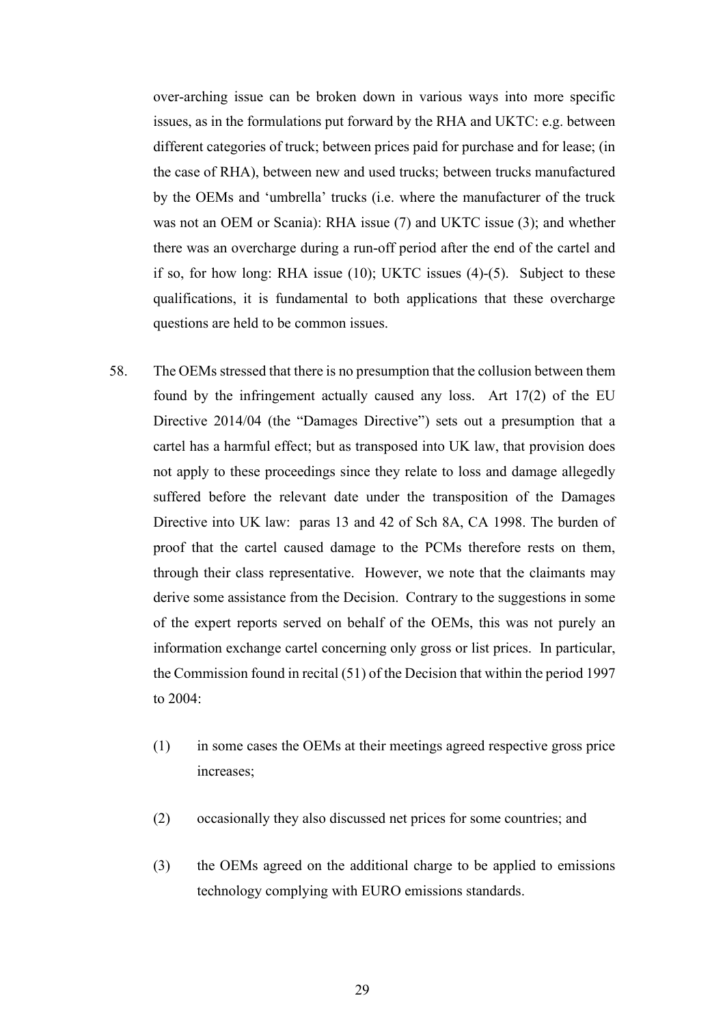over-arching issue can be broken down in various ways into more specific issues, as in the formulations put forward by the RHA and UKTC: e.g. between different categories of truck; between prices paid for purchase and for lease; (in the case of RHA), between new and used trucks; between trucks manufactured by the OEMs and 'umbrella' trucks (i.e. where the manufacturer of the truck was not an OEM or Scania): RHA issue (7) and UKTC issue (3); and whether there was an overcharge during a run-off period after the end of the cartel and if so, for how long: RHA issue (10); UKTC issues (4)-(5). Subject to these qualifications, it is fundamental to both applications that these overcharge questions are held to be common issues.

- 58. The OEMs stressed that there is no presumption that the collusion between them found by the infringement actually caused any loss. Art 17(2) of the EU Directive 2014/04 (the "Damages Directive") sets out a presumption that a cartel has a harmful effect; but as transposed into UK law, that provision does not apply to these proceedings since they relate to loss and damage allegedly suffered before the relevant date under the transposition of the Damages Directive into UK law: paras 13 and 42 of Sch 8A, CA 1998. The burden of proof that the cartel caused damage to the PCMs therefore rests on them, through their class representative. However, we note that the claimants may derive some assistance from the Decision. Contrary to the suggestions in some of the expert reports served on behalf of the OEMs, this was not purely an information exchange cartel concerning only gross or list prices. In particular, the Commission found in recital (51) of the Decision that within the period 1997 to 2004:
	- (1) in some cases the OEMs at their meetings agreed respective gross price increases;
	- (2) occasionally they also discussed net prices for some countries; and
	- (3) the OEMs agreed on the additional charge to be applied to emissions technology complying with EURO emissions standards.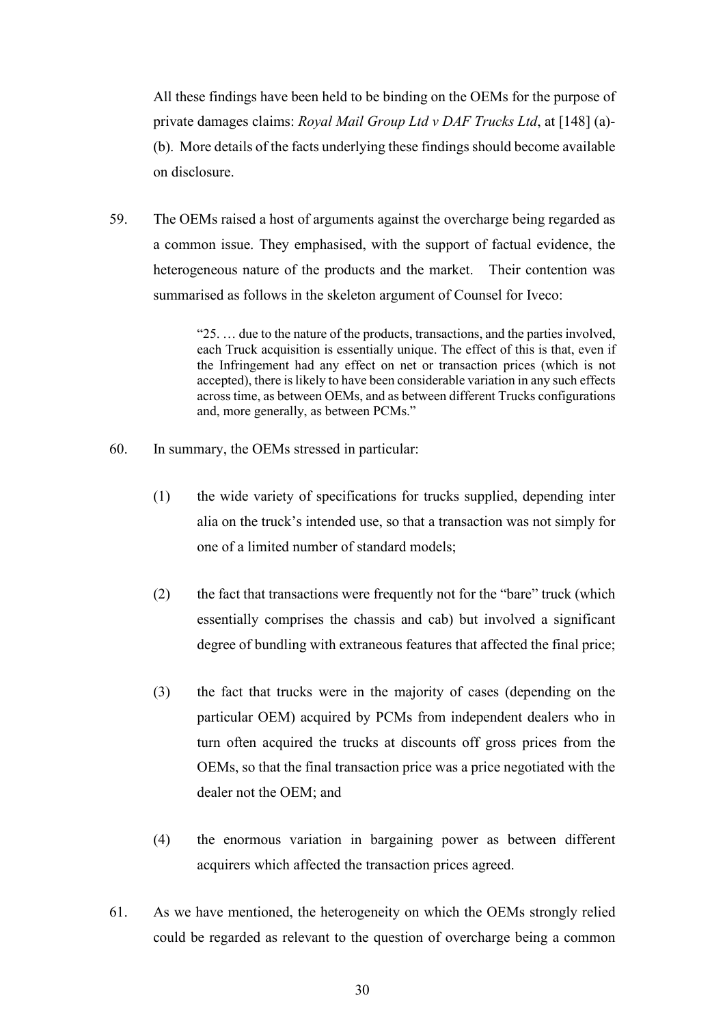All these findings have been held to be binding on the OEMs for the purpose of private damages claims: *Royal Mail Group Ltd v DAF Trucks Ltd*, at [148] (a)- (b). More details of the facts underlying these findings should become available on disclosure.

59. The OEMs raised a host of arguments against the overcharge being regarded as a common issue. They emphasised, with the support of factual evidence, the heterogeneous nature of the products and the market. Their contention was summarised as follows in the skeleton argument of Counsel for Iveco:

> "25. … due to the nature of the products, transactions, and the parties involved, each Truck acquisition is essentially unique. The effect of this is that, even if the Infringement had any effect on net or transaction prices (which is not accepted), there is likely to have been considerable variation in any such effects across time, as between OEMs, and as between different Trucks configurations and, more generally, as between PCMs."

- 60. In summary, the OEMs stressed in particular:
	- (1) the wide variety of specifications for trucks supplied, depending inter alia on the truck's intended use, so that a transaction was not simply for one of a limited number of standard models;
	- (2) the fact that transactions were frequently not for the "bare" truck (which essentially comprises the chassis and cab) but involved a significant degree of bundling with extraneous features that affected the final price;
	- (3) the fact that trucks were in the majority of cases (depending on the particular OEM) acquired by PCMs from independent dealers who in turn often acquired the trucks at discounts off gross prices from the OEMs, so that the final transaction price was a price negotiated with the dealer not the OEM; and
	- (4) the enormous variation in bargaining power as between different acquirers which affected the transaction prices agreed.
- 61. As we have mentioned, the heterogeneity on which the OEMs strongly relied could be regarded as relevant to the question of overcharge being a common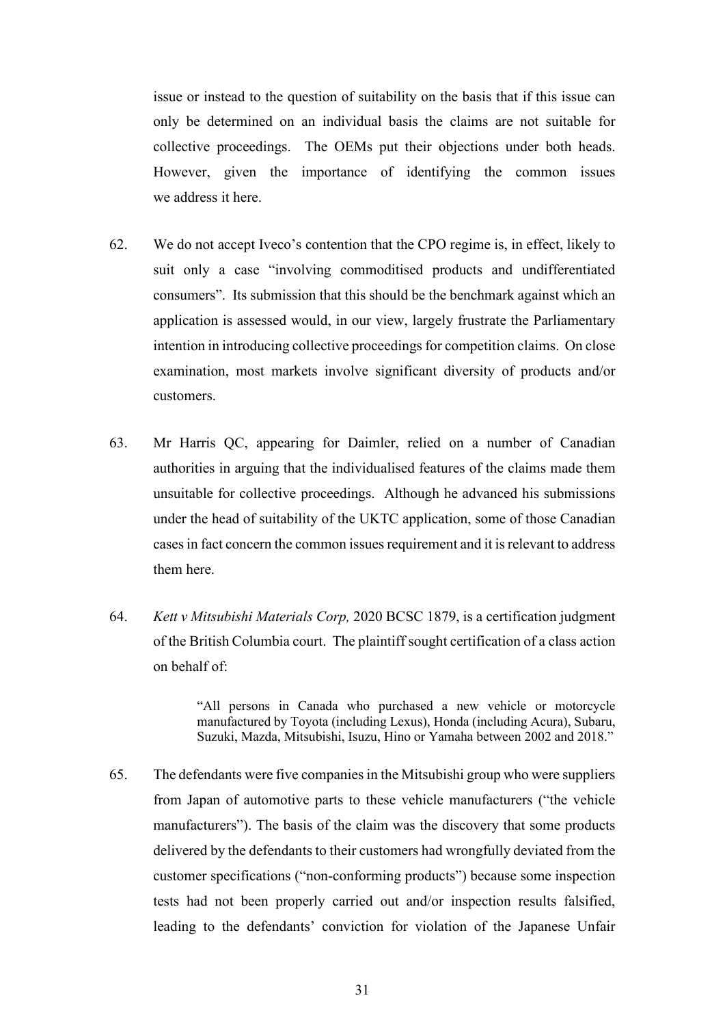issue or instead to the question of suitability on the basis that if this issue can only be determined on an individual basis the claims are not suitable for collective proceedings. The OEMs put their objections under both heads. However, given the importance of identifying the common issues we address it here.

- 62. We do not accept Iveco's contention that the CPO regime is, in effect, likely to suit only a case "involving commoditised products and undifferentiated consumers". Its submission that this should be the benchmark against which an application is assessed would, in our view, largely frustrate the Parliamentary intention in introducing collective proceedings for competition claims. On close examination, most markets involve significant diversity of products and/or customers.
- 63. Mr Harris QC, appearing for Daimler, relied on a number of Canadian authorities in arguing that the individualised features of the claims made them unsuitable for collective proceedings. Although he advanced his submissions under the head of suitability of the UKTC application, some of those Canadian cases in fact concern the common issues requirement and it is relevant to address them here.
- 64. *Kett v Mitsubishi Materials Corp,* 2020 BCSC 1879, is a certification judgment of the British Columbia court. The plaintiff sought certification of a class action on behalf of:

"All persons in Canada who purchased a new vehicle or motorcycle manufactured by Toyota (including Lexus), Honda (including Acura), Subaru, Suzuki, Mazda, Mitsubishi, Isuzu, Hino or Yamaha between 2002 and 2018."

65. The defendants were five companies in the Mitsubishi group who were suppliers from Japan of automotive parts to these vehicle manufacturers ("the vehicle manufacturers"). The basis of the claim was the discovery that some products delivered by the defendants to their customers had wrongfully deviated from the customer specifications ("non-conforming products") because some inspection tests had not been properly carried out and/or inspection results falsified, leading to the defendants' conviction for violation of the Japanese Unfair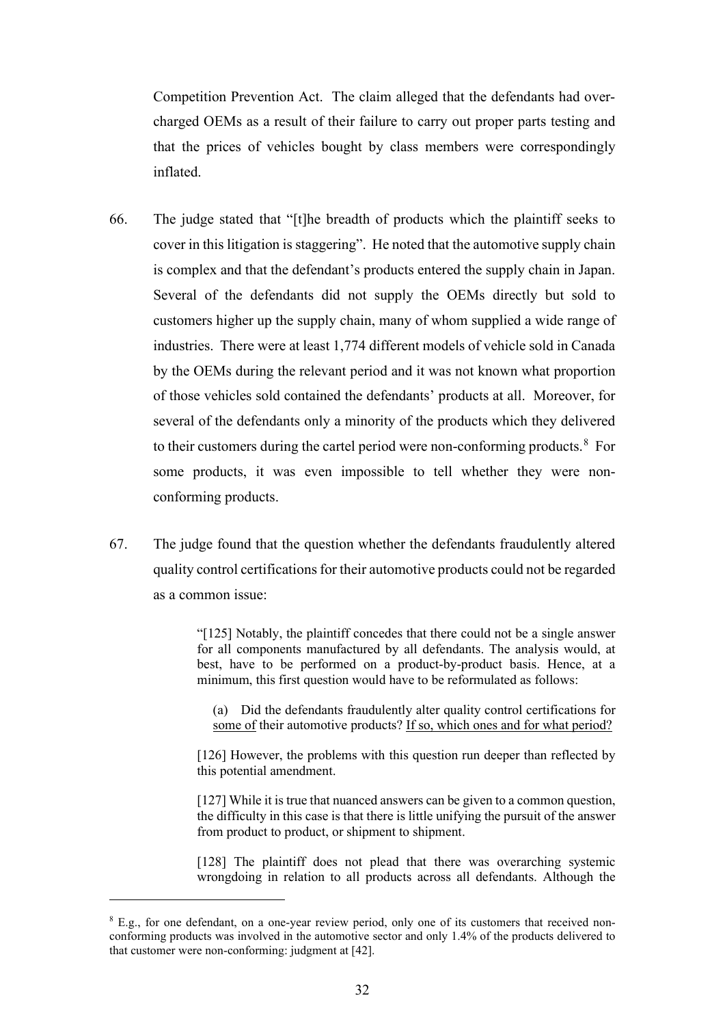Competition Prevention Act. The claim alleged that the defendants had overcharged OEMs as a result of their failure to carry out proper parts testing and that the prices of vehicles bought by class members were correspondingly inflated.

- 66. The judge stated that "[t]he breadth of products which the plaintiff seeks to cover in this litigation is staggering". He noted that the automotive supply chain is complex and that the defendant's products entered the supply chain in Japan. Several of the defendants did not supply the OEMs directly but sold to customers higher up the supply chain, many of whom supplied a wide range of industries. There were at least 1,774 different models of vehicle sold in Canada by the OEMs during the relevant period and it was not known what proportion of those vehicles sold contained the defendants' products at all. Moreover, for several of the defendants only a minority of the products which they delivered to their customers during the cartel period were non-conforming products. $8$  For some products, it was even impossible to tell whether they were nonconforming products.
- 67. The judge found that the question whether the defendants fraudulently altered quality control certifications for their automotive products could not be regarded as a common issue:

"[125] Notably, the plaintiff concedes that there could not be a single answer for all components manufactured by all defendants. The analysis would, at best, have to be performed on a product-by-product basis. Hence, at a minimum, this first question would have to be reformulated as follows:

(a) Did the defendants fraudulently alter quality control certifications for some of their automotive products? If so, which ones and for what period?

[126] However, the problems with this question run deeper than reflected by this potential amendment.

[127] While it is true that nuanced answers can be given to a common question, the difficulty in this case is that there is little unifying the pursuit of the answer from product to product, or shipment to shipment.

[128] The plaintiff does not plead that there was overarching systemic wrongdoing in relation to all products across all defendants. Although the

<sup>&</sup>lt;sup>8</sup> E.g., for one defendant, on a one-year review period, only one of its customers that received nonconforming products was involved in the automotive sector and only 1.4% of the products delivered to that customer were non-conforming: judgment at [42].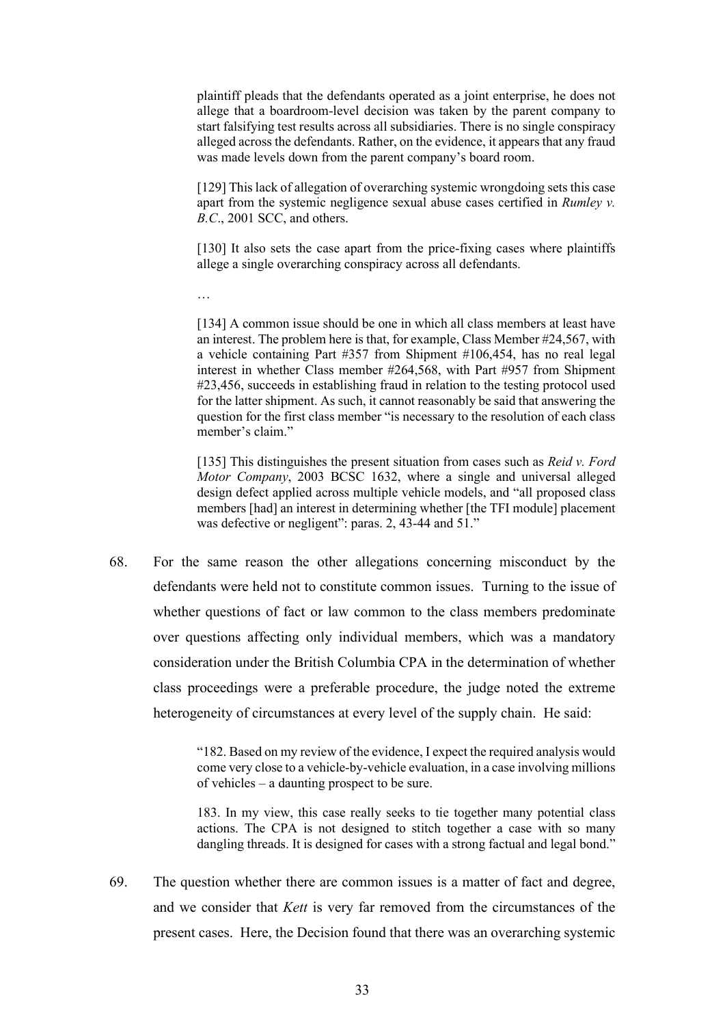plaintiff pleads that the defendants operated as a joint enterprise, he does not allege that a boardroom-level decision was taken by the parent company to start falsifying test results across all subsidiaries. There is no single conspiracy alleged across the defendants. Rather, on the evidence, it appears that any fraud was made levels down from the parent company's board room.

[129] This lack of allegation of overarching systemic wrongdoing sets this case apart from the systemic negligence sexual abuse cases certified in *Rumley v. B.C*., 2001 SCC, and others.

[130] It also sets the case apart from the price-fixing cases where plaintiffs allege a single overarching conspiracy across all defendants.

…

[134] A common issue should be one in which all class members at least have an interest. The problem here is that, for example, Class Member #24,567, with a vehicle containing Part #357 from Shipment #106,454, has no real legal interest in whether Class member #264,568, with Part #957 from Shipment #23,456, succeeds in establishing fraud in relation to the testing protocol used for the latter shipment. As such, it cannot reasonably be said that answering the question for the first class member "is necessary to the resolution of each class member's claim."

[135] This distinguishes the present situation from cases such as *Reid v. Ford Motor Company*, 2003 BCSC 1632, where a single and universal alleged design defect applied across multiple vehicle models, and "all proposed class members [had] an interest in determining whether [the TFI module] placement was defective or negligent": paras. 2, 43-44 and 51."

68. For the same reason the other allegations concerning misconduct by the defendants were held not to constitute common issues. Turning to the issue of whether questions of fact or law common to the class members predominate over questions affecting only individual members, which was a mandatory consideration under the British Columbia CPA in the determination of whether class proceedings were a preferable procedure, the judge noted the extreme heterogeneity of circumstances at every level of the supply chain. He said:

> "182. Based on my review of the evidence, I expect the required analysis would come very close to a vehicle-by-vehicle evaluation, in a case involving millions of vehicles – a daunting prospect to be sure.

> 183. In my view, this case really seeks to tie together many potential class actions. The CPA is not designed to stitch together a case with so many dangling threads. It is designed for cases with a strong factual and legal bond."

69. The question whether there are common issues is a matter of fact and degree, and we consider that *Kett* is very far removed from the circumstances of the present cases. Here, the Decision found that there was an overarching systemic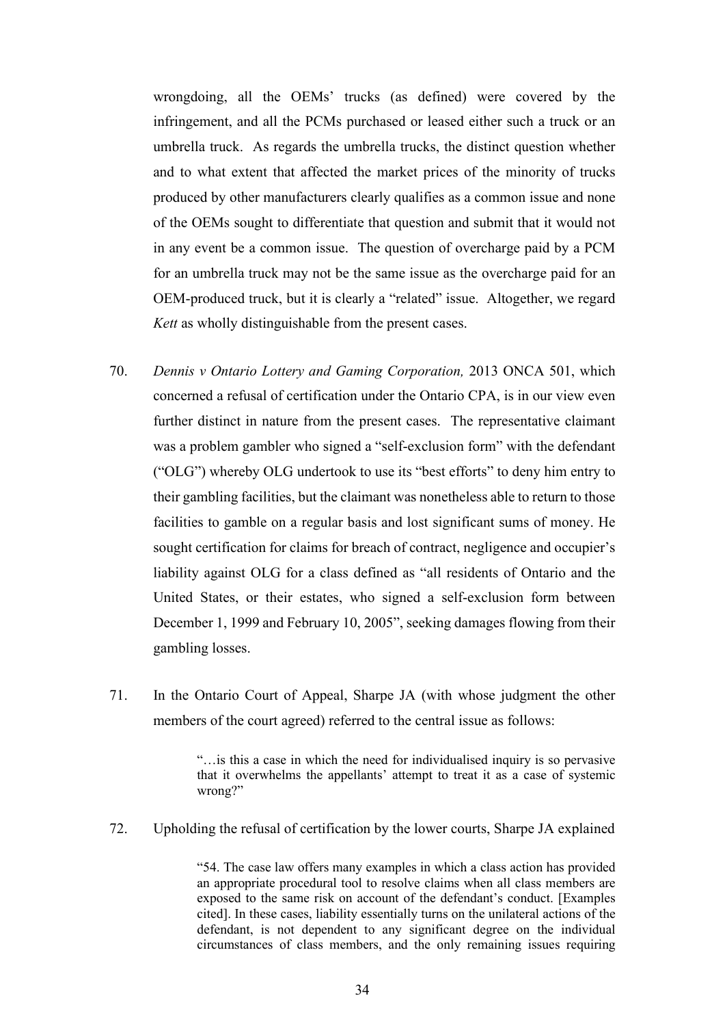wrongdoing, all the OEMs' trucks (as defined) were covered by the infringement, and all the PCMs purchased or leased either such a truck or an umbrella truck. As regards the umbrella trucks, the distinct question whether and to what extent that affected the market prices of the minority of trucks produced by other manufacturers clearly qualifies as a common issue and none of the OEMs sought to differentiate that question and submit that it would not in any event be a common issue. The question of overcharge paid by a PCM for an umbrella truck may not be the same issue as the overcharge paid for an OEM-produced truck, but it is clearly a "related" issue. Altogether, we regard *Kett* as wholly distinguishable from the present cases.

- 70. *Dennis v Ontario Lottery and Gaming Corporation,* 2013 ONCA 501, which concerned a refusal of certification under the Ontario CPA, is in our view even further distinct in nature from the present cases. The representative claimant was a problem gambler who signed a "self-exclusion form" with the defendant ("OLG") whereby OLG undertook to use its "best efforts" to deny him entry to their gambling facilities, but the claimant was nonetheless able to return to those facilities to gamble on a regular basis and lost significant sums of money. He sought certification for claims for breach of contract, negligence and occupier's liability against OLG for a class defined as "all residents of Ontario and the United States, or their estates, who signed a self-exclusion form between December 1, 1999 and February 10, 2005", seeking damages flowing from their gambling losses.
- 71. In the Ontario Court of Appeal, Sharpe JA (with whose judgment the other members of the court agreed) referred to the central issue as follows:

"…is this a case in which the need for individualised inquiry is so pervasive that it overwhelms the appellants' attempt to treat it as a case of systemic wrong?"

72. Upholding the refusal of certification by the lower courts, Sharpe JA explained

"54. The case law offers many examples in which a class action has provided an appropriate procedural tool to resolve claims when all class members are exposed to the same risk on account of the defendant's conduct. [Examples cited]. In these cases, liability essentially turns on the unilateral actions of the defendant, is not dependent to any significant degree on the individual circumstances of class members, and the only remaining issues requiring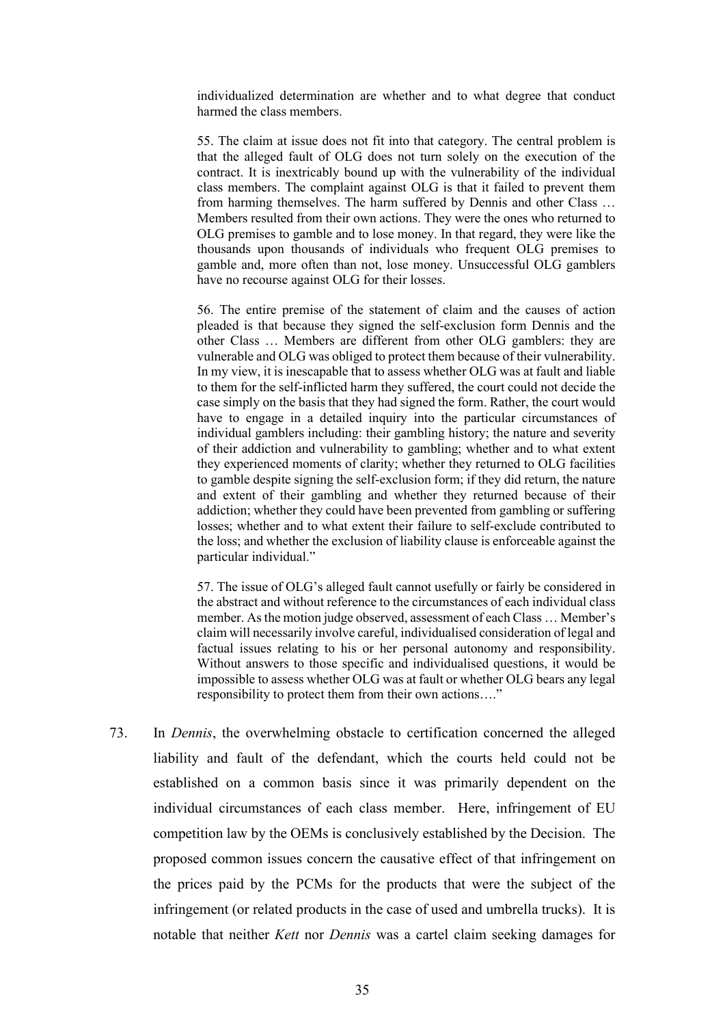individualized determination are whether and to what degree that conduct harmed the class members.

55. The claim at issue does not fit into that category. The central problem is that the alleged fault of OLG does not turn solely on the execution of the contract. It is inextricably bound up with the vulnerability of the individual class members. The complaint against OLG is that it failed to prevent them from harming themselves. The harm suffered by Dennis and other Class … Members resulted from their own actions. They were the ones who returned to OLG premises to gamble and to lose money. In that regard, they were like the thousands upon thousands of individuals who frequent OLG premises to gamble and, more often than not, lose money. Unsuccessful OLG gamblers have no recourse against OLG for their losses.

56. The entire premise of the statement of claim and the causes of action pleaded is that because they signed the self-exclusion form Dennis and the other Class … Members are different from other OLG gamblers: they are vulnerable and OLG was obliged to protect them because of their vulnerability. In my view, it is inescapable that to assess whether OLG was at fault and liable to them for the self-inflicted harm they suffered, the court could not decide the case simply on the basis that they had signed the form. Rather, the court would have to engage in a detailed inquiry into the particular circumstances of individual gamblers including: their gambling history; the nature and severity of their addiction and vulnerability to gambling; whether and to what extent they experienced moments of clarity; whether they returned to OLG facilities to gamble despite signing the self-exclusion form; if they did return, the nature and extent of their gambling and whether they returned because of their addiction; whether they could have been prevented from gambling or suffering losses; whether and to what extent their failure to self-exclude contributed to the loss; and whether the exclusion of liability clause is enforceable against the particular individual."

57. The issue of OLG's alleged fault cannot usefully or fairly be considered in the abstract and without reference to the circumstances of each individual class member. As the motion judge observed, assessment of each Class … Member's claim will necessarily involve careful, individualised consideration of legal and factual issues relating to his or her personal autonomy and responsibility. Without answers to those specific and individualised questions, it would be impossible to assess whether OLG was at fault or whether OLG bears any legal responsibility to protect them from their own actions…."

73. In *Dennis*, the overwhelming obstacle to certification concerned the alleged liability and fault of the defendant, which the courts held could not be established on a common basis since it was primarily dependent on the individual circumstances of each class member. Here, infringement of EU competition law by the OEMs is conclusively established by the Decision. The proposed common issues concern the causative effect of that infringement on the prices paid by the PCMs for the products that were the subject of the infringement (or related products in the case of used and umbrella trucks). It is notable that neither *Kett* nor *Dennis* was a cartel claim seeking damages for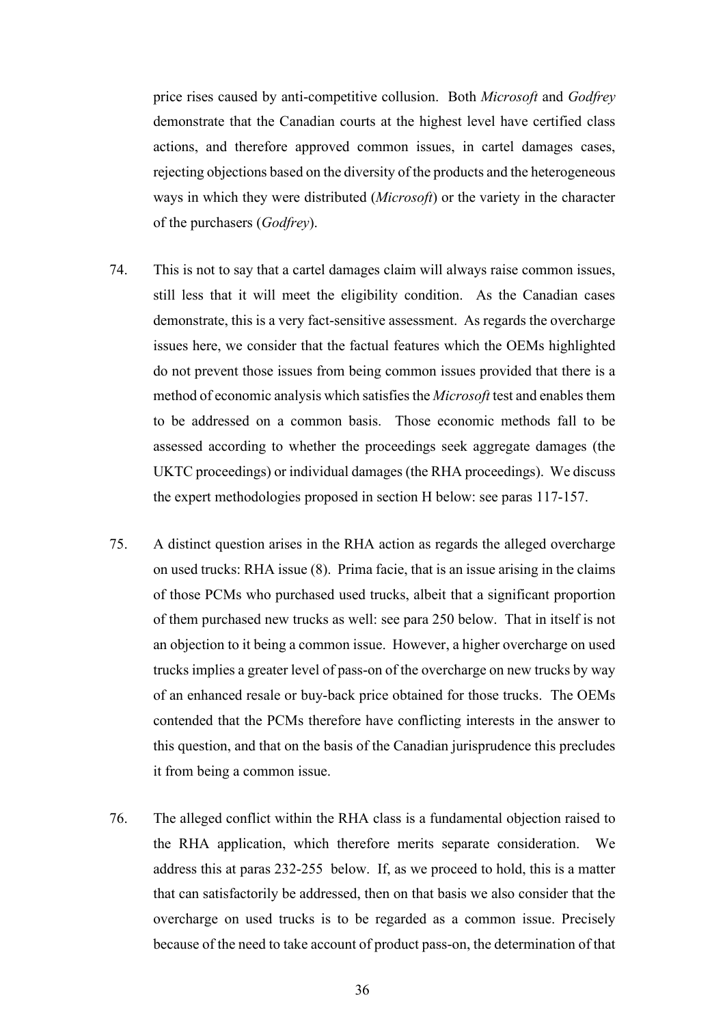price rises caused by anti-competitive collusion. Both *Microsoft* and *Godfrey*  demonstrate that the Canadian courts at the highest level have certified class actions, and therefore approved common issues, in cartel damages cases, rejecting objections based on the diversity of the products and the heterogeneous ways in which they were distributed (*Microsoft*) or the variety in the character of the purchasers (*Godfrey*).

- 74. This is not to say that a cartel damages claim will always raise common issues, still less that it will meet the eligibility condition. As the Canadian cases demonstrate, this is a very fact-sensitive assessment. As regards the overcharge issues here, we consider that the factual features which the OEMs highlighted do not prevent those issues from being common issues provided that there is a method of economic analysis which satisfies the *Microsoft* test and enables them to be addressed on a common basis. Those economic methods fall to be assessed according to whether the proceedings seek aggregate damages (the UKTC proceedings) or individual damages (the RHA proceedings). We discuss the expert methodologies proposed in section H below: see paras 117-157.
- 75. A distinct question arises in the RHA action as regards the alleged overcharge on used trucks: RHA issue (8). Prima facie, that is an issue arising in the claims of those PCMs who purchased used trucks, albeit that a significant proportion of them purchased new trucks as well: see para 250 below. That in itself is not an objection to it being a common issue. However, a higher overcharge on used trucks implies a greater level of pass-on of the overcharge on new trucks by way of an enhanced resale or buy-back price obtained for those trucks. The OEMs contended that the PCMs therefore have conflicting interests in the answer to this question, and that on the basis of the Canadian jurisprudence this precludes it from being a common issue.
- 76. The alleged conflict within the RHA class is a fundamental objection raised to the RHA application, which therefore merits separate consideration. We address this at paras 232-255 below. If, as we proceed to hold, this is a matter that can satisfactorily be addressed, then on that basis we also consider that the overcharge on used trucks is to be regarded as a common issue. Precisely because of the need to take account of product pass-on, the determination of that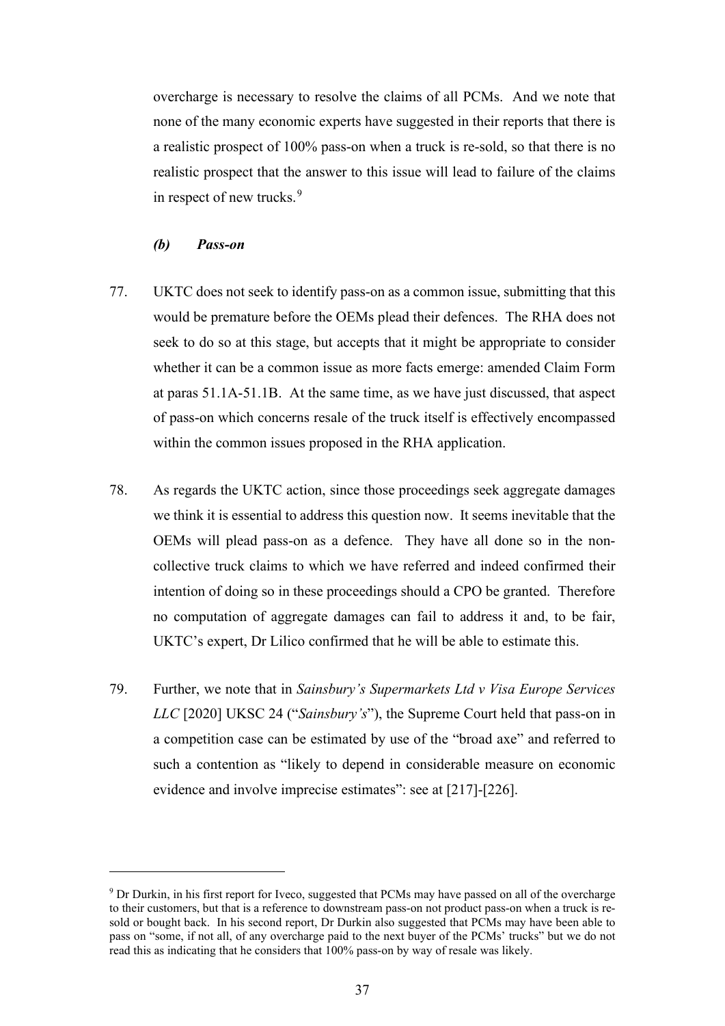overcharge is necessary to resolve the claims of all PCMs. And we note that none of the many economic experts have suggested in their reports that there is a realistic prospect of 100% pass-on when a truck is re-sold, so that there is no realistic prospect that the answer to this issue will lead to failure of the claims in respect of new trucks.<sup>9</sup>

# *(b) Pass-on*

- 77. UKTC does not seek to identify pass-on as a common issue, submitting that this would be premature before the OEMs plead their defences. The RHA does not seek to do so at this stage, but accepts that it might be appropriate to consider whether it can be a common issue as more facts emerge: amended Claim Form at paras 51.1A-51.1B. At the same time, as we have just discussed, that aspect of pass-on which concerns resale of the truck itself is effectively encompassed within the common issues proposed in the RHA application.
- 78. As regards the UKTC action, since those proceedings seek aggregate damages we think it is essential to address this question now. It seems inevitable that the OEMs will plead pass-on as a defence. They have all done so in the noncollective truck claims to which we have referred and indeed confirmed their intention of doing so in these proceedings should a CPO be granted. Therefore no computation of aggregate damages can fail to address it and, to be fair, UKTC's expert, Dr Lilico confirmed that he will be able to estimate this.
- 79. Further, we note that in *Sainsbury's Supermarkets Ltd v Visa Europe Services LLC* [2020] UKSC 24 ("*Sainsbury's*"), the Supreme Court held that pass-on in a competition case can be estimated by use of the "broad axe" and referred to such a contention as "likely to depend in considerable measure on economic evidence and involve imprecise estimates": see at [217]-[226].

<sup>&</sup>lt;sup>9</sup> Dr Durkin, in his first report for Iveco, suggested that PCMs may have passed on all of the overcharge to their customers, but that is a reference to downstream pass-on not product pass-on when a truck is resold or bought back. In his second report, Dr Durkin also suggested that PCMs may have been able to pass on "some, if not all, of any overcharge paid to the next buyer of the PCMs' trucks" but we do not read this as indicating that he considers that 100% pass-on by way of resale was likely.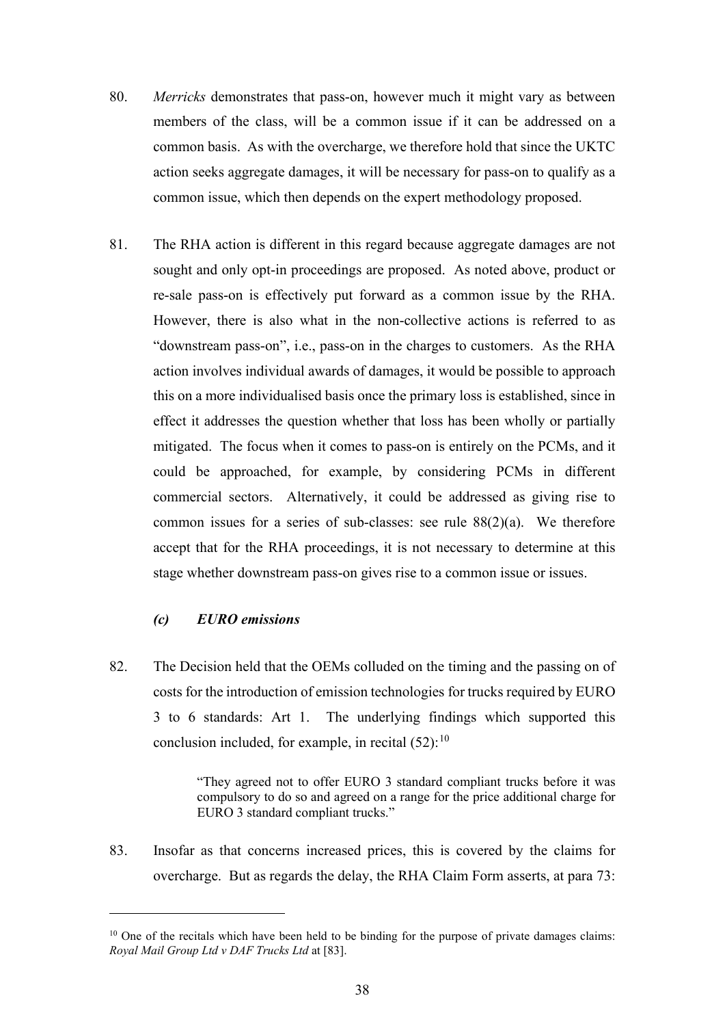- 80. *Merricks* demonstrates that pass-on, however much it might vary as between members of the class, will be a common issue if it can be addressed on a common basis. As with the overcharge, we therefore hold that since the UKTC action seeks aggregate damages, it will be necessary for pass-on to qualify as a common issue, which then depends on the expert methodology proposed.
- 81. The RHA action is different in this regard because aggregate damages are not sought and only opt-in proceedings are proposed. As noted above, product or re-sale pass-on is effectively put forward as a common issue by the RHA. However, there is also what in the non-collective actions is referred to as "downstream pass-on", i.e., pass-on in the charges to customers. As the RHA action involves individual awards of damages, it would be possible to approach this on a more individualised basis once the primary loss is established, since in effect it addresses the question whether that loss has been wholly or partially mitigated. The focus when it comes to pass-on is entirely on the PCMs, and it could be approached, for example, by considering PCMs in different commercial sectors. Alternatively, it could be addressed as giving rise to common issues for a series of sub-classes: see rule  $88(2)(a)$ . We therefore accept that for the RHA proceedings, it is not necessary to determine at this stage whether downstream pass-on gives rise to a common issue or issues.

# *(c) EURO emissions*

82. The Decision held that the OEMs colluded on the timing and the passing on of costs for the introduction of emission technologies for trucks required by EURO 3 to 6 standards: Art 1. The underlying findings which supported this conclusion included, for example, in recital  $(52)$ :<sup>10</sup>

> "They agreed not to offer EURO 3 standard compliant trucks before it was compulsory to do so and agreed on a range for the price additional charge for EURO 3 standard compliant trucks."

83. Insofar as that concerns increased prices, this is covered by the claims for overcharge. But as regards the delay, the RHA Claim Form asserts, at para 73:

 $10$  One of the recitals which have been held to be binding for the purpose of private damages claims: *Royal Mail Group Ltd v DAF Trucks Ltd* at [83].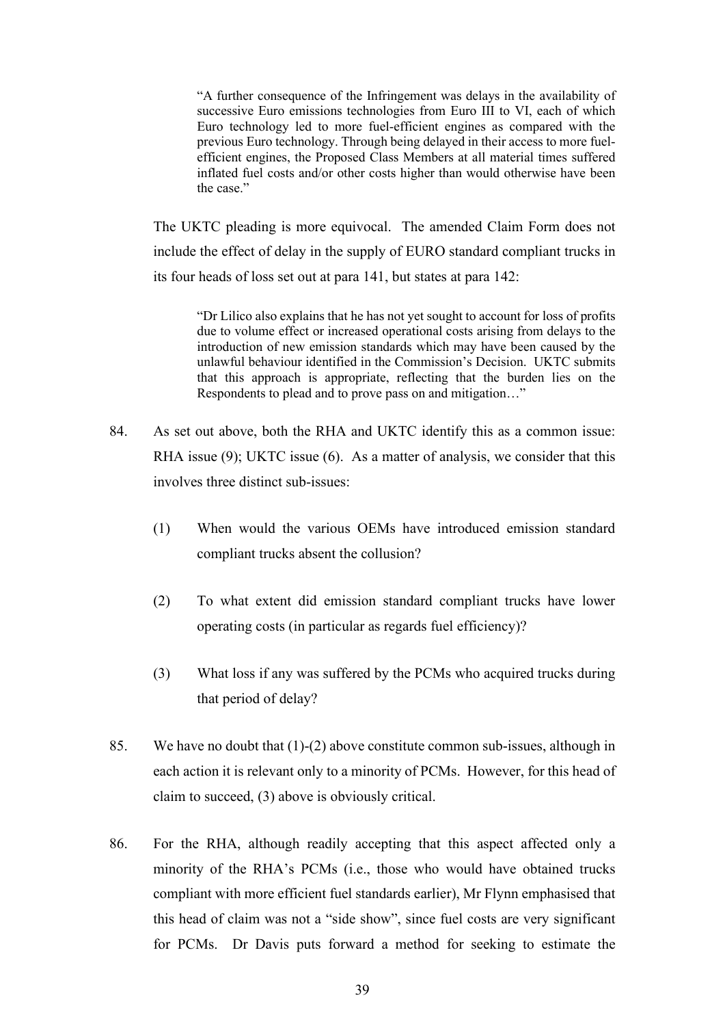"A further consequence of the Infringement was delays in the availability of successive Euro emissions technologies from Euro III to VI, each of which Euro technology led to more fuel-efficient engines as compared with the previous Euro technology. Through being delayed in their access to more fuelefficient engines, the Proposed Class Members at all material times suffered inflated fuel costs and/or other costs higher than would otherwise have been the case."

The UKTC pleading is more equivocal. The amended Claim Form does not include the effect of delay in the supply of EURO standard compliant trucks in its four heads of loss set out at para 141, but states at para 142:

"Dr Lilico also explains that he has not yet sought to account for loss of profits due to volume effect or increased operational costs arising from delays to the introduction of new emission standards which may have been caused by the unlawful behaviour identified in the Commission's Decision. UKTC submits that this approach is appropriate, reflecting that the burden lies on the Respondents to plead and to prove pass on and mitigation…"

- 84. As set out above, both the RHA and UKTC identify this as a common issue: RHA issue (9); UKTC issue (6). As a matter of analysis, we consider that this involves three distinct sub-issues:
	- (1) When would the various OEMs have introduced emission standard compliant trucks absent the collusion?
	- (2) To what extent did emission standard compliant trucks have lower operating costs (in particular as regards fuel efficiency)?
	- (3) What loss if any was suffered by the PCMs who acquired trucks during that period of delay?
- 85. We have no doubt that (1)-(2) above constitute common sub-issues, although in each action it is relevant only to a minority of PCMs. However, for this head of claim to succeed, (3) above is obviously critical.
- 86. For the RHA, although readily accepting that this aspect affected only a minority of the RHA's PCMs (i.e., those who would have obtained trucks compliant with more efficient fuel standards earlier), Mr Flynn emphasised that this head of claim was not a "side show", since fuel costs are very significant for PCMs. Dr Davis puts forward a method for seeking to estimate the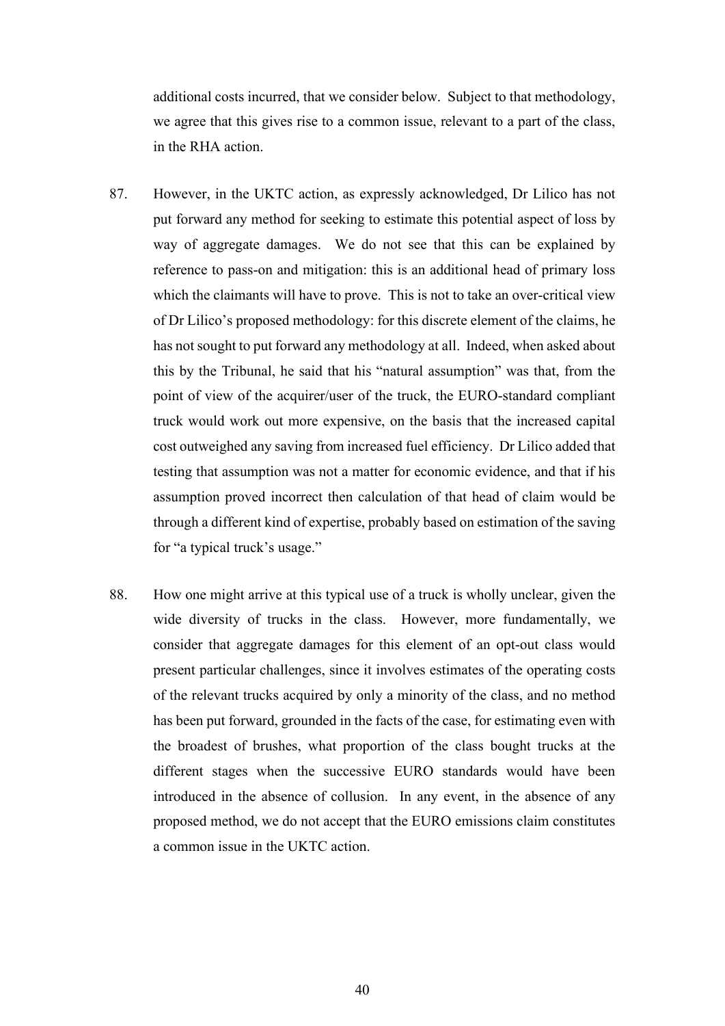additional costs incurred, that we consider below. Subject to that methodology, we agree that this gives rise to a common issue, relevant to a part of the class, in the RHA action.

- 87. However, in the UKTC action, as expressly acknowledged, Dr Lilico has not put forward any method for seeking to estimate this potential aspect of loss by way of aggregate damages. We do not see that this can be explained by reference to pass-on and mitigation: this is an additional head of primary loss which the claimants will have to prove. This is not to take an over-critical view of Dr Lilico's proposed methodology: for this discrete element of the claims, he has not sought to put forward any methodology at all. Indeed, when asked about this by the Tribunal, he said that his "natural assumption" was that, from the point of view of the acquirer/user of the truck, the EURO-standard compliant truck would work out more expensive, on the basis that the increased capital cost outweighed any saving from increased fuel efficiency. Dr Lilico added that testing that assumption was not a matter for economic evidence, and that if his assumption proved incorrect then calculation of that head of claim would be through a different kind of expertise, probably based on estimation of the saving for "a typical truck's usage."
- 88. How one might arrive at this typical use of a truck is wholly unclear, given the wide diversity of trucks in the class. However, more fundamentally, we consider that aggregate damages for this element of an opt-out class would present particular challenges, since it involves estimates of the operating costs of the relevant trucks acquired by only a minority of the class, and no method has been put forward, grounded in the facts of the case, for estimating even with the broadest of brushes, what proportion of the class bought trucks at the different stages when the successive EURO standards would have been introduced in the absence of collusion. In any event, in the absence of any proposed method, we do not accept that the EURO emissions claim constitutes a common issue in the UKTC action.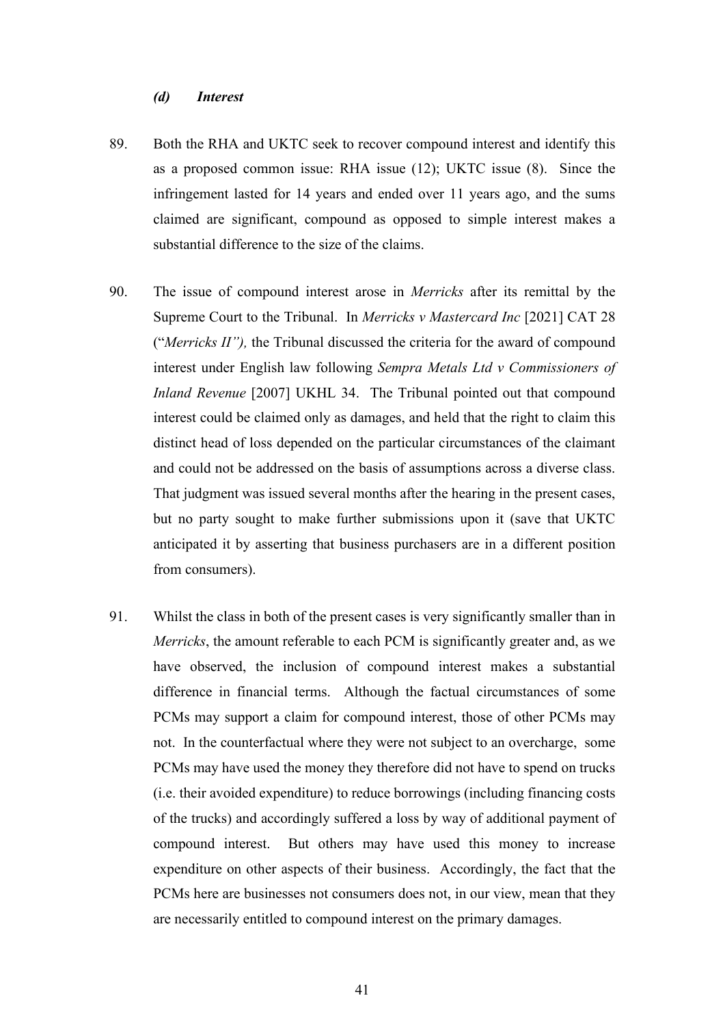### *(d) Interest*

- 89. Both the RHA and UKTC seek to recover compound interest and identify this as a proposed common issue: RHA issue (12); UKTC issue (8). Since the infringement lasted for 14 years and ended over 11 years ago, and the sums claimed are significant, compound as opposed to simple interest makes a substantial difference to the size of the claims.
- 90. The issue of compound interest arose in *Merricks* after its remittal by the Supreme Court to the Tribunal. In *Merricks v Mastercard Inc* [2021] CAT 28 ("*Merricks II"),* the Tribunal discussed the criteria for the award of compound interest under English law following *Sempra Metals Ltd v Commissioners of Inland Revenue* [2007] UKHL 34. The Tribunal pointed out that compound interest could be claimed only as damages, and held that the right to claim this distinct head of loss depended on the particular circumstances of the claimant and could not be addressed on the basis of assumptions across a diverse class. That judgment was issued several months after the hearing in the present cases, but no party sought to make further submissions upon it (save that UKTC anticipated it by asserting that business purchasers are in a different position from consumers).
- 91. Whilst the class in both of the present cases is very significantly smaller than in *Merricks*, the amount referable to each PCM is significantly greater and, as we have observed, the inclusion of compound interest makes a substantial difference in financial terms. Although the factual circumstances of some PCMs may support a claim for compound interest, those of other PCMs may not. In the counterfactual where they were not subject to an overcharge, some PCMs may have used the money they therefore did not have to spend on trucks (i.e. their avoided expenditure) to reduce borrowings (including financing costs of the trucks) and accordingly suffered a loss by way of additional payment of compound interest. But others may have used this money to increase expenditure on other aspects of their business. Accordingly, the fact that the PCMs here are businesses not consumers does not, in our view, mean that they are necessarily entitled to compound interest on the primary damages.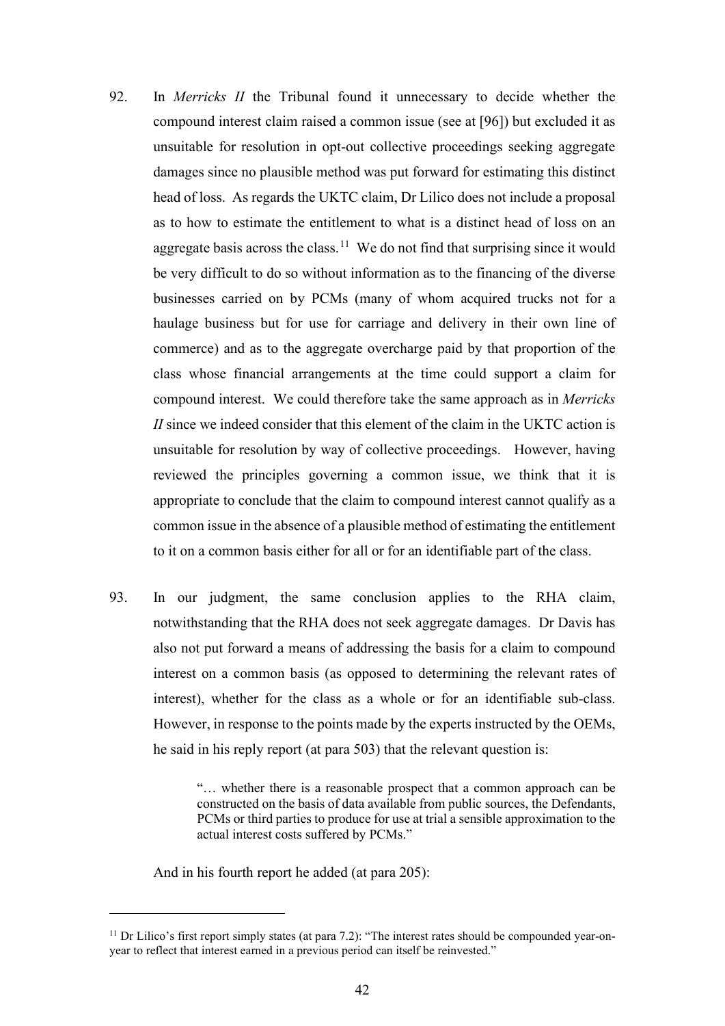- 92. In *Merricks II* the Tribunal found it unnecessary to decide whether the compound interest claim raised a common issue (see at [96]) but excluded it as unsuitable for resolution in opt-out collective proceedings seeking aggregate damages since no plausible method was put forward for estimating this distinct head of loss. As regards the UKTC claim, Dr Lilico does not include a proposal as to how to estimate the entitlement to what is a distinct head of loss on an aggregate basis across the class.<sup>11</sup> We do not find that surprising since it would be very difficult to do so without information as to the financing of the diverse businesses carried on by PCMs (many of whom acquired trucks not for a haulage business but for use for carriage and delivery in their own line of commerce) and as to the aggregate overcharge paid by that proportion of the class whose financial arrangements at the time could support a claim for compound interest. We could therefore take the same approach as in *Merricks II* since we indeed consider that this element of the claim in the UKTC action is unsuitable for resolution by way of collective proceedings. However, having reviewed the principles governing a common issue, we think that it is appropriate to conclude that the claim to compound interest cannot qualify as a common issue in the absence of a plausible method of estimating the entitlement to it on a common basis either for all or for an identifiable part of the class.
- 93. In our judgment, the same conclusion applies to the RHA claim, notwithstanding that the RHA does not seek aggregate damages. Dr Davis has also not put forward a means of addressing the basis for a claim to compound interest on a common basis (as opposed to determining the relevant rates of interest), whether for the class as a whole or for an identifiable sub-class. However, in response to the points made by the experts instructed by the OEMs, he said in his reply report (at para 503) that the relevant question is:

"… whether there is a reasonable prospect that a common approach can be constructed on the basis of data available from public sources, the Defendants, PCMs or third parties to produce for use at trial a sensible approximation to the actual interest costs suffered by PCMs."

And in his fourth report he added (at para 205):

 $11$  Dr Lilico's first report simply states (at para 7.2): "The interest rates should be compounded year-onyear to reflect that interest earned in a previous period can itself be reinvested."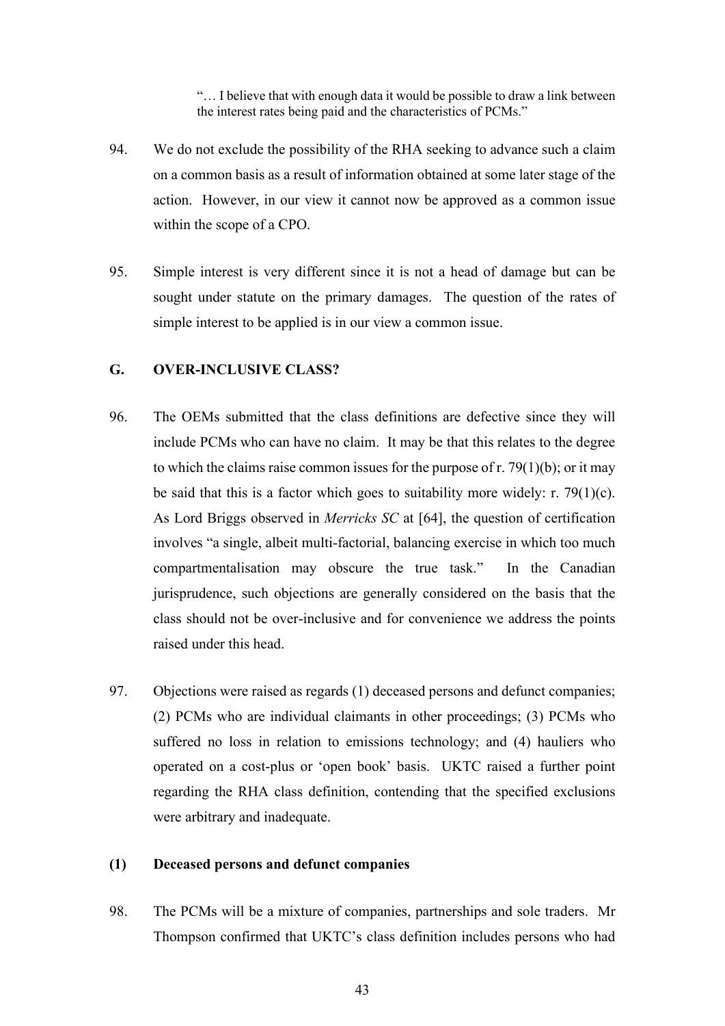"… I believe that with enough data it would be possible to draw a link between the interest rates being paid and the characteristics of PCMs."

- 94. We do not exclude the possibility of the RHA seeking to advance such a claim on a common basis as a result of information obtained at some later stage of the action. However, in our view it cannot now be approved as a common issue within the scope of a CPO.
- 95. Simple interest is very different since it is not a head of damage but can be sought under statute on the primary damages. The question of the rates of simple interest to be applied is in our view a common issue.

# **G. OVER-INCLUSIVE CLASS?**

- 96. The OEMs submitted that the class definitions are defective since they will include PCMs who can have no claim. It may be that this relates to the degree to which the claims raise common issues for the purpose of r. 79(1)(b); or it may be said that this is a factor which goes to suitability more widely: r.  $79(1)(c)$ . As Lord Briggs observed in *Merricks SC* at [64], the question of certification involves "a single, albeit multi-factorial, balancing exercise in which too much compartmentalisation may obscure the true task." In the Canadian jurisprudence, such objections are generally considered on the basis that the class should not be over-inclusive and for convenience we address the points raised under this head.
- 97. Objections were raised as regards (1) deceased persons and defunct companies; (2) PCMs who are individual claimants in other proceedings; (3) PCMs who suffered no loss in relation to emissions technology; and (4) hauliers who operated on a cost-plus or 'open book' basis. UKTC raised a further point regarding the RHA class definition, contending that the specified exclusions were arbitrary and inadequate.

# **(1) Deceased persons and defunct companies**

98. The PCMs will be a mixture of companies, partnerships and sole traders. Mr Thompson confirmed that UKTC's class definition includes persons who had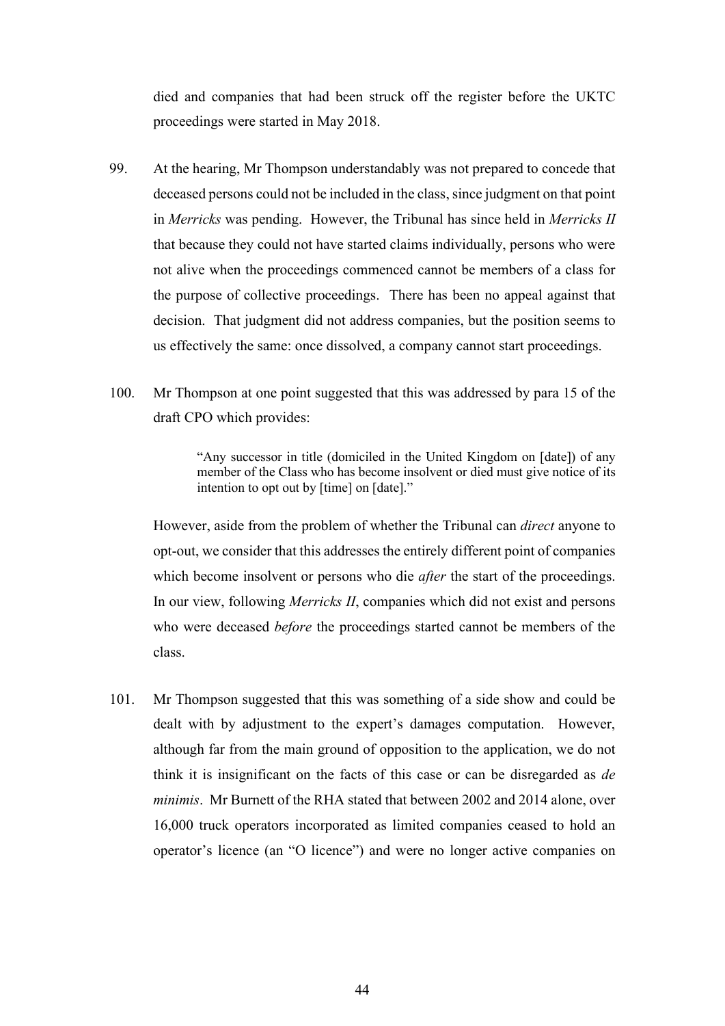died and companies that had been struck off the register before the UKTC proceedings were started in May 2018.

- 99. At the hearing, Mr Thompson understandably was not prepared to concede that deceased persons could not be included in the class, since judgment on that point in *Merricks* was pending. However, the Tribunal has since held in *Merricks II* that because they could not have started claims individually, persons who were not alive when the proceedings commenced cannot be members of a class for the purpose of collective proceedings. There has been no appeal against that decision. That judgment did not address companies, but the position seems to us effectively the same: once dissolved, a company cannot start proceedings.
- 100. Mr Thompson at one point suggested that this was addressed by para 15 of the draft CPO which provides:

"Any successor in title (domiciled in the United Kingdom on [date]) of any member of the Class who has become insolvent or died must give notice of its intention to opt out by [time] on [date]."

However, aside from the problem of whether the Tribunal can *direct* anyone to opt-out, we consider that this addresses the entirely different point of companies which become insolvent or persons who die *after* the start of the proceedings. In our view, following *Merricks II*, companies which did not exist and persons who were deceased *before* the proceedings started cannot be members of the class.

101. Mr Thompson suggested that this was something of a side show and could be dealt with by adjustment to the expert's damages computation. However, although far from the main ground of opposition to the application, we do not think it is insignificant on the facts of this case or can be disregarded as *de minimis*. Mr Burnett of the RHA stated that between 2002 and 2014 alone, over 16,000 truck operators incorporated as limited companies ceased to hold an operator's licence (an "O licence") and were no longer active companies on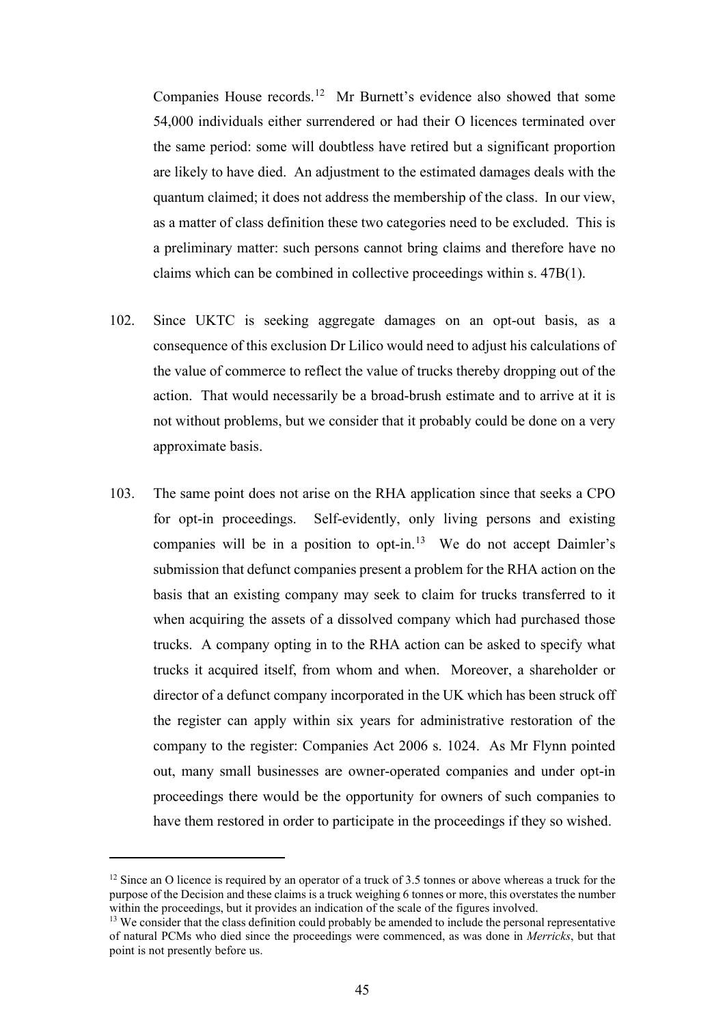Companies House records.12 Mr Burnett's evidence also showed that some 54,000 individuals either surrendered or had their O licences terminated over the same period: some will doubtless have retired but a significant proportion are likely to have died. An adjustment to the estimated damages deals with the quantum claimed; it does not address the membership of the class. In our view, as a matter of class definition these two categories need to be excluded. This is a preliminary matter: such persons cannot bring claims and therefore have no claims which can be combined in collective proceedings within s. 47B(1).

- 102. Since UKTC is seeking aggregate damages on an opt-out basis, as a consequence of this exclusion Dr Lilico would need to adjust his calculations of the value of commerce to reflect the value of trucks thereby dropping out of the action. That would necessarily be a broad-brush estimate and to arrive at it is not without problems, but we consider that it probably could be done on a very approximate basis.
- 103. The same point does not arise on the RHA application since that seeks a CPO for opt-in proceedings. Self-evidently, only living persons and existing companies will be in a position to opt-in.<sup>13</sup> We do not accept Daimler's submission that defunct companies present a problem for the RHA action on the basis that an existing company may seek to claim for trucks transferred to it when acquiring the assets of a dissolved company which had purchased those trucks. A company opting in to the RHA action can be asked to specify what trucks it acquired itself, from whom and when. Moreover, a shareholder or director of a defunct company incorporated in the UK which has been struck off the register can apply within six years for administrative restoration of the company to the register: Companies Act 2006 s. 1024. As Mr Flynn pointed out, many small businesses are owner-operated companies and under opt-in proceedings there would be the opportunity for owners of such companies to have them restored in order to participate in the proceedings if they so wished.

<sup>&</sup>lt;sup>12</sup> Since an O licence is required by an operator of a truck of 3.5 tonnes or above whereas a truck for the purpose of the Decision and these claims is a truck weighing 6 tonnes or more, this overstates the number within the proceedings, but it provides an indication of the scale of the figures involved.

<sup>&</sup>lt;sup>13</sup> We consider that the class definition could probably be amended to include the personal representative of natural PCMs who died since the proceedings were commenced, as was done in *Merricks*, but that point is not presently before us.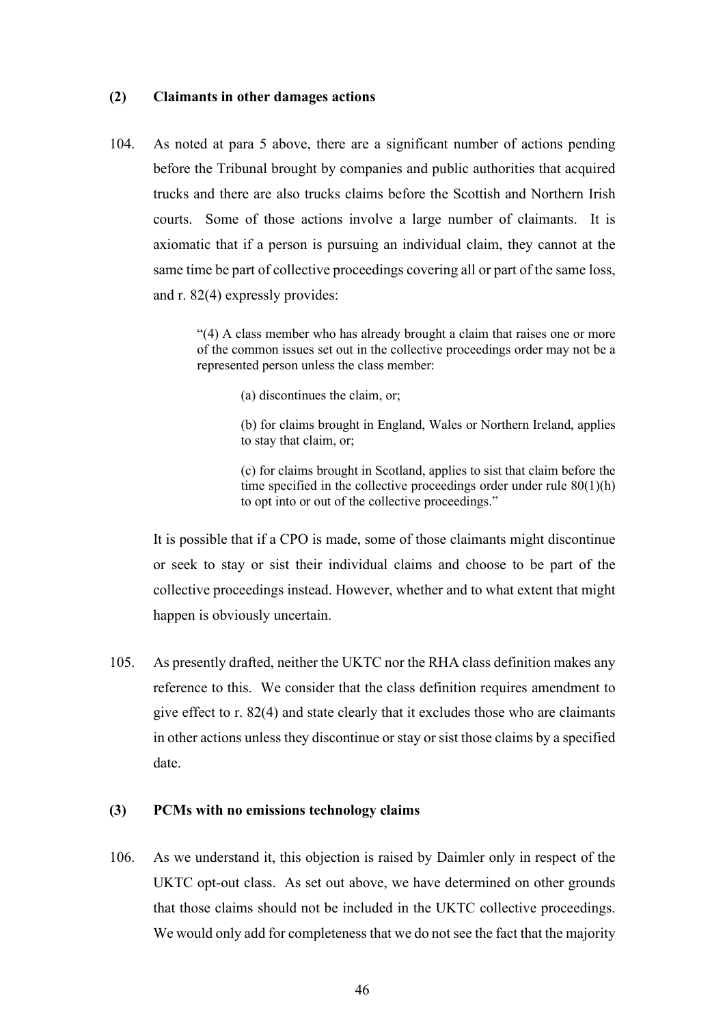### **(2) Claimants in other damages actions**

104. As noted at para 5 above, there are a significant number of actions pending before the Tribunal brought by companies and public authorities that acquired trucks and there are also trucks claims before the Scottish and Northern Irish courts. Some of those actions involve a large number of claimants. It is axiomatic that if a person is pursuing an individual claim, they cannot at the same time be part of collective proceedings covering all or part of the same loss, and r. 82(4) expressly provides:

> "(4) A class member who has already brought a claim that raises one or more of the common issues set out in the collective proceedings order may not be a represented person unless the class member:

> > (a) discontinues the claim, or;

(b) for claims brought in England, Wales or Northern Ireland, applies to stay that claim, or;

(c) for claims brought in Scotland, applies to sist that claim before the time specified in the collective proceedings order under rule 80(1)(h) to opt into or out of the collective proceedings."

It is possible that if a CPO is made, some of those claimants might discontinue or seek to stay or sist their individual claims and choose to be part of the collective proceedings instead. However, whether and to what extent that might happen is obviously uncertain.

105. As presently drafted, neither the UKTC nor the RHA class definition makes any reference to this. We consider that the class definition requires amendment to give effect to r. 82(4) and state clearly that it excludes those who are claimants in other actions unless they discontinue or stay or sist those claims by a specified date.

### **(3) PCMs with no emissions technology claims**

106. As we understand it, this objection is raised by Daimler only in respect of the UKTC opt-out class. As set out above, we have determined on other grounds that those claims should not be included in the UKTC collective proceedings. We would only add for completeness that we do not see the fact that the majority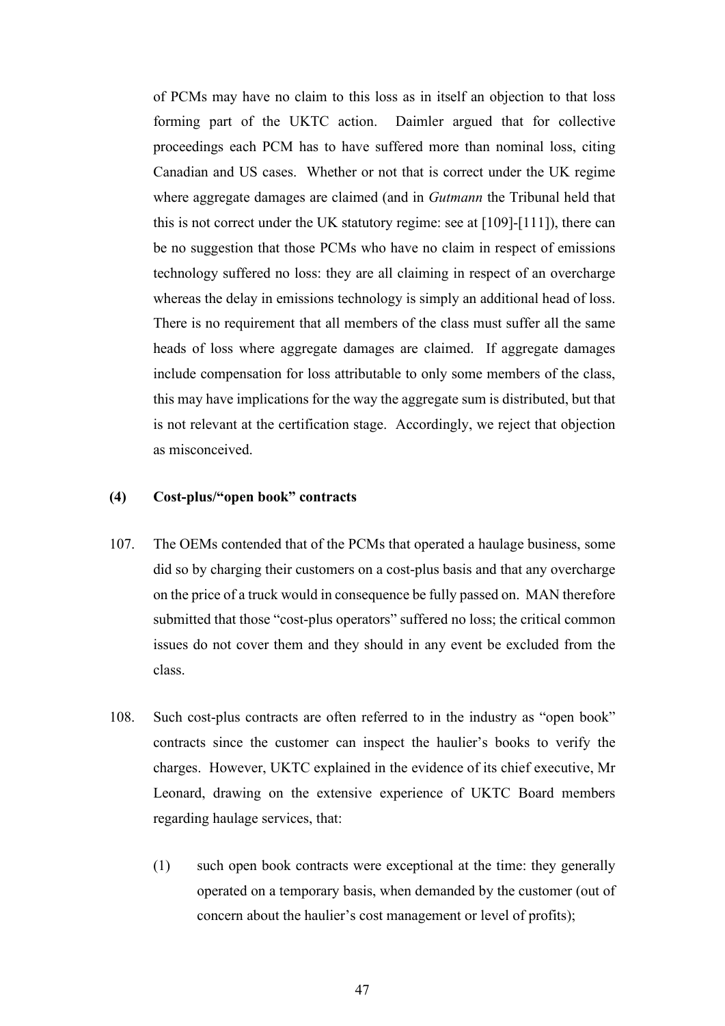of PCMs may have no claim to this loss as in itself an objection to that loss forming part of the UKTC action. Daimler argued that for collective proceedings each PCM has to have suffered more than nominal loss, citing Canadian and US cases. Whether or not that is correct under the UK regime where aggregate damages are claimed (and in *Gutmann* the Tribunal held that this is not correct under the UK statutory regime: see at [109]-[111]), there can be no suggestion that those PCMs who have no claim in respect of emissions technology suffered no loss: they are all claiming in respect of an overcharge whereas the delay in emissions technology is simply an additional head of loss. There is no requirement that all members of the class must suffer all the same heads of loss where aggregate damages are claimed. If aggregate damages include compensation for loss attributable to only some members of the class, this may have implications for the way the aggregate sum is distributed, but that is not relevant at the certification stage. Accordingly, we reject that objection as misconceived.

# **(4) Cost-plus/"open book" contracts**

- 107. The OEMs contended that of the PCMs that operated a haulage business, some did so by charging their customers on a cost-plus basis and that any overcharge on the price of a truck would in consequence be fully passed on. MAN therefore submitted that those "cost-plus operators" suffered no loss; the critical common issues do not cover them and they should in any event be excluded from the class.
- 108. Such cost-plus contracts are often referred to in the industry as "open book" contracts since the customer can inspect the haulier's books to verify the charges. However, UKTC explained in the evidence of its chief executive, Mr Leonard, drawing on the extensive experience of UKTC Board members regarding haulage services, that:
	- (1) such open book contracts were exceptional at the time: they generally operated on a temporary basis, when demanded by the customer (out of concern about the haulier's cost management or level of profits);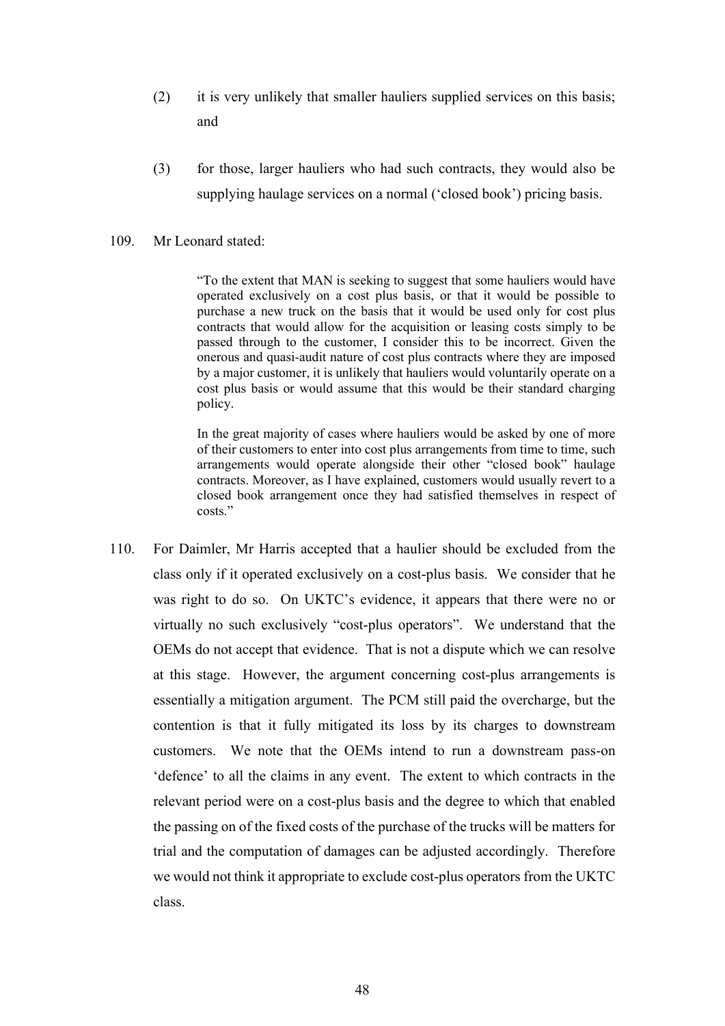- (2) it is very unlikely that smaller hauliers supplied services on this basis; and
- (3) for those, larger hauliers who had such contracts, they would also be supplying haulage services on a normal ('closed book') pricing basis.

#### 109. Mr Leonard stated:

"To the extent that MAN is seeking to suggest that some hauliers would have operated exclusively on a cost plus basis, or that it would be possible to purchase a new truck on the basis that it would be used only for cost plus contracts that would allow for the acquisition or leasing costs simply to be passed through to the customer, I consider this to be incorrect. Given the onerous and quasi-audit nature of cost plus contracts where they are imposed by a major customer, it is unlikely that hauliers would voluntarily operate on a cost plus basis or would assume that this would be their standard charging policy.

In the great majority of cases where hauliers would be asked by one of more of their customers to enter into cost plus arrangements from time to time, such arrangements would operate alongside their other "closed book" haulage contracts. Moreover, as I have explained, customers would usually revert to a closed book arrangement once they had satisfied themselves in respect of costs."

110. For Daimler, Mr Harris accepted that a haulier should be excluded from the class only if it operated exclusively on a cost-plus basis. We consider that he was right to do so. On UKTC's evidence, it appears that there were no or virtually no such exclusively "cost-plus operators". We understand that the OEMs do not accept that evidence. That is not a dispute which we can resolve at this stage. However, the argument concerning cost-plus arrangements is essentially a mitigation argument. The PCM still paid the overcharge, but the contention is that it fully mitigated its loss by its charges to downstream customers. We note that the OEMs intend to run a downstream pass-on 'defence' to all the claims in any event. The extent to which contracts in the relevant period were on a cost-plus basis and the degree to which that enabled the passing on of the fixed costs of the purchase of the trucks will be matters for trial and the computation of damages can be adjusted accordingly. Therefore we would not think it appropriate to exclude cost-plus operators from the UKTC class.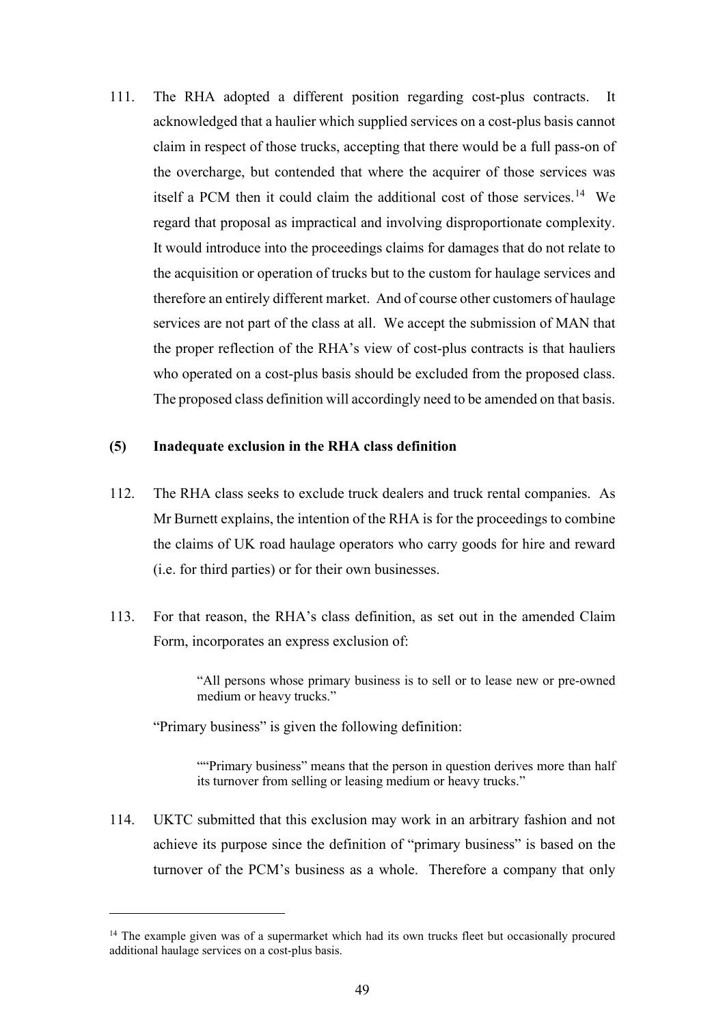111. The RHA adopted a different position regarding cost-plus contracts. It acknowledged that a haulier which supplied services on a cost-plus basis cannot claim in respect of those trucks, accepting that there would be a full pass-on of the overcharge, but contended that where the acquirer of those services was itself a PCM then it could claim the additional cost of those services.<sup>14</sup> We regard that proposal as impractical and involving disproportionate complexity. It would introduce into the proceedings claims for damages that do not relate to the acquisition or operation of trucks but to the custom for haulage services and therefore an entirely different market. And of course other customers of haulage services are not part of the class at all. We accept the submission of MAN that the proper reflection of the RHA's view of cost-plus contracts is that hauliers who operated on a cost-plus basis should be excluded from the proposed class. The proposed class definition will accordingly need to be amended on that basis.

# **(5) Inadequate exclusion in the RHA class definition**

- 112. The RHA class seeks to exclude truck dealers and truck rental companies. As Mr Burnett explains, the intention of the RHA is for the proceedings to combine the claims of UK road haulage operators who carry goods for hire and reward (i.e. for third parties) or for their own businesses.
- 113. For that reason, the RHA's class definition, as set out in the amended Claim Form, incorporates an express exclusion of:

"All persons whose primary business is to sell or to lease new or pre-owned medium or heavy trucks."

"Primary business" is given the following definition:

""Primary business" means that the person in question derives more than half its turnover from selling or leasing medium or heavy trucks."

114. UKTC submitted that this exclusion may work in an arbitrary fashion and not achieve its purpose since the definition of "primary business" is based on the turnover of the PCM's business as a whole. Therefore a company that only

<sup>&</sup>lt;sup>14</sup> The example given was of a supermarket which had its own trucks fleet but occasionally procured additional haulage services on a cost-plus basis.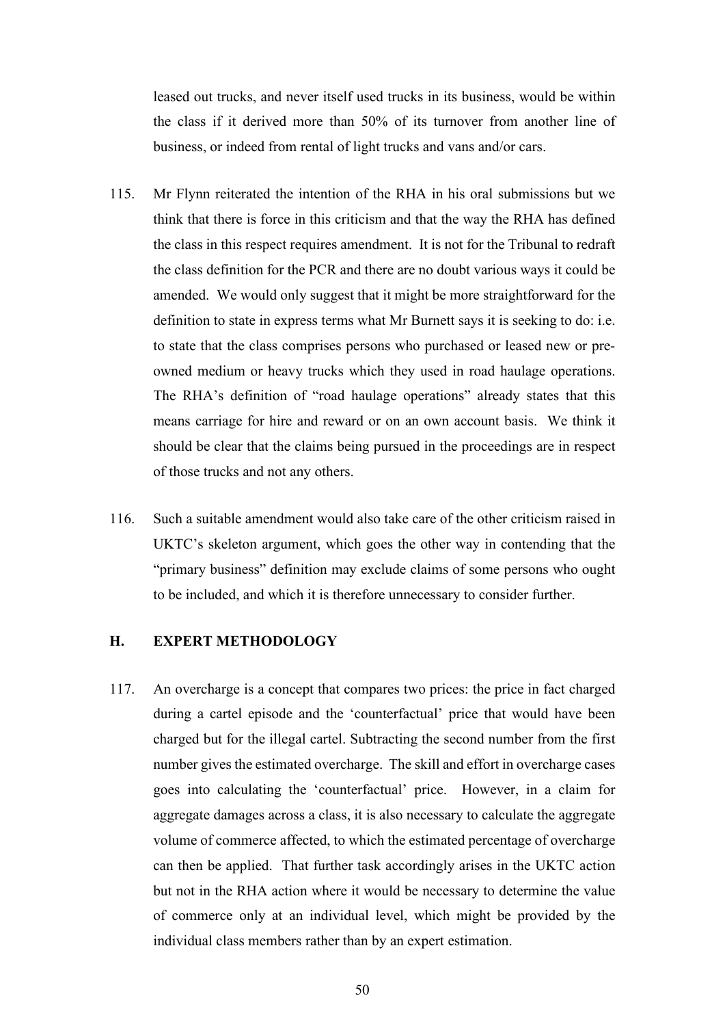leased out trucks, and never itself used trucks in its business, would be within the class if it derived more than 50% of its turnover from another line of business, or indeed from rental of light trucks and vans and/or cars.

- 115. Mr Flynn reiterated the intention of the RHA in his oral submissions but we think that there is force in this criticism and that the way the RHA has defined the class in this respect requires amendment. It is not for the Tribunal to redraft the class definition for the PCR and there are no doubt various ways it could be amended. We would only suggest that it might be more straightforward for the definition to state in express terms what Mr Burnett says it is seeking to do: i.e. to state that the class comprises persons who purchased or leased new or preowned medium or heavy trucks which they used in road haulage operations. The RHA's definition of "road haulage operations" already states that this means carriage for hire and reward or on an own account basis. We think it should be clear that the claims being pursued in the proceedings are in respect of those trucks and not any others.
- 116. Such a suitable amendment would also take care of the other criticism raised in UKTC's skeleton argument, which goes the other way in contending that the "primary business" definition may exclude claims of some persons who ought to be included, and which it is therefore unnecessary to consider further.

# **H. EXPERT METHODOLOGY**

117. An overcharge is a concept that compares two prices: the price in fact charged during a cartel episode and the 'counterfactual' price that would have been charged but for the illegal cartel. Subtracting the second number from the first number gives the estimated overcharge. The skill and effort in overcharge cases goes into calculating the 'counterfactual' price. However, in a claim for aggregate damages across a class, it is also necessary to calculate the aggregate volume of commerce affected, to which the estimated percentage of overcharge can then be applied. That further task accordingly arises in the UKTC action but not in the RHA action where it would be necessary to determine the value of commerce only at an individual level, which might be provided by the individual class members rather than by an expert estimation.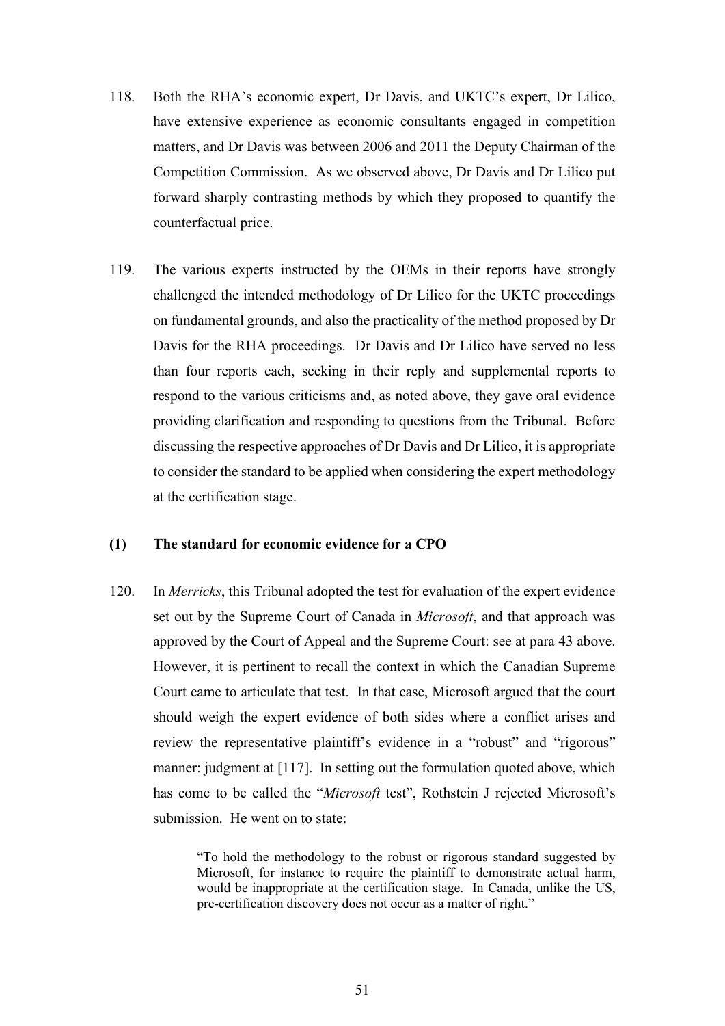- 118. Both the RHA's economic expert, Dr Davis, and UKTC's expert, Dr Lilico, have extensive experience as economic consultants engaged in competition matters, and Dr Davis was between 2006 and 2011 the Deputy Chairman of the Competition Commission. As we observed above, Dr Davis and Dr Lilico put forward sharply contrasting methods by which they proposed to quantify the counterfactual price.
- 119. The various experts instructed by the OEMs in their reports have strongly challenged the intended methodology of Dr Lilico for the UKTC proceedings on fundamental grounds, and also the practicality of the method proposed by Dr Davis for the RHA proceedings. Dr Davis and Dr Lilico have served no less than four reports each, seeking in their reply and supplemental reports to respond to the various criticisms and, as noted above, they gave oral evidence providing clarification and responding to questions from the Tribunal. Before discussing the respective approaches of Dr Davis and Dr Lilico, it is appropriate to consider the standard to be applied when considering the expert methodology at the certification stage.

# **(1) The standard for economic evidence for a CPO**

120. In *Merricks*, this Tribunal adopted the test for evaluation of the expert evidence set out by the Supreme Court of Canada in *Microsoft*, and that approach was approved by the Court of Appeal and the Supreme Court: see at para 43 above. However, it is pertinent to recall the context in which the Canadian Supreme Court came to articulate that test. In that case, Microsoft argued that the court should weigh the expert evidence of both sides where a conflict arises and review the representative plaintiff's evidence in a "robust" and "rigorous" manner: judgment at [117]. In setting out the formulation quoted above, which has come to be called the "*Microsoft* test", Rothstein J rejected Microsoft's submission. He went on to state:

> "To hold the methodology to the robust or rigorous standard suggested by Microsoft, for instance to require the plaintiff to demonstrate actual harm, would be inappropriate at the certification stage. In Canada, unlike the US, pre-certification discovery does not occur as a matter of right."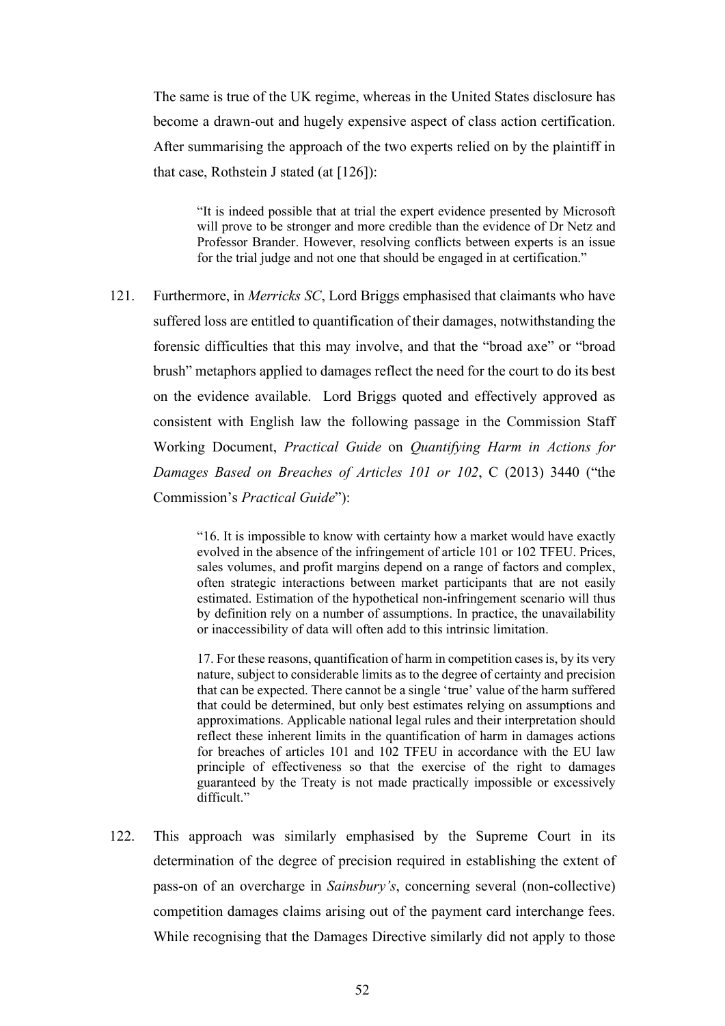The same is true of the UK regime, whereas in the United States disclosure has become a drawn-out and hugely expensive aspect of class action certification. After summarising the approach of the two experts relied on by the plaintiff in that case, Rothstein J stated (at [126]):

"It is indeed possible that at trial the expert evidence presented by Microsoft will prove to be stronger and more credible than the evidence of Dr Netz and Professor Brander. However, resolving conflicts between experts is an issue for the trial judge and not one that should be engaged in at certification."

121. Furthermore, in *Merricks SC*, Lord Briggs emphasised that claimants who have suffered loss are entitled to quantification of their damages, notwithstanding the forensic difficulties that this may involve, and that the "broad axe" or "broad brush" metaphors applied to damages reflect the need for the court to do its best on the evidence available. Lord Briggs quoted and effectively approved as consistent with English law the following passage in the Commission Staff Working Document, *Practical Guide* on *Quantifying Harm in Actions for Damages Based on Breaches of Articles 101 or 102*, C (2013) 3440 ("the Commission's *Practical Guide*"):

> "16. It is impossible to know with certainty how a market would have exactly evolved in the absence of the infringement of article 101 or 102 TFEU. Prices, sales volumes, and profit margins depend on a range of factors and complex, often strategic interactions between market participants that are not easily estimated. Estimation of the hypothetical non-infringement scenario will thus by definition rely on a number of assumptions. In practice, the unavailability or inaccessibility of data will often add to this intrinsic limitation.

> 17. For these reasons, quantification of harm in competition cases is, by its very nature, subject to considerable limits as to the degree of certainty and precision that can be expected. There cannot be a single 'true' value of the harm suffered that could be determined, but only best estimates relying on assumptions and approximations. Applicable national legal rules and their interpretation should reflect these inherent limits in the quantification of harm in damages actions for breaches of articles 101 and 102 TFEU in accordance with the EU law principle of effectiveness so that the exercise of the right to damages guaranteed by the Treaty is not made practically impossible or excessively difficult."

122. This approach was similarly emphasised by the Supreme Court in its determination of the degree of precision required in establishing the extent of pass-on of an overcharge in *Sainsbury's*, concerning several (non-collective) competition damages claims arising out of the payment card interchange fees. While recognising that the Damages Directive similarly did not apply to those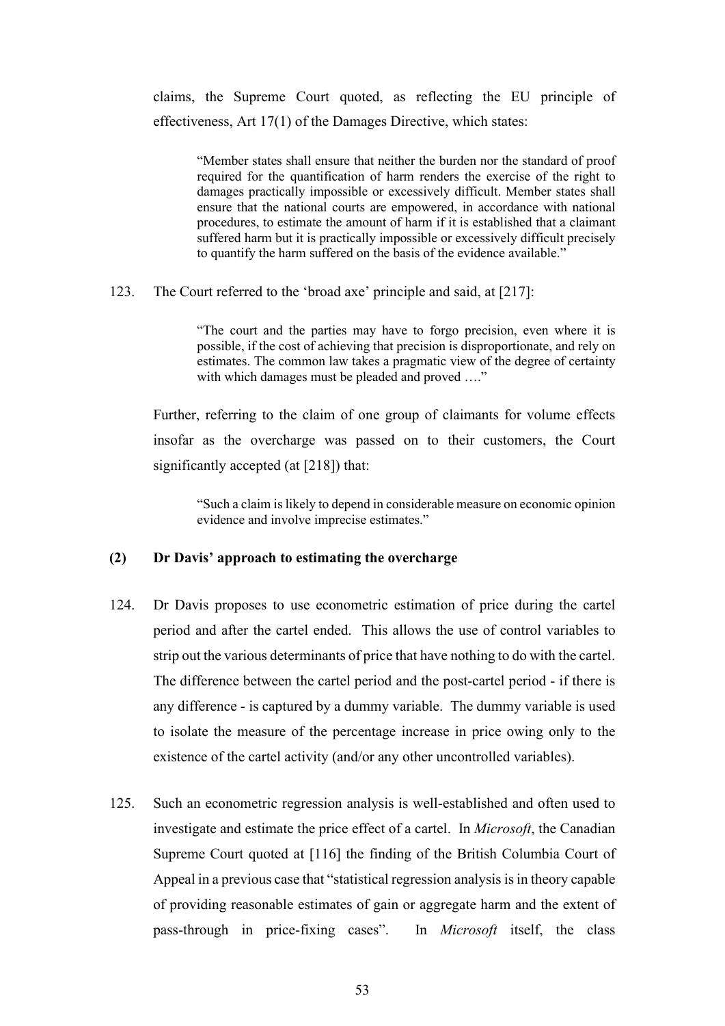claims, the Supreme Court quoted, as reflecting the EU principle of effectiveness, Art 17(1) of the Damages Directive, which states:

"Member states shall ensure that neither the burden nor the standard of proof required for the quantification of harm renders the exercise of the right to damages practically impossible or excessively difficult. Member states shall ensure that the national courts are empowered, in accordance with national procedures, to estimate the amount of harm if it is established that a claimant suffered harm but it is practically impossible or excessively difficult precisely to quantify the harm suffered on the basis of the evidence available."

123. The Court referred to the 'broad axe' principle and said, at [217]:

"The court and the parties may have to forgo precision, even where it is possible, if the cost of achieving that precision is disproportionate, and rely on estimates. The common law takes a pragmatic view of the degree of certainty with which damages must be pleaded and proved ...."

Further, referring to the claim of one group of claimants for volume effects insofar as the overcharge was passed on to their customers, the Court significantly accepted (at [218]) that:

"Such a claim is likely to depend in considerable measure on economic opinion evidence and involve imprecise estimates."

# **(2) Dr Davis' approach to estimating the overcharge**

- 124. Dr Davis proposes to use econometric estimation of price during the cartel period and after the cartel ended. This allows the use of control variables to strip out the various determinants of price that have nothing to do with the cartel. The difference between the cartel period and the post-cartel period - if there is any difference - is captured by a dummy variable. The dummy variable is used to isolate the measure of the percentage increase in price owing only to the existence of the cartel activity (and/or any other uncontrolled variables).
- 125. Such an econometric regression analysis is well-established and often used to investigate and estimate the price effect of a cartel. In *Microsoft*, the Canadian Supreme Court quoted at [116] the finding of the British Columbia Court of Appeal in a previous case that "statistical regression analysis is in theory capable of providing reasonable estimates of gain or aggregate harm and the extent of pass-through in price-fixing cases". In *Microsoft* itself, the class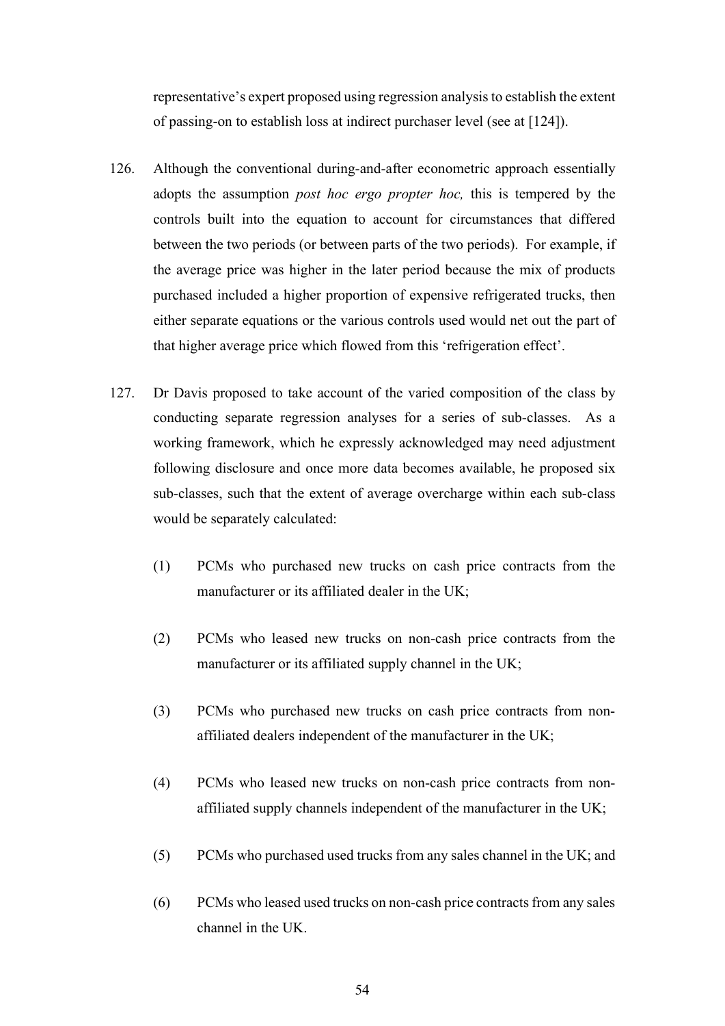representative's expert proposed using regression analysis to establish the extent of passing-on to establish loss at indirect purchaser level (see at [124]).

- 126. Although the conventional during-and-after econometric approach essentially adopts the assumption *post hoc ergo propter hoc,* this is tempered by the controls built into the equation to account for circumstances that differed between the two periods (or between parts of the two periods). For example, if the average price was higher in the later period because the mix of products purchased included a higher proportion of expensive refrigerated trucks, then either separate equations or the various controls used would net out the part of that higher average price which flowed from this 'refrigeration effect'.
- 127. Dr Davis proposed to take account of the varied composition of the class by conducting separate regression analyses for a series of sub-classes. As a working framework, which he expressly acknowledged may need adjustment following disclosure and once more data becomes available, he proposed six sub-classes, such that the extent of average overcharge within each sub-class would be separately calculated:
	- (1) PCMs who purchased new trucks on cash price contracts from the manufacturer or its affiliated dealer in the UK;
	- (2) PCMs who leased new trucks on non-cash price contracts from the manufacturer or its affiliated supply channel in the UK;
	- (3) PCMs who purchased new trucks on cash price contracts from nonaffiliated dealers independent of the manufacturer in the UK;
	- (4) PCMs who leased new trucks on non-cash price contracts from nonaffiliated supply channels independent of the manufacturer in the UK;
	- (5) PCMs who purchased used trucks from any sales channel in the UK; and
	- (6) PCMs who leased used trucks on non-cash price contracts from any sales channel in the UK.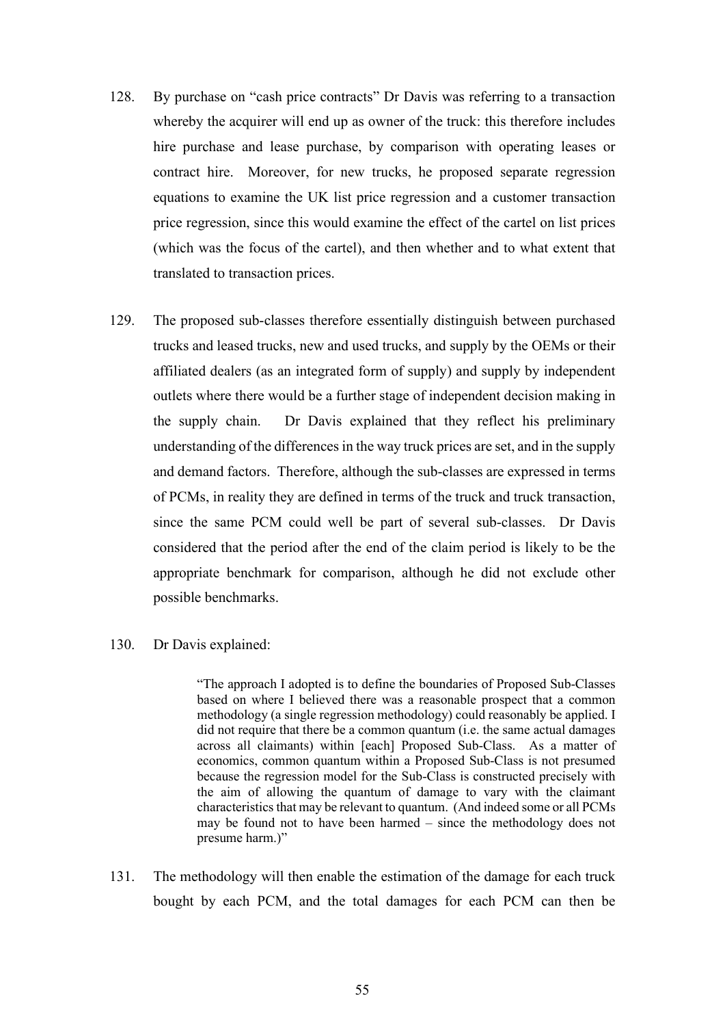- 128. By purchase on "cash price contracts" Dr Davis was referring to a transaction whereby the acquirer will end up as owner of the truck: this therefore includes hire purchase and lease purchase, by comparison with operating leases or contract hire. Moreover, for new trucks, he proposed separate regression equations to examine the UK list price regression and a customer transaction price regression, since this would examine the effect of the cartel on list prices (which was the focus of the cartel), and then whether and to what extent that translated to transaction prices.
- 129. The proposed sub-classes therefore essentially distinguish between purchased trucks and leased trucks, new and used trucks, and supply by the OEMs or their affiliated dealers (as an integrated form of supply) and supply by independent outlets where there would be a further stage of independent decision making in the supply chain. Dr Davis explained that they reflect his preliminary understanding of the differences in the way truck prices are set, and in the supply and demand factors. Therefore, although the sub-classes are expressed in terms of PCMs, in reality they are defined in terms of the truck and truck transaction, since the same PCM could well be part of several sub-classes. Dr Davis considered that the period after the end of the claim period is likely to be the appropriate benchmark for comparison, although he did not exclude other possible benchmarks.

### 130. Dr Davis explained:

"The approach I adopted is to define the boundaries of Proposed Sub-Classes based on where I believed there was a reasonable prospect that a common methodology (a single regression methodology) could reasonably be applied. I did not require that there be a common quantum (i.e. the same actual damages across all claimants) within [each] Proposed Sub-Class. As a matter of economics, common quantum within a Proposed Sub-Class is not presumed because the regression model for the Sub-Class is constructed precisely with the aim of allowing the quantum of damage to vary with the claimant characteristics that may be relevant to quantum. (And indeed some or all PCMs may be found not to have been harmed – since the methodology does not presume harm.)"

131. The methodology will then enable the estimation of the damage for each truck bought by each PCM, and the total damages for each PCM can then be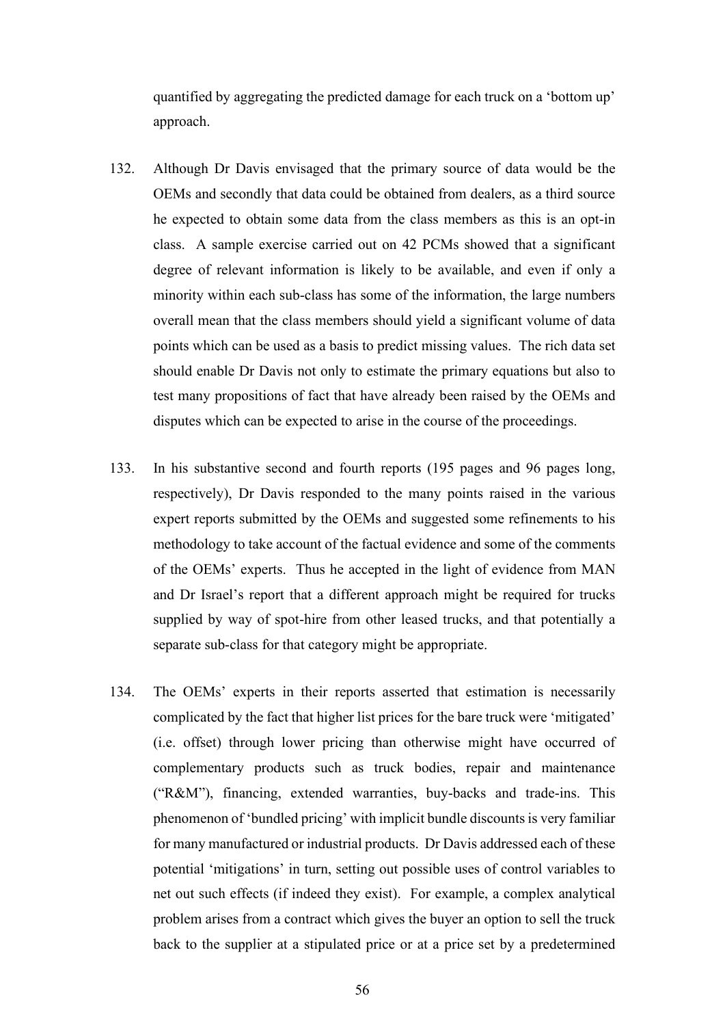quantified by aggregating the predicted damage for each truck on a 'bottom up' approach.

- 132. Although Dr Davis envisaged that the primary source of data would be the OEMs and secondly that data could be obtained from dealers, as a third source he expected to obtain some data from the class members as this is an opt-in class. A sample exercise carried out on 42 PCMs showed that a significant degree of relevant information is likely to be available, and even if only a minority within each sub-class has some of the information, the large numbers overall mean that the class members should yield a significant volume of data points which can be used as a basis to predict missing values. The rich data set should enable Dr Davis not only to estimate the primary equations but also to test many propositions of fact that have already been raised by the OEMs and disputes which can be expected to arise in the course of the proceedings.
- 133. In his substantive second and fourth reports (195 pages and 96 pages long, respectively), Dr Davis responded to the many points raised in the various expert reports submitted by the OEMs and suggested some refinements to his methodology to take account of the factual evidence and some of the comments of the OEMs' experts. Thus he accepted in the light of evidence from MAN and Dr Israel's report that a different approach might be required for trucks supplied by way of spot-hire from other leased trucks, and that potentially a separate sub-class for that category might be appropriate.
- 134. The OEMs' experts in their reports asserted that estimation is necessarily complicated by the fact that higher list prices for the bare truck were 'mitigated' (i.e. offset) through lower pricing than otherwise might have occurred of complementary products such as truck bodies, repair and maintenance ("R&M"), financing, extended warranties, buy-backs and trade-ins. This phenomenon of 'bundled pricing' with implicit bundle discounts is very familiar for many manufactured or industrial products. Dr Davis addressed each of these potential 'mitigations' in turn, setting out possible uses of control variables to net out such effects (if indeed they exist). For example, a complex analytical problem arises from a contract which gives the buyer an option to sell the truck back to the supplier at a stipulated price or at a price set by a predetermined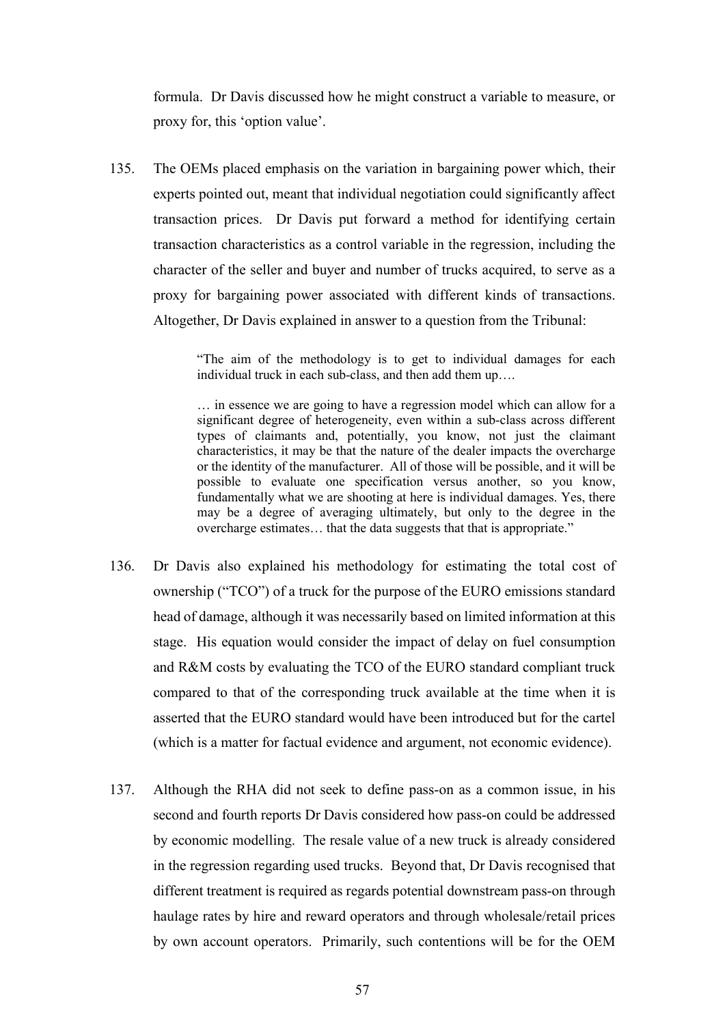formula. Dr Davis discussed how he might construct a variable to measure, or proxy for, this 'option value'.

135. The OEMs placed emphasis on the variation in bargaining power which, their experts pointed out, meant that individual negotiation could significantly affect transaction prices. Dr Davis put forward a method for identifying certain transaction characteristics as a control variable in the regression, including the character of the seller and buyer and number of trucks acquired, to serve as a proxy for bargaining power associated with different kinds of transactions. Altogether, Dr Davis explained in answer to a question from the Tribunal:

> "The aim of the methodology is to get to individual damages for each individual truck in each sub-class, and then add them up….

> … in essence we are going to have a regression model which can allow for a significant degree of heterogeneity, even within a sub-class across different types of claimants and, potentially, you know, not just the claimant characteristics, it may be that the nature of the dealer impacts the overcharge or the identity of the manufacturer. All of those will be possible, and it will be possible to evaluate one specification versus another, so you know, fundamentally what we are shooting at here is individual damages. Yes, there may be a degree of averaging ultimately, but only to the degree in the overcharge estimates… that the data suggests that that is appropriate."

- 136. Dr Davis also explained his methodology for estimating the total cost of ownership ("TCO") of a truck for the purpose of the EURO emissions standard head of damage, although it was necessarily based on limited information at this stage. His equation would consider the impact of delay on fuel consumption and R&M costs by evaluating the TCO of the EURO standard compliant truck compared to that of the corresponding truck available at the time when it is asserted that the EURO standard would have been introduced but for the cartel (which is a matter for factual evidence and argument, not economic evidence).
- 137. Although the RHA did not seek to define pass-on as a common issue, in his second and fourth reports Dr Davis considered how pass-on could be addressed by economic modelling. The resale value of a new truck is already considered in the regression regarding used trucks. Beyond that, Dr Davis recognised that different treatment is required as regards potential downstream pass-on through haulage rates by hire and reward operators and through wholesale/retail prices by own account operators. Primarily, such contentions will be for the OEM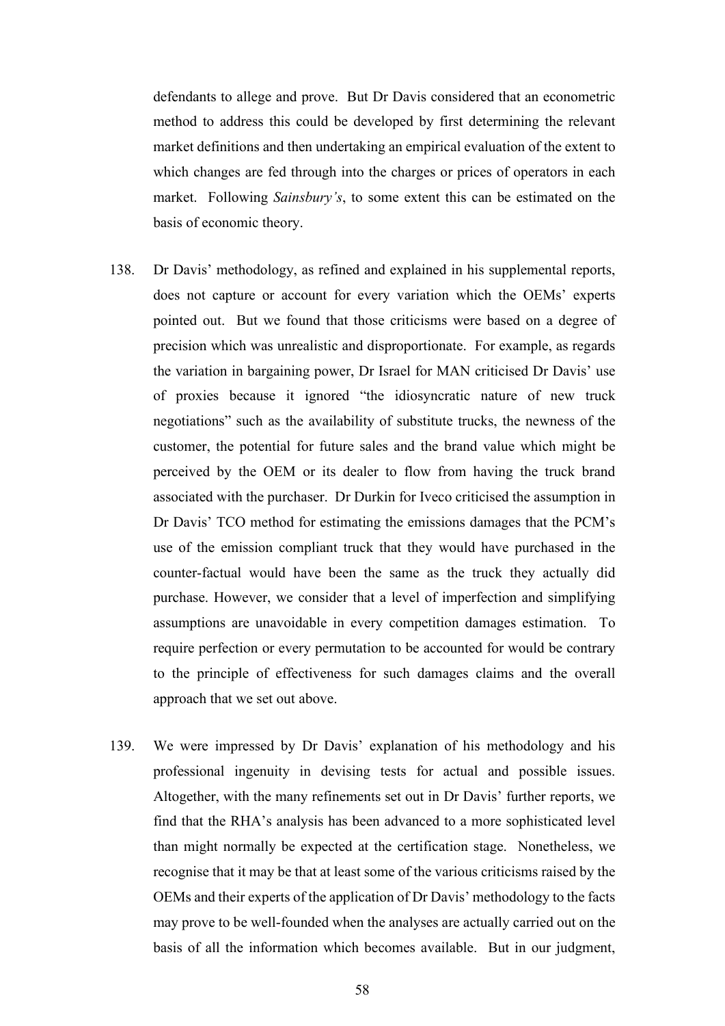defendants to allege and prove. But Dr Davis considered that an econometric method to address this could be developed by first determining the relevant market definitions and then undertaking an empirical evaluation of the extent to which changes are fed through into the charges or prices of operators in each market. Following *Sainsbury's*, to some extent this can be estimated on the basis of economic theory.

- 138. Dr Davis' methodology, as refined and explained in his supplemental reports, does not capture or account for every variation which the OEMs' experts pointed out. But we found that those criticisms were based on a degree of precision which was unrealistic and disproportionate. For example, as regards the variation in bargaining power, Dr Israel for MAN criticised Dr Davis' use of proxies because it ignored "the idiosyncratic nature of new truck negotiations" such as the availability of substitute trucks, the newness of the customer, the potential for future sales and the brand value which might be perceived by the OEM or its dealer to flow from having the truck brand associated with the purchaser. Dr Durkin for Iveco criticised the assumption in Dr Davis' TCO method for estimating the emissions damages that the PCM's use of the emission compliant truck that they would have purchased in the counter-factual would have been the same as the truck they actually did purchase. However, we consider that a level of imperfection and simplifying assumptions are unavoidable in every competition damages estimation. To require perfection or every permutation to be accounted for would be contrary to the principle of effectiveness for such damages claims and the overall approach that we set out above.
- 139. We were impressed by Dr Davis' explanation of his methodology and his professional ingenuity in devising tests for actual and possible issues. Altogether, with the many refinements set out in Dr Davis' further reports, we find that the RHA's analysis has been advanced to a more sophisticated level than might normally be expected at the certification stage. Nonetheless, we recognise that it may be that at least some of the various criticisms raised by the OEMs and their experts of the application of Dr Davis' methodology to the facts may prove to be well-founded when the analyses are actually carried out on the basis of all the information which becomes available. But in our judgment,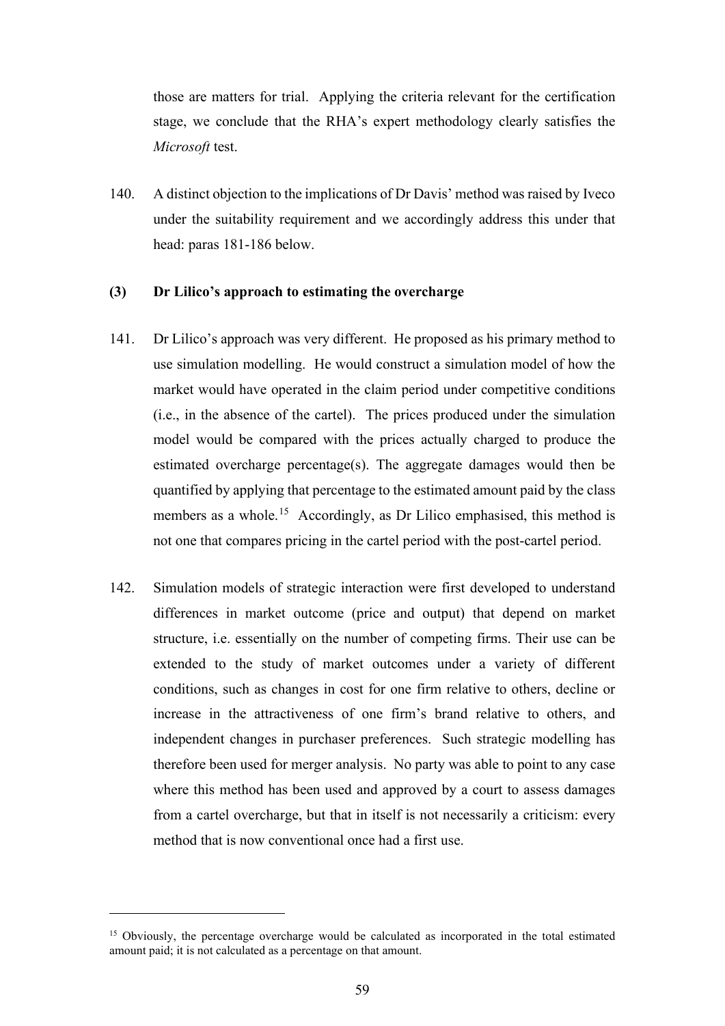those are matters for trial. Applying the criteria relevant for the certification stage, we conclude that the RHA's expert methodology clearly satisfies the *Microsoft* test.

140. A distinct objection to the implications of Dr Davis' method was raised by Iveco under the suitability requirement and we accordingly address this under that head: paras 181-186 below.

### **(3) Dr Lilico's approach to estimating the overcharge**

- 141. Dr Lilico's approach was very different. He proposed as his primary method to use simulation modelling. He would construct a simulation model of how the market would have operated in the claim period under competitive conditions (i.e., in the absence of the cartel). The prices produced under the simulation model would be compared with the prices actually charged to produce the estimated overcharge percentage(s). The aggregate damages would then be quantified by applying that percentage to the estimated amount paid by the class members as a whole.<sup>15</sup> Accordingly, as Dr Lilico emphasised, this method is not one that compares pricing in the cartel period with the post-cartel period.
- 142. Simulation models of strategic interaction were first developed to understand differences in market outcome (price and output) that depend on market structure, i.e. essentially on the number of competing firms. Their use can be extended to the study of market outcomes under a variety of different conditions, such as changes in cost for one firm relative to others, decline or increase in the attractiveness of one firm's brand relative to others, and independent changes in purchaser preferences. Such strategic modelling has therefore been used for merger analysis. No party was able to point to any case where this method has been used and approved by a court to assess damages from a cartel overcharge, but that in itself is not necessarily a criticism: every method that is now conventional once had a first use.

<sup>&</sup>lt;sup>15</sup> Obviously, the percentage overcharge would be calculated as incorporated in the total estimated amount paid; it is not calculated as a percentage on that amount.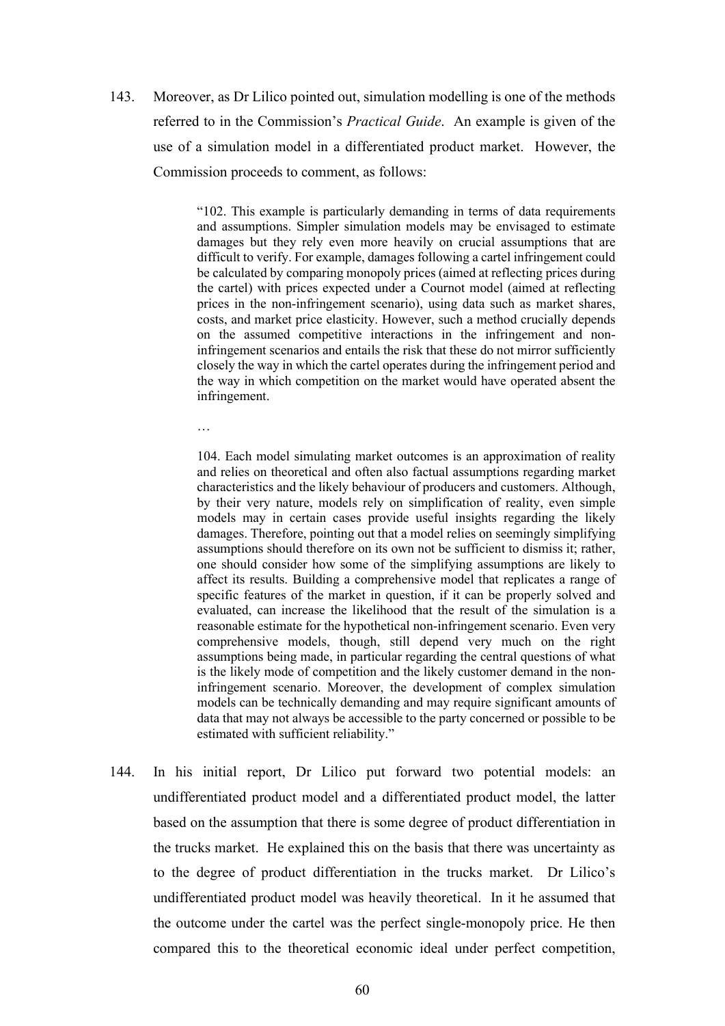143. Moreover, as Dr Lilico pointed out, simulation modelling is one of the methods referred to in the Commission's *Practical Guide*. An example is given of the use of a simulation model in a differentiated product market. However, the Commission proceeds to comment, as follows:

> "102. This example is particularly demanding in terms of data requirements and assumptions. Simpler simulation models may be envisaged to estimate damages but they rely even more heavily on crucial assumptions that are difficult to verify. For example, damages following a cartel infringement could be calculated by comparing monopoly prices (aimed at reflecting prices during the cartel) with prices expected under a Cournot model (aimed at reflecting prices in the non-infringement scenario), using data such as market shares, costs, and market price elasticity. However, such a method crucially depends on the assumed competitive interactions in the infringement and noninfringement scenarios and entails the risk that these do not mirror sufficiently closely the way in which the cartel operates during the infringement period and the way in which competition on the market would have operated absent the infringement.

…

104. Each model simulating market outcomes is an approximation of reality and relies on theoretical and often also factual assumptions regarding market characteristics and the likely behaviour of producers and customers. Although, by their very nature, models rely on simplification of reality, even simple models may in certain cases provide useful insights regarding the likely damages. Therefore, pointing out that a model relies on seemingly simplifying assumptions should therefore on its own not be sufficient to dismiss it; rather, one should consider how some of the simplifying assumptions are likely to affect its results. Building a comprehensive model that replicates a range of specific features of the market in question, if it can be properly solved and evaluated, can increase the likelihood that the result of the simulation is a reasonable estimate for the hypothetical non-infringement scenario. Even very comprehensive models, though, still depend very much on the right assumptions being made, in particular regarding the central questions of what is the likely mode of competition and the likely customer demand in the noninfringement scenario. Moreover, the development of complex simulation models can be technically demanding and may require significant amounts of data that may not always be accessible to the party concerned or possible to be estimated with sufficient reliability."

144. In his initial report, Dr Lilico put forward two potential models: an undifferentiated product model and a differentiated product model, the latter based on the assumption that there is some degree of product differentiation in the trucks market. He explained this on the basis that there was uncertainty as to the degree of product differentiation in the trucks market. Dr Lilico's undifferentiated product model was heavily theoretical. In it he assumed that the outcome under the cartel was the perfect single-monopoly price. He then compared this to the theoretical economic ideal under perfect competition,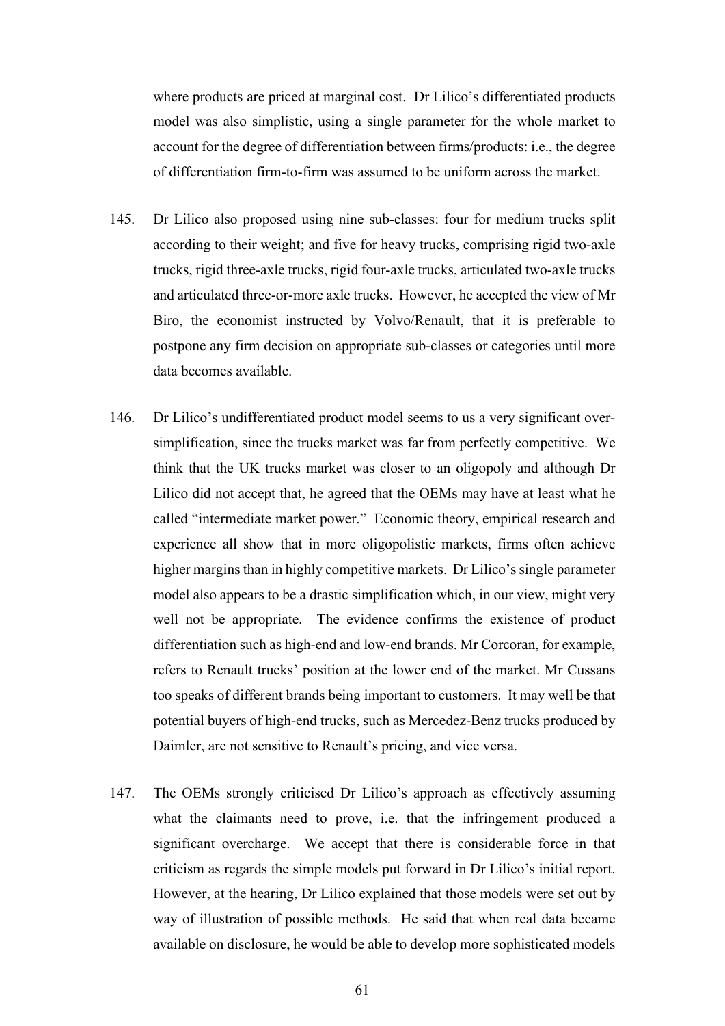where products are priced at marginal cost. Dr Lilico's differentiated products model was also simplistic, using a single parameter for the whole market to account for the degree of differentiation between firms/products: i.e., the degree of differentiation firm-to-firm was assumed to be uniform across the market.

- 145. Dr Lilico also proposed using nine sub-classes: four for medium trucks split according to their weight; and five for heavy trucks, comprising rigid two-axle trucks, rigid three-axle trucks, rigid four-axle trucks, articulated two-axle trucks and articulated three-or-more axle trucks. However, he accepted the view of Mr Biro, the economist instructed by Volvo/Renault, that it is preferable to postpone any firm decision on appropriate sub-classes or categories until more data becomes available.
- 146. Dr Lilico's undifferentiated product model seems to us a very significant oversimplification, since the trucks market was far from perfectly competitive. We think that the UK trucks market was closer to an oligopoly and although Dr Lilico did not accept that, he agreed that the OEMs may have at least what he called "intermediate market power." Economic theory, empirical research and experience all show that in more oligopolistic markets, firms often achieve higher margins than in highly competitive markets. Dr Lilico's single parameter model also appears to be a drastic simplification which, in our view, might very well not be appropriate. The evidence confirms the existence of product differentiation such as high-end and low-end brands. Mr Corcoran, for example, refers to Renault trucks' position at the lower end of the market. Mr Cussans too speaks of different brands being important to customers. It may well be that potential buyers of high-end trucks, such as Mercedez-Benz trucks produced by Daimler, are not sensitive to Renault's pricing, and vice versa.
- 147. The OEMs strongly criticised Dr Lilico's approach as effectively assuming what the claimants need to prove, i.e. that the infringement produced a significant overcharge. We accept that there is considerable force in that criticism as regards the simple models put forward in Dr Lilico's initial report. However, at the hearing, Dr Lilico explained that those models were set out by way of illustration of possible methods. He said that when real data became available on disclosure, he would be able to develop more sophisticated models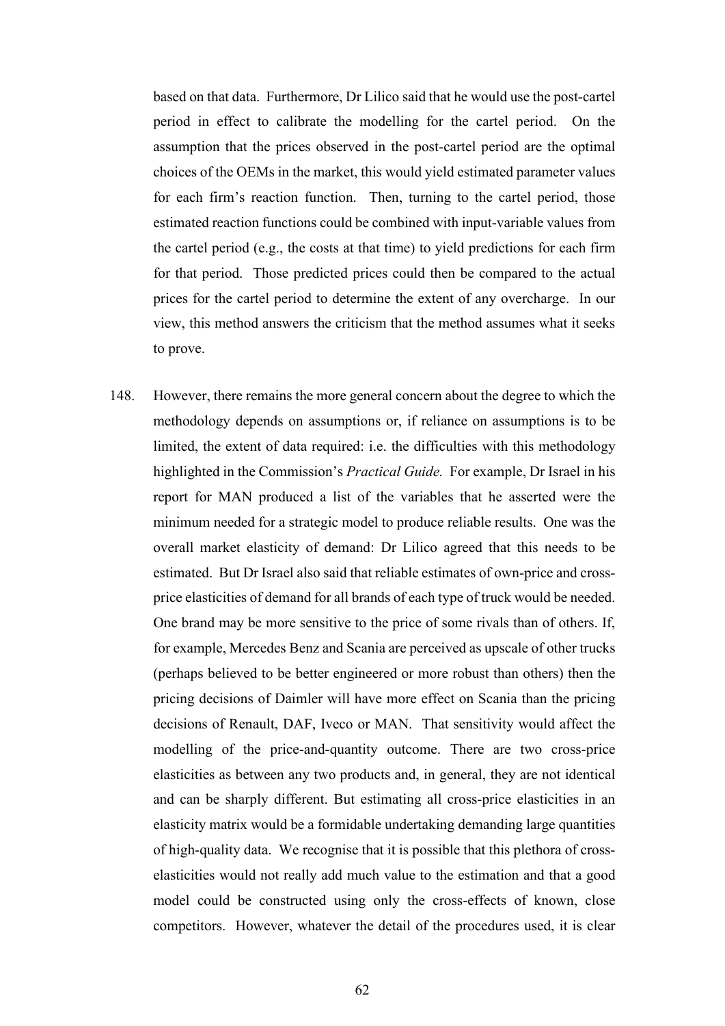based on that data. Furthermore, Dr Lilico said that he would use the post-cartel period in effect to calibrate the modelling for the cartel period. On the assumption that the prices observed in the post-cartel period are the optimal choices of the OEMs in the market, this would yield estimated parameter values for each firm's reaction function. Then, turning to the cartel period, those estimated reaction functions could be combined with input-variable values from the cartel period (e.g., the costs at that time) to yield predictions for each firm for that period. Those predicted prices could then be compared to the actual prices for the cartel period to determine the extent of any overcharge. In our view, this method answers the criticism that the method assumes what it seeks to prove.

148. However, there remains the more general concern about the degree to which the methodology depends on assumptions or, if reliance on assumptions is to be limited, the extent of data required: i.e. the difficulties with this methodology highlighted in the Commission's *Practical Guide.* For example, Dr Israel in his report for MAN produced a list of the variables that he asserted were the minimum needed for a strategic model to produce reliable results. One was the overall market elasticity of demand: Dr Lilico agreed that this needs to be estimated. But Dr Israel also said that reliable estimates of own-price and crossprice elasticities of demand for all brands of each type of truck would be needed. One brand may be more sensitive to the price of some rivals than of others. If, for example, Mercedes Benz and Scania are perceived as upscale of other trucks (perhaps believed to be better engineered or more robust than others) then the pricing decisions of Daimler will have more effect on Scania than the pricing decisions of Renault, DAF, Iveco or MAN. That sensitivity would affect the modelling of the price-and-quantity outcome. There are two cross-price elasticities as between any two products and, in general, they are not identical and can be sharply different. But estimating all cross-price elasticities in an elasticity matrix would be a formidable undertaking demanding large quantities of high-quality data. We recognise that it is possible that this plethora of crosselasticities would not really add much value to the estimation and that a good model could be constructed using only the cross-effects of known, close competitors. However, whatever the detail of the procedures used, it is clear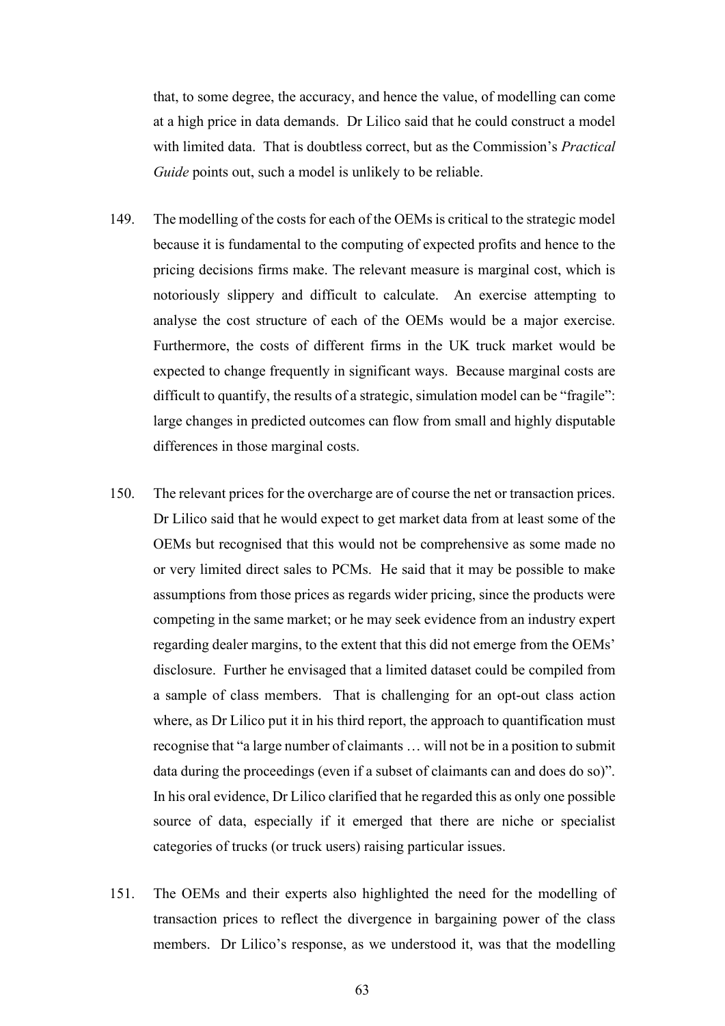that, to some degree, the accuracy, and hence the value, of modelling can come at a high price in data demands. Dr Lilico said that he could construct a model with limited data. That is doubtless correct, but as the Commission's *Practical Guide* points out, such a model is unlikely to be reliable.

- 149. The modelling of the costs for each of the OEMs is critical to the strategic model because it is fundamental to the computing of expected profits and hence to the pricing decisions firms make. The relevant measure is marginal cost, which is notoriously slippery and difficult to calculate. An exercise attempting to analyse the cost structure of each of the OEMs would be a major exercise. Furthermore, the costs of different firms in the UK truck market would be expected to change frequently in significant ways. Because marginal costs are difficult to quantify, the results of a strategic, simulation model can be "fragile": large changes in predicted outcomes can flow from small and highly disputable differences in those marginal costs.
- 150. The relevant prices for the overcharge are of course the net or transaction prices. Dr Lilico said that he would expect to get market data from at least some of the OEMs but recognised that this would not be comprehensive as some made no or very limited direct sales to PCMs. He said that it may be possible to make assumptions from those prices as regards wider pricing, since the products were competing in the same market; or he may seek evidence from an industry expert regarding dealer margins, to the extent that this did not emerge from the OEMs' disclosure. Further he envisaged that a limited dataset could be compiled from a sample of class members. That is challenging for an opt-out class action where, as Dr Lilico put it in his third report, the approach to quantification must recognise that "a large number of claimants … will not be in a position to submit data during the proceedings (even if a subset of claimants can and does do so)". In his oral evidence, Dr Lilico clarified that he regarded this as only one possible source of data, especially if it emerged that there are niche or specialist categories of trucks (or truck users) raising particular issues.
- 151. The OEMs and their experts also highlighted the need for the modelling of transaction prices to reflect the divergence in bargaining power of the class members. Dr Lilico's response, as we understood it, was that the modelling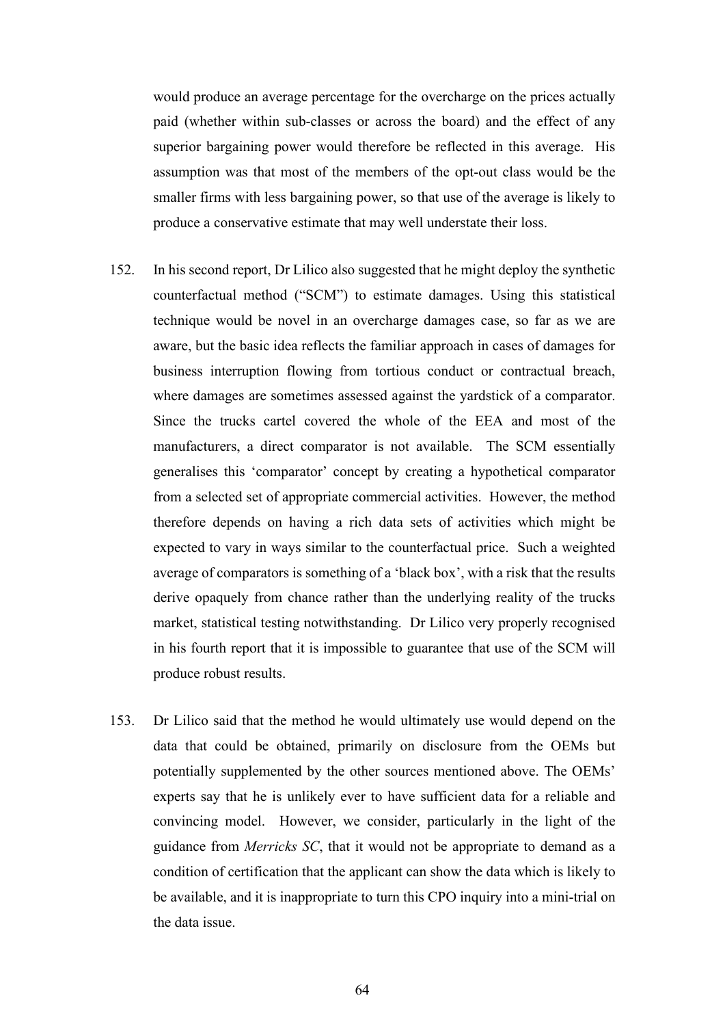would produce an average percentage for the overcharge on the prices actually paid (whether within sub-classes or across the board) and the effect of any superior bargaining power would therefore be reflected in this average. His assumption was that most of the members of the opt-out class would be the smaller firms with less bargaining power, so that use of the average is likely to produce a conservative estimate that may well understate their loss.

- 152. In his second report, Dr Lilico also suggested that he might deploy the synthetic counterfactual method ("SCM") to estimate damages. Using this statistical technique would be novel in an overcharge damages case, so far as we are aware, but the basic idea reflects the familiar approach in cases of damages for business interruption flowing from tortious conduct or contractual breach, where damages are sometimes assessed against the yardstick of a comparator. Since the trucks cartel covered the whole of the EEA and most of the manufacturers, a direct comparator is not available. The SCM essentially generalises this 'comparator' concept by creating a hypothetical comparator from a selected set of appropriate commercial activities. However, the method therefore depends on having a rich data sets of activities which might be expected to vary in ways similar to the counterfactual price. Such a weighted average of comparators is something of a 'black box', with a risk that the results derive opaquely from chance rather than the underlying reality of the trucks market, statistical testing notwithstanding. Dr Lilico very properly recognised in his fourth report that it is impossible to guarantee that use of the SCM will produce robust results.
- 153. Dr Lilico said that the method he would ultimately use would depend on the data that could be obtained, primarily on disclosure from the OEMs but potentially supplemented by the other sources mentioned above. The OEMs' experts say that he is unlikely ever to have sufficient data for a reliable and convincing model. However, we consider, particularly in the light of the guidance from *Merricks SC*, that it would not be appropriate to demand as a condition of certification that the applicant can show the data which is likely to be available, and it is inappropriate to turn this CPO inquiry into a mini-trial on the data issue.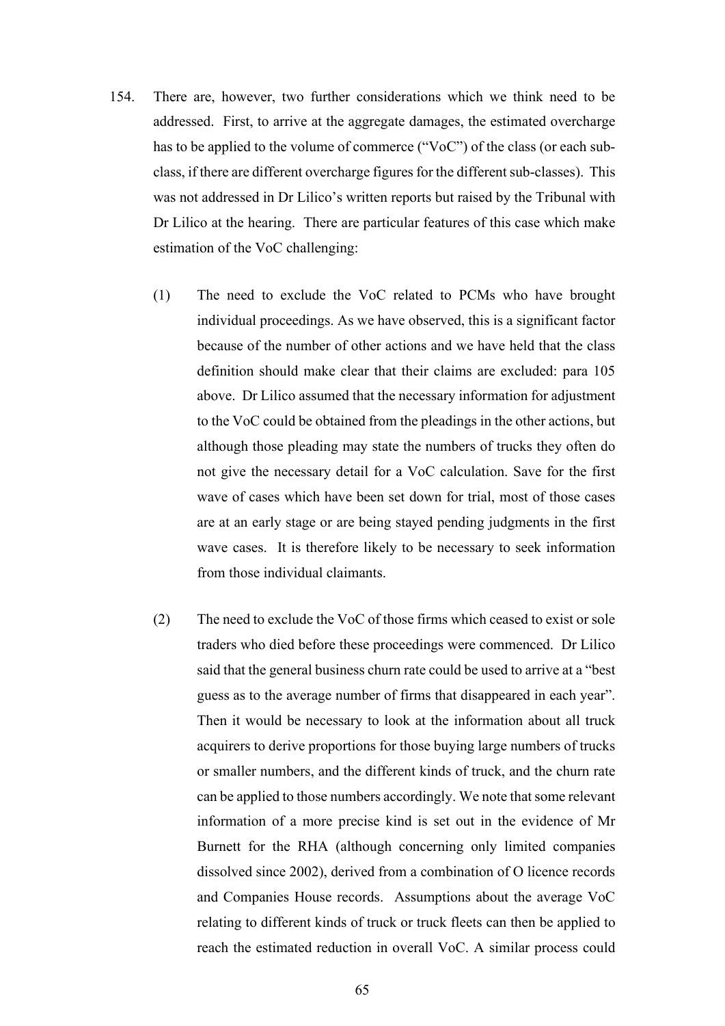- 154. There are, however, two further considerations which we think need to be addressed. First, to arrive at the aggregate damages, the estimated overcharge has to be applied to the volume of commerce ("VoC") of the class (or each subclass, if there are different overcharge figures for the different sub-classes). This was not addressed in Dr Lilico's written reports but raised by the Tribunal with Dr Lilico at the hearing. There are particular features of this case which make estimation of the VoC challenging:
	- (1) The need to exclude the VoC related to PCMs who have brought individual proceedings. As we have observed, this is a significant factor because of the number of other actions and we have held that the class definition should make clear that their claims are excluded: para 105 above. Dr Lilico assumed that the necessary information for adjustment to the VoC could be obtained from the pleadings in the other actions, but although those pleading may state the numbers of trucks they often do not give the necessary detail for a VoC calculation. Save for the first wave of cases which have been set down for trial, most of those cases are at an early stage or are being stayed pending judgments in the first wave cases. It is therefore likely to be necessary to seek information from those individual claimants.
	- (2) The need to exclude the VoC of those firms which ceased to exist or sole traders who died before these proceedings were commenced. Dr Lilico said that the general business churn rate could be used to arrive at a "best guess as to the average number of firms that disappeared in each year". Then it would be necessary to look at the information about all truck acquirers to derive proportions for those buying large numbers of trucks or smaller numbers, and the different kinds of truck, and the churn rate can be applied to those numbers accordingly. We note that some relevant information of a more precise kind is set out in the evidence of Mr Burnett for the RHA (although concerning only limited companies dissolved since 2002), derived from a combination of O licence records and Companies House records. Assumptions about the average VoC relating to different kinds of truck or truck fleets can then be applied to reach the estimated reduction in overall VoC. A similar process could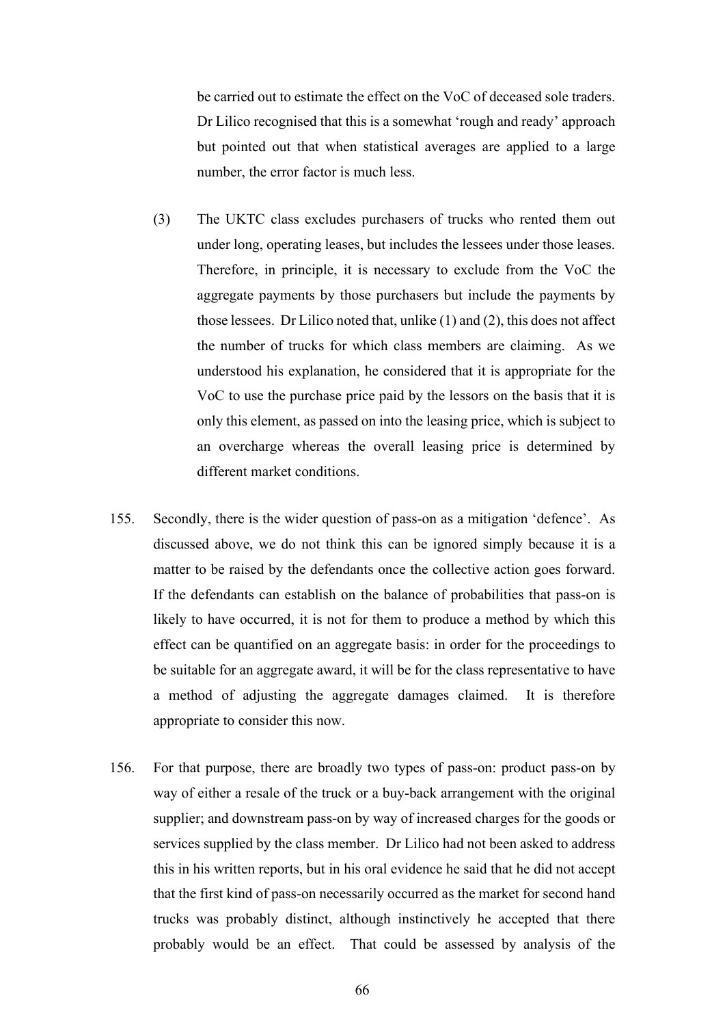be carried out to estimate the effect on the VoC of deceased sole traders. Dr Lilico recognised that this is a somewhat 'rough and ready' approach but pointed out that when statistical averages are applied to a large number, the error factor is much less.

- (3) The UKTC class excludes purchasers of trucks who rented them out under long, operating leases, but includes the lessees under those leases. Therefore, in principle, it is necessary to exclude from the VoC the aggregate payments by those purchasers but include the payments by those lessees. Dr Lilico noted that, unlike (1) and (2), this does not affect the number of trucks for which class members are claiming. As we understood his explanation, he considered that it is appropriate for the VoC to use the purchase price paid by the lessors on the basis that it is only this element, as passed on into the leasing price, which is subject to an overcharge whereas the overall leasing price is determined by different market conditions.
- 155. Secondly, there is the wider question of pass-on as a mitigation 'defence'. As discussed above, we do not think this can be ignored simply because it is a matter to be raised by the defendants once the collective action goes forward. If the defendants can establish on the balance of probabilities that pass-on is likely to have occurred, it is not for them to produce a method by which this effect can be quantified on an aggregate basis: in order for the proceedings to be suitable for an aggregate award, it will be for the class representative to have a method of adjusting the aggregate damages claimed. It is therefore appropriate to consider this now.
- 156. For that purpose, there are broadly two types of pass-on: product pass-on by way of either a resale of the truck or a buy-back arrangement with the original supplier; and downstream pass-on by way of increased charges for the goods or services supplied by the class member. Dr Lilico had not been asked to address this in his written reports, but in his oral evidence he said that he did not accept that the first kind of pass-on necessarily occurred as the market for second hand trucks was probably distinct, although instinctively he accepted that there probably would be an effect. That could be assessed by analysis of the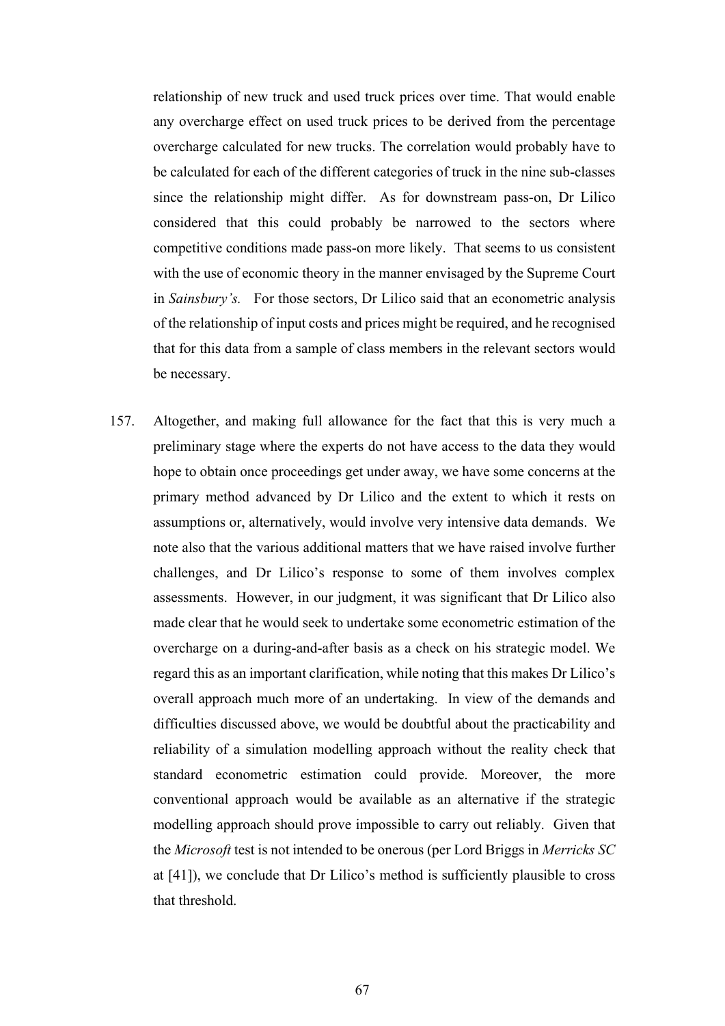relationship of new truck and used truck prices over time. That would enable any overcharge effect on used truck prices to be derived from the percentage overcharge calculated for new trucks. The correlation would probably have to be calculated for each of the different categories of truck in the nine sub-classes since the relationship might differ. As for downstream pass-on, Dr Lilico considered that this could probably be narrowed to the sectors where competitive conditions made pass-on more likely. That seems to us consistent with the use of economic theory in the manner envisaged by the Supreme Court in *Sainsbury's.* For those sectors, Dr Lilico said that an econometric analysis of the relationship of input costs and prices might be required, and he recognised that for this data from a sample of class members in the relevant sectors would be necessary.

157. Altogether, and making full allowance for the fact that this is very much a preliminary stage where the experts do not have access to the data they would hope to obtain once proceedings get under away, we have some concerns at the primary method advanced by Dr Lilico and the extent to which it rests on assumptions or, alternatively, would involve very intensive data demands. We note also that the various additional matters that we have raised involve further challenges, and Dr Lilico's response to some of them involves complex assessments. However, in our judgment, it was significant that Dr Lilico also made clear that he would seek to undertake some econometric estimation of the overcharge on a during-and-after basis as a check on his strategic model. We regard this as an important clarification, while noting that this makes Dr Lilico's overall approach much more of an undertaking. In view of the demands and difficulties discussed above, we would be doubtful about the practicability and reliability of a simulation modelling approach without the reality check that standard econometric estimation could provide. Moreover, the more conventional approach would be available as an alternative if the strategic modelling approach should prove impossible to carry out reliably. Given that the *Microsoft* test is not intended to be onerous (per Lord Briggs in *Merricks SC* at [41]), we conclude that Dr Lilico's method is sufficiently plausible to cross that threshold.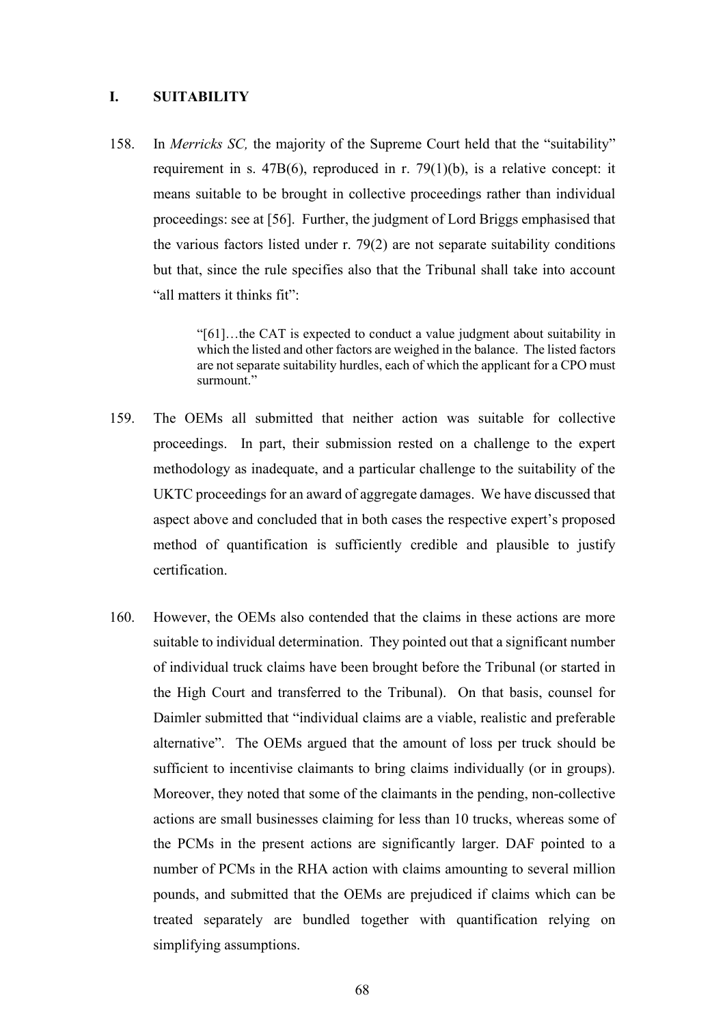# **I. SUITABILITY**

158. In *Merricks SC,* the majority of the Supreme Court held that the "suitability" requirement in s. 47B(6), reproduced in r. 79(1)(b), is a relative concept: it means suitable to be brought in collective proceedings rather than individual proceedings: see at [56]. Further, the judgment of Lord Briggs emphasised that the various factors listed under r. 79(2) are not separate suitability conditions but that, since the rule specifies also that the Tribunal shall take into account "all matters it thinks fit":

> "[61]…the CAT is expected to conduct a value judgment about suitability in which the listed and other factors are weighed in the balance. The listed factors are not separate suitability hurdles, each of which the applicant for a CPO must surmount."

- 159. The OEMs all submitted that neither action was suitable for collective proceedings. In part, their submission rested on a challenge to the expert methodology as inadequate, and a particular challenge to the suitability of the UKTC proceedings for an award of aggregate damages. We have discussed that aspect above and concluded that in both cases the respective expert's proposed method of quantification is sufficiently credible and plausible to justify certification.
- 160. However, the OEMs also contended that the claims in these actions are more suitable to individual determination. They pointed out that a significant number of individual truck claims have been brought before the Tribunal (or started in the High Court and transferred to the Tribunal). On that basis, counsel for Daimler submitted that "individual claims are a viable, realistic and preferable alternative". The OEMs argued that the amount of loss per truck should be sufficient to incentivise claimants to bring claims individually (or in groups). Moreover, they noted that some of the claimants in the pending, non-collective actions are small businesses claiming for less than 10 trucks, whereas some of the PCMs in the present actions are significantly larger. DAF pointed to a number of PCMs in the RHA action with claims amounting to several million pounds, and submitted that the OEMs are prejudiced if claims which can be treated separately are bundled together with quantification relying on simplifying assumptions.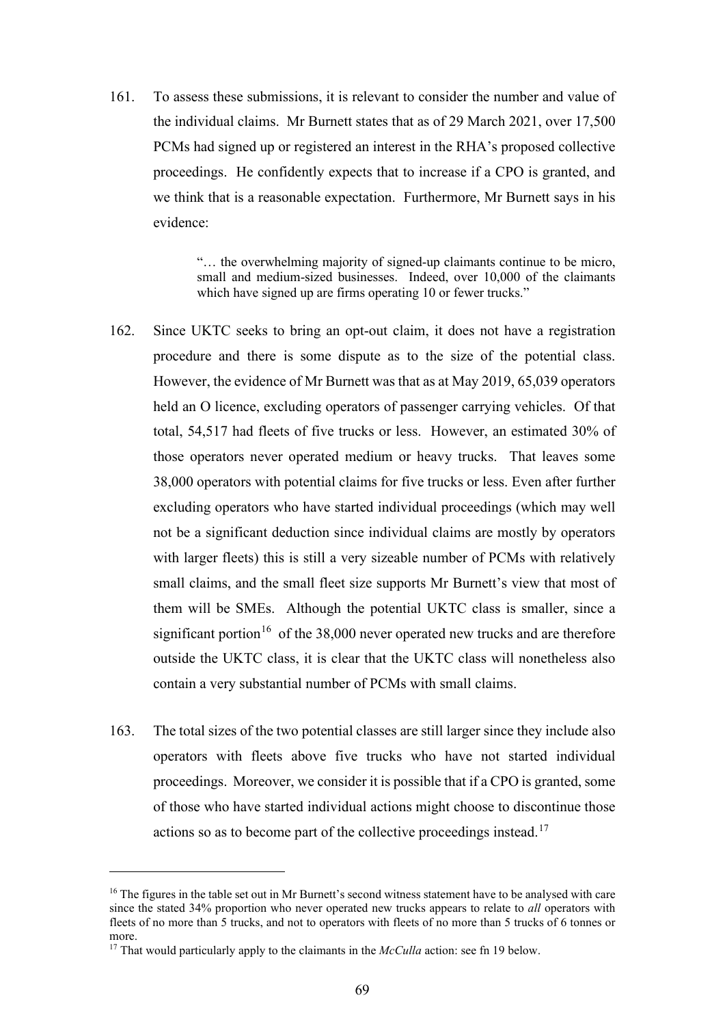161. To assess these submissions, it is relevant to consider the number and value of the individual claims. Mr Burnett states that as of 29 March 2021, over 17,500 PCMs had signed up or registered an interest in the RHA's proposed collective proceedings. He confidently expects that to increase if a CPO is granted, and we think that is a reasonable expectation. Furthermore, Mr Burnett says in his evidence:

> "… the overwhelming majority of signed-up claimants continue to be micro, small and medium-sized businesses. Indeed, over 10,000 of the claimants which have signed up are firms operating 10 or fewer trucks."

- 162. Since UKTC seeks to bring an opt-out claim, it does not have a registration procedure and there is some dispute as to the size of the potential class. However, the evidence of Mr Burnett was that as at May 2019, 65,039 operators held an O licence, excluding operators of passenger carrying vehicles. Of that total, 54,517 had fleets of five trucks or less. However, an estimated 30% of those operators never operated medium or heavy trucks. That leaves some 38,000 operators with potential claims for five trucks or less. Even after further excluding operators who have started individual proceedings (which may well not be a significant deduction since individual claims are mostly by operators with larger fleets) this is still a very sizeable number of PCMs with relatively small claims, and the small fleet size supports Mr Burnett's view that most of them will be SMEs. Although the potential UKTC class is smaller, since a significant portion<sup>16</sup> of the 38,000 never operated new trucks and are therefore outside the UKTC class, it is clear that the UKTC class will nonetheless also contain a very substantial number of PCMs with small claims.
- 163. The total sizes of the two potential classes are still larger since they include also operators with fleets above five trucks who have not started individual proceedings. Moreover, we consider it is possible that if a CPO is granted, some of those who have started individual actions might choose to discontinue those actions so as to become part of the collective proceedings instead.<sup>17</sup>

<sup>&</sup>lt;sup>16</sup> The figures in the table set out in Mr Burnett's second witness statement have to be analysed with care since the stated 34% proportion who never operated new trucks appears to relate to *all* operators with fleets of no more than 5 trucks, and not to operators with fleets of no more than 5 trucks of 6 tonnes or more.

<sup>17</sup> That would particularly apply to the claimants in the *McCulla* action: see fn 19 below.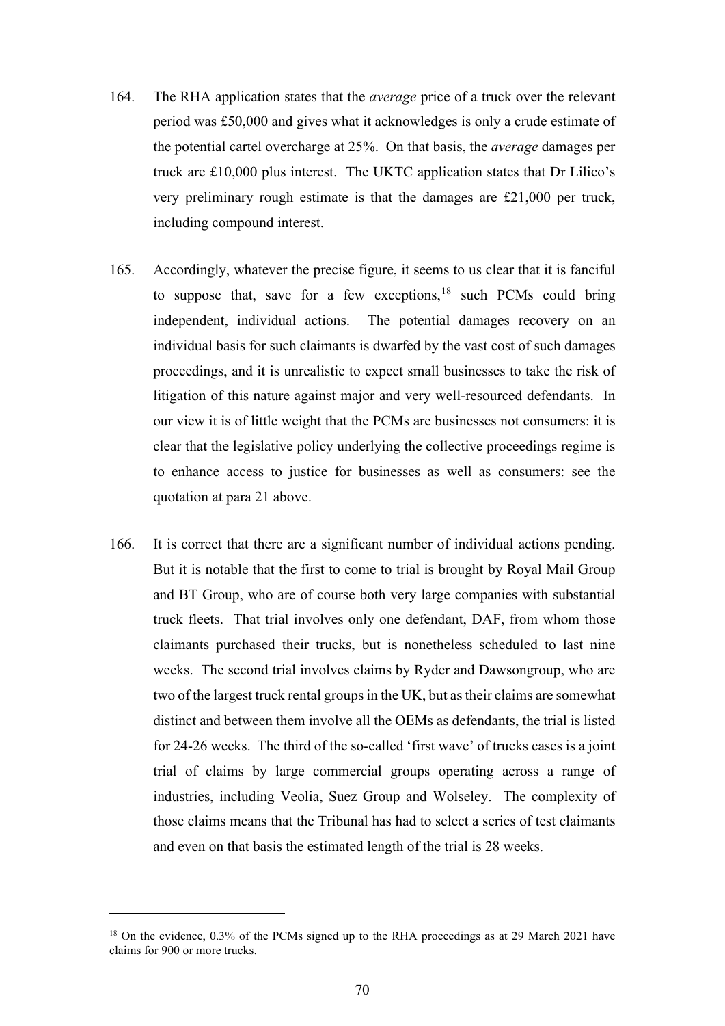- 164. The RHA application states that the *average* price of a truck over the relevant period was £50,000 and gives what it acknowledges is only a crude estimate of the potential cartel overcharge at 25%. On that basis, the *average* damages per truck are £10,000 plus interest. The UKTC application states that Dr Lilico's very preliminary rough estimate is that the damages are £21,000 per truck, including compound interest.
- 165. Accordingly, whatever the precise figure, it seems to us clear that it is fanciful to suppose that, save for a few exceptions,  $18$  such PCMs could bring independent, individual actions. The potential damages recovery on an individual basis for such claimants is dwarfed by the vast cost of such damages proceedings, and it is unrealistic to expect small businesses to take the risk of litigation of this nature against major and very well-resourced defendants. In our view it is of little weight that the PCMs are businesses not consumers: it is clear that the legislative policy underlying the collective proceedings regime is to enhance access to justice for businesses as well as consumers: see the quotation at para 21 above.
- 166. It is correct that there are a significant number of individual actions pending. But it is notable that the first to come to trial is brought by Royal Mail Group and BT Group, who are of course both very large companies with substantial truck fleets. That trial involves only one defendant, DAF, from whom those claimants purchased their trucks, but is nonetheless scheduled to last nine weeks. The second trial involves claims by Ryder and Dawsongroup, who are two of the largest truck rental groups in the UK, but as their claims are somewhat distinct and between them involve all the OEMs as defendants, the trial is listed for 24-26 weeks. The third of the so-called 'first wave' of trucks cases is a joint trial of claims by large commercial groups operating across a range of industries, including Veolia, Suez Group and Wolseley. The complexity of those claims means that the Tribunal has had to select a series of test claimants and even on that basis the estimated length of the trial is 28 weeks.

<sup>&</sup>lt;sup>18</sup> On the evidence, 0.3% of the PCMs signed up to the RHA proceedings as at 29 March 2021 have claims for 900 or more trucks.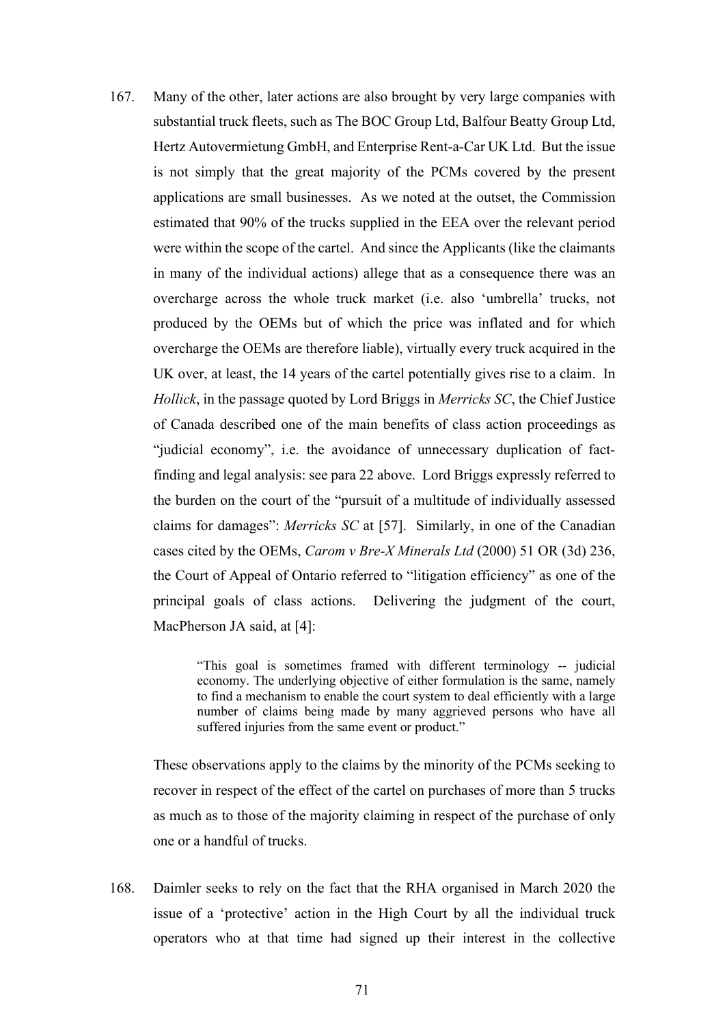167. Many of the other, later actions are also brought by very large companies with substantial truck fleets, such as The BOC Group Ltd, Balfour Beatty Group Ltd, Hertz Autovermietung GmbH, and Enterprise Rent-a-Car UK Ltd. But the issue is not simply that the great majority of the PCMs covered by the present applications are small businesses. As we noted at the outset, the Commission estimated that 90% of the trucks supplied in the EEA over the relevant period were within the scope of the cartel. And since the Applicants (like the claimants in many of the individual actions) allege that as a consequence there was an overcharge across the whole truck market (i.e. also 'umbrella' trucks, not produced by the OEMs but of which the price was inflated and for which overcharge the OEMs are therefore liable), virtually every truck acquired in the UK over, at least, the 14 years of the cartel potentially gives rise to a claim. In *Hollick*, in the passage quoted by Lord Briggs in *Merricks SC*, the Chief Justice of Canada described one of the main benefits of class action proceedings as "judicial economy", i.e. the avoidance of unnecessary duplication of factfinding and legal analysis: see para 22 above. Lord Briggs expressly referred to the burden on the court of the "pursuit of a multitude of individually assessed claims for damages": *Merricks SC* at [57]. Similarly, in one of the Canadian cases cited by the OEMs, *Carom v Bre-X Minerals Ltd* (2000) 51 OR (3d) 236, the Court of Appeal of Ontario referred to "litigation efficiency" as one of the principal goals of class actions. Delivering the judgment of the court, MacPherson JA said, at [4]:

> "This goal is sometimes framed with different terminology -- judicial economy. The underlying objective of either formulation is the same, namely to find a mechanism to enable the court system to deal efficiently with a large number of claims being made by many aggrieved persons who have all suffered injuries from the same event or product."

These observations apply to the claims by the minority of the PCMs seeking to recover in respect of the effect of the cartel on purchases of more than 5 trucks as much as to those of the majority claiming in respect of the purchase of only one or a handful of trucks.

168. Daimler seeks to rely on the fact that the RHA organised in March 2020 the issue of a 'protective' action in the High Court by all the individual truck operators who at that time had signed up their interest in the collective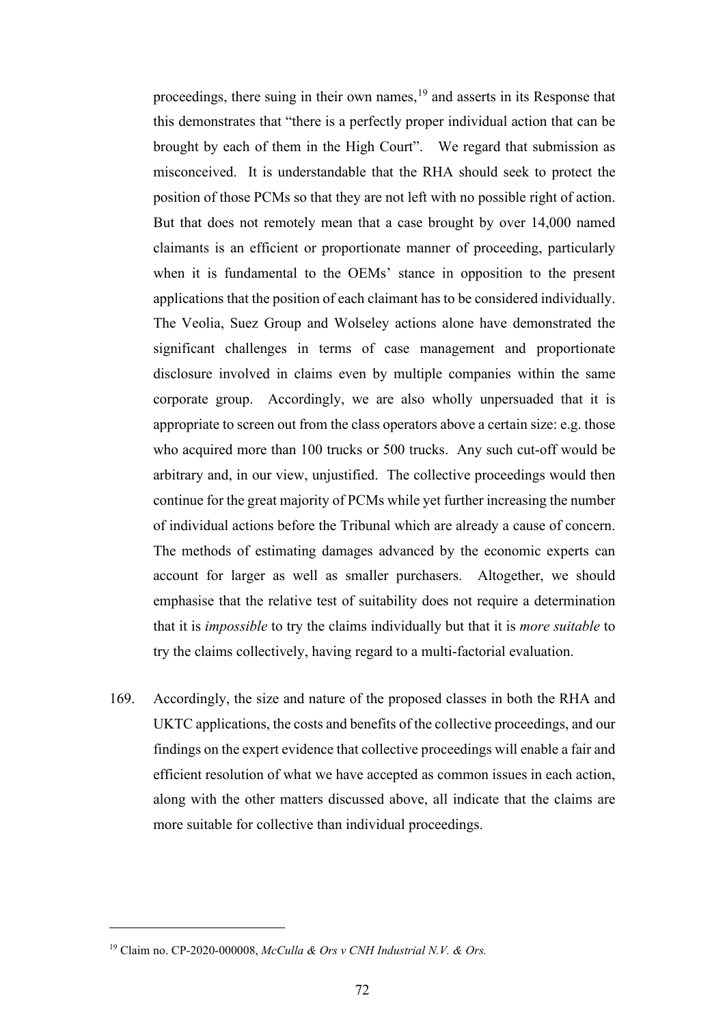proceedings, there suing in their own names,<sup>19</sup> and asserts in its Response that this demonstrates that "there is a perfectly proper individual action that can be brought by each of them in the High Court". We regard that submission as misconceived. It is understandable that the RHA should seek to protect the position of those PCMs so that they are not left with no possible right of action. But that does not remotely mean that a case brought by over 14,000 named claimants is an efficient or proportionate manner of proceeding, particularly when it is fundamental to the OEMs' stance in opposition to the present applications that the position of each claimant has to be considered individually. The Veolia, Suez Group and Wolseley actions alone have demonstrated the significant challenges in terms of case management and proportionate disclosure involved in claims even by multiple companies within the same corporate group. Accordingly, we are also wholly unpersuaded that it is appropriate to screen out from the class operators above a certain size: e.g. those who acquired more than 100 trucks or 500 trucks. Any such cut-off would be arbitrary and, in our view, unjustified. The collective proceedings would then continue for the great majority of PCMs while yet further increasing the number of individual actions before the Tribunal which are already a cause of concern. The methods of estimating damages advanced by the economic experts can account for larger as well as smaller purchasers. Altogether, we should emphasise that the relative test of suitability does not require a determination that it is *impossible* to try the claims individually but that it is *more suitable* to try the claims collectively, having regard to a multi-factorial evaluation.

169. Accordingly, the size and nature of the proposed classes in both the RHA and UKTC applications, the costs and benefits of the collective proceedings, and our findings on the expert evidence that collective proceedings will enable a fair and efficient resolution of what we have accepted as common issues in each action, along with the other matters discussed above, all indicate that the claims are more suitable for collective than individual proceedings.

<sup>19</sup> Claim no. CP-2020-000008, *McCulla & Ors v CNH Industrial N.V. & Ors.*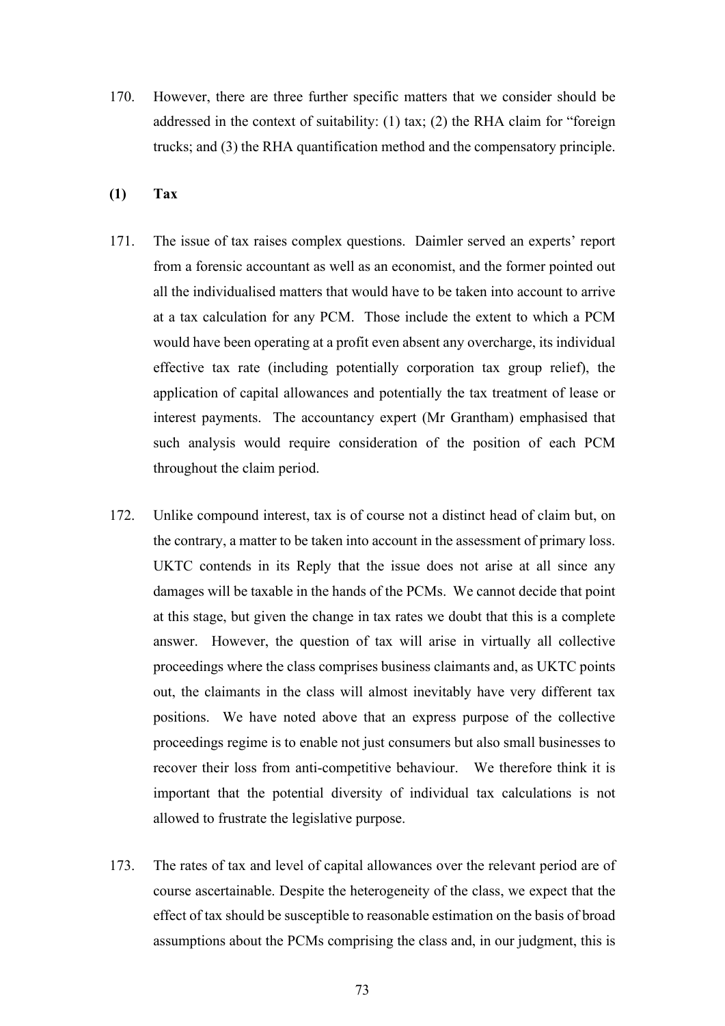- 170. However, there are three further specific matters that we consider should be addressed in the context of suitability: (1) tax; (2) the RHA claim for "foreign trucks; and (3) the RHA quantification method and the compensatory principle.
- **(1) Tax**
- 171. The issue of tax raises complex questions. Daimler served an experts' report from a forensic accountant as well as an economist, and the former pointed out all the individualised matters that would have to be taken into account to arrive at a tax calculation for any PCM. Those include the extent to which a PCM would have been operating at a profit even absent any overcharge, its individual effective tax rate (including potentially corporation tax group relief), the application of capital allowances and potentially the tax treatment of lease or interest payments. The accountancy expert (Mr Grantham) emphasised that such analysis would require consideration of the position of each PCM throughout the claim period.
- 172. Unlike compound interest, tax is of course not a distinct head of claim but, on the contrary, a matter to be taken into account in the assessment of primary loss. UKTC contends in its Reply that the issue does not arise at all since any damages will be taxable in the hands of the PCMs. We cannot decide that point at this stage, but given the change in tax rates we doubt that this is a complete answer. However, the question of tax will arise in virtually all collective proceedings where the class comprises business claimants and, as UKTC points out, the claimants in the class will almost inevitably have very different tax positions. We have noted above that an express purpose of the collective proceedings regime is to enable not just consumers but also small businesses to recover their loss from anti-competitive behaviour. We therefore think it is important that the potential diversity of individual tax calculations is not allowed to frustrate the legislative purpose.
- 173. The rates of tax and level of capital allowances over the relevant period are of course ascertainable. Despite the heterogeneity of the class, we expect that the effect of tax should be susceptible to reasonable estimation on the basis of broad assumptions about the PCMs comprising the class and, in our judgment, this is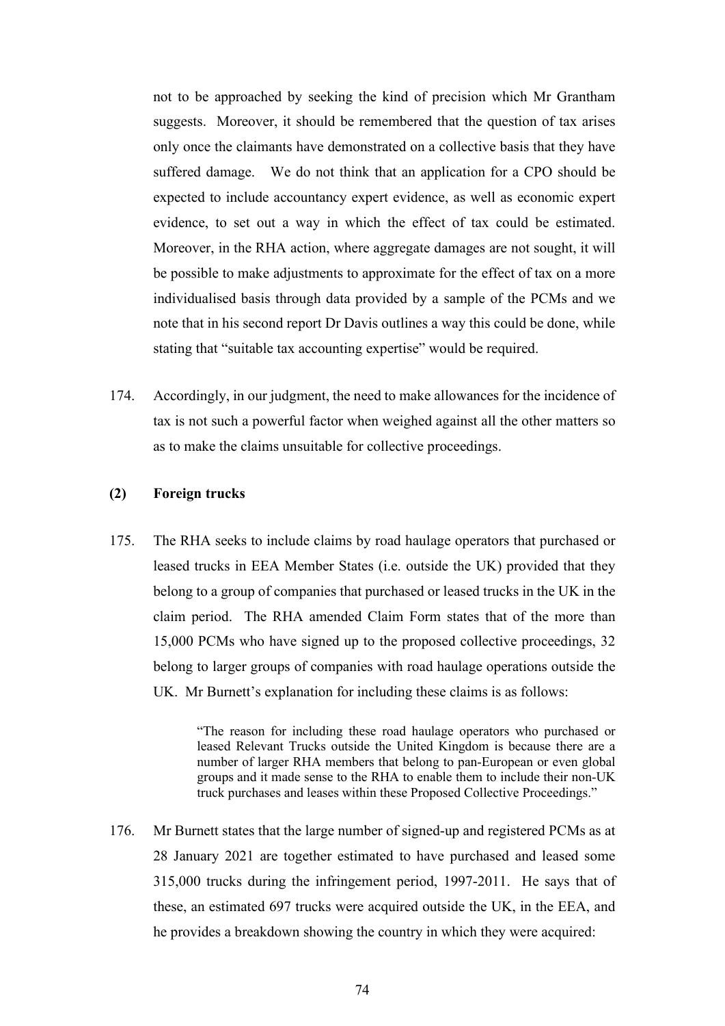not to be approached by seeking the kind of precision which Mr Grantham suggests. Moreover, it should be remembered that the question of tax arises only once the claimants have demonstrated on a collective basis that they have suffered damage. We do not think that an application for a CPO should be expected to include accountancy expert evidence, as well as economic expert evidence, to set out a way in which the effect of tax could be estimated. Moreover, in the RHA action, where aggregate damages are not sought, it will be possible to make adjustments to approximate for the effect of tax on a more individualised basis through data provided by a sample of the PCMs and we note that in his second report Dr Davis outlines a way this could be done, while stating that "suitable tax accounting expertise" would be required.

174. Accordingly, in our judgment, the need to make allowances for the incidence of tax is not such a powerful factor when weighed against all the other matters so as to make the claims unsuitable for collective proceedings.

## **(2) Foreign trucks**

175. The RHA seeks to include claims by road haulage operators that purchased or leased trucks in EEA Member States (i.e. outside the UK) provided that they belong to a group of companies that purchased or leased trucks in the UK in the claim period. The RHA amended Claim Form states that of the more than 15,000 PCMs who have signed up to the proposed collective proceedings, 32 belong to larger groups of companies with road haulage operations outside the UK. Mr Burnett's explanation for including these claims is as follows:

> "The reason for including these road haulage operators who purchased or leased Relevant Trucks outside the United Kingdom is because there are a number of larger RHA members that belong to pan-European or even global groups and it made sense to the RHA to enable them to include their non-UK truck purchases and leases within these Proposed Collective Proceedings."

176. Mr Burnett states that the large number of signed-up and registered PCMs as at 28 January 2021 are together estimated to have purchased and leased some 315,000 trucks during the infringement period, 1997-2011. He says that of these, an estimated 697 trucks were acquired outside the UK, in the EEA, and he provides a breakdown showing the country in which they were acquired: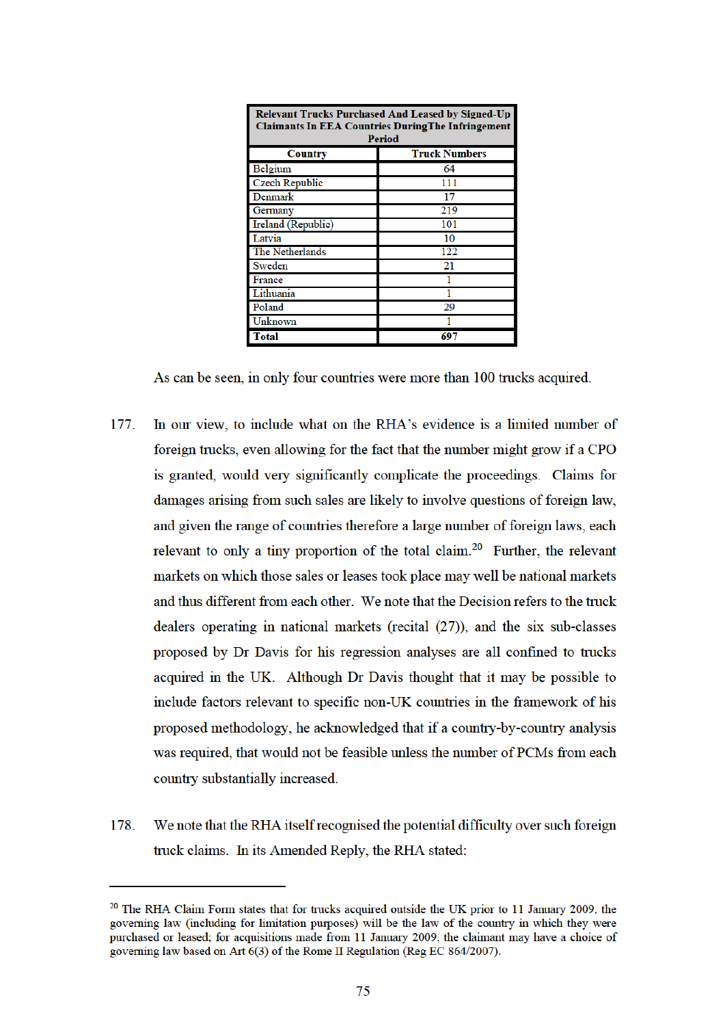| <b>Relevant Trucks Purchased And Leased by Signed-Up</b><br><b>Claimants In EEA Countries During The Infringement</b><br>Period |                      |
|---------------------------------------------------------------------------------------------------------------------------------|----------------------|
| <b>Country</b>                                                                                                                  | <b>Truck Numbers</b> |
| Belgium                                                                                                                         | 64                   |
| <b>Czech Republic</b>                                                                                                           | 111                  |
| Denmark                                                                                                                         | 17                   |
| Germany                                                                                                                         | 219                  |
| Ireland (Republic)                                                                                                              | 101                  |
| Latvia                                                                                                                          | 10                   |
| The Netherlands                                                                                                                 | 122                  |
| Sweden                                                                                                                          | 21                   |
| France                                                                                                                          |                      |
| Lithuania                                                                                                                       |                      |
| Poland                                                                                                                          | 29                   |
| Unknown                                                                                                                         |                      |
| <b>Total</b>                                                                                                                    | 697                  |

As can be seen, in only four countries were more than 100 trucks acquired.

- 177. In our view, to include what on the RHA's evidence is a limited number of foreign trucks, even allowing for the fact that the number might grow if a CPO is granted, would very significantly complicate the proceedings. Claims for damages arising from such sales are likely to involve questions of foreign law, and given the range of countries therefore a large number of foreign laws, each relevant to only a tiny proportion of the total claim.<sup>20</sup> Further, the relevant markets on which those sales or leases took place may well be national markets and thus different from each other. We note that the Decision refers to the truck dealers operating in national markets (recital  $(27)$ ), and the six sub-classes proposed by Dr Davis for his regression analyses are all confined to trucks acquired in the UK. Although Dr Davis thought that it may be possible to include factors relevant to specific non-UK countries in the framework of his proposed methodology, he acknowledged that if a country-by-country analysis was required, that would not be feasible unless the number of PCMs from each country substantially increased.
- 178. We note that the RHA itself recognised the potential difficulty over such foreign truck claims. In its Amended Reply, the RHA stated:

<sup>&</sup>lt;sup>20</sup> The RHA Claim Form states that for trucks acquired outside the UK prior to 11 January 2009, the governing law (including for limitation purposes) will be the law of the country in which they were purchased or leased; for acquisitions made from 11 January 2009, the claimant may have a choice of governing law based on Art 6(3) of the Rome II Regulation (Reg EC 864/2007).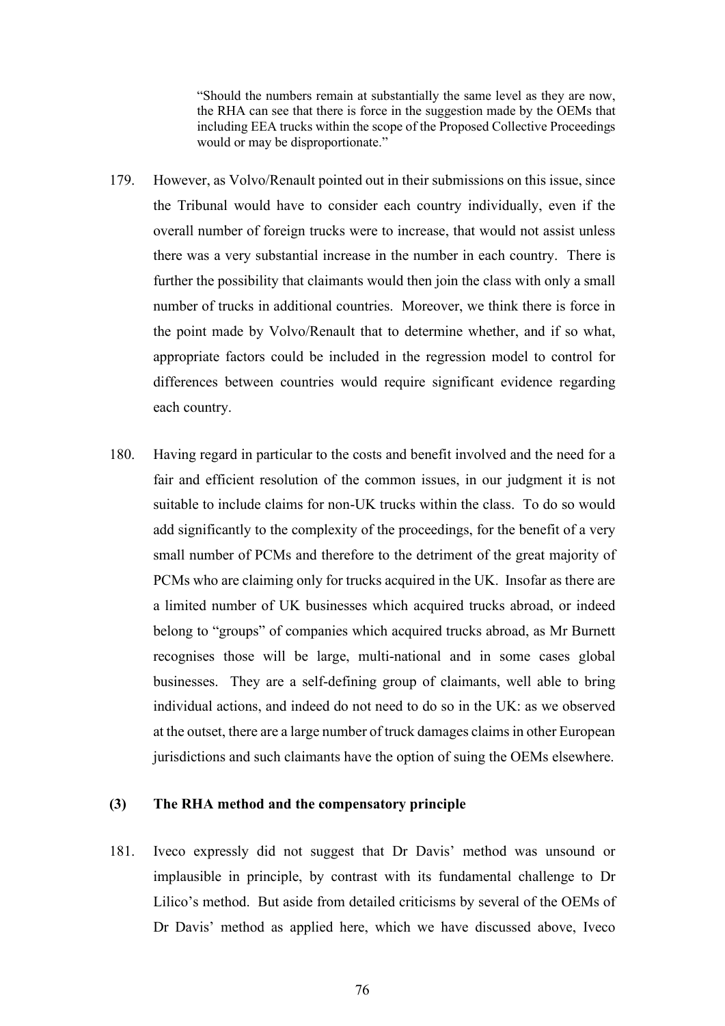"Should the numbers remain at substantially the same level as they are now, the RHA can see that there is force in the suggestion made by the OEMs that including EEA trucks within the scope of the Proposed Collective Proceedings would or may be disproportionate."

- 179. However, as Volvo/Renault pointed out in their submissions on this issue, since the Tribunal would have to consider each country individually, even if the overall number of foreign trucks were to increase, that would not assist unless there was a very substantial increase in the number in each country. There is further the possibility that claimants would then join the class with only a small number of trucks in additional countries. Moreover, we think there is force in the point made by Volvo/Renault that to determine whether, and if so what, appropriate factors could be included in the regression model to control for differences between countries would require significant evidence regarding each country.
- 180. Having regard in particular to the costs and benefit involved and the need for a fair and efficient resolution of the common issues, in our judgment it is not suitable to include claims for non-UK trucks within the class. To do so would add significantly to the complexity of the proceedings, for the benefit of a very small number of PCMs and therefore to the detriment of the great majority of PCMs who are claiming only for trucks acquired in the UK. Insofar as there are a limited number of UK businesses which acquired trucks abroad, or indeed belong to "groups" of companies which acquired trucks abroad, as Mr Burnett recognises those will be large, multi-national and in some cases global businesses. They are a self-defining group of claimants, well able to bring individual actions, and indeed do not need to do so in the UK: as we observed at the outset, there are a large number of truck damages claims in other European jurisdictions and such claimants have the option of suing the OEMs elsewhere.

## **(3) The RHA method and the compensatory principle**

181. Iveco expressly did not suggest that Dr Davis' method was unsound or implausible in principle, by contrast with its fundamental challenge to Dr Lilico's method. But aside from detailed criticisms by several of the OEMs of Dr Davis' method as applied here, which we have discussed above, Iveco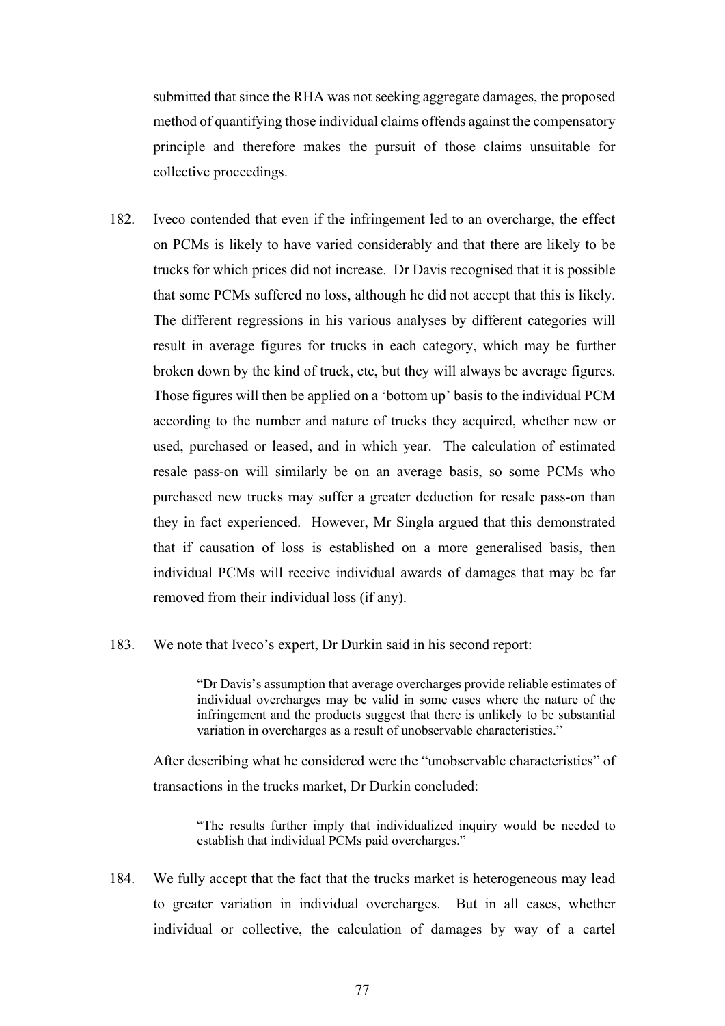submitted that since the RHA was not seeking aggregate damages, the proposed method of quantifying those individual claims offends against the compensatory principle and therefore makes the pursuit of those claims unsuitable for collective proceedings.

- 182. Iveco contended that even if the infringement led to an overcharge, the effect on PCMs is likely to have varied considerably and that there are likely to be trucks for which prices did not increase. Dr Davis recognised that it is possible that some PCMs suffered no loss, although he did not accept that this is likely. The different regressions in his various analyses by different categories will result in average figures for trucks in each category, which may be further broken down by the kind of truck, etc, but they will always be average figures. Those figures will then be applied on a 'bottom up' basis to the individual PCM according to the number and nature of trucks they acquired, whether new or used, purchased or leased, and in which year. The calculation of estimated resale pass-on will similarly be on an average basis, so some PCMs who purchased new trucks may suffer a greater deduction for resale pass-on than they in fact experienced. However, Mr Singla argued that this demonstrated that if causation of loss is established on a more generalised basis, then individual PCMs will receive individual awards of damages that may be far removed from their individual loss (if any).
- 183. We note that Iveco's expert, Dr Durkin said in his second report:

"Dr Davis's assumption that average overcharges provide reliable estimates of individual overcharges may be valid in some cases where the nature of the infringement and the products suggest that there is unlikely to be substantial variation in overcharges as a result of unobservable characteristics."

After describing what he considered were the "unobservable characteristics" of transactions in the trucks market, Dr Durkin concluded:

"The results further imply that individualized inquiry would be needed to establish that individual PCMs paid overcharges."

184. We fully accept that the fact that the trucks market is heterogeneous may lead to greater variation in individual overcharges. But in all cases, whether individual or collective, the calculation of damages by way of a cartel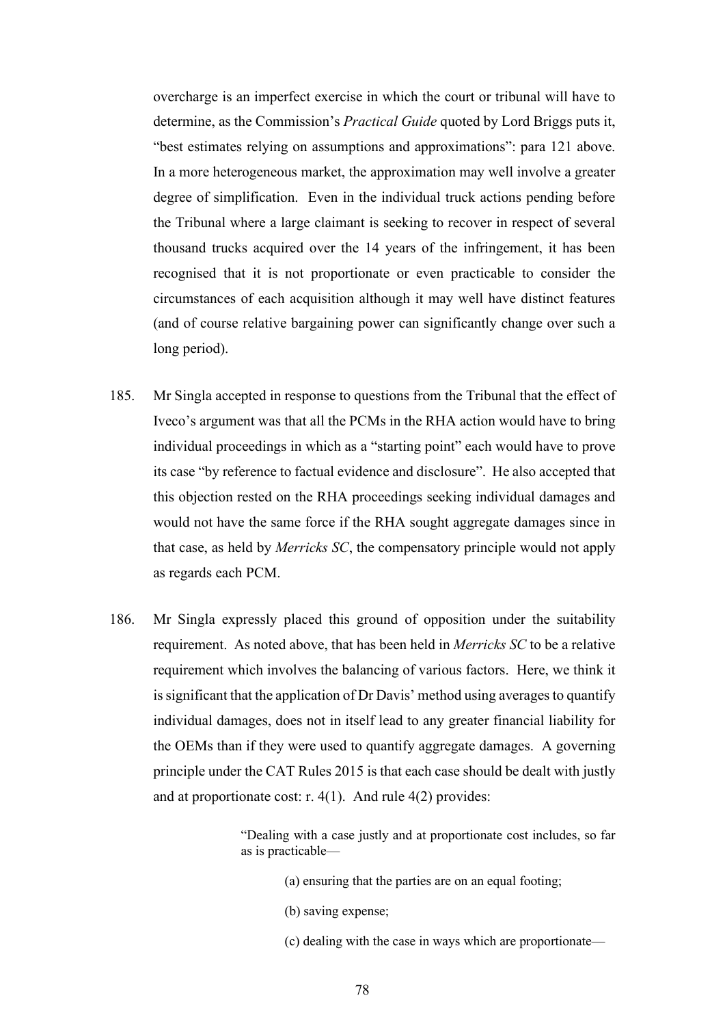overcharge is an imperfect exercise in which the court or tribunal will have to determine, as the Commission's *Practical Guide* quoted by Lord Briggs puts it, "best estimates relying on assumptions and approximations": para 121 above. In a more heterogeneous market, the approximation may well involve a greater degree of simplification. Even in the individual truck actions pending before the Tribunal where a large claimant is seeking to recover in respect of several thousand trucks acquired over the 14 years of the infringement, it has been recognised that it is not proportionate or even practicable to consider the circumstances of each acquisition although it may well have distinct features (and of course relative bargaining power can significantly change over such a long period).

- 185. Mr Singla accepted in response to questions from the Tribunal that the effect of Iveco's argument was that all the PCMs in the RHA action would have to bring individual proceedings in which as a "starting point" each would have to prove its case "by reference to factual evidence and disclosure". He also accepted that this objection rested on the RHA proceedings seeking individual damages and would not have the same force if the RHA sought aggregate damages since in that case, as held by *Merricks SC*, the compensatory principle would not apply as regards each PCM.
- 186. Mr Singla expressly placed this ground of opposition under the suitability requirement. As noted above, that has been held in *Merricks SC* to be a relative requirement which involves the balancing of various factors. Here, we think it is significant that the application of Dr Davis' method using averages to quantify individual damages, does not in itself lead to any greater financial liability for the OEMs than if they were used to quantify aggregate damages. A governing principle under the CAT Rules 2015 is that each case should be dealt with justly and at proportionate cost: r. 4(1). And rule 4(2) provides:

"Dealing with a case justly and at proportionate cost includes, so far as is practicable—

- (a) ensuring that the parties are on an equal footing;
- (b) saving expense;
- (c) dealing with the case in ways which are proportionate—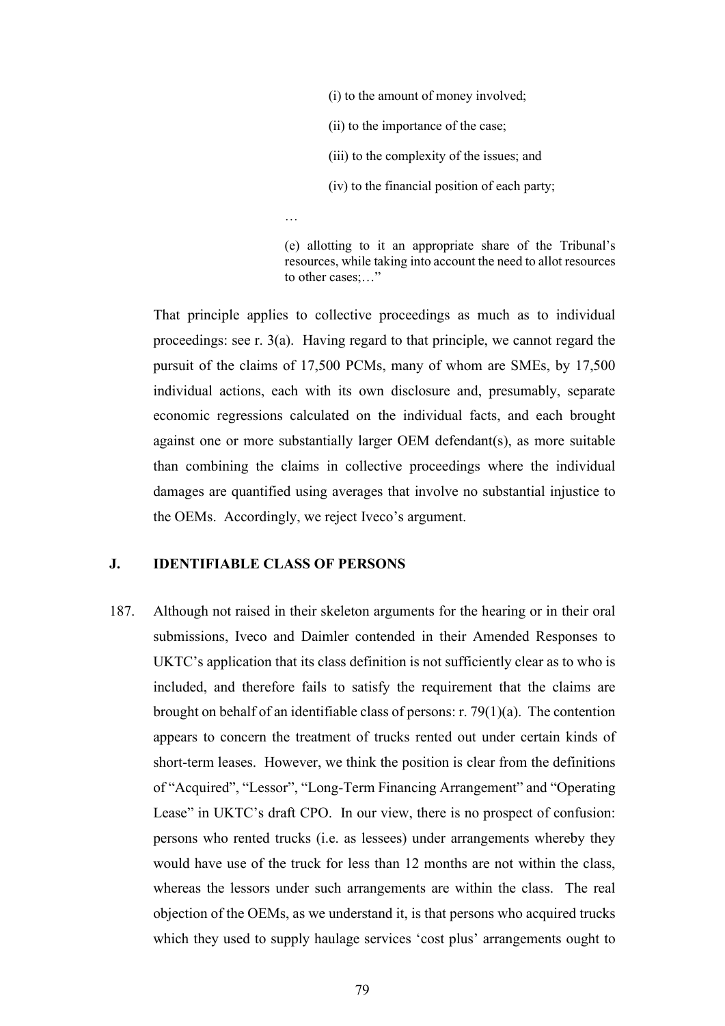(i) to the amount of money involved;

(ii) to the importance of the case;

(iii) to the complexity of the issues; and

(iv) to the financial position of each party;

…

(e) allotting to it an appropriate share of the Tribunal's resources, while taking into account the need to allot resources to other cases:..."

That principle applies to collective proceedings as much as to individual proceedings: see r. 3(a). Having regard to that principle, we cannot regard the pursuit of the claims of 17,500 PCMs, many of whom are SMEs, by 17,500 individual actions, each with its own disclosure and, presumably, separate economic regressions calculated on the individual facts, and each brought against one or more substantially larger OEM defendant(s), as more suitable than combining the claims in collective proceedings where the individual damages are quantified using averages that involve no substantial injustice to the OEMs. Accordingly, we reject Iveco's argument.

#### **J. IDENTIFIABLE CLASS OF PERSONS**

187. Although not raised in their skeleton arguments for the hearing or in their oral submissions, Iveco and Daimler contended in their Amended Responses to UKTC's application that its class definition is not sufficiently clear as to who is included, and therefore fails to satisfy the requirement that the claims are brought on behalf of an identifiable class of persons: r. 79(1)(a). The contention appears to concern the treatment of trucks rented out under certain kinds of short-term leases. However, we think the position is clear from the definitions of "Acquired", "Lessor", "Long-Term Financing Arrangement" and "Operating Lease" in UKTC's draft CPO. In our view, there is no prospect of confusion: persons who rented trucks (i.e. as lessees) under arrangements whereby they would have use of the truck for less than 12 months are not within the class, whereas the lessors under such arrangements are within the class. The real objection of the OEMs, as we understand it, is that persons who acquired trucks which they used to supply haulage services 'cost plus' arrangements ought to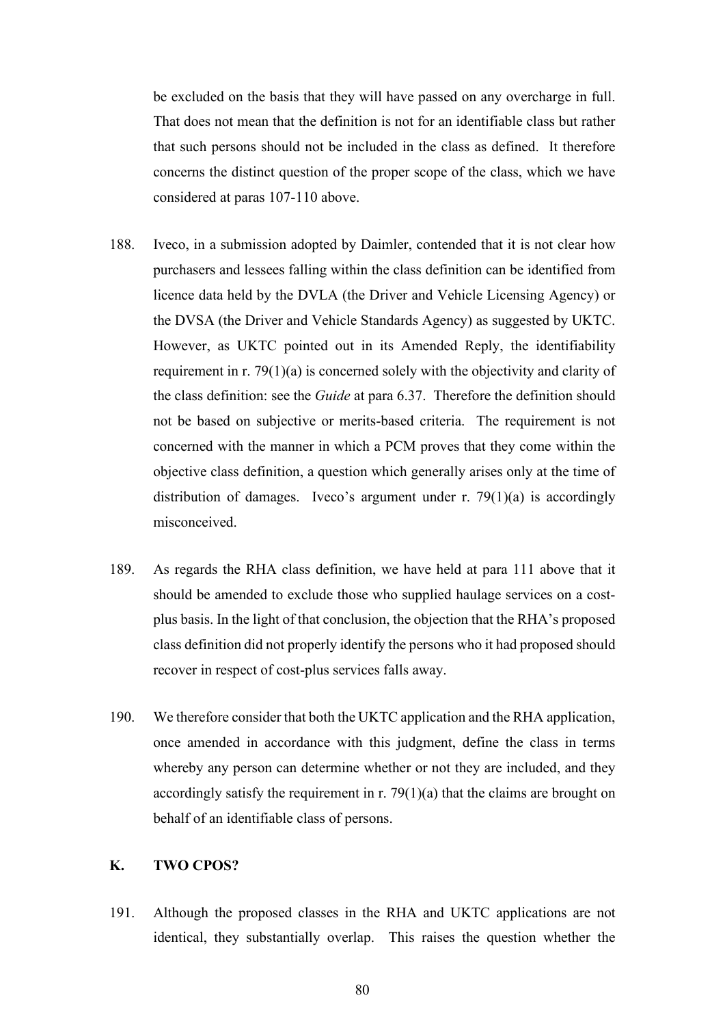be excluded on the basis that they will have passed on any overcharge in full. That does not mean that the definition is not for an identifiable class but rather that such persons should not be included in the class as defined. It therefore concerns the distinct question of the proper scope of the class, which we have considered at paras 107-110 above.

- 188. Iveco, in a submission adopted by Daimler, contended that it is not clear how purchasers and lessees falling within the class definition can be identified from licence data held by the DVLA (the Driver and Vehicle Licensing Agency) or the DVSA (the Driver and Vehicle Standards Agency) as suggested by UKTC. However, as UKTC pointed out in its Amended Reply, the identifiability requirement in r. 79(1)(a) is concerned solely with the objectivity and clarity of the class definition: see the *Guide* at para 6.37. Therefore the definition should not be based on subjective or merits-based criteria. The requirement is not concerned with the manner in which a PCM proves that they come within the objective class definition, a question which generally arises only at the time of distribution of damages. Iveco's argument under r.  $79(1)(a)$  is accordingly misconceived.
- 189. As regards the RHA class definition, we have held at para 111 above that it should be amended to exclude those who supplied haulage services on a costplus basis. In the light of that conclusion, the objection that the RHA's proposed class definition did not properly identify the persons who it had proposed should recover in respect of cost-plus services falls away.
- 190. We therefore consider that both the UKTC application and the RHA application, once amended in accordance with this judgment, define the class in terms whereby any person can determine whether or not they are included, and they accordingly satisfy the requirement in r.  $79(1)(a)$  that the claims are brought on behalf of an identifiable class of persons.

# **K. TWO CPOS?**

191. Although the proposed classes in the RHA and UKTC applications are not identical, they substantially overlap. This raises the question whether the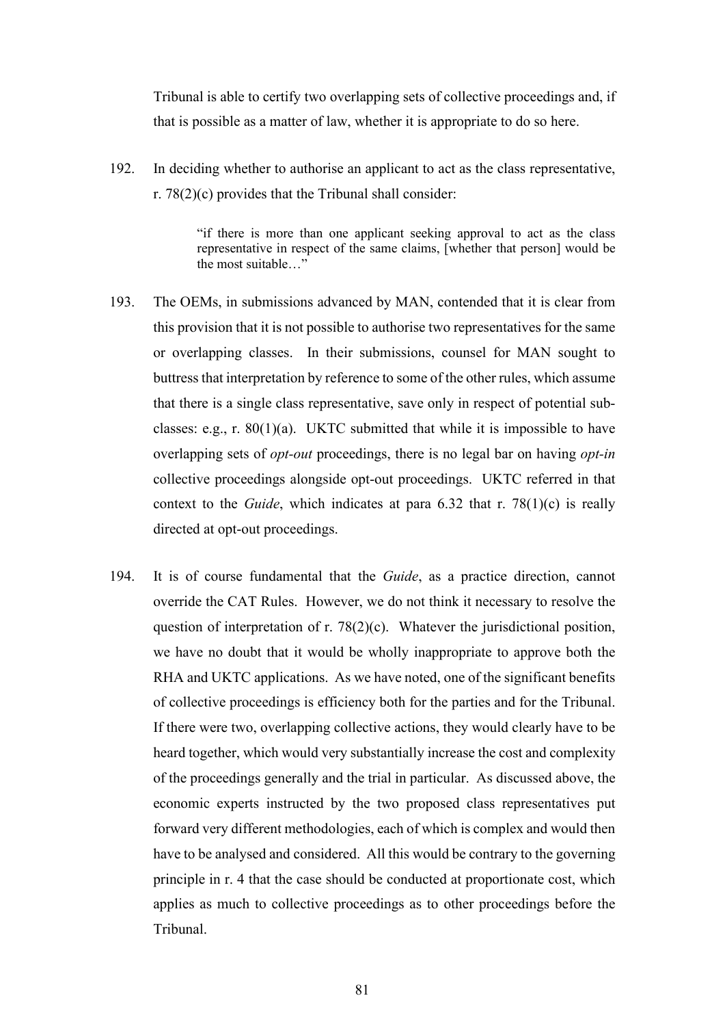Tribunal is able to certify two overlapping sets of collective proceedings and, if that is possible as a matter of law, whether it is appropriate to do so here.

192. In deciding whether to authorise an applicant to act as the class representative, r. 78(2)(c) provides that the Tribunal shall consider:

> "if there is more than one applicant seeking approval to act as the class representative in respect of the same claims, [whether that person] would be the most suitable…"

- 193. The OEMs, in submissions advanced by MAN, contended that it is clear from this provision that it is not possible to authorise two representatives for the same or overlapping classes. In their submissions, counsel for MAN sought to buttress that interpretation by reference to some of the other rules, which assume that there is a single class representative, save only in respect of potential subclasses: e.g., r.  $80(1)(a)$ . UKTC submitted that while it is impossible to have overlapping sets of *opt-out* proceedings, there is no legal bar on having *opt-in* collective proceedings alongside opt-out proceedings. UKTC referred in that context to the *Guide*, which indicates at para 6.32 that r. 78(1)(c) is really directed at opt-out proceedings.
- 194. It is of course fundamental that the *Guide*, as a practice direction, cannot override the CAT Rules. However, we do not think it necessary to resolve the question of interpretation of r. 78(2)(c). Whatever the jurisdictional position, we have no doubt that it would be wholly inappropriate to approve both the RHA and UKTC applications. As we have noted, one of the significant benefits of collective proceedings is efficiency both for the parties and for the Tribunal. If there were two, overlapping collective actions, they would clearly have to be heard together, which would very substantially increase the cost and complexity of the proceedings generally and the trial in particular. As discussed above, the economic experts instructed by the two proposed class representatives put forward very different methodologies, each of which is complex and would then have to be analysed and considered. All this would be contrary to the governing principle in r. 4 that the case should be conducted at proportionate cost, which applies as much to collective proceedings as to other proceedings before the Tribunal.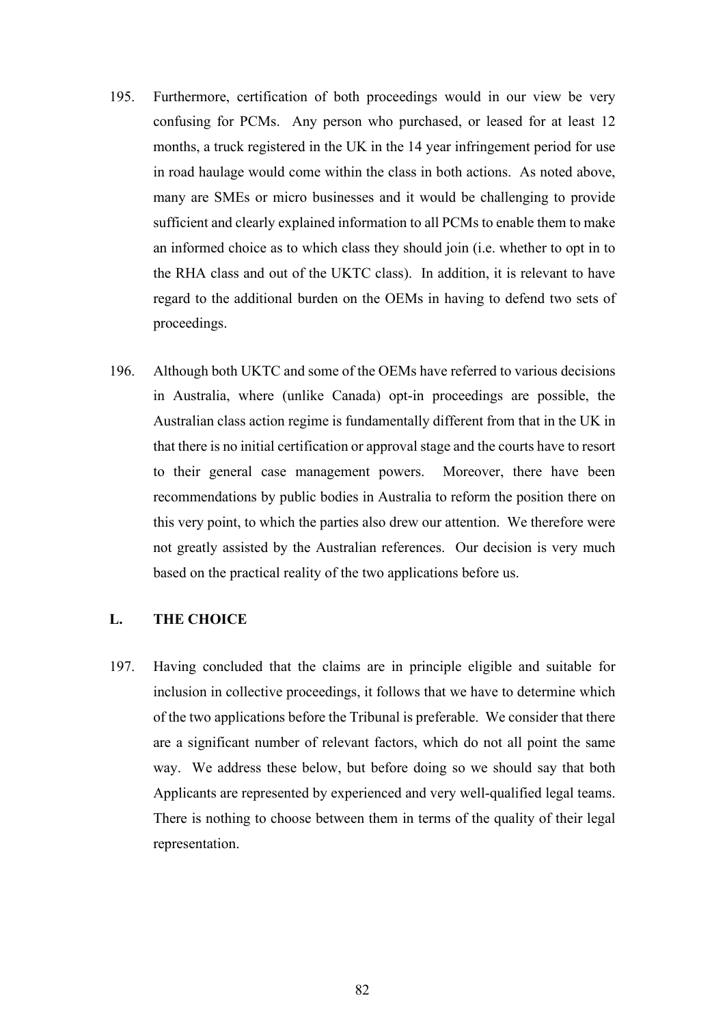- 195. Furthermore, certification of both proceedings would in our view be very confusing for PCMs. Any person who purchased, or leased for at least 12 months, a truck registered in the UK in the 14 year infringement period for use in road haulage would come within the class in both actions. As noted above, many are SMEs or micro businesses and it would be challenging to provide sufficient and clearly explained information to all PCMs to enable them to make an informed choice as to which class they should join (i.e. whether to opt in to the RHA class and out of the UKTC class). In addition, it is relevant to have regard to the additional burden on the OEMs in having to defend two sets of proceedings.
- 196. Although both UKTC and some of the OEMs have referred to various decisions in Australia, where (unlike Canada) opt-in proceedings are possible, the Australian class action regime is fundamentally different from that in the UK in that there is no initial certification or approval stage and the courts have to resort to their general case management powers. Moreover, there have been recommendations by public bodies in Australia to reform the position there on this very point, to which the parties also drew our attention. We therefore were not greatly assisted by the Australian references. Our decision is very much based on the practical reality of the two applications before us.

# **L. THE CHOICE**

197. Having concluded that the claims are in principle eligible and suitable for inclusion in collective proceedings, it follows that we have to determine which of the two applications before the Tribunal is preferable. We consider that there are a significant number of relevant factors, which do not all point the same way. We address these below, but before doing so we should say that both Applicants are represented by experienced and very well-qualified legal teams. There is nothing to choose between them in terms of the quality of their legal representation.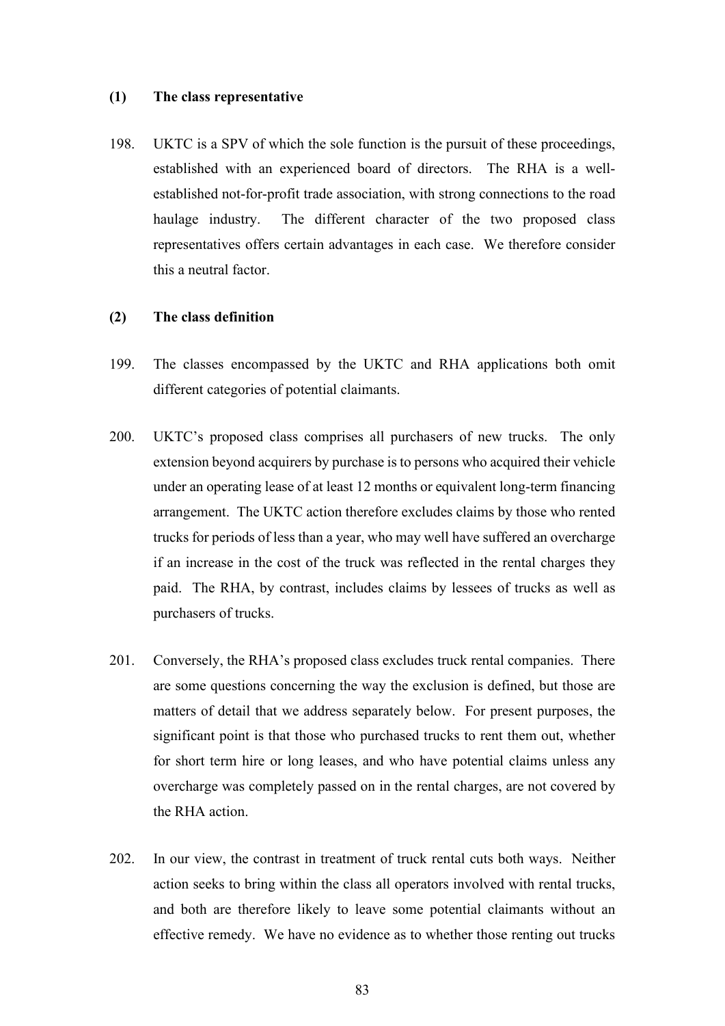#### **(1) The class representative**

198. UKTC is a SPV of which the sole function is the pursuit of these proceedings, established with an experienced board of directors. The RHA is a wellestablished not-for-profit trade association, with strong connections to the road haulage industry. The different character of the two proposed class representatives offers certain advantages in each case. We therefore consider this a neutral factor.

# **(2) The class definition**

- 199. The classes encompassed by the UKTC and RHA applications both omit different categories of potential claimants.
- 200. UKTC's proposed class comprises all purchasers of new trucks. The only extension beyond acquirers by purchase is to persons who acquired their vehicle under an operating lease of at least 12 months or equivalent long-term financing arrangement. The UKTC action therefore excludes claims by those who rented trucks for periods of less than a year, who may well have suffered an overcharge if an increase in the cost of the truck was reflected in the rental charges they paid. The RHA, by contrast, includes claims by lessees of trucks as well as purchasers of trucks.
- 201. Conversely, the RHA's proposed class excludes truck rental companies. There are some questions concerning the way the exclusion is defined, but those are matters of detail that we address separately below. For present purposes, the significant point is that those who purchased trucks to rent them out, whether for short term hire or long leases, and who have potential claims unless any overcharge was completely passed on in the rental charges, are not covered by the RHA action.
- 202. In our view, the contrast in treatment of truck rental cuts both ways. Neither action seeks to bring within the class all operators involved with rental trucks, and both are therefore likely to leave some potential claimants without an effective remedy. We have no evidence as to whether those renting out trucks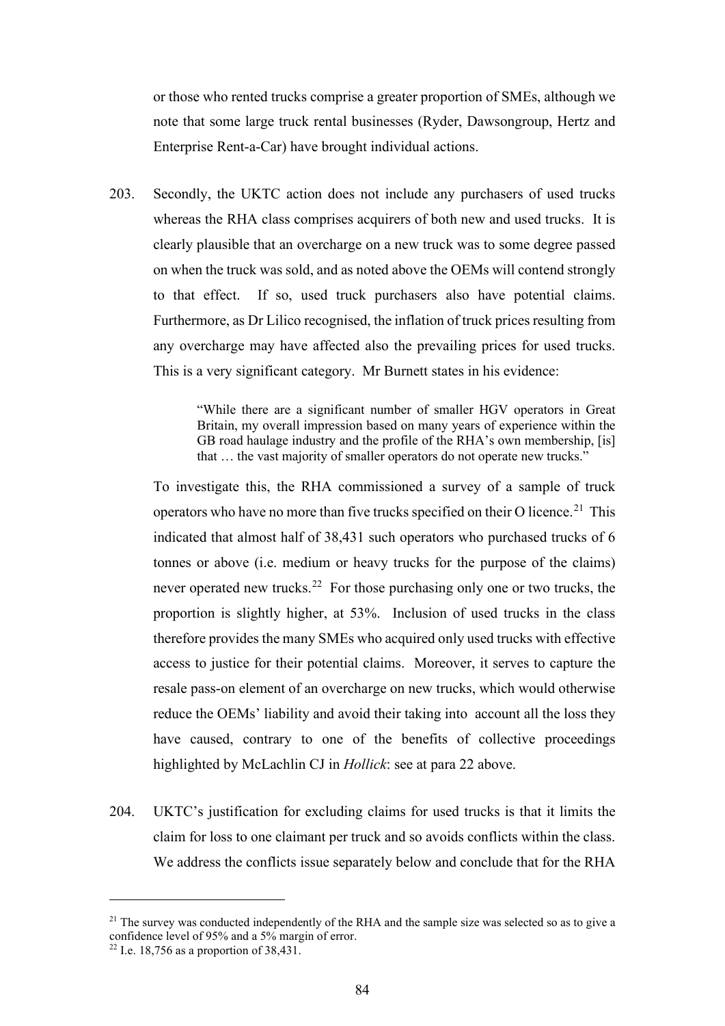or those who rented trucks comprise a greater proportion of SMEs, although we note that some large truck rental businesses (Ryder, Dawsongroup, Hertz and Enterprise Rent-a-Car) have brought individual actions.

203. Secondly, the UKTC action does not include any purchasers of used trucks whereas the RHA class comprises acquirers of both new and used trucks. It is clearly plausible that an overcharge on a new truck was to some degree passed on when the truck was sold, and as noted above the OEMs will contend strongly to that effect. If so, used truck purchasers also have potential claims. Furthermore, as Dr Lilico recognised, the inflation of truck prices resulting from any overcharge may have affected also the prevailing prices for used trucks. This is a very significant category. Mr Burnett states in his evidence:

> "While there are a significant number of smaller HGV operators in Great Britain, my overall impression based on many years of experience within the GB road haulage industry and the profile of the RHA's own membership, [is] that … the vast majority of smaller operators do not operate new trucks."

To investigate this, the RHA commissioned a survey of a sample of truck operators who have no more than five trucks specified on their O licence.<sup>21</sup> This indicated that almost half of 38,431 such operators who purchased trucks of 6 tonnes or above (i.e. medium or heavy trucks for the purpose of the claims) never operated new trucks.<sup>22</sup> For those purchasing only one or two trucks, the proportion is slightly higher, at 53%. Inclusion of used trucks in the class therefore provides the many SMEs who acquired only used trucks with effective access to justice for their potential claims. Moreover, it serves to capture the resale pass-on element of an overcharge on new trucks, which would otherwise reduce the OEMs' liability and avoid their taking into account all the loss they have caused, contrary to one of the benefits of collective proceedings highlighted by McLachlin CJ in *Hollick*: see at para 22 above.

204. UKTC's justification for excluding claims for used trucks is that it limits the claim for loss to one claimant per truck and so avoids conflicts within the class. We address the conflicts issue separately below and conclude that for the RHA

 $21$  The survey was conducted independently of the RHA and the sample size was selected so as to give a confidence level of 95% and a 5% margin of error.

<sup>&</sup>lt;sup>22</sup> I.e. 18,756 as a proportion of  $38,431$ .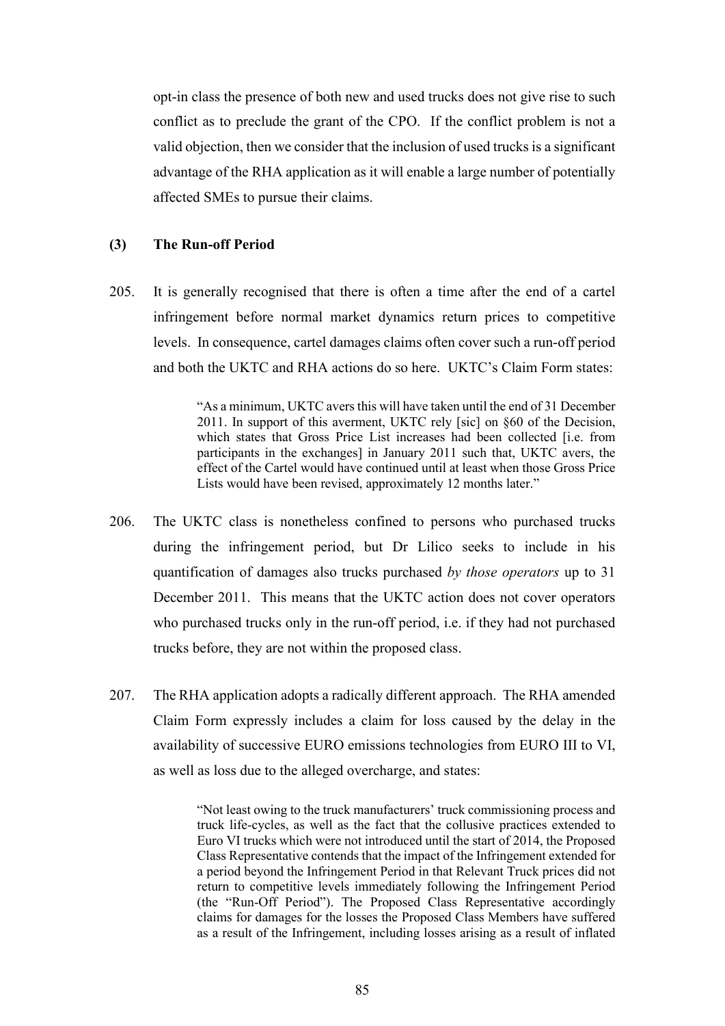opt-in class the presence of both new and used trucks does not give rise to such conflict as to preclude the grant of the CPO. If the conflict problem is not a valid objection, then we consider that the inclusion of used trucks is a significant advantage of the RHA application as it will enable a large number of potentially affected SMEs to pursue their claims.

# **(3) The Run-off Period**

205. It is generally recognised that there is often a time after the end of a cartel infringement before normal market dynamics return prices to competitive levels. In consequence, cartel damages claims often cover such a run-off period and both the UKTC and RHA actions do so here. UKTC's Claim Form states:

> "As a minimum, UKTC avers this will have taken until the end of 31 December 2011. In support of this averment, UKTC rely [sic] on §60 of the Decision, which states that Gross Price List increases had been collected [i.e. from participants in the exchanges] in January 2011 such that, UKTC avers, the effect of the Cartel would have continued until at least when those Gross Price Lists would have been revised, approximately 12 months later."

- 206. The UKTC class is nonetheless confined to persons who purchased trucks during the infringement period, but Dr Lilico seeks to include in his quantification of damages also trucks purchased *by those operators* up to 31 December 2011. This means that the UKTC action does not cover operators who purchased trucks only in the run-off period, i.e. if they had not purchased trucks before, they are not within the proposed class.
- 207. The RHA application adopts a radically different approach. The RHA amended Claim Form expressly includes a claim for loss caused by the delay in the availability of successive EURO emissions technologies from EURO III to VI, as well as loss due to the alleged overcharge, and states:

"Not least owing to the truck manufacturers' truck commissioning process and truck life-cycles, as well as the fact that the collusive practices extended to Euro VI trucks which were not introduced until the start of 2014, the Proposed Class Representative contends that the impact of the Infringement extended for a period beyond the Infringement Period in that Relevant Truck prices did not return to competitive levels immediately following the Infringement Period (the "Run-Off Period"). The Proposed Class Representative accordingly claims for damages for the losses the Proposed Class Members have suffered as a result of the Infringement, including losses arising as a result of inflated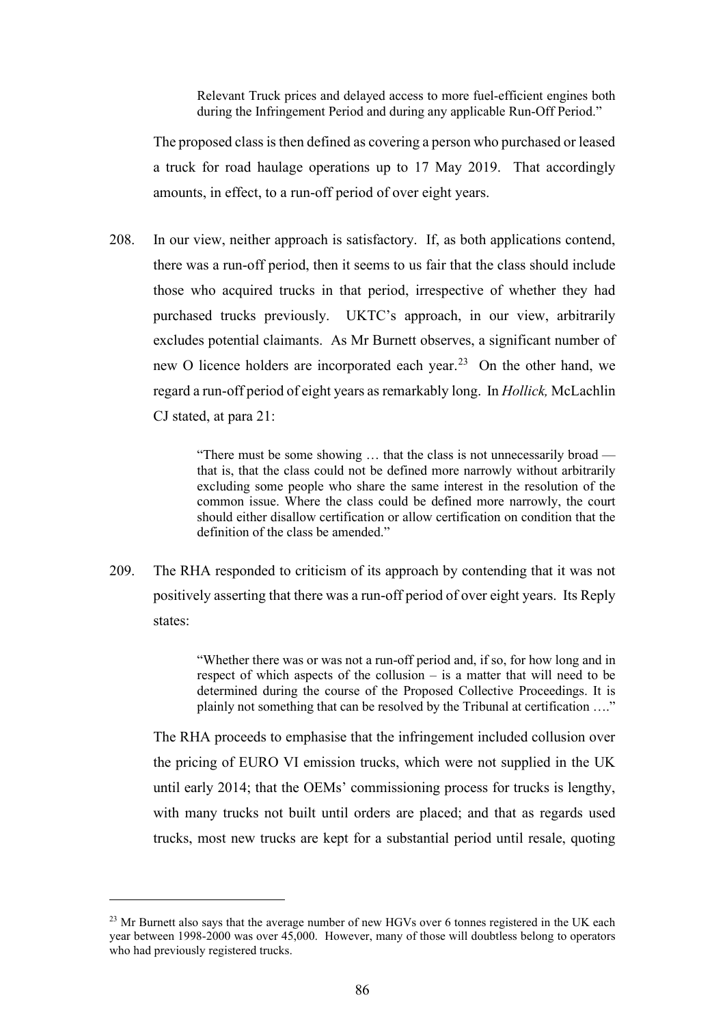Relevant Truck prices and delayed access to more fuel-efficient engines both during the Infringement Period and during any applicable Run-Off Period."

The proposed class is then defined as covering a person who purchased or leased a truck for road haulage operations up to 17 May 2019. That accordingly amounts, in effect, to a run-off period of over eight years.

208. In our view, neither approach is satisfactory. If, as both applications contend, there was a run-off period, then it seems to us fair that the class should include those who acquired trucks in that period, irrespective of whether they had purchased trucks previously. UKTC's approach, in our view, arbitrarily excludes potential claimants. As Mr Burnett observes, a significant number of new O licence holders are incorporated each year.<sup>23</sup> On the other hand, we regard a run-off period of eight years as remarkably long. In *Hollick,* McLachlin CJ stated, at para 21:

> "There must be some showing … that the class is not unnecessarily broad that is, that the class could not be defined more narrowly without arbitrarily excluding some people who share the same interest in the resolution of the common issue. Where the class could be defined more narrowly, the court should either disallow certification or allow certification on condition that the definition of the class be amended."

209. The RHA responded to criticism of its approach by contending that it was not positively asserting that there was a run-off period of over eight years. Its Reply states:

> "Whether there was or was not a run-off period and, if so, for how long and in respect of which aspects of the collusion – is a matter that will need to be determined during the course of the Proposed Collective Proceedings. It is plainly not something that can be resolved by the Tribunal at certification …."

The RHA proceeds to emphasise that the infringement included collusion over the pricing of EURO VI emission trucks, which were not supplied in the UK until early 2014; that the OEMs' commissioning process for trucks is lengthy, with many trucks not built until orders are placed; and that as regards used trucks, most new trucks are kept for a substantial period until resale, quoting

<sup>&</sup>lt;sup>23</sup> Mr Burnett also says that the average number of new HGVs over 6 tonnes registered in the UK each year between 1998-2000 was over 45,000. However, many of those will doubtless belong to operators who had previously registered trucks.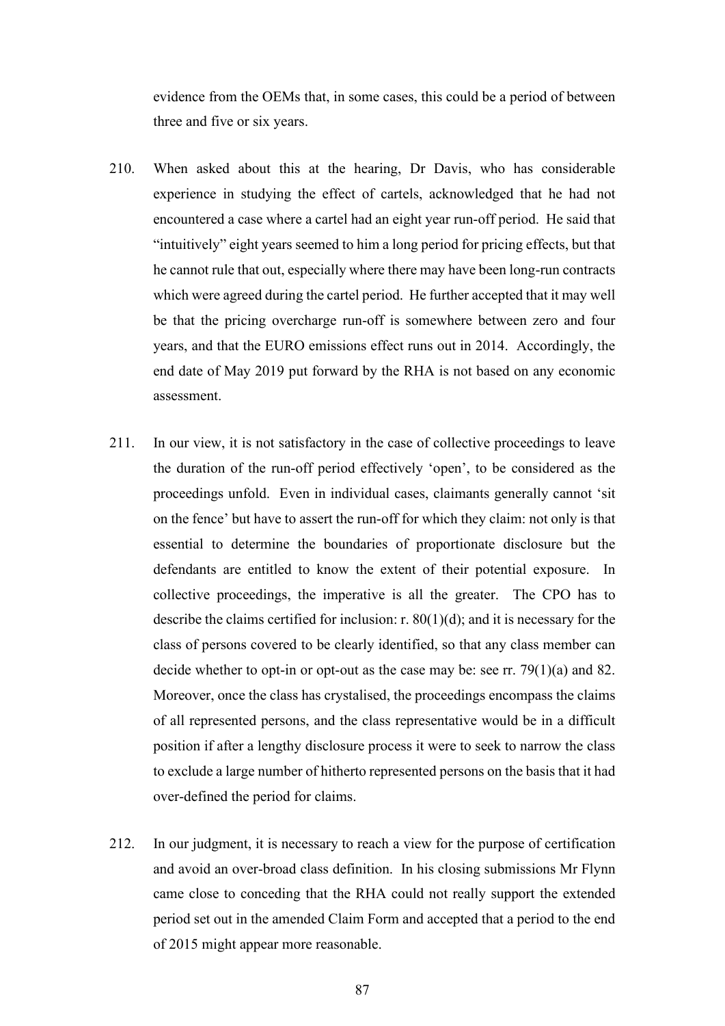evidence from the OEMs that, in some cases, this could be a period of between three and five or six years.

- 210. When asked about this at the hearing, Dr Davis, who has considerable experience in studying the effect of cartels, acknowledged that he had not encountered a case where a cartel had an eight year run-off period. He said that "intuitively" eight years seemed to him a long period for pricing effects, but that he cannot rule that out, especially where there may have been long-run contracts which were agreed during the cartel period. He further accepted that it may well be that the pricing overcharge run-off is somewhere between zero and four years, and that the EURO emissions effect runs out in 2014. Accordingly, the end date of May 2019 put forward by the RHA is not based on any economic assessment.
- 211. In our view, it is not satisfactory in the case of collective proceedings to leave the duration of the run-off period effectively 'open', to be considered as the proceedings unfold. Even in individual cases, claimants generally cannot 'sit on the fence' but have to assert the run-off for which they claim: not only is that essential to determine the boundaries of proportionate disclosure but the defendants are entitled to know the extent of their potential exposure. In collective proceedings, the imperative is all the greater. The CPO has to describe the claims certified for inclusion: r.  $80(1)(d)$ ; and it is necessary for the class of persons covered to be clearly identified, so that any class member can decide whether to opt-in or opt-out as the case may be: see rr. 79(1)(a) and 82. Moreover, once the class has crystalised, the proceedings encompass the claims of all represented persons, and the class representative would be in a difficult position if after a lengthy disclosure process it were to seek to narrow the class to exclude a large number of hitherto represented persons on the basis that it had over-defined the period for claims.
- 212. In our judgment, it is necessary to reach a view for the purpose of certification and avoid an over-broad class definition. In his closing submissions Mr Flynn came close to conceding that the RHA could not really support the extended period set out in the amended Claim Form and accepted that a period to the end of 2015 might appear more reasonable.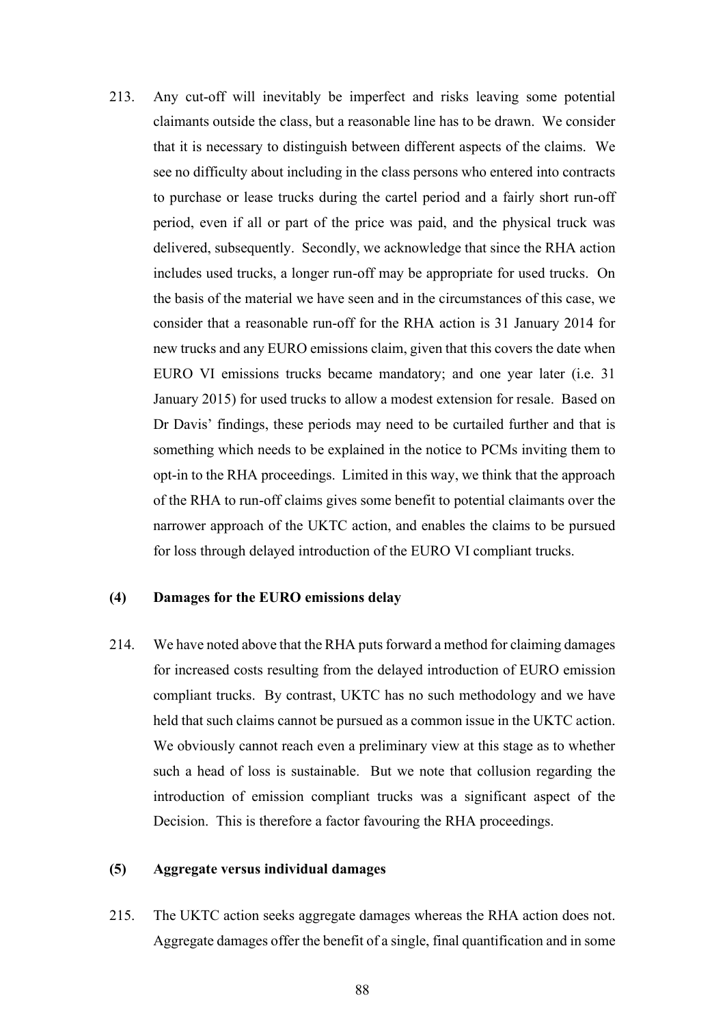213. Any cut-off will inevitably be imperfect and risks leaving some potential claimants outside the class, but a reasonable line has to be drawn. We consider that it is necessary to distinguish between different aspects of the claims. We see no difficulty about including in the class persons who entered into contracts to purchase or lease trucks during the cartel period and a fairly short run-off period, even if all or part of the price was paid, and the physical truck was delivered, subsequently. Secondly, we acknowledge that since the RHA action includes used trucks, a longer run-off may be appropriate for used trucks. On the basis of the material we have seen and in the circumstances of this case, we consider that a reasonable run-off for the RHA action is 31 January 2014 for new trucks and any EURO emissions claim, given that this covers the date when EURO VI emissions trucks became mandatory; and one year later (i.e. 31 January 2015) for used trucks to allow a modest extension for resale. Based on Dr Davis' findings, these periods may need to be curtailed further and that is something which needs to be explained in the notice to PCMs inviting them to opt-in to the RHA proceedings. Limited in this way, we think that the approach of the RHA to run-off claims gives some benefit to potential claimants over the narrower approach of the UKTC action, and enables the claims to be pursued for loss through delayed introduction of the EURO VI compliant trucks.

## **(4) Damages for the EURO emissions delay**

214. We have noted above that the RHA puts forward a method for claiming damages for increased costs resulting from the delayed introduction of EURO emission compliant trucks. By contrast, UKTC has no such methodology and we have held that such claims cannot be pursued as a common issue in the UKTC action. We obviously cannot reach even a preliminary view at this stage as to whether such a head of loss is sustainable. But we note that collusion regarding the introduction of emission compliant trucks was a significant aspect of the Decision. This is therefore a factor favouring the RHA proceedings.

#### **(5) Aggregate versus individual damages**

215. The UKTC action seeks aggregate damages whereas the RHA action does not. Aggregate damages offer the benefit of a single, final quantification and in some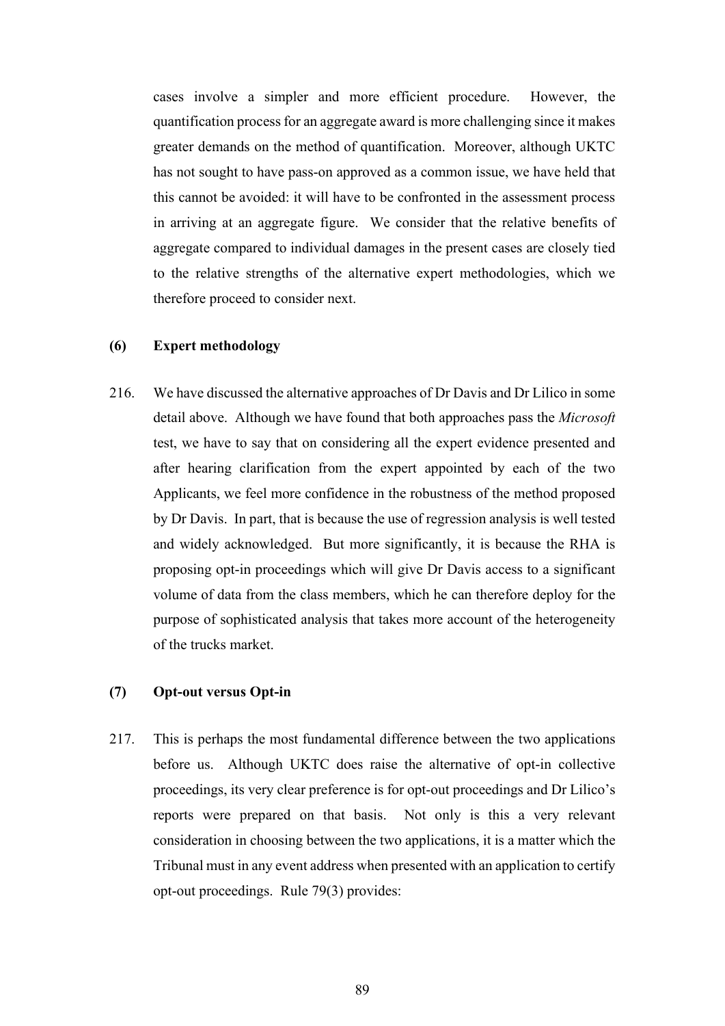cases involve a simpler and more efficient procedure. However, the quantification process for an aggregate award is more challenging since it makes greater demands on the method of quantification. Moreover, although UKTC has not sought to have pass-on approved as a common issue, we have held that this cannot be avoided: it will have to be confronted in the assessment process in arriving at an aggregate figure. We consider that the relative benefits of aggregate compared to individual damages in the present cases are closely tied to the relative strengths of the alternative expert methodologies, which we therefore proceed to consider next.

# **(6) Expert methodology**

216. We have discussed the alternative approaches of Dr Davis and Dr Lilico in some detail above. Although we have found that both approaches pass the *Microsoft*  test, we have to say that on considering all the expert evidence presented and after hearing clarification from the expert appointed by each of the two Applicants, we feel more confidence in the robustness of the method proposed by Dr Davis. In part, that is because the use of regression analysis is well tested and widely acknowledged. But more significantly, it is because the RHA is proposing opt-in proceedings which will give Dr Davis access to a significant volume of data from the class members, which he can therefore deploy for the purpose of sophisticated analysis that takes more account of the heterogeneity of the trucks market.

# **(7) Opt-out versus Opt-in**

217. This is perhaps the most fundamental difference between the two applications before us. Although UKTC does raise the alternative of opt-in collective proceedings, its very clear preference is for opt-out proceedings and Dr Lilico's reports were prepared on that basis. Not only is this a very relevant consideration in choosing between the two applications, it is a matter which the Tribunal must in any event address when presented with an application to certify opt-out proceedings. Rule 79(3) provides: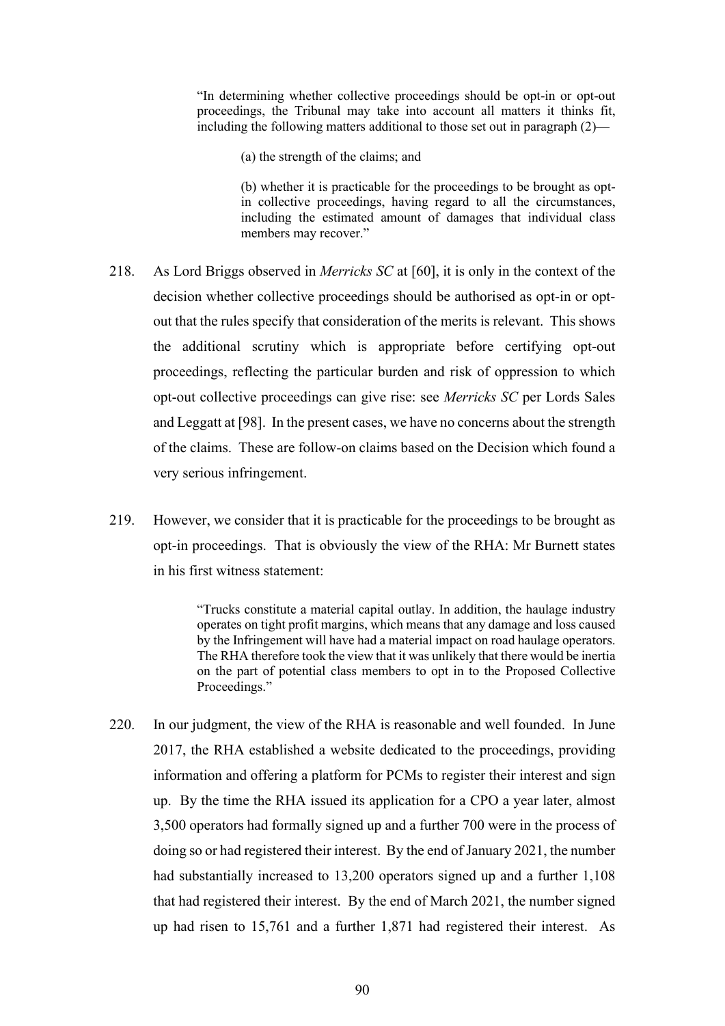"In determining whether collective proceedings should be opt-in or opt-out proceedings, the Tribunal may take into account all matters it thinks fit, including the following matters additional to those set out in paragraph (2)—

(a) the strength of the claims; and

(b) whether it is practicable for the proceedings to be brought as optin collective proceedings, having regard to all the circumstances, including the estimated amount of damages that individual class members may recover."

- 218. As Lord Briggs observed in *Merricks SC* at [60], it is only in the context of the decision whether collective proceedings should be authorised as opt-in or optout that the rules specify that consideration of the merits is relevant. This shows the additional scrutiny which is appropriate before certifying opt-out proceedings, reflecting the particular burden and risk of oppression to which opt-out collective proceedings can give rise: see *Merricks SC* per Lords Sales and Leggatt at [98]. In the present cases, we have no concerns about the strength of the claims. These are follow-on claims based on the Decision which found a very serious infringement.
- 219. However, we consider that it is practicable for the proceedings to be brought as opt-in proceedings. That is obviously the view of the RHA: Mr Burnett states in his first witness statement:

"Trucks constitute a material capital outlay. In addition, the haulage industry operates on tight profit margins, which means that any damage and loss caused by the Infringement will have had a material impact on road haulage operators. The RHA therefore took the view that it was unlikely that there would be inertia on the part of potential class members to opt in to the Proposed Collective Proceedings."

220. In our judgment, the view of the RHA is reasonable and well founded. In June 2017, the RHA established a website dedicated to the proceedings, providing information and offering a platform for PCMs to register their interest and sign up. By the time the RHA issued its application for a CPO a year later, almost 3,500 operators had formally signed up and a further 700 were in the process of doing so or had registered their interest. By the end of January 2021, the number had substantially increased to 13,200 operators signed up and a further 1,108 that had registered their interest. By the end of March 2021, the number signed up had risen to 15,761 and a further 1,871 had registered their interest. As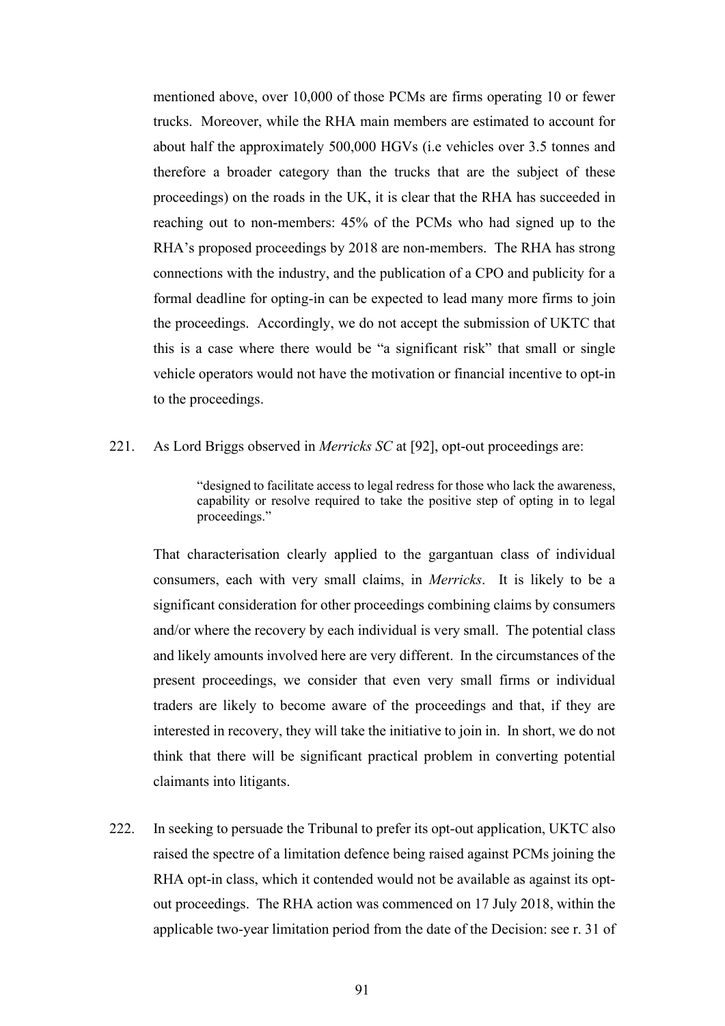mentioned above, over 10,000 of those PCMs are firms operating 10 or fewer trucks. Moreover, while the RHA main members are estimated to account for about half the approximately 500,000 HGVs (i.e vehicles over 3.5 tonnes and therefore a broader category than the trucks that are the subject of these proceedings) on the roads in the UK, it is clear that the RHA has succeeded in reaching out to non-members: 45% of the PCMs who had signed up to the RHA's proposed proceedings by 2018 are non-members. The RHA has strong connections with the industry, and the publication of a CPO and publicity for a formal deadline for opting-in can be expected to lead many more firms to join the proceedings. Accordingly, we do not accept the submission of UKTC that this is a case where there would be "a significant risk" that small or single vehicle operators would not have the motivation or financial incentive to opt-in to the proceedings.

# 221. As Lord Briggs observed in *Merricks SC* at [92], opt-out proceedings are:

"designed to facilitate access to legal redress for those who lack the awareness, capability or resolve required to take the positive step of opting in to legal proceedings."

That characterisation clearly applied to the gargantuan class of individual consumers, each with very small claims, in *Merricks*. It is likely to be a significant consideration for other proceedings combining claims by consumers and/or where the recovery by each individual is very small. The potential class and likely amounts involved here are very different. In the circumstances of the present proceedings, we consider that even very small firms or individual traders are likely to become aware of the proceedings and that, if they are interested in recovery, they will take the initiative to join in. In short, we do not think that there will be significant practical problem in converting potential claimants into litigants.

222. In seeking to persuade the Tribunal to prefer its opt-out application, UKTC also raised the spectre of a limitation defence being raised against PCMs joining the RHA opt-in class, which it contended would not be available as against its optout proceedings. The RHA action was commenced on 17 July 2018, within the applicable two-year limitation period from the date of the Decision: see r. 31 of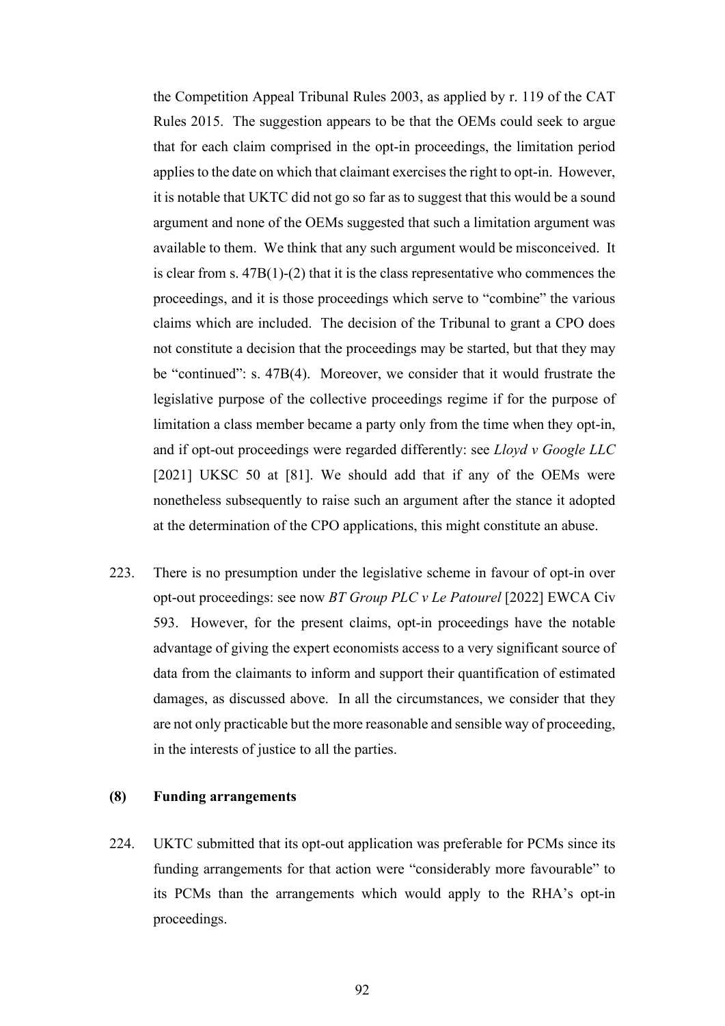the Competition Appeal Tribunal Rules 2003, as applied by r. 119 of the CAT Rules 2015. The suggestion appears to be that the OEMs could seek to argue that for each claim comprised in the opt-in proceedings, the limitation period applies to the date on which that claimant exercises the right to opt-in. However, it is notable that UKTC did not go so far as to suggest that this would be a sound argument and none of the OEMs suggested that such a limitation argument was available to them. We think that any such argument would be misconceived. It is clear from s.  $47B(1)-(2)$  that it is the class representative who commences the proceedings, and it is those proceedings which serve to "combine" the various claims which are included. The decision of the Tribunal to grant a CPO does not constitute a decision that the proceedings may be started, but that they may be "continued": s. 47B(4). Moreover, we consider that it would frustrate the legislative purpose of the collective proceedings regime if for the purpose of limitation a class member became a party only from the time when they opt-in, and if opt-out proceedings were regarded differently: see *Lloyd v Google LLC*  [2021] UKSC 50 at [81]. We should add that if any of the OEMs were nonetheless subsequently to raise such an argument after the stance it adopted at the determination of the CPO applications, this might constitute an abuse.

223. There is no presumption under the legislative scheme in favour of opt-in over opt-out proceedings: see now *BT Group PLC v Le Patourel* [2022] EWCA Civ 593. However, for the present claims, opt-in proceedings have the notable advantage of giving the expert economists access to a very significant source of data from the claimants to inform and support their quantification of estimated damages, as discussed above. In all the circumstances, we consider that they are not only practicable but the more reasonable and sensible way of proceeding, in the interests of justice to all the parties.

# **(8) Funding arrangements**

224. UKTC submitted that its opt-out application was preferable for PCMs since its funding arrangements for that action were "considerably more favourable" to its PCMs than the arrangements which would apply to the RHA's opt-in proceedings.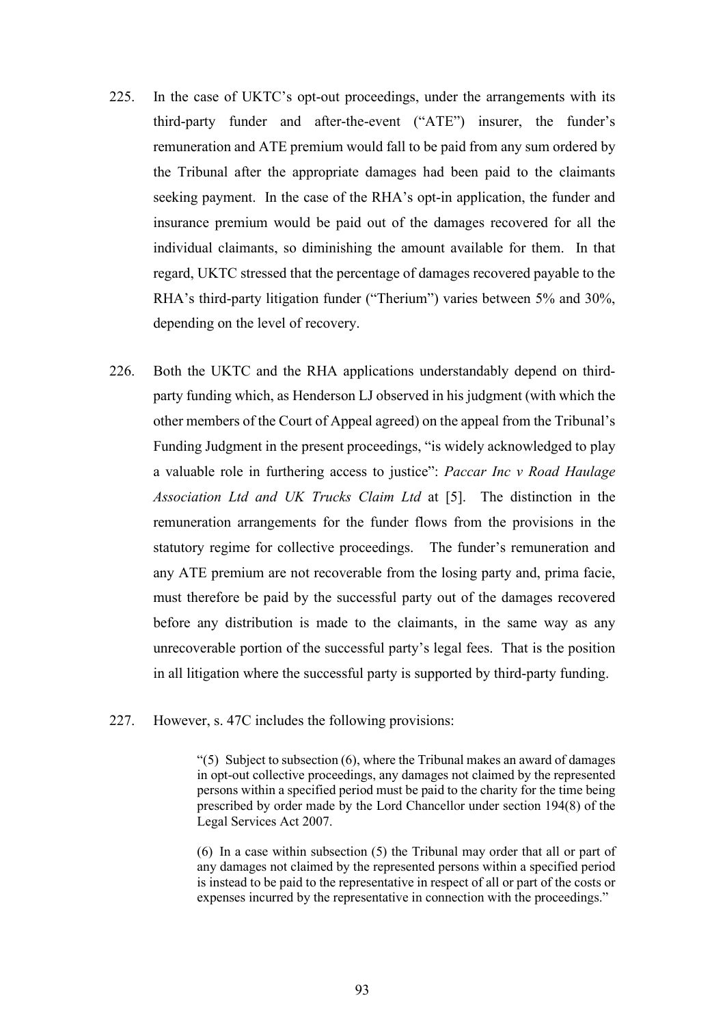- 225. In the case of UKTC's opt-out proceedings, under the arrangements with its third-party funder and after-the-event ("ATE") insurer, the funder's remuneration and ATE premium would fall to be paid from any sum ordered by the Tribunal after the appropriate damages had been paid to the claimants seeking payment. In the case of the RHA's opt-in application, the funder and insurance premium would be paid out of the damages recovered for all the individual claimants, so diminishing the amount available for them. In that regard, UKTC stressed that the percentage of damages recovered payable to the RHA's third-party litigation funder ("Therium") varies between 5% and 30%, depending on the level of recovery.
- 226. Both the UKTC and the RHA applications understandably depend on thirdparty funding which, as Henderson LJ observed in his judgment (with which the other members of the Court of Appeal agreed) on the appeal from the Tribunal's Funding Judgment in the present proceedings, "is widely acknowledged to play a valuable role in furthering access to justice": *Paccar Inc v Road Haulage Association Ltd and UK Trucks Claim Ltd* at [5]. The distinction in the remuneration arrangements for the funder flows from the provisions in the statutory regime for collective proceedings. The funder's remuneration and any ATE premium are not recoverable from the losing party and, prima facie, must therefore be paid by the successful party out of the damages recovered before any distribution is made to the claimants, in the same way as any unrecoverable portion of the successful party's legal fees. That is the position in all litigation where the successful party is supported by third-party funding.
- 227. However, s. 47C includes the following provisions:

"(5) Subject to subsection (6), where the Tribunal makes an award of damages in opt-out collective proceedings, any damages not claimed by the represented persons within a specified period must be paid to the charity for the time being prescribed by order made by the Lord Chancellor under section 194(8) of the Legal Services Act 2007.

(6) In a case within subsection (5) the Tribunal may order that all or part of any damages not claimed by the represented persons within a specified period is instead to be paid to the representative in respect of all or part of the costs or expenses incurred by the representative in connection with the proceedings."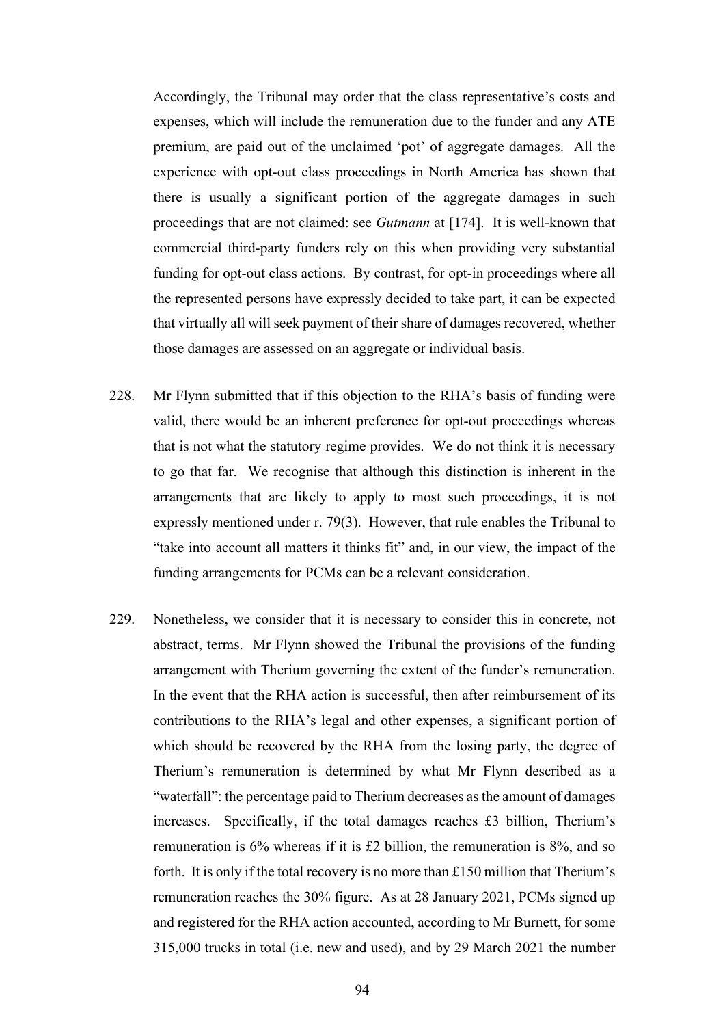Accordingly, the Tribunal may order that the class representative's costs and expenses, which will include the remuneration due to the funder and any ATE premium, are paid out of the unclaimed 'pot' of aggregate damages. All the experience with opt-out class proceedings in North America has shown that there is usually a significant portion of the aggregate damages in such proceedings that are not claimed: see *Gutmann* at [174]. It is well-known that commercial third-party funders rely on this when providing very substantial funding for opt-out class actions. By contrast, for opt-in proceedings where all the represented persons have expressly decided to take part, it can be expected that virtually all will seek payment of their share of damages recovered, whether those damages are assessed on an aggregate or individual basis.

- 228. Mr Flynn submitted that if this objection to the RHA's basis of funding were valid, there would be an inherent preference for opt-out proceedings whereas that is not what the statutory regime provides. We do not think it is necessary to go that far. We recognise that although this distinction is inherent in the arrangements that are likely to apply to most such proceedings, it is not expressly mentioned under r. 79(3). However, that rule enables the Tribunal to "take into account all matters it thinks fit" and, in our view, the impact of the funding arrangements for PCMs can be a relevant consideration.
- 229. Nonetheless, we consider that it is necessary to consider this in concrete, not abstract, terms. Mr Flynn showed the Tribunal the provisions of the funding arrangement with Therium governing the extent of the funder's remuneration. In the event that the RHA action is successful, then after reimbursement of its contributions to the RHA's legal and other expenses, a significant portion of which should be recovered by the RHA from the losing party, the degree of Therium's remuneration is determined by what Mr Flynn described as a "waterfall": the percentage paid to Therium decreases as the amount of damages increases. Specifically, if the total damages reaches £3 billion, Therium's remuneration is 6% whereas if it is £2 billion, the remuneration is 8%, and so forth. It is only if the total recovery is no more than £150 million that Therium's remuneration reaches the 30% figure. As at 28 January 2021, PCMs signed up and registered for the RHA action accounted, according to Mr Burnett, for some 315,000 trucks in total (i.e. new and used), and by 29 March 2021 the number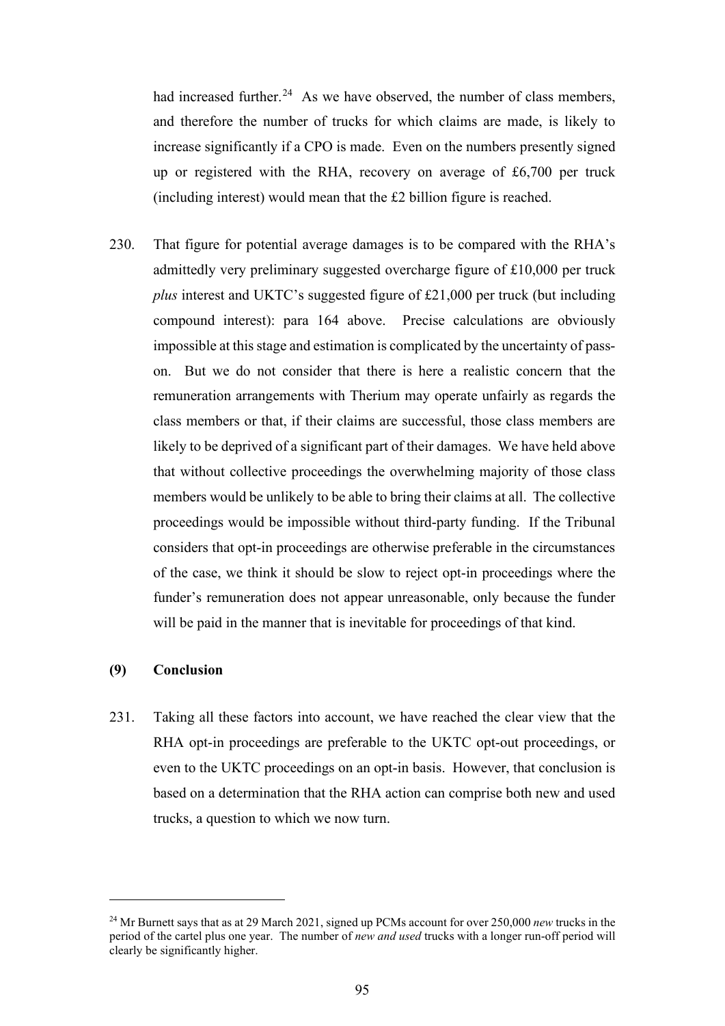had increased further.<sup>24</sup> As we have observed, the number of class members, and therefore the number of trucks for which claims are made, is likely to increase significantly if a CPO is made. Even on the numbers presently signed up or registered with the RHA, recovery on average of £6,700 per truck (including interest) would mean that the £2 billion figure is reached.

230. That figure for potential average damages is to be compared with the RHA's admittedly very preliminary suggested overcharge figure of £10,000 per truck *plus* interest and UKTC's suggested figure of £21,000 per truck (but including compound interest): para 164 above. Precise calculations are obviously impossible at this stage and estimation is complicated by the uncertainty of passon. But we do not consider that there is here a realistic concern that the remuneration arrangements with Therium may operate unfairly as regards the class members or that, if their claims are successful, those class members are likely to be deprived of a significant part of their damages. We have held above that without collective proceedings the overwhelming majority of those class members would be unlikely to be able to bring their claims at all. The collective proceedings would be impossible without third-party funding. If the Tribunal considers that opt-in proceedings are otherwise preferable in the circumstances of the case, we think it should be slow to reject opt-in proceedings where the funder's remuneration does not appear unreasonable, only because the funder will be paid in the manner that is inevitable for proceedings of that kind.

# **(9) Conclusion**

231. Taking all these factors into account, we have reached the clear view that the RHA opt-in proceedings are preferable to the UKTC opt-out proceedings, or even to the UKTC proceedings on an opt-in basis. However, that conclusion is based on a determination that the RHA action can comprise both new and used trucks, a question to which we now turn.

<sup>24</sup> Mr Burnett says that as at 29 March 2021, signed up PCMs account for over 250,000 *new* trucks in the period of the cartel plus one year. The number of *new and used* trucks with a longer run-off period will clearly be significantly higher.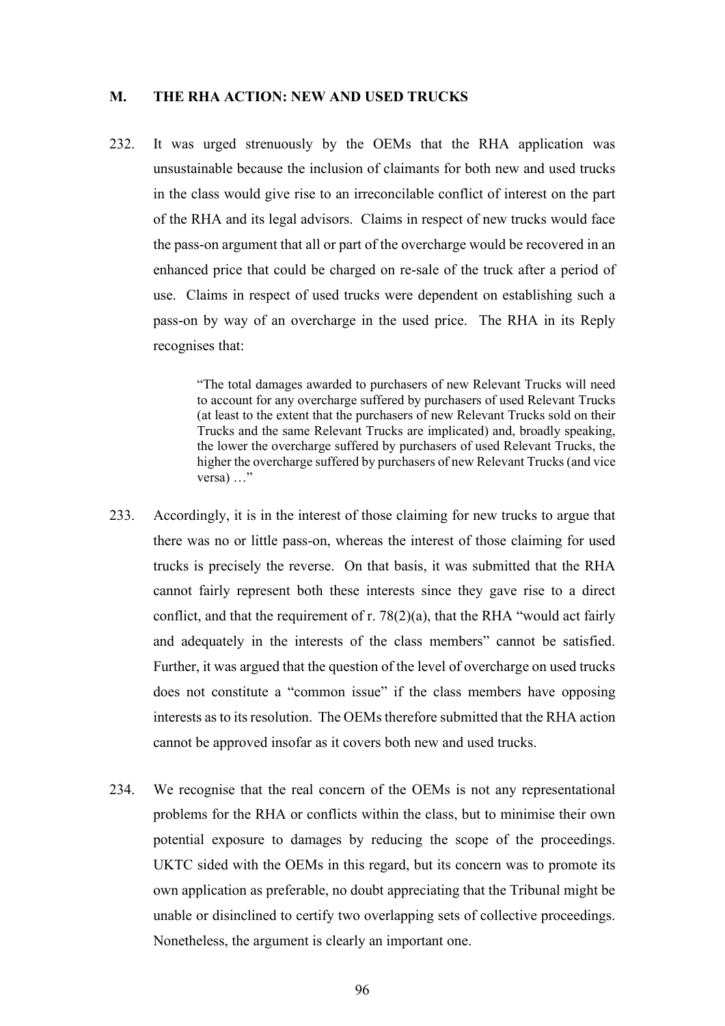#### **M. THE RHA ACTION: NEW AND USED TRUCKS**

232. It was urged strenuously by the OEMs that the RHA application was unsustainable because the inclusion of claimants for both new and used trucks in the class would give rise to an irreconcilable conflict of interest on the part of the RHA and its legal advisors. Claims in respect of new trucks would face the pass-on argument that all or part of the overcharge would be recovered in an enhanced price that could be charged on re-sale of the truck after a period of use. Claims in respect of used trucks were dependent on establishing such a pass-on by way of an overcharge in the used price. The RHA in its Reply recognises that:

> "The total damages awarded to purchasers of new Relevant Trucks will need to account for any overcharge suffered by purchasers of used Relevant Trucks (at least to the extent that the purchasers of new Relevant Trucks sold on their Trucks and the same Relevant Trucks are implicated) and, broadly speaking, the lower the overcharge suffered by purchasers of used Relevant Trucks, the higher the overcharge suffered by purchasers of new Relevant Trucks (and vice versa) …"

- 233. Accordingly, it is in the interest of those claiming for new trucks to argue that there was no or little pass-on, whereas the interest of those claiming for used trucks is precisely the reverse. On that basis, it was submitted that the RHA cannot fairly represent both these interests since they gave rise to a direct conflict, and that the requirement of r.  $78(2)(a)$ , that the RHA "would act fairly and adequately in the interests of the class members" cannot be satisfied. Further, it was argued that the question of the level of overcharge on used trucks does not constitute a "common issue" if the class members have opposing interests as to its resolution. The OEMs therefore submitted that the RHA action cannot be approved insofar as it covers both new and used trucks.
- 234. We recognise that the real concern of the OEMs is not any representational problems for the RHA or conflicts within the class, but to minimise their own potential exposure to damages by reducing the scope of the proceedings. UKTC sided with the OEMs in this regard, but its concern was to promote its own application as preferable, no doubt appreciating that the Tribunal might be unable or disinclined to certify two overlapping sets of collective proceedings. Nonetheless, the argument is clearly an important one.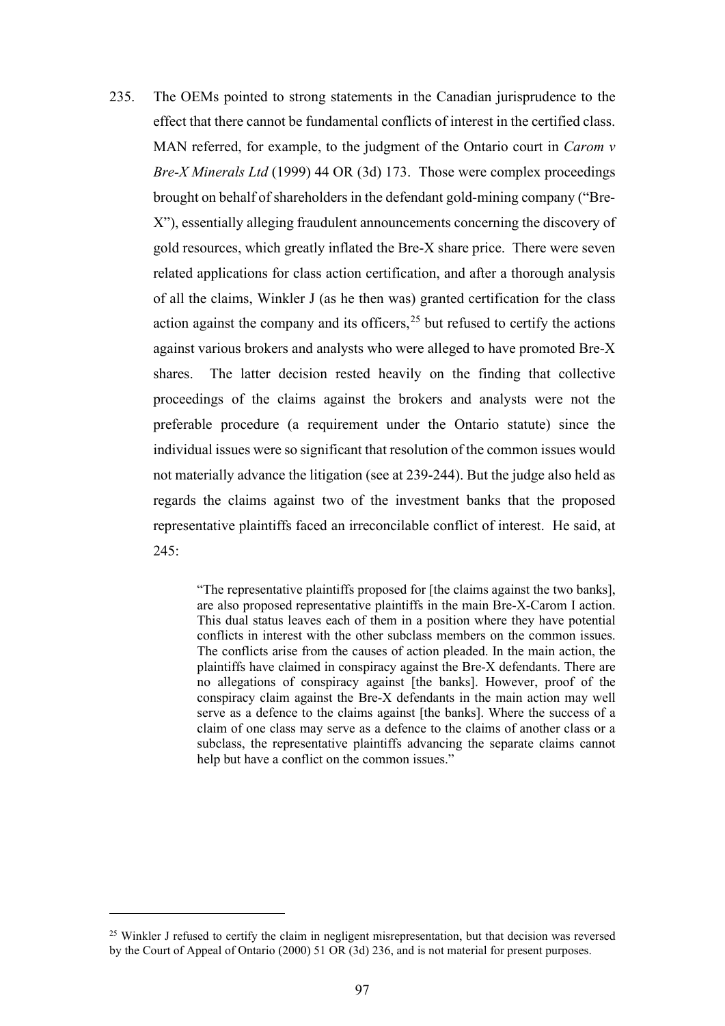235. The OEMs pointed to strong statements in the Canadian jurisprudence to the effect that there cannot be fundamental conflicts of interest in the certified class. MAN referred, for example, to the judgment of the Ontario court in *Carom v Bre-X Minerals Ltd* (1999) 44 OR (3d) 173. Those were complex proceedings brought on behalf of shareholders in the defendant gold-mining company ("Bre-X"), essentially alleging fraudulent announcements concerning the discovery of gold resources, which greatly inflated the Bre-X share price. There were seven related applications for class action certification, and after a thorough analysis of all the claims, Winkler J (as he then was) granted certification for the class action against the company and its officers,  $2<sup>5</sup>$  but refused to certify the actions against various brokers and analysts who were alleged to have promoted Bre-X shares. The latter decision rested heavily on the finding that collective proceedings of the claims against the brokers and analysts were not the preferable procedure (a requirement under the Ontario statute) since the individual issues were so significant that resolution of the common issues would not materially advance the litigation (see at 239-244). But the judge also held as regards the claims against two of the investment banks that the proposed representative plaintiffs faced an irreconcilable conflict of interest. He said, at 245:

> "The representative plaintiffs proposed for [the claims against the two banks], are also proposed representative plaintiffs in the main Bre-X-Carom I action. This dual status leaves each of them in a position where they have potential conflicts in interest with the other subclass members on the common issues. The conflicts arise from the causes of action pleaded. In the main action, the plaintiffs have claimed in conspiracy against the Bre-X defendants. There are no allegations of conspiracy against [the banks]. However, proof of the conspiracy claim against the Bre-X defendants in the main action may well serve as a defence to the claims against [the banks]. Where the success of a claim of one class may serve as a defence to the claims of another class or a subclass, the representative plaintiffs advancing the separate claims cannot help but have a conflict on the common issues."

<sup>&</sup>lt;sup>25</sup> Winkler J refused to certify the claim in negligent misrepresentation, but that decision was reversed by the Court of Appeal of Ontario (2000) 51 OR (3d) 236, and is not material for present purposes.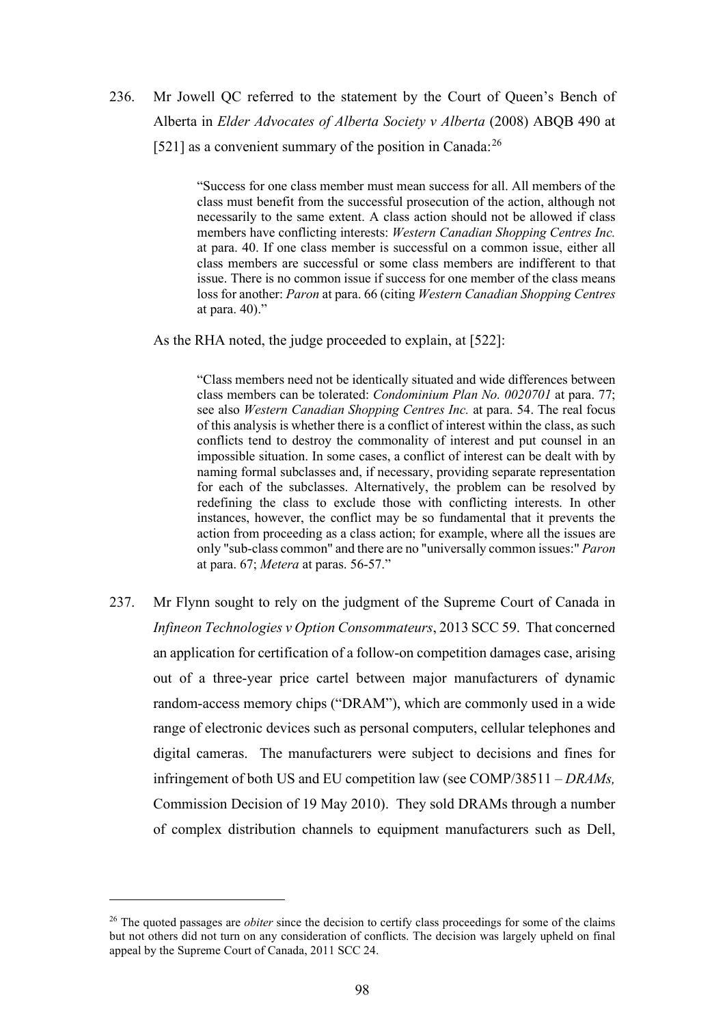# 236. Mr Jowell QC referred to the statement by the Court of Queen's Bench of Alberta in *Elder Advocates of Alberta Society v Alberta* (2008) ABQB 490 at [521] as a convenient summary of the position in Canada:  $^{26}$

"Success for one class member must mean success for all. All members of the class must benefit from the successful prosecution of the action, although not necessarily to the same extent. A class action should not be allowed if class members have conflicting interests: *Western Canadian Shopping Centres Inc.* at para. 40. If one class member is successful on a common issue, either all class members are successful or some class members are indifferent to that issue. There is no common issue if success for one member of the class means loss for another: *Paron* at para. 66 (citing *Western Canadian Shopping Centres* at para. 40)."

As the RHA noted, the judge proceeded to explain, at [522]:

"Class members need not be identically situated and wide differences between class members can be tolerated: *Condominium Plan No. 0020701* at para. 77; see also *Western Canadian Shopping Centres Inc.* at para. 54. The real focus of this analysis is whether there is a conflict of interest within the class, as such conflicts tend to destroy the commonality of interest and put counsel in an impossible situation. In some cases, a conflict of interest can be dealt with by naming formal subclasses and, if necessary, providing separate representation for each of the subclasses. Alternatively, the problem can be resolved by redefining the class to exclude those with conflicting interests. In other instances, however, the conflict may be so fundamental that it prevents the action from proceeding as a class action; for example, where all the issues are only "sub-class common" and there are no "universally common issues:" *Paron*  at para. 67; *Metera* at paras. 56-57."

237. Mr Flynn sought to rely on the judgment of the Supreme Court of Canada in *Infineon Technologies v Option Consommateurs*, 2013 SCC 59. That concerned an application for certification of a follow-on competition damages case, arising out of a three-year price cartel between major manufacturers of dynamic random-access memory chips ("DRAM"), which are commonly used in a wide range of electronic devices such as personal computers, cellular telephones and digital cameras. The manufacturers were subject to decisions and fines for infringement of both US and EU competition law (see COMP/38511 – *DRAMs,*  Commission Decision of 19 May 2010). They sold DRAMs through a number of complex distribution channels to equipment manufacturers such as Dell,

<sup>&</sup>lt;sup>26</sup> The quoted passages are *obiter* since the decision to certify class proceedings for some of the claims but not others did not turn on any consideration of conflicts. The decision was largely upheld on final appeal by the Supreme Court of Canada, 2011 SCC 24.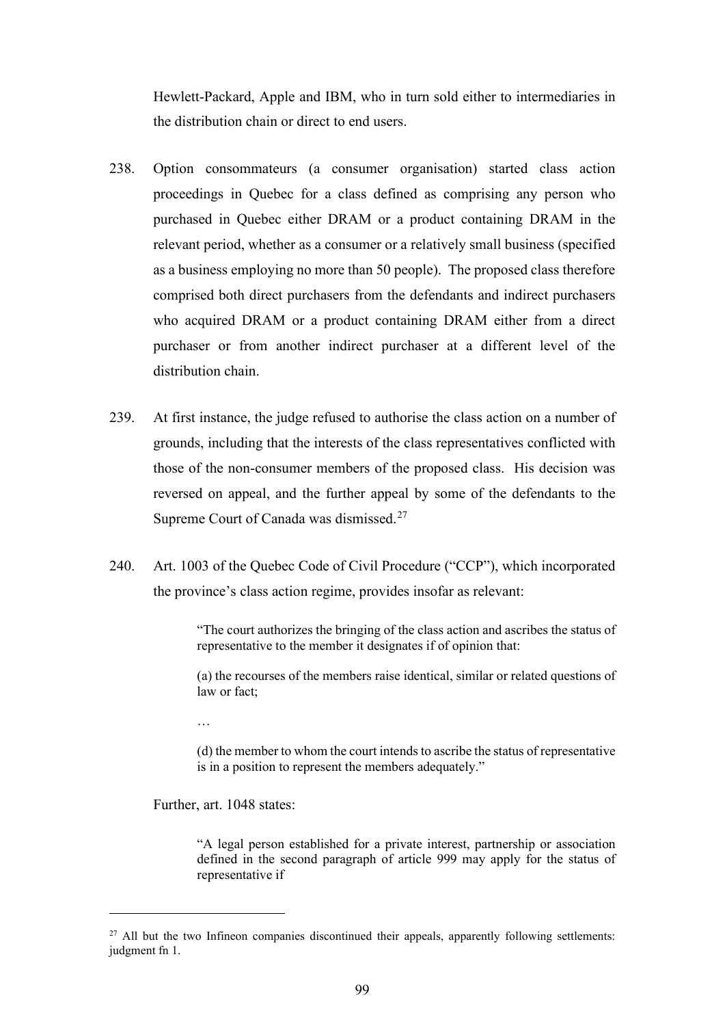Hewlett-Packard, Apple and IBM, who in turn sold either to intermediaries in the distribution chain or direct to end users.

- 238. Option consommateurs (a consumer organisation) started class action proceedings in Quebec for a class defined as comprising any person who purchased in Quebec either DRAM or a product containing DRAM in the relevant period, whether as a consumer or a relatively small business (specified as a business employing no more than 50 people). The proposed class therefore comprised both direct purchasers from the defendants and indirect purchasers who acquired DRAM or a product containing DRAM either from a direct purchaser or from another indirect purchaser at a different level of the distribution chain.
- 239. At first instance, the judge refused to authorise the class action on a number of grounds, including that the interests of the class representatives conflicted with those of the non-consumer members of the proposed class. His decision was reversed on appeal, and the further appeal by some of the defendants to the Supreme Court of Canada was dismissed.<sup>27</sup>
- 240. Art. 1003 of the Quebec Code of Civil Procedure ("CCP"), which incorporated the province's class action regime, provides insofar as relevant:

"The court authorizes the bringing of the class action and ascribes the status of representative to the member it designates if of opinion that:

(a) the recourses of the members raise identical, similar or related questions of law or fact;

…

(d) the member to whom the court intends to ascribe the status of representative is in a position to represent the members adequately."

Further, art. 1048 states:

"A legal person established for a private interest, partnership or association defined in the second paragraph of article 999 may apply for the status of representative if

<sup>&</sup>lt;sup>27</sup> All but the two Infineon companies discontinued their appeals, apparently following settlements: judgment fn 1.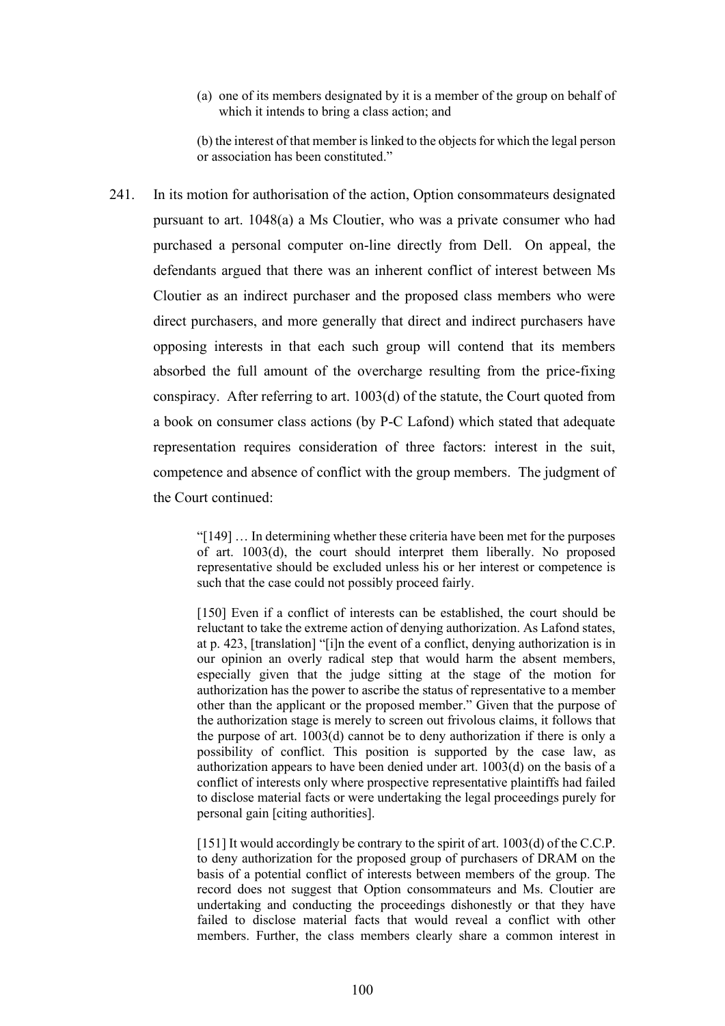(a) one of its members designated by it is a member of the group on behalf of which it intends to bring a class action; and

(b) the interest of that member is linked to the objects for which the legal person or association has been constituted."

241. In its motion for authorisation of the action, Option consommateurs designated pursuant to art. 1048(a) a Ms Cloutier, who was a private consumer who had purchased a personal computer on-line directly from Dell. On appeal, the defendants argued that there was an inherent conflict of interest between Ms Cloutier as an indirect purchaser and the proposed class members who were direct purchasers, and more generally that direct and indirect purchasers have opposing interests in that each such group will contend that its members absorbed the full amount of the overcharge resulting from the price-fixing conspiracy. After referring to art. 1003(d) of the statute, the Court quoted from a book on consumer class actions (by P-C Lafond) which stated that adequate representation requires consideration of three factors: interest in the suit, competence and absence of conflict with the group members. The judgment of the Court continued:

> "[149] … In determining whether these criteria have been met for the purposes of art. 1003(d), the court should interpret them liberally. No proposed representative should be excluded unless his or her interest or competence is such that the case could not possibly proceed fairly.

> [150] Even if a conflict of interests can be established, the court should be reluctant to take the extreme action of denying authorization. As Lafond states, at p. 423, [translation] "[i]n the event of a conflict, denying authorization is in our opinion an overly radical step that would harm the absent members, especially given that the judge sitting at the stage of the motion for authorization has the power to ascribe the status of representative to a member other than the applicant or the proposed member." Given that the purpose of the authorization stage is merely to screen out frivolous claims, it follows that the purpose of art. 1003(d) cannot be to deny authorization if there is only a possibility of conflict. This position is supported by the case law, as authorization appears to have been denied under art. 1003(d) on the basis of a conflict of interests only where prospective representative plaintiffs had failed to disclose material facts or were undertaking the legal proceedings purely for personal gain [citing authorities].

> [151] It would accordingly be contrary to the spirit of art. 1003(d) of the C.C.P. to deny authorization for the proposed group of purchasers of DRAM on the basis of a potential conflict of interests between members of the group. The record does not suggest that Option consommateurs and Ms. Cloutier are undertaking and conducting the proceedings dishonestly or that they have failed to disclose material facts that would reveal a conflict with other members. Further, the class members clearly share a common interest in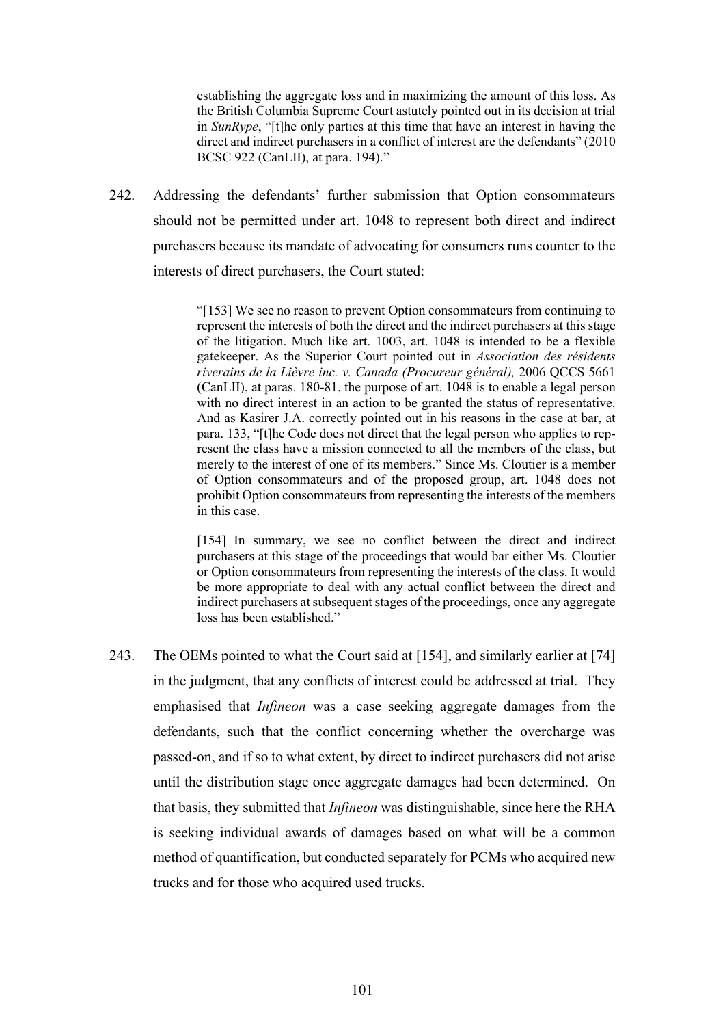establishing the aggregate loss and in maximizing the amount of this loss. As the British Columbia Supreme Court astutely pointed out in its decision at trial in *SunRype*, "[t]he only parties at this time that have an interest in having the direct and indirect purchasers in a conflict of interest are the defendants" (2010 BCSC 922 (CanLII), at para. 194)."

242. Addressing the defendants' further submission that Option consommateurs should not be permitted under art. 1048 to represent both direct and indirect purchasers because its mandate of advocating for consumers runs counter to the interests of direct purchasers, the Court stated:

> "[153] We see no reason to prevent Option consommateurs from continuing to represent the interests of both the direct and the indirect purchasers at this stage of the litigation. Much like art. 1003, art. 1048 is intended to be a flexible gatekeeper. As the Superior Court pointed out in *Association des résidents riverains de la Lièvre inc. v. Canada (Procureur général),* 2006 QCCS 5661 (CanLII), at paras. 180-81, the purpose of art. 1048 is to enable a legal person with no direct interest in an action to be granted the status of representative. And as Kasirer J.A. correctly pointed out in his reasons in the case at bar, at para. 133, "[t]he Code does not direct that the legal person who applies to represent the class have a mission connected to all the members of the class, but merely to the interest of one of its members." Since Ms. Cloutier is a member of Option consommateurs and of the proposed group, art. 1048 does not prohibit Option consommateurs from representing the interests of the members in this case.

> [154] In summary, we see no conflict between the direct and indirect purchasers at this stage of the proceedings that would bar either Ms. Cloutier or Option consommateurs from representing the interests of the class. It would be more appropriate to deal with any actual conflict between the direct and indirect purchasers at subsequent stages of the proceedings, once any aggregate loss has been established."

243. The OEMs pointed to what the Court said at [154], and similarly earlier at [74] in the judgment, that any conflicts of interest could be addressed at trial. They emphasised that *Infineon* was a case seeking aggregate damages from the defendants, such that the conflict concerning whether the overcharge was passed-on, and if so to what extent, by direct to indirect purchasers did not arise until the distribution stage once aggregate damages had been determined. On that basis, they submitted that *Infineon* was distinguishable, since here the RHA is seeking individual awards of damages based on what will be a common method of quantification, but conducted separately for PCMs who acquired new trucks and for those who acquired used trucks.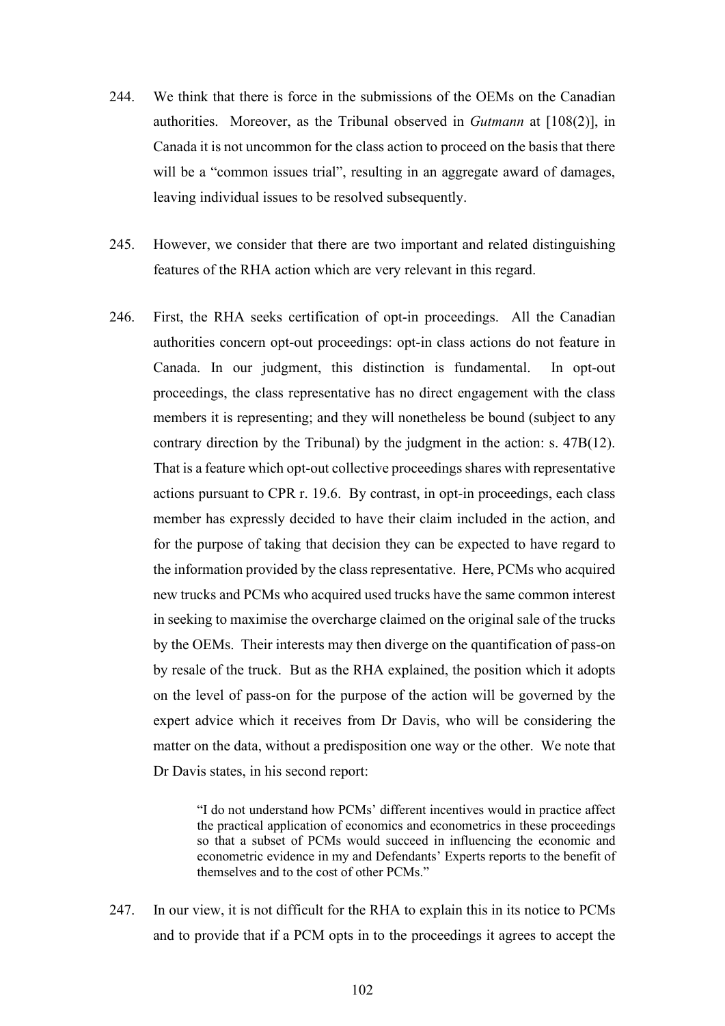- 244. We think that there is force in the submissions of the OEMs on the Canadian authorities. Moreover, as the Tribunal observed in *Gutmann* at [108(2)], in Canada it is not uncommon for the class action to proceed on the basis that there will be a "common issues trial", resulting in an aggregate award of damages, leaving individual issues to be resolved subsequently.
- 245. However, we consider that there are two important and related distinguishing features of the RHA action which are very relevant in this regard.
- 246. First, the RHA seeks certification of opt-in proceedings. All the Canadian authorities concern opt-out proceedings: opt-in class actions do not feature in Canada. In our judgment, this distinction is fundamental. In opt-out proceedings, the class representative has no direct engagement with the class members it is representing; and they will nonetheless be bound (subject to any contrary direction by the Tribunal) by the judgment in the action: s. 47B(12). That is a feature which opt-out collective proceedings shares with representative actions pursuant to CPR r. 19.6. By contrast, in opt-in proceedings, each class member has expressly decided to have their claim included in the action, and for the purpose of taking that decision they can be expected to have regard to the information provided by the class representative. Here, PCMs who acquired new trucks and PCMs who acquired used trucks have the same common interest in seeking to maximise the overcharge claimed on the original sale of the trucks by the OEMs. Their interests may then diverge on the quantification of pass-on by resale of the truck. But as the RHA explained, the position which it adopts on the level of pass-on for the purpose of the action will be governed by the expert advice which it receives from Dr Davis, who will be considering the matter on the data, without a predisposition one way or the other. We note that Dr Davis states, in his second report:

"I do not understand how PCMs' different incentives would in practice affect the practical application of economics and econometrics in these proceedings so that a subset of PCMs would succeed in influencing the economic and econometric evidence in my and Defendants' Experts reports to the benefit of themselves and to the cost of other PCMs."

247. In our view, it is not difficult for the RHA to explain this in its notice to PCMs and to provide that if a PCM opts in to the proceedings it agrees to accept the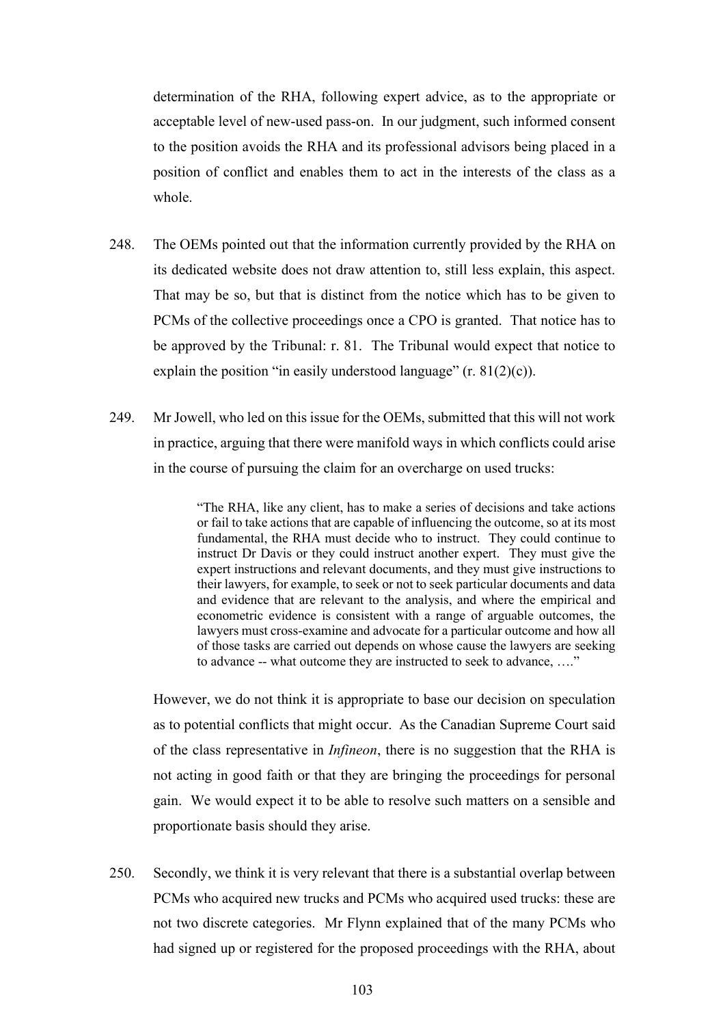determination of the RHA, following expert advice, as to the appropriate or acceptable level of new-used pass-on. In our judgment, such informed consent to the position avoids the RHA and its professional advisors being placed in a position of conflict and enables them to act in the interests of the class as a whole.

- 248. The OEMs pointed out that the information currently provided by the RHA on its dedicated website does not draw attention to, still less explain, this aspect. That may be so, but that is distinct from the notice which has to be given to PCMs of the collective proceedings once a CPO is granted. That notice has to be approved by the Tribunal: r. 81. The Tribunal would expect that notice to explain the position "in easily understood language"  $(r. 81(2)(c))$ .
- 249. Mr Jowell, who led on this issue for the OEMs, submitted that this will not work in practice, arguing that there were manifold ways in which conflicts could arise in the course of pursuing the claim for an overcharge on used trucks:

"The RHA, like any client, has to make a series of decisions and take actions or fail to take actions that are capable of influencing the outcome, so at its most fundamental, the RHA must decide who to instruct. They could continue to instruct Dr Davis or they could instruct another expert. They must give the expert instructions and relevant documents, and they must give instructions to their lawyers, for example, to seek or not to seek particular documents and data and evidence that are relevant to the analysis, and where the empirical and econometric evidence is consistent with a range of arguable outcomes, the lawyers must cross-examine and advocate for a particular outcome and how all of those tasks are carried out depends on whose cause the lawyers are seeking to advance -- what outcome they are instructed to seek to advance, …."

However, we do not think it is appropriate to base our decision on speculation as to potential conflicts that might occur. As the Canadian Supreme Court said of the class representative in *Infineon*, there is no suggestion that the RHA is not acting in good faith or that they are bringing the proceedings for personal gain. We would expect it to be able to resolve such matters on a sensible and proportionate basis should they arise.

250. Secondly, we think it is very relevant that there is a substantial overlap between PCMs who acquired new trucks and PCMs who acquired used trucks: these are not two discrete categories. Mr Flynn explained that of the many PCMs who had signed up or registered for the proposed proceedings with the RHA, about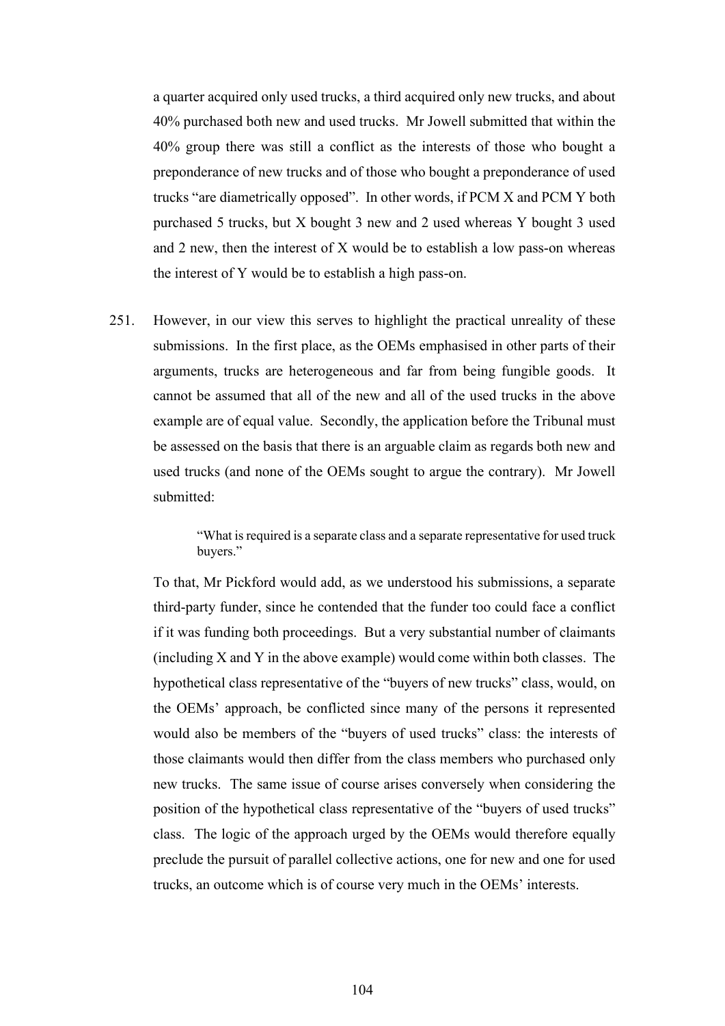a quarter acquired only used trucks, a third acquired only new trucks, and about 40% purchased both new and used trucks. Mr Jowell submitted that within the 40% group there was still a conflict as the interests of those who bought a preponderance of new trucks and of those who bought a preponderance of used trucks "are diametrically opposed". In other words, if PCM X and PCM Y both purchased 5 trucks, but X bought 3 new and 2 used whereas Y bought 3 used and 2 new, then the interest of X would be to establish a low pass-on whereas the interest of Y would be to establish a high pass-on.

251. However, in our view this serves to highlight the practical unreality of these submissions. In the first place, as the OEMs emphasised in other parts of their arguments, trucks are heterogeneous and far from being fungible goods. It cannot be assumed that all of the new and all of the used trucks in the above example are of equal value. Secondly, the application before the Tribunal must be assessed on the basis that there is an arguable claim as regards both new and used trucks (and none of the OEMs sought to argue the contrary). Mr Jowell submitted:

> "What is required is a separate class and a separate representative for used truck buyers."

To that, Mr Pickford would add, as we understood his submissions, a separate third-party funder, since he contended that the funder too could face a conflict if it was funding both proceedings. But a very substantial number of claimants (including X and Y in the above example) would come within both classes. The hypothetical class representative of the "buyers of new trucks" class, would, on the OEMs' approach, be conflicted since many of the persons it represented would also be members of the "buyers of used trucks" class: the interests of those claimants would then differ from the class members who purchased only new trucks. The same issue of course arises conversely when considering the position of the hypothetical class representative of the "buyers of used trucks" class. The logic of the approach urged by the OEMs would therefore equally preclude the pursuit of parallel collective actions, one for new and one for used trucks, an outcome which is of course very much in the OEMs' interests.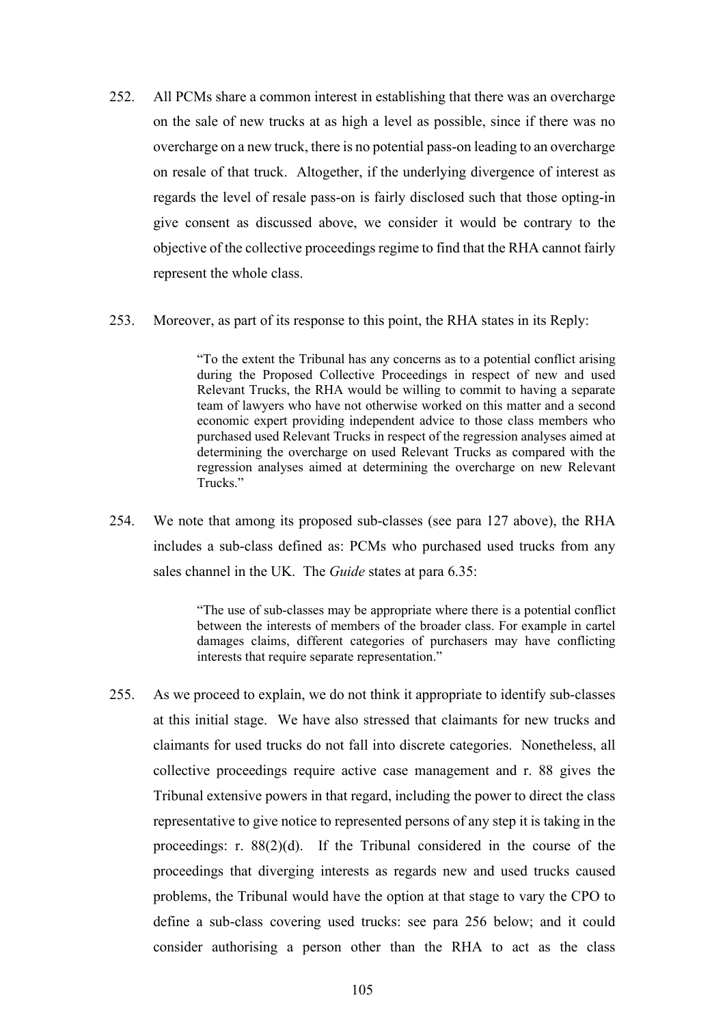- 252. All PCMs share a common interest in establishing that there was an overcharge on the sale of new trucks at as high a level as possible, since if there was no overcharge on a new truck, there is no potential pass-on leading to an overcharge on resale of that truck. Altogether, if the underlying divergence of interest as regards the level of resale pass-on is fairly disclosed such that those opting-in give consent as discussed above, we consider it would be contrary to the objective of the collective proceedings regime to find that the RHA cannot fairly represent the whole class.
- 253. Moreover, as part of its response to this point, the RHA states in its Reply:

"To the extent the Tribunal has any concerns as to a potential conflict arising during the Proposed Collective Proceedings in respect of new and used Relevant Trucks, the RHA would be willing to commit to having a separate team of lawyers who have not otherwise worked on this matter and a second economic expert providing independent advice to those class members who purchased used Relevant Trucks in respect of the regression analyses aimed at determining the overcharge on used Relevant Trucks as compared with the regression analyses aimed at determining the overcharge on new Relevant Trucks."

254. We note that among its proposed sub-classes (see para 127 above), the RHA includes a sub-class defined as: PCMs who purchased used trucks from any sales channel in the UK. The *Guide* states at para 6.35:

> "The use of sub-classes may be appropriate where there is a potential conflict between the interests of members of the broader class. For example in cartel damages claims, different categories of purchasers may have conflicting interests that require separate representation."

255. As we proceed to explain, we do not think it appropriate to identify sub-classes at this initial stage. We have also stressed that claimants for new trucks and claimants for used trucks do not fall into discrete categories. Nonetheless, all collective proceedings require active case management and r. 88 gives the Tribunal extensive powers in that regard, including the power to direct the class representative to give notice to represented persons of any step it is taking in the proceedings: r. 88(2)(d). If the Tribunal considered in the course of the proceedings that diverging interests as regards new and used trucks caused problems, the Tribunal would have the option at that stage to vary the CPO to define a sub-class covering used trucks: see para 256 below; and it could consider authorising a person other than the RHA to act as the class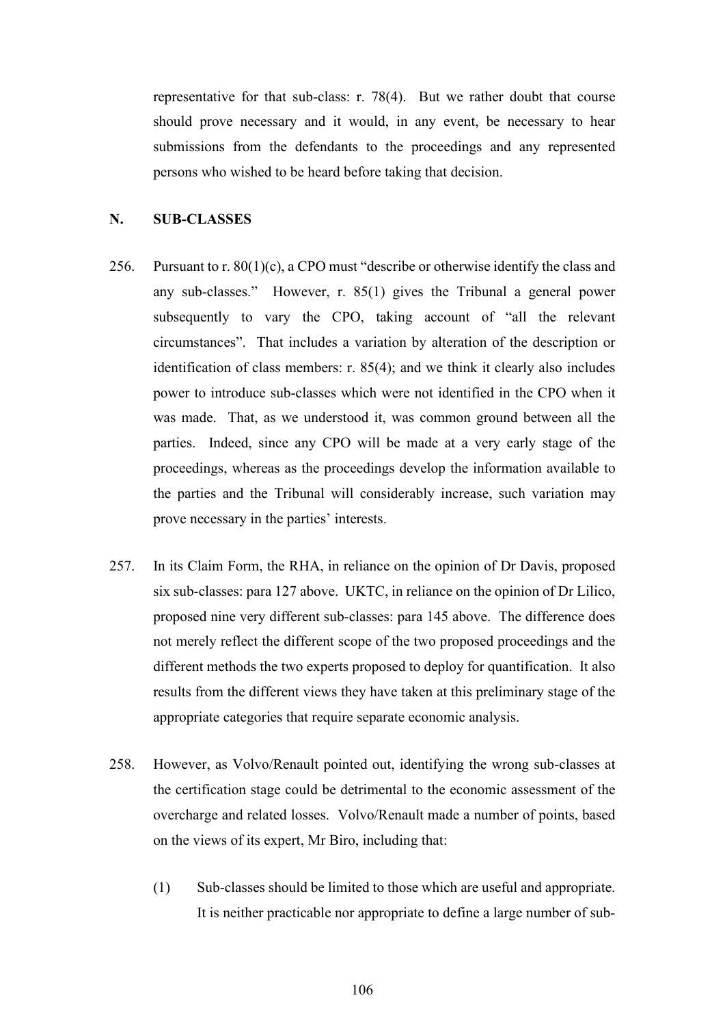representative for that sub-class: r. 78(4). But we rather doubt that course should prove necessary and it would, in any event, be necessary to hear submissions from the defendants to the proceedings and any represented persons who wished to be heard before taking that decision.

#### **N. SUB-CLASSES**

- 256. Pursuant to r. 80(1)(c), a CPO must "describe or otherwise identify the class and any sub-classes." However, r. 85(1) gives the Tribunal a general power subsequently to vary the CPO, taking account of "all the relevant circumstances". That includes a variation by alteration of the description or identification of class members: r. 85(4); and we think it clearly also includes power to introduce sub-classes which were not identified in the CPO when it was made. That, as we understood it, was common ground between all the parties. Indeed, since any CPO will be made at a very early stage of the proceedings, whereas as the proceedings develop the information available to the parties and the Tribunal will considerably increase, such variation may prove necessary in the parties' interests.
- 257. In its Claim Form, the RHA, in reliance on the opinion of Dr Davis, proposed six sub-classes: para 127 above. UKTC, in reliance on the opinion of Dr Lilico, proposed nine very different sub-classes: para 145 above. The difference does not merely reflect the different scope of the two proposed proceedings and the different methods the two experts proposed to deploy for quantification. It also results from the different views they have taken at this preliminary stage of the appropriate categories that require separate economic analysis.
- 258. However, as Volvo/Renault pointed out, identifying the wrong sub-classes at the certification stage could be detrimental to the economic assessment of the overcharge and related losses. Volvo/Renault made a number of points, based on the views of its expert, Mr Biro, including that:
	- (1) Sub-classes should be limited to those which are useful and appropriate. It is neither practicable nor appropriate to define a large number of sub-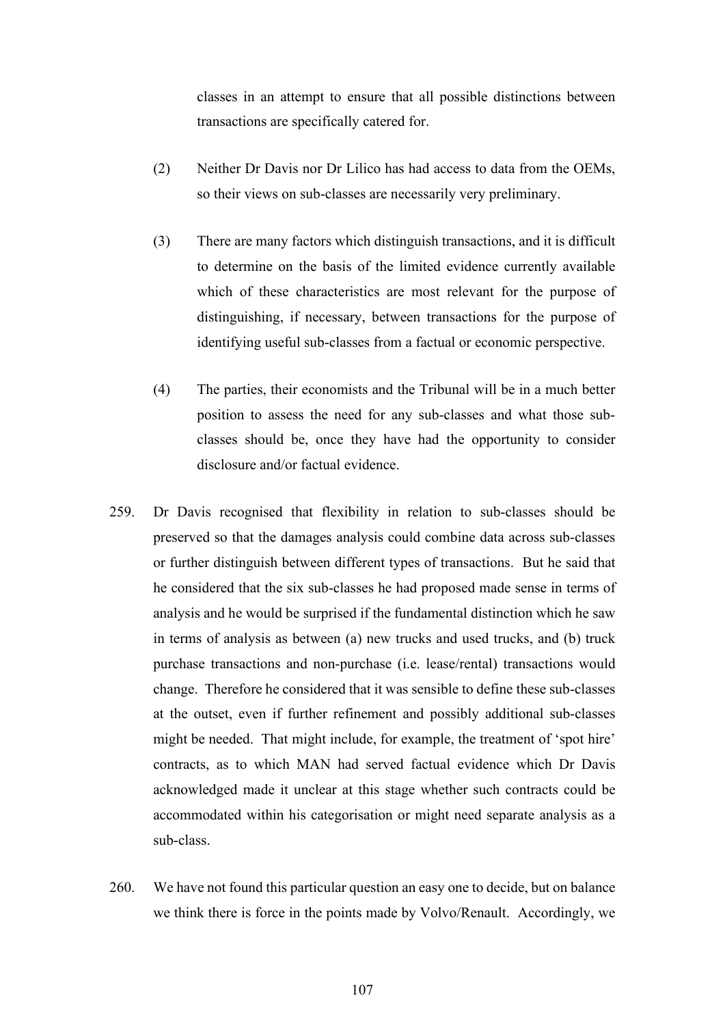classes in an attempt to ensure that all possible distinctions between transactions are specifically catered for.

- (2) Neither Dr Davis nor Dr Lilico has had access to data from the OEMs, so their views on sub-classes are necessarily very preliminary.
- (3) There are many factors which distinguish transactions, and it is difficult to determine on the basis of the limited evidence currently available which of these characteristics are most relevant for the purpose of distinguishing, if necessary, between transactions for the purpose of identifying useful sub-classes from a factual or economic perspective.
- (4) The parties, their economists and the Tribunal will be in a much better position to assess the need for any sub-classes and what those subclasses should be, once they have had the opportunity to consider disclosure and/or factual evidence.
- 259. Dr Davis recognised that flexibility in relation to sub-classes should be preserved so that the damages analysis could combine data across sub-classes or further distinguish between different types of transactions. But he said that he considered that the six sub-classes he had proposed made sense in terms of analysis and he would be surprised if the fundamental distinction which he saw in terms of analysis as between (a) new trucks and used trucks, and (b) truck purchase transactions and non-purchase (i.e. lease/rental) transactions would change. Therefore he considered that it was sensible to define these sub-classes at the outset, even if further refinement and possibly additional sub-classes might be needed. That might include, for example, the treatment of 'spot hire' contracts, as to which MAN had served factual evidence which Dr Davis acknowledged made it unclear at this stage whether such contracts could be accommodated within his categorisation or might need separate analysis as a sub-class.
- 260. We have not found this particular question an easy one to decide, but on balance we think there is force in the points made by Volvo/Renault. Accordingly, we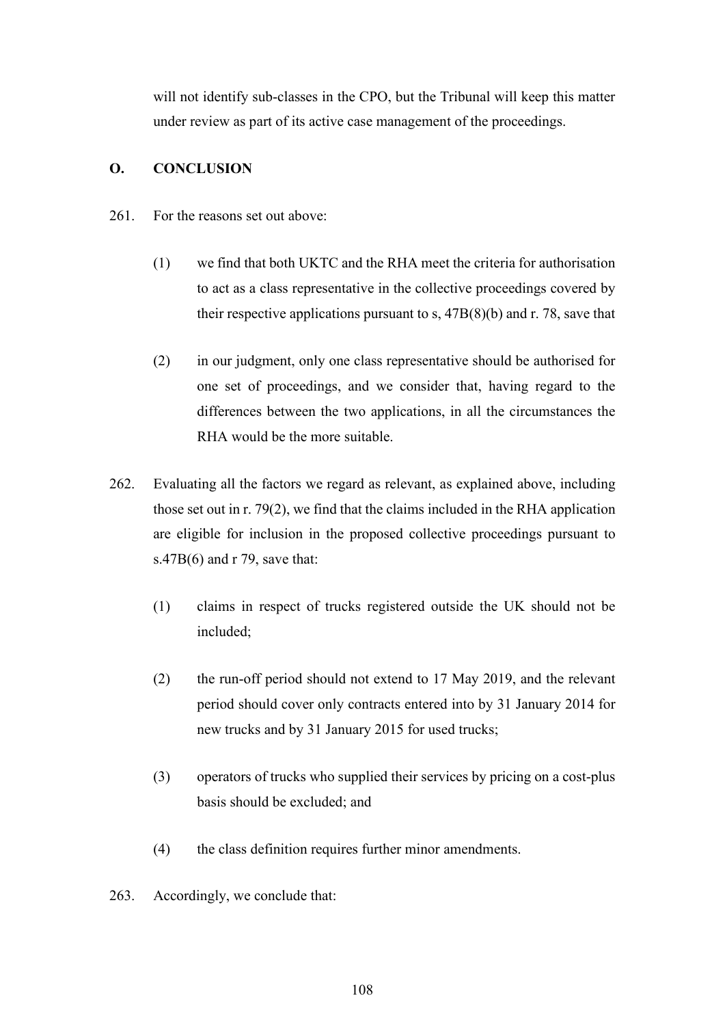will not identify sub-classes in the CPO, but the Tribunal will keep this matter under review as part of its active case management of the proceedings.

# **O. CONCLUSION**

- 261. For the reasons set out above:
	- (1) we find that both UKTC and the RHA meet the criteria for authorisation to act as a class representative in the collective proceedings covered by their respective applications pursuant to s,  $47B(8)(b)$  and r. 78, save that
	- (2) in our judgment, only one class representative should be authorised for one set of proceedings, and we consider that, having regard to the differences between the two applications, in all the circumstances the RHA would be the more suitable.
- 262. Evaluating all the factors we regard as relevant, as explained above, including those set out in r. 79(2), we find that the claims included in the RHA application are eligible for inclusion in the proposed collective proceedings pursuant to s.47B(6) and r 79, save that:
	- (1) claims in respect of trucks registered outside the UK should not be included;
	- (2) the run-off period should not extend to 17 May 2019, and the relevant period should cover only contracts entered into by 31 January 2014 for new trucks and by 31 January 2015 for used trucks;
	- (3) operators of trucks who supplied their services by pricing on a cost-plus basis should be excluded; and
	- (4) the class definition requires further minor amendments.
- 263. Accordingly, we conclude that: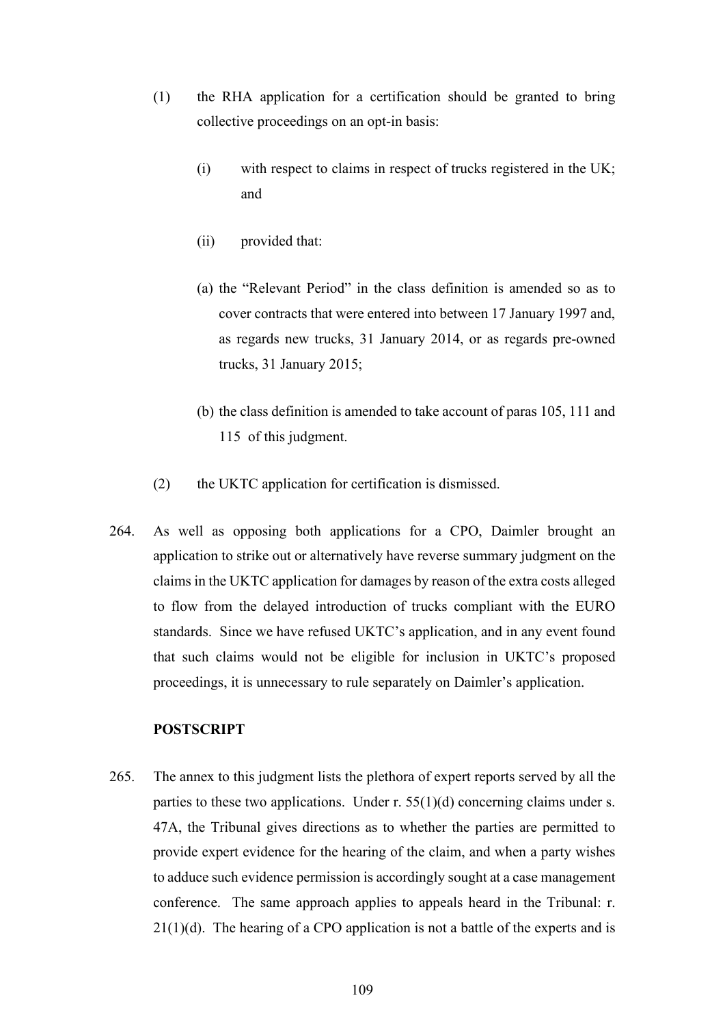- (1) the RHA application for a certification should be granted to bring collective proceedings on an opt-in basis:
	- (i) with respect to claims in respect of trucks registered in the UK; and
	- (ii) provided that:
	- (a) the "Relevant Period" in the class definition is amended so as to cover contracts that were entered into between 17 January 1997 and, as regards new trucks, 31 January 2014, or as regards pre-owned trucks, 31 January 2015;
	- (b) the class definition is amended to take account of paras 105, 111 and 115 of this judgment.
- (2) the UKTC application for certification is dismissed.
- 264. As well as opposing both applications for a CPO, Daimler brought an application to strike out or alternatively have reverse summary judgment on the claims in the UKTC application for damages by reason of the extra costs alleged to flow from the delayed introduction of trucks compliant with the EURO standards. Since we have refused UKTC's application, and in any event found that such claims would not be eligible for inclusion in UKTC's proposed proceedings, it is unnecessary to rule separately on Daimler's application.

## **POSTSCRIPT**

265. The annex to this judgment lists the plethora of expert reports served by all the parties to these two applications. Under r.  $55(1)(d)$  concerning claims under s. 47A, the Tribunal gives directions as to whether the parties are permitted to provide expert evidence for the hearing of the claim, and when a party wishes to adduce such evidence permission is accordingly sought at a case management conference. The same approach applies to appeals heard in the Tribunal: r.  $21(1)(d)$ . The hearing of a CPO application is not a battle of the experts and is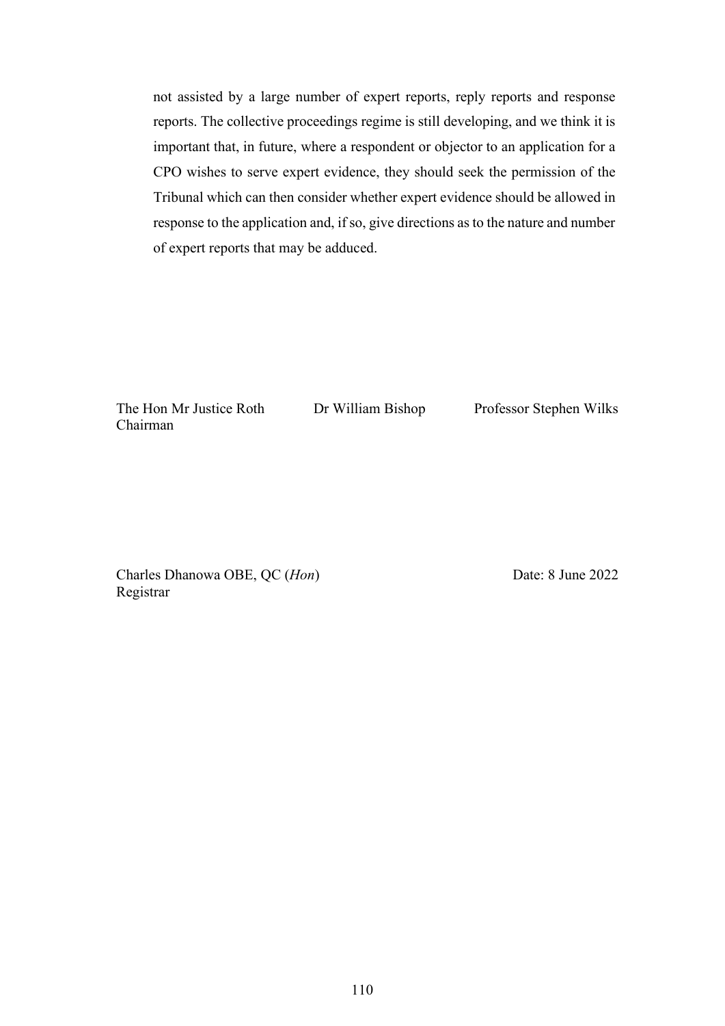not assisted by a large number of expert reports, reply reports and response reports. The collective proceedings regime is still developing, and we think it is important that, in future, where a respondent or objector to an application for a CPO wishes to serve expert evidence, they should seek the permission of the Tribunal which can then consider whether expert evidence should be allowed in response to the application and, if so, give directions as to the nature and number of expert reports that may be adduced.

The Hon Mr Justice Roth Chairman

Dr William Bishop Professor Stephen Wilks

Charles Dhanowa OBE, QC (*Hon*) Registrar

Date: 8 June 2022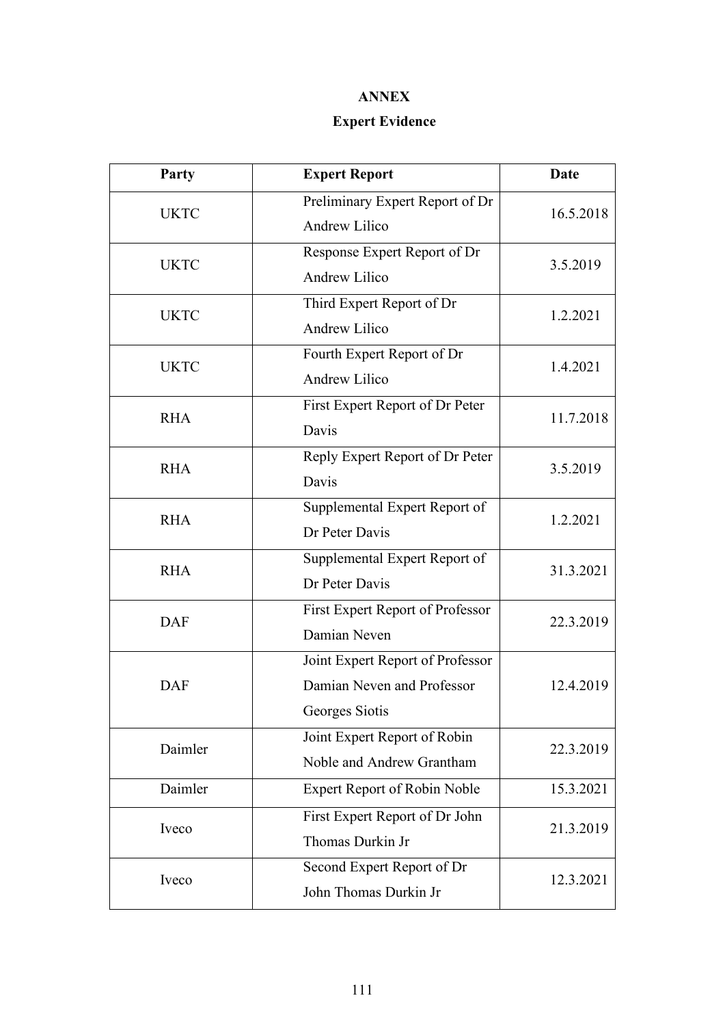## **ANNEX**

## **Expert Evidence**

| Party       | <b>Expert Report</b>                                                             | Date      |
|-------------|----------------------------------------------------------------------------------|-----------|
| <b>UKTC</b> | Preliminary Expert Report of Dr<br><b>Andrew Lilico</b>                          | 16.5.2018 |
| <b>UKTC</b> | Response Expert Report of Dr<br><b>Andrew Lilico</b>                             | 3.5.2019  |
| <b>UKTC</b> | Third Expert Report of Dr<br><b>Andrew Lilico</b>                                | 1.2.2021  |
| <b>UKTC</b> | Fourth Expert Report of Dr<br><b>Andrew Lilico</b>                               | 1.4.2021  |
| <b>RHA</b>  | First Expert Report of Dr Peter<br>Davis                                         | 11.7.2018 |
| <b>RHA</b>  | Reply Expert Report of Dr Peter<br>Davis                                         | 3.5.2019  |
| <b>RHA</b>  | Supplemental Expert Report of<br>Dr Peter Davis                                  | 1.2.2021  |
| <b>RHA</b>  | Supplemental Expert Report of<br>Dr Peter Davis                                  | 31.3.2021 |
| <b>DAF</b>  | First Expert Report of Professor<br>Damian Neven                                 | 22.3.2019 |
| <b>DAF</b>  | Joint Expert Report of Professor<br>Damian Neven and Professor<br>Georges Siotis | 12.4.2019 |
| Daimler     | Joint Expert Report of Robin<br>Noble and Andrew Grantham                        | 22.3.2019 |
| Daimler     | <b>Expert Report of Robin Noble</b>                                              | 15.3.2021 |
| Iveco       | First Expert Report of Dr John<br>Thomas Durkin Jr                               | 21.3.2019 |
| Iveco       | Second Expert Report of Dr<br>John Thomas Durkin Jr                              | 12.3.2021 |